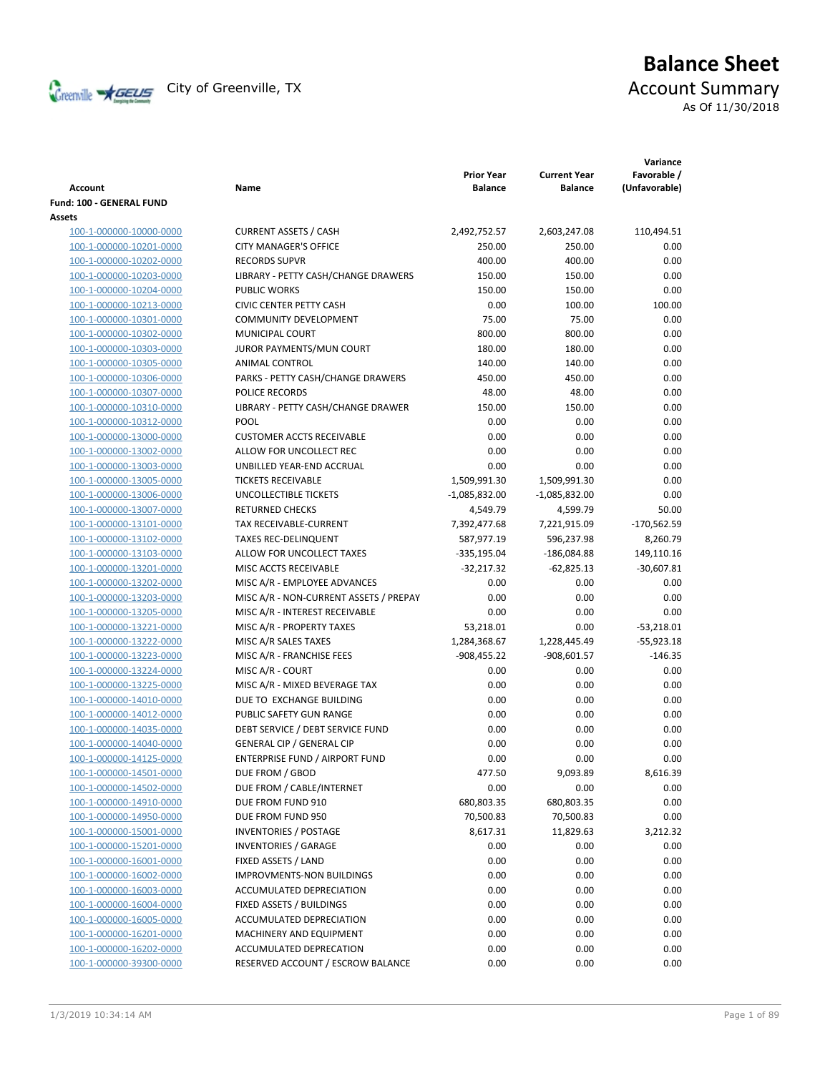

# **Balance Sheet** Creenville  $\star$  GEUS</del> City of Greenville, TX **ACCOUNT** Summary

| As Of 11/30/2018 |  |  |  |  |  |  |
|------------------|--|--|--|--|--|--|
|------------------|--|--|--|--|--|--|

| <b>Account</b>           | Name                                   | <b>Prior Year</b><br><b>Balance</b> | <b>Current Year</b><br><b>Balance</b> | Variance<br>Favorable /<br>(Unfavorable) |
|--------------------------|----------------------------------------|-------------------------------------|---------------------------------------|------------------------------------------|
| Fund: 100 - GENERAL FUND |                                        |                                     |                                       |                                          |
| Assets                   |                                        |                                     |                                       |                                          |
| 100-1-000000-10000-0000  | <b>CURRENT ASSETS / CASH</b>           | 2,492,752.57                        | 2,603,247.08                          | 110,494.51                               |
| 100-1-000000-10201-0000  | <b>CITY MANAGER'S OFFICE</b>           | 250.00                              | 250.00                                | 0.00                                     |
| 100-1-000000-10202-0000  | <b>RECORDS SUPVR</b>                   | 400.00                              | 400.00                                | 0.00                                     |
| 100-1-000000-10203-0000  | LIBRARY - PETTY CASH/CHANGE DRAWERS    | 150.00                              | 150.00                                | 0.00                                     |
| 100-1-000000-10204-0000  | <b>PUBLIC WORKS</b>                    | 150.00                              | 150.00                                | 0.00                                     |
| 100-1-000000-10213-0000  | <b>CIVIC CENTER PETTY CASH</b>         | 0.00                                | 100.00                                | 100.00                                   |
| 100-1-000000-10301-0000  | <b>COMMUNITY DEVELOPMENT</b>           | 75.00                               | 75.00                                 | 0.00                                     |
| 100-1-000000-10302-0000  | MUNICIPAL COURT                        | 800.00                              | 800.00                                | 0.00                                     |
| 100-1-000000-10303-0000  | JUROR PAYMENTS/MUN COURT               | 180.00                              | 180.00                                | 0.00                                     |
| 100-1-000000-10305-0000  | ANIMAL CONTROL                         | 140.00                              | 140.00                                | 0.00                                     |
| 100-1-000000-10306-0000  | PARKS - PETTY CASH/CHANGE DRAWERS      | 450.00                              | 450.00                                | 0.00                                     |
| 100-1-000000-10307-0000  | POLICE RECORDS                         | 48.00                               | 48.00                                 | 0.00                                     |
| 100-1-000000-10310-0000  | LIBRARY - PETTY CASH/CHANGE DRAWER     | 150.00                              | 150.00                                | 0.00                                     |
| 100-1-000000-10312-0000  | <b>POOL</b>                            | 0.00                                | 0.00                                  | 0.00                                     |
| 100-1-000000-13000-0000  | <b>CUSTOMER ACCTS RECEIVABLE</b>       | 0.00                                | 0.00                                  | 0.00                                     |
| 100-1-000000-13002-0000  | ALLOW FOR UNCOLLECT REC                | 0.00                                | 0.00                                  | 0.00                                     |
| 100-1-000000-13003-0000  | UNBILLED YEAR-END ACCRUAL              | 0.00                                | 0.00                                  | 0.00                                     |
| 100-1-000000-13005-0000  | <b>TICKETS RECEIVABLE</b>              | 1,509,991.30                        | 1,509,991.30                          | 0.00                                     |
| 100-1-000000-13006-0000  | UNCOLLECTIBLE TICKETS                  | -1,085,832.00                       | $-1,085,832.00$                       | 0.00                                     |
| 100-1-000000-13007-0000  | <b>RETURNED CHECKS</b>                 | 4,549.79                            | 4,599.79                              | 50.00                                    |
| 100-1-000000-13101-0000  | TAX RECEIVABLE-CURRENT                 | 7,392,477.68                        | 7,221,915.09                          | $-170,562.59$                            |
| 100-1-000000-13102-0000  | <b>TAXES REC-DELINQUENT</b>            | 587,977.19                          | 596,237.98                            | 8,260.79                                 |
| 100-1-000000-13103-0000  | ALLOW FOR UNCOLLECT TAXES              | $-335,195.04$                       | $-186,084.88$                         | 149,110.16                               |
| 100-1-000000-13201-0000  | MISC ACCTS RECEIVABLE                  | -32,217.32                          | $-62,825.13$                          | $-30,607.81$                             |
| 100-1-000000-13202-0000  | MISC A/R - EMPLOYEE ADVANCES           | 0.00                                | 0.00                                  | 0.00                                     |
| 100-1-000000-13203-0000  | MISC A/R - NON-CURRENT ASSETS / PREPAY | 0.00                                | 0.00                                  | 0.00                                     |
| 100-1-000000-13205-0000  | MISC A/R - INTEREST RECEIVABLE         | 0.00                                | 0.00                                  | 0.00                                     |
| 100-1-000000-13221-0000  | MISC A/R - PROPERTY TAXES              | 53,218.01                           | 0.00                                  | $-53,218.01$                             |
| 100-1-000000-13222-0000  | MISC A/R SALES TAXES                   | 1,284,368.67                        | 1,228,445.49                          | $-55,923.18$                             |
| 100-1-000000-13223-0000  | MISC A/R - FRANCHISE FEES              | $-908,455.22$                       | $-908,601.57$                         | $-146.35$                                |
| 100-1-000000-13224-0000  | MISC A/R - COURT                       | 0.00                                | 0.00                                  | 0.00                                     |
| 100-1-000000-13225-0000  | MISC A/R - MIXED BEVERAGE TAX          | 0.00                                | 0.00                                  | 0.00                                     |
| 100-1-000000-14010-0000  | DUE TO EXCHANGE BUILDING               | 0.00                                | 0.00                                  | 0.00                                     |
| 100-1-000000-14012-0000  | PUBLIC SAFETY GUN RANGE                | 0.00                                | 0.00                                  | 0.00                                     |
| 100-1-000000-14035-0000  | DEBT SERVICE / DEBT SERVICE FUND       | 0.00                                | 0.00                                  | 0.00                                     |
| 100-1-000000-14040-0000  | <b>GENERAL CIP / GENERAL CIP</b>       | 0.00                                | 0.00                                  | 0.00                                     |
| 100-1-000000-14125-0000  | ENTERPRISE FUND / AIRPORT FUND         | 0.00                                | 0.00                                  | 0.00                                     |
| 100-1-000000-14501-0000  | DUE FROM / GBOD                        | 477.50                              | 9,093.89                              | 8,616.39                                 |
| 100-1-000000-14502-0000  | DUE FROM / CABLE/INTERNET              | 0.00                                | 0.00                                  | 0.00                                     |
| 100-1-000000-14910-0000  | DUE FROM FUND 910                      | 680,803.35                          | 680,803.35                            | 0.00                                     |
| 100-1-000000-14950-0000  | DUE FROM FUND 950                      | 70,500.83                           | 70,500.83                             | 0.00                                     |
| 100-1-000000-15001-0000  | <b>INVENTORIES / POSTAGE</b>           | 8,617.31                            | 11,829.63                             | 3,212.32                                 |
| 100-1-000000-15201-0000  | <b>INVENTORIES / GARAGE</b>            | 0.00                                | 0.00                                  | 0.00                                     |
| 100-1-000000-16001-0000  | FIXED ASSETS / LAND                    | 0.00                                | 0.00                                  | 0.00                                     |
| 100-1-000000-16002-0000  | IMPROVMENTS-NON BUILDINGS              | 0.00                                | 0.00                                  | 0.00                                     |
| 100-1-000000-16003-0000  | ACCUMULATED DEPRECIATION               | 0.00                                | 0.00                                  | 0.00                                     |
| 100-1-000000-16004-0000  | FIXED ASSETS / BUILDINGS               | 0.00                                | 0.00                                  | 0.00                                     |
| 100-1-000000-16005-0000  | ACCUMULATED DEPRECIATION               | 0.00                                | 0.00                                  | 0.00                                     |
| 100-1-000000-16201-0000  | MACHINERY AND EQUIPMENT                | 0.00                                | 0.00                                  | 0.00                                     |
| 100-1-000000-16202-0000  | ACCUMULATED DEPRECATION                | 0.00                                | 0.00                                  | 0.00                                     |
| 100-1-000000-39300-0000  | RESERVED ACCOUNT / ESCROW BALANCE      | 0.00                                | 0.00                                  | 0.00                                     |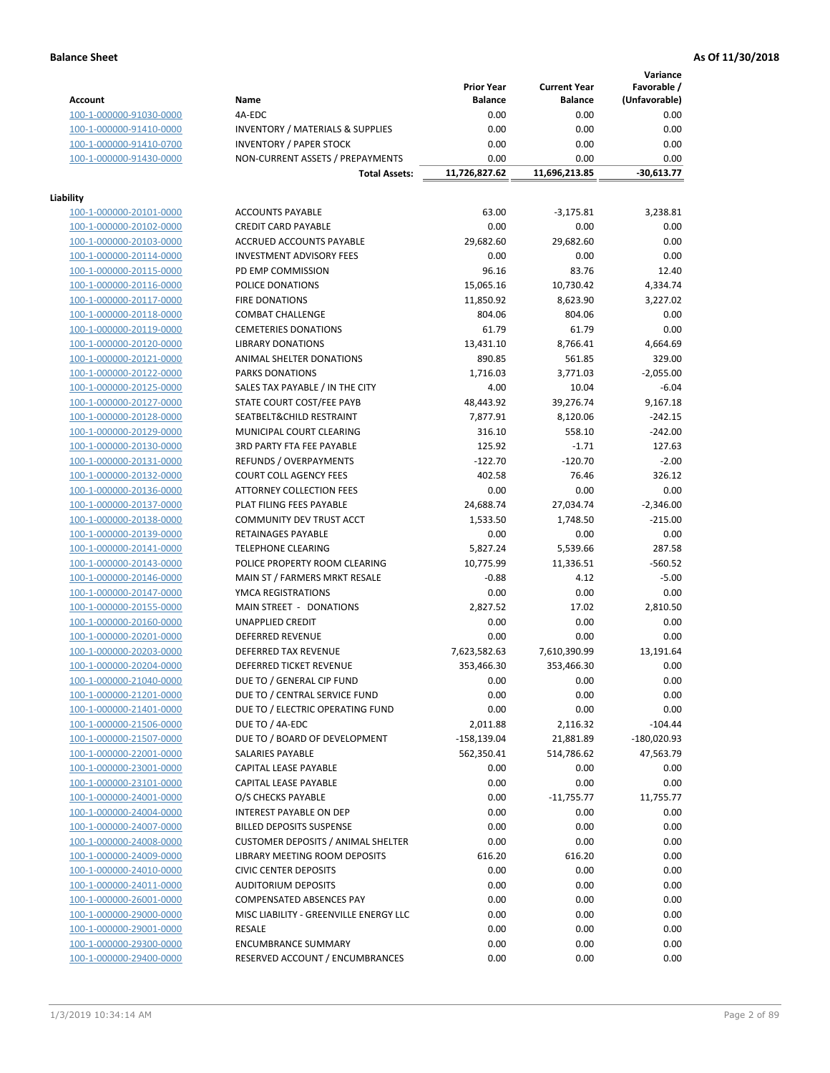**Variance**

|                                                    |                                                     | <b>Prior Year</b>         | <b>Current Year</b>   | Favorable /       |
|----------------------------------------------------|-----------------------------------------------------|---------------------------|-----------------------|-------------------|
| <b>Account</b>                                     | Name                                                | <b>Balance</b>            | <b>Balance</b>        | (Unfavorable)     |
| 100-1-000000-91030-0000                            | 4A-EDC                                              | 0.00                      | 0.00                  | 0.00              |
| 100-1-000000-91410-0000                            | <b>INVENTORY / MATERIALS &amp; SUPPLIES</b>         | 0.00                      | 0.00                  | 0.00              |
| 100-1-000000-91410-0700                            | <b>INVENTORY / PAPER STOCK</b>                      | 0.00                      | 0.00                  | 0.00              |
| 100-1-000000-91430-0000                            | NON-CURRENT ASSETS / PREPAYMENTS                    | 0.00                      | 0.00                  | 0.00              |
|                                                    | <b>Total Assets:</b>                                | 11,726,827.62             | 11,696,213.85         | $-30,613.77$      |
|                                                    |                                                     |                           |                       |                   |
| Liability                                          |                                                     |                           |                       |                   |
| 100-1-000000-20101-0000                            | <b>ACCOUNTS PAYABLE</b>                             | 63.00                     | $-3,175.81$           | 3,238.81          |
| 100-1-000000-20102-0000                            | <b>CREDIT CARD PAYABLE</b>                          | 0.00                      | 0.00                  | 0.00              |
| 100-1-000000-20103-0000                            | ACCRUED ACCOUNTS PAYABLE                            | 29,682.60                 | 29,682.60             | 0.00              |
| 100-1-000000-20114-0000                            | <b>INVESTMENT ADVISORY FEES</b>                     | 0.00                      | 0.00                  | 0.00              |
| 100-1-000000-20115-0000                            | PD EMP COMMISSION                                   | 96.16                     | 83.76                 | 12.40             |
| 100-1-000000-20116-0000                            | POLICE DONATIONS                                    | 15,065.16                 | 10,730.42             | 4,334.74          |
| 100-1-000000-20117-0000                            | <b>FIRE DONATIONS</b>                               | 11,850.92                 | 8,623.90              | 3,227.02          |
| 100-1-000000-20118-0000                            | <b>COMBAT CHALLENGE</b>                             | 804.06                    | 804.06                | 0.00              |
| 100-1-000000-20119-0000                            | <b>CEMETERIES DONATIONS</b>                         | 61.79                     | 61.79                 | 0.00              |
| 100-1-000000-20120-0000                            | <b>LIBRARY DONATIONS</b>                            | 13,431.10                 | 8,766.41              | 4,664.69          |
| 100-1-000000-20121-0000                            | ANIMAL SHELTER DONATIONS                            | 890.85                    | 561.85                | 329.00            |
| 100-1-000000-20122-0000                            | <b>PARKS DONATIONS</b>                              | 1,716.03                  | 3,771.03              | $-2,055.00$       |
| 100-1-000000-20125-0000                            | SALES TAX PAYABLE / IN THE CITY                     | 4.00                      | 10.04                 | $-6.04$           |
| 100-1-000000-20127-0000                            | STATE COURT COST/FEE PAYB                           | 48,443.92                 | 39,276.74             | 9,167.18          |
| 100-1-000000-20128-0000                            | SEATBELT&CHILD RESTRAINT                            | 7,877.91                  | 8,120.06              | $-242.15$         |
| 100-1-000000-20129-0000                            | MUNICIPAL COURT CLEARING                            | 316.10                    | 558.10                | $-242.00$         |
| 100-1-000000-20130-0000                            | 3RD PARTY FTA FEE PAYABLE                           | 125.92                    | $-1.71$               | 127.63            |
| 100-1-000000-20131-0000                            | REFUNDS / OVERPAYMENTS                              | $-122.70$                 | $-120.70$             | $-2.00$           |
| 100-1-000000-20132-0000                            | <b>COURT COLL AGENCY FEES</b>                       | 402.58                    | 76.46                 | 326.12            |
| 100-1-000000-20136-0000                            | <b>ATTORNEY COLLECTION FEES</b>                     | 0.00                      | 0.00                  | 0.00              |
| 100-1-000000-20137-0000                            | PLAT FILING FEES PAYABLE                            | 24,688.74                 | 27,034.74             | $-2,346.00$       |
| 100-1-000000-20138-0000                            | COMMUNITY DEV TRUST ACCT                            | 1,533.50                  | 1,748.50              | $-215.00$         |
| 100-1-000000-20139-0000                            | RETAINAGES PAYABLE                                  | 0.00                      | 0.00                  | 0.00              |
| 100-1-000000-20141-0000                            | <b>TELEPHONE CLEARING</b>                           | 5,827.24                  | 5,539.66              | 287.58            |
| 100-1-000000-20143-0000                            | POLICE PROPERTY ROOM CLEARING                       | 10,775.99                 | 11,336.51             | $-560.52$         |
| 100-1-000000-20146-0000                            | MAIN ST / FARMERS MRKT RESALE                       | $-0.88$                   | 4.12                  | $-5.00$           |
| 100-1-000000-20147-0000                            | YMCA REGISTRATIONS                                  | 0.00                      | 0.00                  | 0.00              |
| 100-1-000000-20155-0000                            | MAIN STREET - DONATIONS                             | 2,827.52                  | 17.02                 | 2,810.50          |
| 100-1-000000-20160-0000                            | <b>UNAPPLIED CREDIT</b>                             | 0.00                      | 0.00                  | 0.00              |
| 100-1-000000-20201-0000                            | <b>DEFERRED REVENUE</b>                             | 0.00                      | 0.00                  | 0.00              |
| 100-1-000000-20203-0000                            | DEFERRED TAX REVENUE                                | 7,623,582.63              | 7,610,390.99          | 13,191.64         |
| 100-1-000000-20204-0000                            | DEFERRED TICKET REVENUE                             | 353,466.30                | 353,466.30            | 0.00              |
| 100-1-000000-21040-0000                            | DUE TO / GENERAL CIP FUND                           | 0.00                      | 0.00                  | 0.00              |
| 100-1-000000-21201-0000                            | DUE TO / CENTRAL SERVICE FUND                       | 0.00                      | 0.00                  | 0.00              |
|                                                    |                                                     |                           | 0.00                  |                   |
| 100-1-000000-21401-0000<br>100-1-000000-21506-0000 | DUE TO / ELECTRIC OPERATING FUND<br>DUE TO / 4A-EDC | 0.00                      |                       | 0.00<br>$-104.44$ |
|                                                    | DUE TO / BOARD OF DEVELOPMENT                       | 2,011.88<br>$-158,139.04$ | 2,116.32<br>21,881.89 | $-180,020.93$     |
| 100-1-000000-21507-0000                            | SALARIES PAYABLE                                    |                           |                       |                   |
| 100-1-000000-22001-0000                            |                                                     | 562,350.41                | 514,786.62            | 47,563.79         |
| 100-1-000000-23001-0000                            | CAPITAL LEASE PAYABLE                               | 0.00                      | 0.00                  | 0.00              |
| 100-1-000000-23101-0000                            | CAPITAL LEASE PAYABLE                               | 0.00                      | 0.00                  | 0.00              |
| 100-1-000000-24001-0000                            | O/S CHECKS PAYABLE                                  | 0.00                      | $-11,755.77$          | 11,755.77         |
| 100-1-000000-24004-0000                            | INTEREST PAYABLE ON DEP                             | 0.00                      | 0.00                  | 0.00              |
| 100-1-000000-24007-0000                            | <b>BILLED DEPOSITS SUSPENSE</b>                     | 0.00                      | 0.00                  | 0.00              |
| 100-1-000000-24008-0000                            | <b>CUSTOMER DEPOSITS / ANIMAL SHELTER</b>           | 0.00                      | 0.00                  | 0.00              |
| 100-1-000000-24009-0000                            | LIBRARY MEETING ROOM DEPOSITS                       | 616.20                    | 616.20                | 0.00              |
| 100-1-000000-24010-0000                            | <b>CIVIC CENTER DEPOSITS</b>                        | 0.00                      | 0.00                  | 0.00              |
| 100-1-000000-24011-0000                            | <b>AUDITORIUM DEPOSITS</b>                          | 0.00                      | 0.00                  | 0.00              |
| 100-1-000000-26001-0000                            | COMPENSATED ABSENCES PAY                            | 0.00                      | 0.00                  | 0.00              |
| 100-1-000000-29000-0000                            | MISC LIABILITY - GREENVILLE ENERGY LLC              | 0.00                      | 0.00                  | 0.00              |
| 100-1-000000-29001-0000                            | <b>RESALE</b>                                       | 0.00                      | 0.00                  | 0.00              |
| 100-1-000000-29300-0000                            | <b>ENCUMBRANCE SUMMARY</b>                          | 0.00                      | 0.00                  | 0.00              |
| 100-1-000000-29400-0000                            | RESERVED ACCOUNT / ENCUMBRANCES                     | 0.00                      | 0.00                  | 0.00              |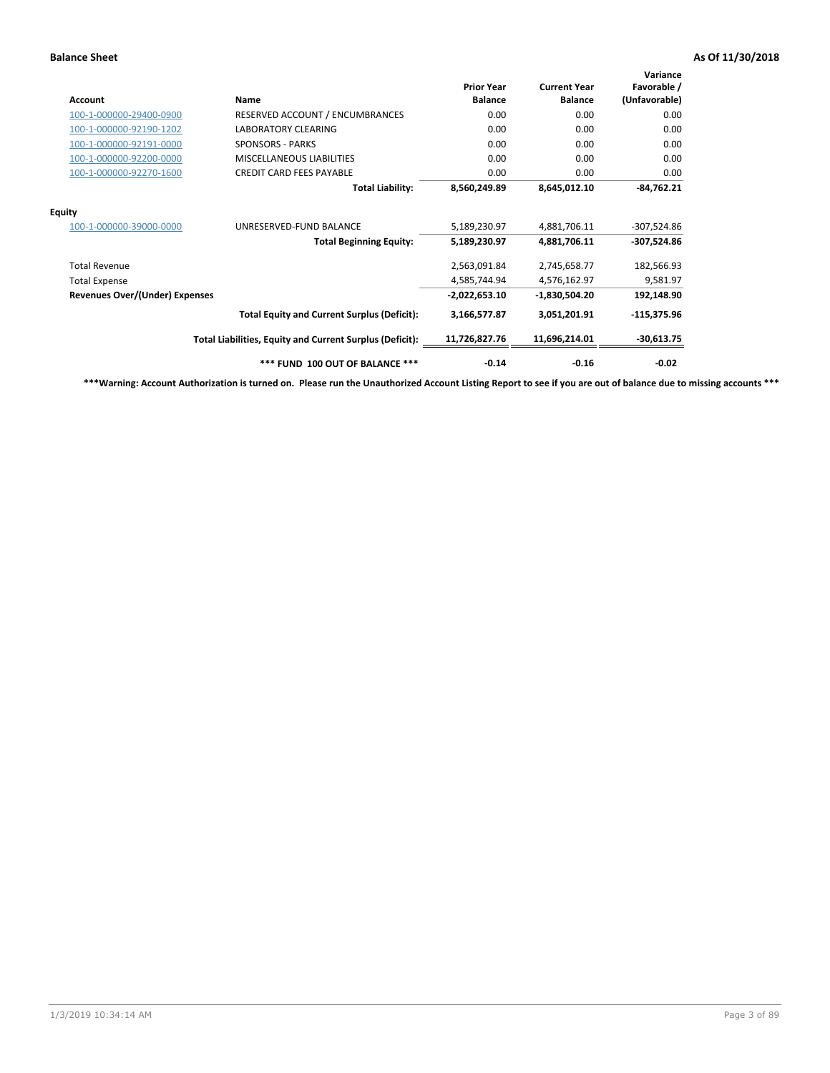| Account                               | Name                                                     | <b>Prior Year</b><br><b>Balance</b> | <b>Current Year</b><br><b>Balance</b> | Variance<br>Favorable /<br>(Unfavorable) |
|---------------------------------------|----------------------------------------------------------|-------------------------------------|---------------------------------------|------------------------------------------|
| 100-1-000000-29400-0900               | RESERVED ACCOUNT / ENCUMBRANCES                          | 0.00                                | 0.00                                  | 0.00                                     |
| 100-1-000000-92190-1202               | <b>LABORATORY CLEARING</b>                               | 0.00                                | 0.00                                  | 0.00                                     |
| 100-1-000000-92191-0000               | <b>SPONSORS - PARKS</b>                                  | 0.00                                | 0.00                                  | 0.00                                     |
| 100-1-000000-92200-0000               | <b>MISCELLANEOUS LIABILITIES</b>                         | 0.00                                | 0.00                                  | 0.00                                     |
| 100-1-000000-92270-1600               | <b>CREDIT CARD FEES PAYABLE</b>                          | 0.00                                | 0.00                                  | 0.00                                     |
|                                       | <b>Total Liability:</b>                                  | 8,560,249.89                        | 8,645,012.10                          | $-84,762.21$                             |
| <b>Equity</b>                         |                                                          |                                     |                                       |                                          |
| 100-1-000000-39000-0000               | UNRESERVED-FUND BALANCE                                  | 5,189,230.97                        | 4,881,706.11                          | $-307,524.86$                            |
|                                       | <b>Total Beginning Equity:</b>                           | 5,189,230.97                        | 4,881,706.11                          | $-307,524.86$                            |
| <b>Total Revenue</b>                  |                                                          | 2,563,091.84                        | 2,745,658.77                          | 182,566.93                               |
| <b>Total Expense</b>                  |                                                          | 4,585,744.94                        | 4,576,162.97                          | 9,581.97                                 |
| <b>Revenues Over/(Under) Expenses</b> |                                                          | $-2,022,653.10$                     | $-1,830,504.20$                       | 192,148.90                               |
|                                       | <b>Total Equity and Current Surplus (Deficit):</b>       | 3,166,577.87                        | 3,051,201.91                          | $-115,375.96$                            |
|                                       | Total Liabilities, Equity and Current Surplus (Deficit): | 11,726,827.76                       | 11,696,214.01                         | $-30,613.75$                             |
|                                       | *** FUND 100 OUT OF BALANCE ***                          | $-0.14$                             | $-0.16$                               | $-0.02$                                  |

**\*\*\*Warning: Account Authorization is turned on. Please run the Unauthorized Account Listing Report to see if you are out of balance due to missing accounts \*\*\***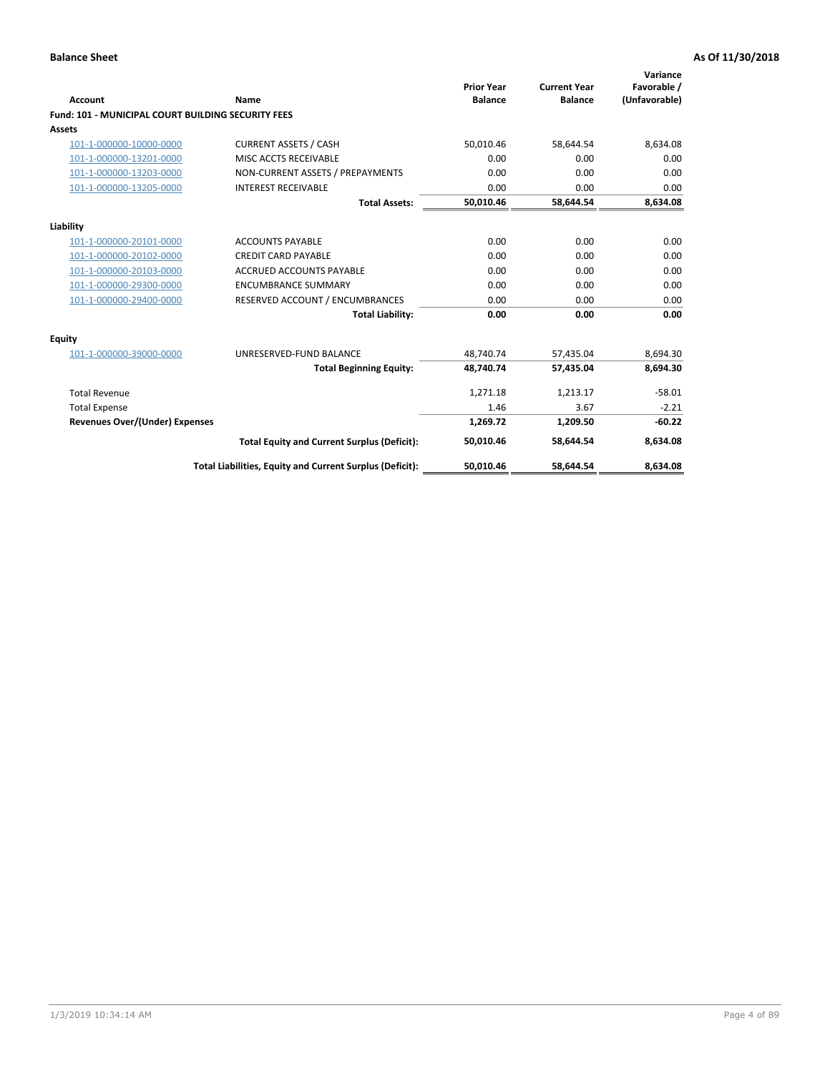| Account                                                   | Name                                                     | <b>Prior Year</b><br><b>Balance</b> | <b>Current Year</b><br><b>Balance</b> | Variance<br>Favorable /<br>(Unfavorable) |
|-----------------------------------------------------------|----------------------------------------------------------|-------------------------------------|---------------------------------------|------------------------------------------|
| <b>Fund: 101 - MUNICIPAL COURT BUILDING SECURITY FEES</b> |                                                          |                                     |                                       |                                          |
| Assets                                                    |                                                          |                                     |                                       |                                          |
| 101-1-000000-10000-0000                                   | <b>CURRENT ASSETS / CASH</b>                             | 50,010.46                           | 58,644.54                             | 8,634.08                                 |
| 101-1-000000-13201-0000                                   | MISC ACCTS RECEIVABLE                                    | 0.00                                | 0.00                                  | 0.00                                     |
| 101-1-000000-13203-0000                                   | NON-CURRENT ASSETS / PREPAYMENTS                         | 0.00                                | 0.00                                  | 0.00                                     |
| 101-1-000000-13205-0000                                   | <b>INTEREST RECEIVABLE</b>                               | 0.00                                | 0.00                                  | 0.00                                     |
|                                                           | <b>Total Assets:</b>                                     | 50,010.46                           | 58,644.54                             | 8,634.08                                 |
| Liability                                                 |                                                          |                                     |                                       |                                          |
| 101-1-000000-20101-0000                                   | <b>ACCOUNTS PAYABLE</b>                                  | 0.00                                | 0.00                                  | 0.00                                     |
| 101-1-000000-20102-0000                                   | <b>CREDIT CARD PAYABLE</b>                               | 0.00                                | 0.00                                  | 0.00                                     |
| 101-1-000000-20103-0000                                   | <b>ACCRUED ACCOUNTS PAYABLE</b>                          | 0.00                                | 0.00                                  | 0.00                                     |
| 101-1-000000-29300-0000                                   | <b>ENCUMBRANCE SUMMARY</b>                               | 0.00                                | 0.00                                  | 0.00                                     |
| 101-1-000000-29400-0000                                   | RESERVED ACCOUNT / ENCUMBRANCES                          | 0.00                                | 0.00                                  | 0.00                                     |
|                                                           | <b>Total Liability:</b>                                  | 0.00                                | 0.00                                  | 0.00                                     |
| <b>Equity</b>                                             |                                                          |                                     |                                       |                                          |
| 101-1-000000-39000-0000                                   | UNRESERVED-FUND BALANCE                                  | 48,740.74                           | 57,435.04                             | 8,694.30                                 |
|                                                           | <b>Total Beginning Equity:</b>                           | 48,740.74                           | 57,435.04                             | 8,694.30                                 |
| <b>Total Revenue</b>                                      |                                                          | 1,271.18                            | 1,213.17                              | $-58.01$                                 |
| <b>Total Expense</b>                                      |                                                          | 1.46                                | 3.67                                  | $-2.21$                                  |
| <b>Revenues Over/(Under) Expenses</b>                     |                                                          | 1,269.72                            | 1,209.50                              | $-60.22$                                 |
|                                                           | <b>Total Equity and Current Surplus (Deficit):</b>       | 50.010.46                           | 58.644.54                             | 8.634.08                                 |
|                                                           | Total Liabilities, Equity and Current Surplus (Deficit): | 50,010.46                           | 58,644.54                             | 8,634.08                                 |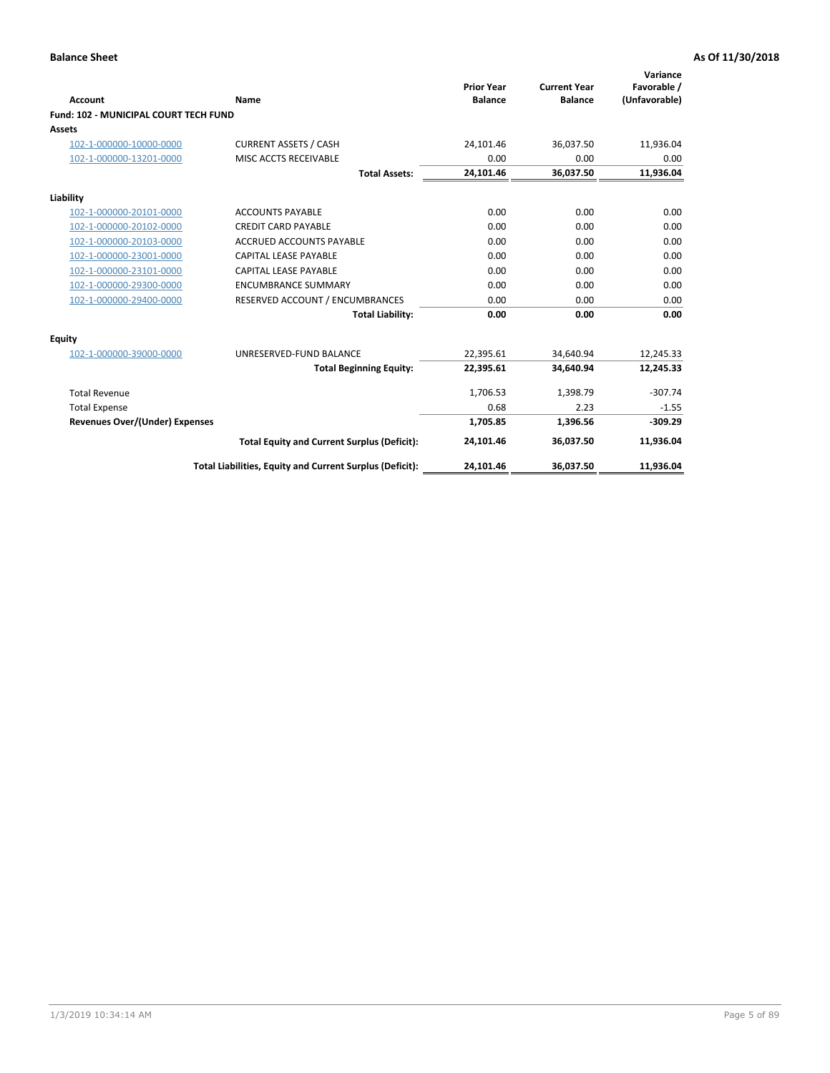| <b>Account</b>                        | Name                                                     | <b>Prior Year</b><br><b>Balance</b> | <b>Current Year</b><br><b>Balance</b> | Variance<br>Favorable /<br>(Unfavorable) |
|---------------------------------------|----------------------------------------------------------|-------------------------------------|---------------------------------------|------------------------------------------|
| Fund: 102 - MUNICIPAL COURT TECH FUND |                                                          |                                     |                                       |                                          |
| Assets                                |                                                          |                                     |                                       |                                          |
| 102-1-000000-10000-0000               | <b>CURRENT ASSETS / CASH</b>                             | 24,101.46                           | 36,037.50                             | 11,936.04                                |
| 102-1-000000-13201-0000               | MISC ACCTS RECEIVABLE                                    | 0.00                                | 0.00                                  | 0.00                                     |
|                                       | <b>Total Assets:</b>                                     | 24,101.46                           | 36,037.50                             | 11,936.04                                |
| Liability                             |                                                          |                                     |                                       |                                          |
| 102-1-000000-20101-0000               | <b>ACCOUNTS PAYABLE</b>                                  | 0.00                                | 0.00                                  | 0.00                                     |
| 102-1-000000-20102-0000               | <b>CREDIT CARD PAYABLE</b>                               | 0.00                                | 0.00                                  | 0.00                                     |
| 102-1-000000-20103-0000               | <b>ACCRUED ACCOUNTS PAYABLE</b>                          | 0.00                                | 0.00                                  | 0.00                                     |
| 102-1-000000-23001-0000               | CAPITAL LEASE PAYABLE                                    | 0.00                                | 0.00                                  | 0.00                                     |
| 102-1-000000-23101-0000               | CAPITAL LEASE PAYABLE                                    | 0.00                                | 0.00                                  | 0.00                                     |
| 102-1-000000-29300-0000               | <b>ENCUMBRANCE SUMMARY</b>                               | 0.00                                | 0.00                                  | 0.00                                     |
| 102-1-000000-29400-0000               | RESERVED ACCOUNT / ENCUMBRANCES                          | 0.00                                | 0.00                                  | 0.00                                     |
|                                       | <b>Total Liability:</b>                                  | 0.00                                | 0.00                                  | 0.00                                     |
| <b>Equity</b>                         |                                                          |                                     |                                       |                                          |
| 102-1-000000-39000-0000               | UNRESERVED-FUND BALANCE                                  | 22,395.61                           | 34,640.94                             | 12,245.33                                |
|                                       | <b>Total Beginning Equity:</b>                           | 22,395.61                           | 34.640.94                             | 12,245.33                                |
| <b>Total Revenue</b>                  |                                                          | 1,706.53                            | 1,398.79                              | $-307.74$                                |
| <b>Total Expense</b>                  |                                                          | 0.68                                | 2.23                                  | $-1.55$                                  |
| Revenues Over/(Under) Expenses        |                                                          | 1.705.85                            | 1,396.56                              | $-309.29$                                |
|                                       | <b>Total Equity and Current Surplus (Deficit):</b>       | 24,101.46                           | 36,037.50                             | 11,936.04                                |
|                                       | Total Liabilities, Equity and Current Surplus (Deficit): | 24,101.46                           | 36,037.50                             | 11,936.04                                |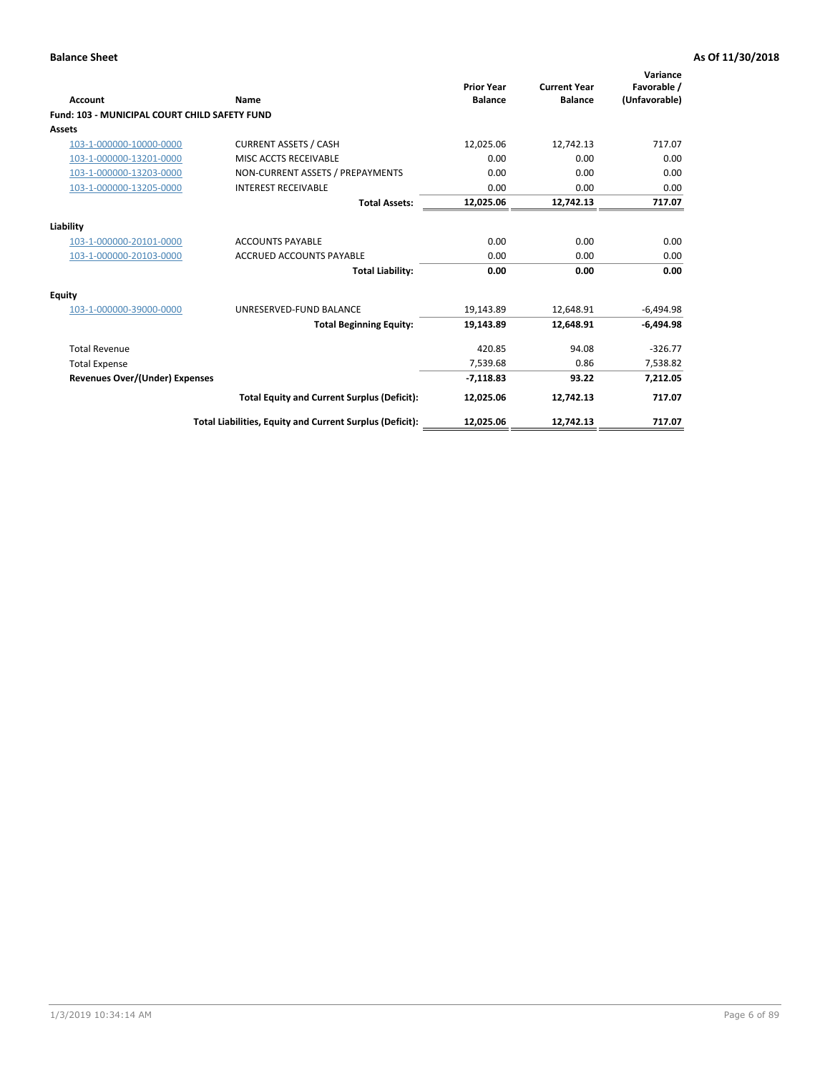| <b>Account</b>                                | Name                                                     | <b>Prior Year</b><br><b>Balance</b> | <b>Current Year</b><br><b>Balance</b> | Variance<br>Favorable /<br>(Unfavorable) |
|-----------------------------------------------|----------------------------------------------------------|-------------------------------------|---------------------------------------|------------------------------------------|
| Fund: 103 - MUNICIPAL COURT CHILD SAFETY FUND |                                                          |                                     |                                       |                                          |
| <b>Assets</b>                                 |                                                          |                                     |                                       |                                          |
| 103-1-000000-10000-0000                       | <b>CURRENT ASSETS / CASH</b>                             | 12,025.06                           | 12,742.13                             | 717.07                                   |
| 103-1-000000-13201-0000                       | MISC ACCTS RECEIVABLE                                    | 0.00                                | 0.00                                  | 0.00                                     |
| 103-1-000000-13203-0000                       | NON-CURRENT ASSETS / PREPAYMENTS                         | 0.00                                | 0.00                                  | 0.00                                     |
| 103-1-000000-13205-0000                       | <b>INTEREST RECEIVABLE</b>                               | 0.00                                | 0.00                                  | 0.00                                     |
|                                               | <b>Total Assets:</b>                                     | 12,025.06                           | 12,742.13                             | 717.07                                   |
| Liability                                     |                                                          |                                     |                                       |                                          |
| 103-1-000000-20101-0000                       | <b>ACCOUNTS PAYABLE</b>                                  | 0.00                                | 0.00                                  | 0.00                                     |
| 103-1-000000-20103-0000                       | <b>ACCRUED ACCOUNTS PAYABLE</b>                          | 0.00                                | 0.00                                  | 0.00                                     |
|                                               | <b>Total Liability:</b>                                  | 0.00                                | 0.00                                  | 0.00                                     |
| <b>Equity</b>                                 |                                                          |                                     |                                       |                                          |
| 103-1-000000-39000-0000                       | UNRESERVED-FUND BALANCE                                  | 19,143.89                           | 12,648.91                             | $-6,494.98$                              |
|                                               | <b>Total Beginning Equity:</b>                           | 19,143.89                           | 12.648.91                             | $-6.494.98$                              |
| <b>Total Revenue</b>                          |                                                          | 420.85                              | 94.08                                 | $-326.77$                                |
| <b>Total Expense</b>                          |                                                          | 7,539.68                            | 0.86                                  | 7,538.82                                 |
| <b>Revenues Over/(Under) Expenses</b>         |                                                          | $-7,118.83$                         | 93.22                                 | 7,212.05                                 |
|                                               | <b>Total Equity and Current Surplus (Deficit):</b>       | 12,025.06                           | 12.742.13                             | 717.07                                   |
|                                               | Total Liabilities, Equity and Current Surplus (Deficit): | 12,025.06                           | 12,742.13                             | 717.07                                   |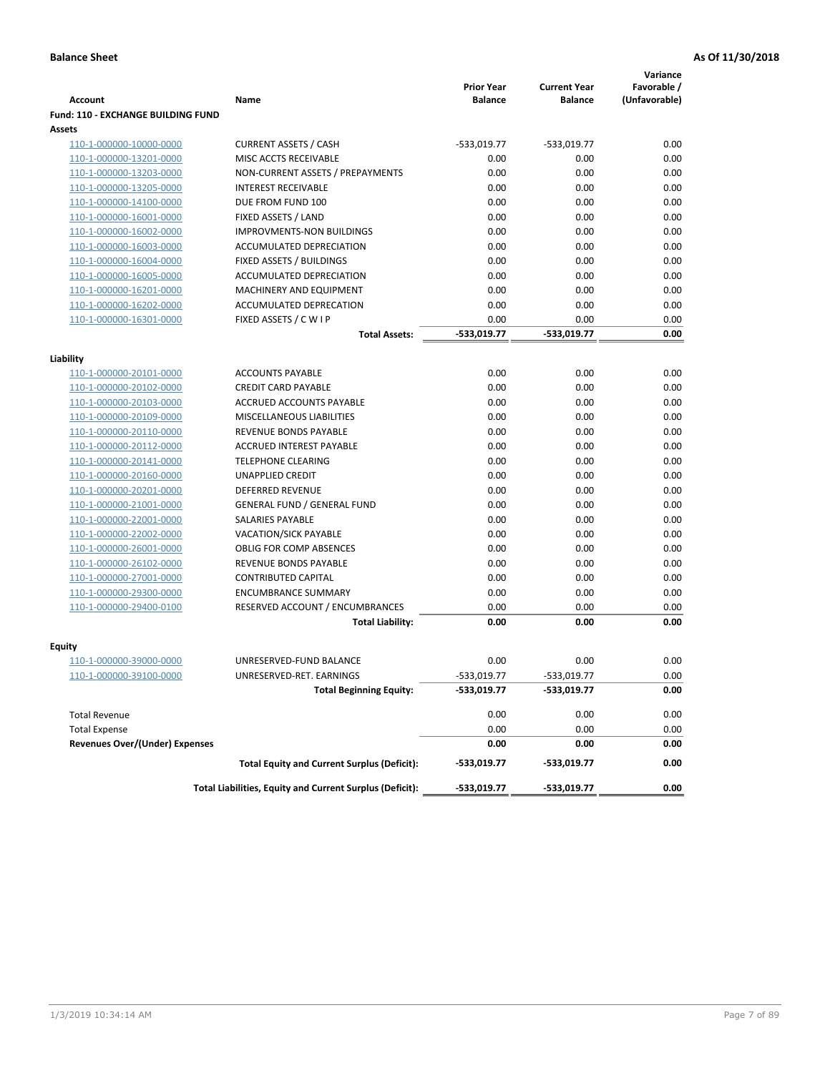|                                                    |                                                          |                                     |                                       | Variance                     |
|----------------------------------------------------|----------------------------------------------------------|-------------------------------------|---------------------------------------|------------------------------|
| <b>Account</b>                                     | Name                                                     | <b>Prior Year</b><br><b>Balance</b> | <b>Current Year</b><br><b>Balance</b> | Favorable /<br>(Unfavorable) |
| <b>Fund: 110 - EXCHANGE BUILDING FUND</b>          |                                                          |                                     |                                       |                              |
| Assets                                             |                                                          |                                     |                                       |                              |
| 110-1-000000-10000-0000                            | <b>CURRENT ASSETS / CASH</b>                             | -533,019.77                         | $-533,019.77$                         | 0.00                         |
| 110-1-000000-13201-0000                            | MISC ACCTS RECEIVABLE                                    | 0.00                                | 0.00                                  | 0.00                         |
| 110-1-000000-13203-0000                            | NON-CURRENT ASSETS / PREPAYMENTS                         | 0.00                                | 0.00                                  | 0.00                         |
| 110-1-000000-13205-0000                            | <b>INTEREST RECEIVABLE</b>                               | 0.00                                | 0.00                                  | 0.00                         |
| 110-1-000000-14100-0000                            | DUE FROM FUND 100                                        | 0.00                                | 0.00                                  | 0.00                         |
| 110-1-000000-16001-0000                            | FIXED ASSETS / LAND                                      | 0.00                                | 0.00                                  | 0.00                         |
| 110-1-000000-16002-0000                            | <b>IMPROVMENTS-NON BUILDINGS</b>                         | 0.00                                | 0.00                                  | 0.00                         |
| 110-1-000000-16003-0000                            | ACCUMULATED DEPRECIATION                                 | 0.00                                | 0.00                                  | 0.00                         |
| 110-1-000000-16004-0000                            | FIXED ASSETS / BUILDINGS                                 | 0.00                                | 0.00                                  | 0.00                         |
| 110-1-000000-16005-0000                            | ACCUMULATED DEPRECIATION                                 | 0.00                                | 0.00                                  | 0.00                         |
| 110-1-000000-16201-0000                            | <b>MACHINERY AND EQUIPMENT</b>                           | 0.00                                | 0.00                                  | 0.00                         |
| 110-1-000000-16202-0000                            | ACCUMULATED DEPRECATION                                  | 0.00                                | 0.00                                  | 0.00                         |
| 110-1-000000-16301-0000                            | FIXED ASSETS / C W I P                                   | 0.00                                | 0.00                                  | 0.00                         |
|                                                    | <b>Total Assets:</b>                                     | $-533,019.77$                       | -533,019.77                           | 0.00                         |
| Liability                                          |                                                          |                                     |                                       |                              |
| 110-1-000000-20101-0000                            | <b>ACCOUNTS PAYABLE</b>                                  | 0.00                                | 0.00                                  | 0.00                         |
| 110-1-000000-20102-0000                            | <b>CREDIT CARD PAYABLE</b>                               | 0.00                                | 0.00                                  | 0.00                         |
| 110-1-000000-20103-0000                            | ACCRUED ACCOUNTS PAYABLE                                 | 0.00                                | 0.00                                  | 0.00                         |
| 110-1-000000-20109-0000                            | MISCELLANEOUS LIABILITIES                                | 0.00                                | 0.00                                  | 0.00                         |
| 110-1-000000-20110-0000                            | REVENUE BONDS PAYABLE                                    | 0.00                                | 0.00                                  | 0.00                         |
| 110-1-000000-20112-0000                            | <b>ACCRUED INTEREST PAYABLE</b>                          | 0.00                                | 0.00                                  | 0.00                         |
| 110-1-000000-20141-0000                            | <b>TELEPHONE CLEARING</b>                                | 0.00                                | 0.00                                  | 0.00                         |
| 110-1-000000-20160-0000                            | <b>UNAPPLIED CREDIT</b>                                  | 0.00                                | 0.00                                  | 0.00                         |
| 110-1-000000-20201-0000                            | <b>DEFERRED REVENUE</b>                                  | 0.00                                | 0.00                                  | 0.00                         |
| 110-1-000000-21001-0000                            | <b>GENERAL FUND / GENERAL FUND</b>                       | 0.00                                | 0.00                                  | 0.00                         |
| 110-1-000000-22001-0000                            | SALARIES PAYABLE                                         | 0.00                                | 0.00                                  | 0.00                         |
| 110-1-000000-22002-0000                            | <b>VACATION/SICK PAYABLE</b>                             | 0.00                                | 0.00                                  | 0.00                         |
| 110-1-000000-26001-0000                            | <b>OBLIG FOR COMP ABSENCES</b>                           | 0.00                                | 0.00                                  | 0.00                         |
| 110-1-000000-26102-0000                            | REVENUE BONDS PAYABLE                                    | 0.00                                | 0.00                                  | 0.00                         |
| 110-1-000000-27001-0000                            | <b>CONTRIBUTED CAPITAL</b>                               | 0.00                                | 0.00                                  | 0.00                         |
| 110-1-000000-29300-0000                            | <b>ENCUMBRANCE SUMMARY</b>                               | 0.00                                | 0.00                                  | 0.00                         |
| 110-1-000000-29400-0100                            | RESERVED ACCOUNT / ENCUMBRANCES                          | 0.00                                | 0.00                                  | 0.00                         |
|                                                    | <b>Total Liability:</b>                                  | 0.00                                | 0.00                                  | 0.00                         |
|                                                    |                                                          |                                     |                                       |                              |
| <b>Equity</b>                                      | UNRESERVED-FUND BALANCE                                  | 0.00                                | 0.00                                  | 0.00                         |
| 110-1-000000-39000-0000<br>110-1-000000-39100-0000 | UNRESERVED-RET. EARNINGS                                 | -533,019.77                         | -533,019.77                           | 0.00                         |
|                                                    | <b>Total Beginning Equity:</b>                           | -533,019.77                         | -533,019.77                           | 0.00                         |
|                                                    |                                                          |                                     |                                       |                              |
| <b>Total Revenue</b>                               |                                                          | 0.00                                | 0.00                                  | 0.00                         |
| <b>Total Expense</b>                               |                                                          | 0.00                                | 0.00                                  | 0.00                         |
| <b>Revenues Over/(Under) Expenses</b>              |                                                          | 0.00                                | 0.00                                  | 0.00                         |
|                                                    | <b>Total Equity and Current Surplus (Deficit):</b>       | -533,019.77                         | -533,019.77                           | 0.00                         |
|                                                    | Total Liabilities, Equity and Current Surplus (Deficit): | -533,019.77                         | -533,019.77                           | 0.00                         |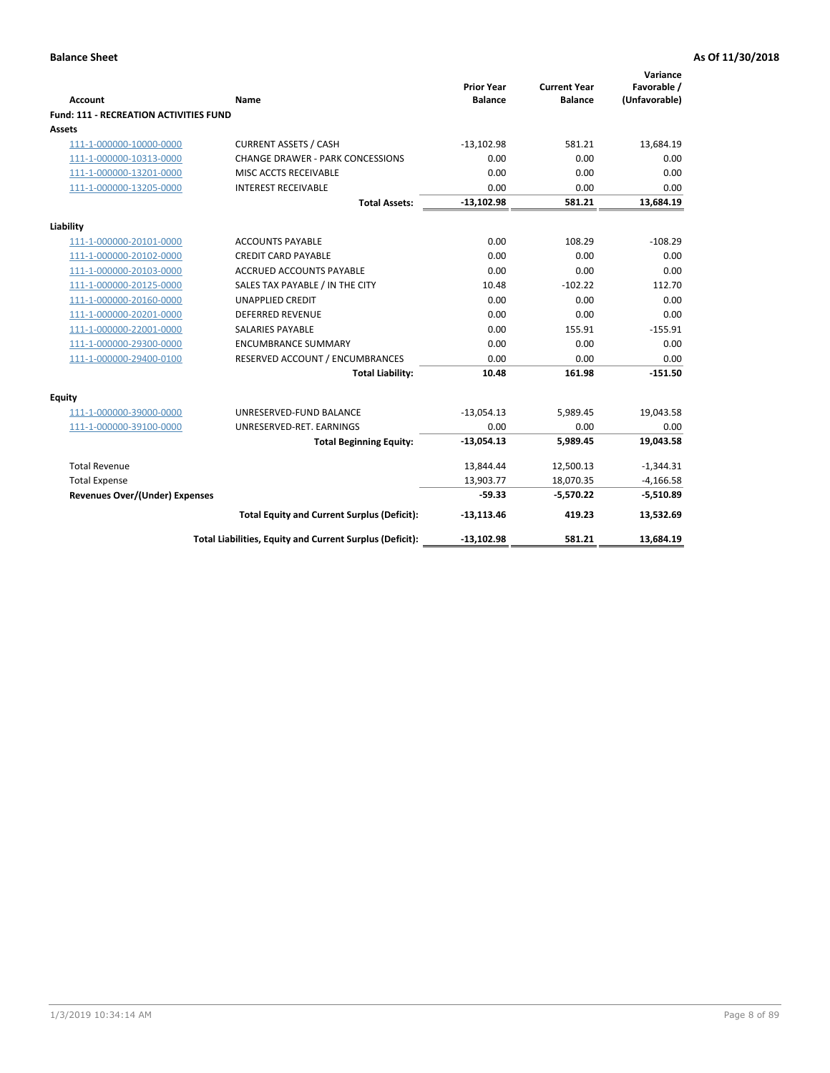|                                        |                                                          | <b>Prior Year</b> | <b>Current Year</b> | Variance<br>Favorable / |
|----------------------------------------|----------------------------------------------------------|-------------------|---------------------|-------------------------|
| <b>Account</b>                         | <b>Name</b>                                              | <b>Balance</b>    | <b>Balance</b>      | (Unfavorable)           |
| Fund: 111 - RECREATION ACTIVITIES FUND |                                                          |                   |                     |                         |
| Assets                                 |                                                          |                   |                     |                         |
| 111-1-000000-10000-0000                | <b>CURRENT ASSETS / CASH</b>                             | $-13,102.98$      | 581.21              | 13,684.19               |
| 111-1-000000-10313-0000                | <b>CHANGE DRAWER - PARK CONCESSIONS</b>                  | 0.00              | 0.00                | 0.00                    |
| 111-1-000000-13201-0000                | MISC ACCTS RECEIVABLE                                    | 0.00              | 0.00                | 0.00                    |
| 111-1-000000-13205-0000                | <b>INTEREST RECEIVABLE</b>                               | 0.00              | 0.00                | 0.00                    |
|                                        | <b>Total Assets:</b>                                     | $-13,102.98$      | 581.21              | 13,684.19               |
| Liability                              |                                                          |                   |                     |                         |
| 111-1-000000-20101-0000                | <b>ACCOUNTS PAYABLE</b>                                  | 0.00              | 108.29              | $-108.29$               |
| 111-1-000000-20102-0000                | <b>CREDIT CARD PAYABLE</b>                               | 0.00              | 0.00                | 0.00                    |
| 111-1-000000-20103-0000                | <b>ACCRUED ACCOUNTS PAYABLE</b>                          | 0.00              | 0.00                | 0.00                    |
| 111-1-000000-20125-0000                | SALES TAX PAYABLE / IN THE CITY                          | 10.48             | $-102.22$           | 112.70                  |
| 111-1-000000-20160-0000                | <b>UNAPPLIED CREDIT</b>                                  | 0.00              | 0.00                | 0.00                    |
| 111-1-000000-20201-0000                | <b>DEFERRED REVENUE</b>                                  | 0.00              | 0.00                | 0.00                    |
| 111-1-000000-22001-0000                | <b>SALARIES PAYABLE</b>                                  | 0.00              | 155.91              | $-155.91$               |
| 111-1-000000-29300-0000                | <b>ENCUMBRANCE SUMMARY</b>                               | 0.00              | 0.00                | 0.00                    |
| 111-1-000000-29400-0100                | RESERVED ACCOUNT / ENCUMBRANCES                          | 0.00              | 0.00                | 0.00                    |
|                                        | <b>Total Liability:</b>                                  | 10.48             | 161.98              | $-151.50$               |
| <b>Equity</b>                          |                                                          |                   |                     |                         |
| 111-1-000000-39000-0000                | UNRESERVED-FUND BALANCE                                  | $-13,054.13$      | 5,989.45            | 19,043.58               |
| 111-1-000000-39100-0000                | UNRESERVED-RET. EARNINGS                                 | 0.00              | 0.00                | 0.00                    |
|                                        | <b>Total Beginning Equity:</b>                           | $-13,054.13$      | 5,989.45            | 19,043.58               |
| <b>Total Revenue</b>                   |                                                          | 13,844.44         | 12,500.13           | $-1,344.31$             |
| <b>Total Expense</b>                   |                                                          | 13,903.77         | 18,070.35           | $-4,166.58$             |
| <b>Revenues Over/(Under) Expenses</b>  |                                                          | $-59.33$          | $-5,570.22$         | $-5,510.89$             |
|                                        | <b>Total Equity and Current Surplus (Deficit):</b>       | $-13,113.46$      | 419.23              | 13,532.69               |
|                                        | Total Liabilities, Equity and Current Surplus (Deficit): | $-13,102.98$      | 581.21              | 13,684.19               |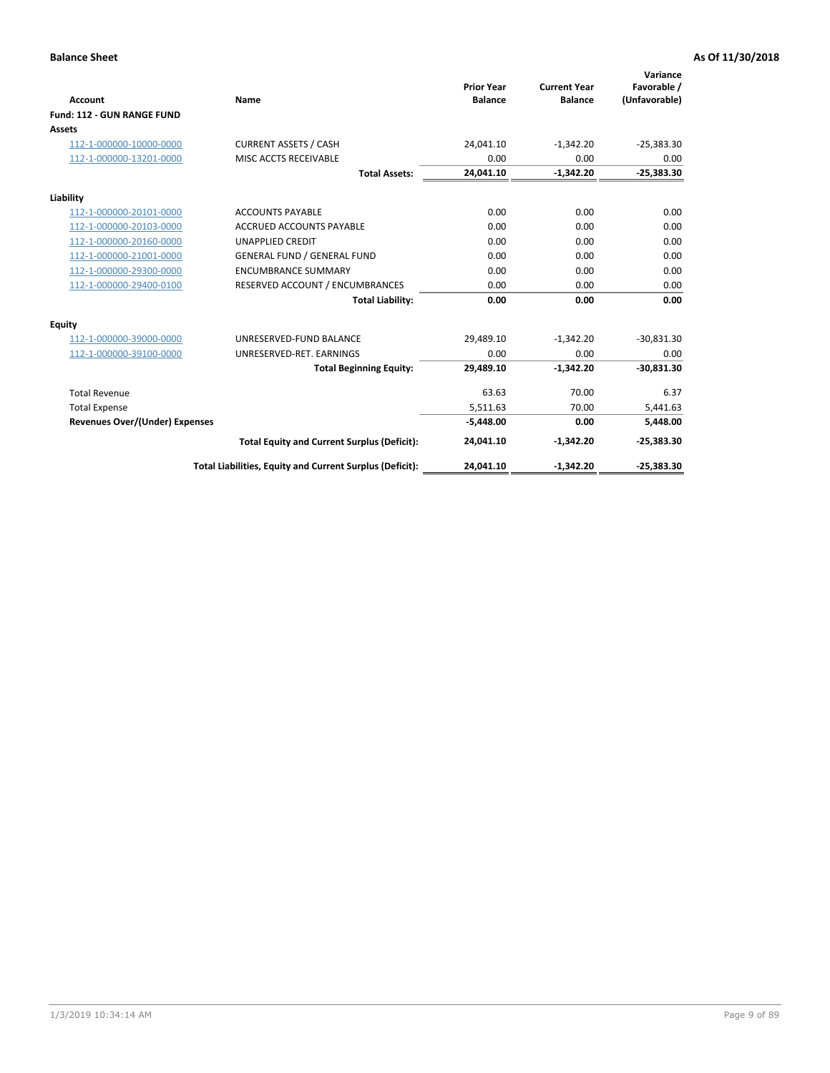|                                       |                                                          |                                     |                                       | Variance                     |
|---------------------------------------|----------------------------------------------------------|-------------------------------------|---------------------------------------|------------------------------|
| <b>Account</b>                        | Name                                                     | <b>Prior Year</b><br><b>Balance</b> | <b>Current Year</b><br><b>Balance</b> | Favorable /<br>(Unfavorable) |
| Fund: 112 - GUN RANGE FUND            |                                                          |                                     |                                       |                              |
| <b>Assets</b>                         |                                                          |                                     |                                       |                              |
| 112-1-000000-10000-0000               | <b>CURRENT ASSETS / CASH</b>                             | 24,041.10                           | $-1,342.20$                           | $-25,383.30$                 |
| 112-1-000000-13201-0000               | MISC ACCTS RECEIVABLE                                    | 0.00                                | 0.00                                  | 0.00                         |
|                                       | <b>Total Assets:</b>                                     | 24,041.10                           | $-1,342.20$                           | $-25,383.30$                 |
| Liability                             |                                                          |                                     |                                       |                              |
| 112-1-000000-20101-0000               | <b>ACCOUNTS PAYABLE</b>                                  | 0.00                                | 0.00                                  | 0.00                         |
| 112-1-000000-20103-0000               | <b>ACCRUED ACCOUNTS PAYABLE</b>                          | 0.00                                | 0.00                                  | 0.00                         |
| 112-1-000000-20160-0000               | <b>UNAPPLIED CREDIT</b>                                  | 0.00                                | 0.00                                  | 0.00                         |
| 112-1-000000-21001-0000               | <b>GENERAL FUND / GENERAL FUND</b>                       | 0.00                                | 0.00                                  | 0.00                         |
| 112-1-000000-29300-0000               | <b>ENCUMBRANCE SUMMARY</b>                               | 0.00                                | 0.00                                  | 0.00                         |
| 112-1-000000-29400-0100               | RESERVED ACCOUNT / ENCUMBRANCES                          | 0.00                                | 0.00                                  | 0.00                         |
|                                       | <b>Total Liability:</b>                                  | 0.00                                | 0.00                                  | 0.00                         |
| Equity                                |                                                          |                                     |                                       |                              |
| 112-1-000000-39000-0000               | UNRESERVED-FUND BALANCE                                  | 29,489.10                           | $-1,342.20$                           | $-30,831.30$                 |
| 112-1-000000-39100-0000               | UNRESERVED-RET. EARNINGS                                 | 0.00                                | 0.00                                  | 0.00                         |
|                                       | <b>Total Beginning Equity:</b>                           | 29,489.10                           | $-1,342.20$                           | $-30,831.30$                 |
| <b>Total Revenue</b>                  |                                                          | 63.63                               | 70.00                                 | 6.37                         |
| <b>Total Expense</b>                  |                                                          | 5,511.63                            | 70.00                                 | 5,441.63                     |
| <b>Revenues Over/(Under) Expenses</b> |                                                          | $-5,448.00$                         | 0.00                                  | 5,448.00                     |
|                                       | <b>Total Equity and Current Surplus (Deficit):</b>       | 24,041.10                           | $-1,342.20$                           | $-25,383.30$                 |
|                                       | Total Liabilities, Equity and Current Surplus (Deficit): | 24,041.10                           | $-1,342.20$                           | $-25,383.30$                 |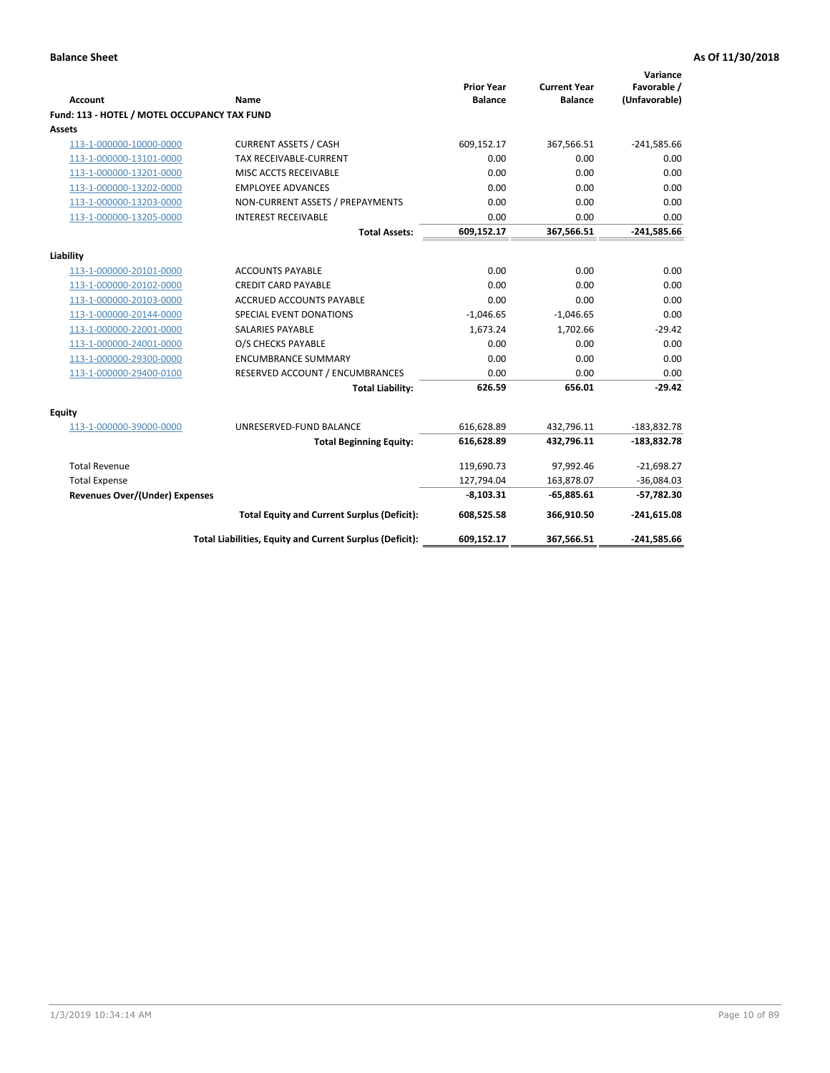| <b>Account</b>                               | <b>Name</b>                                              | <b>Prior Year</b><br><b>Balance</b> | <b>Current Year</b><br><b>Balance</b> | Variance<br>Favorable /<br>(Unfavorable) |
|----------------------------------------------|----------------------------------------------------------|-------------------------------------|---------------------------------------|------------------------------------------|
| Fund: 113 - HOTEL / MOTEL OCCUPANCY TAX FUND |                                                          |                                     |                                       |                                          |
| Assets                                       |                                                          |                                     |                                       |                                          |
| 113-1-000000-10000-0000                      | <b>CURRENT ASSETS / CASH</b>                             | 609,152.17                          | 367,566.51                            | $-241,585.66$                            |
| 113-1-000000-13101-0000                      | TAX RECEIVABLE-CURRENT                                   | 0.00                                | 0.00                                  | 0.00                                     |
| 113-1-000000-13201-0000                      | MISC ACCTS RECEIVABLE                                    | 0.00                                | 0.00                                  | 0.00                                     |
| 113-1-000000-13202-0000                      | <b>EMPLOYEE ADVANCES</b>                                 | 0.00                                | 0.00                                  | 0.00                                     |
| 113-1-000000-13203-0000                      | NON-CURRENT ASSETS / PREPAYMENTS                         | 0.00                                | 0.00                                  | 0.00                                     |
| 113-1-000000-13205-0000                      | <b>INTEREST RECEIVABLE</b>                               | 0.00                                | 0.00                                  | 0.00                                     |
|                                              | <b>Total Assets:</b>                                     | 609,152.17                          | 367,566.51                            | $-241,585.66$                            |
|                                              |                                                          |                                     |                                       |                                          |
| Liability                                    |                                                          |                                     |                                       |                                          |
| 113-1-000000-20101-0000                      | <b>ACCOUNTS PAYABLE</b>                                  | 0.00                                | 0.00                                  | 0.00                                     |
| 113-1-000000-20102-0000                      | <b>CREDIT CARD PAYABLE</b>                               | 0.00                                | 0.00                                  | 0.00                                     |
| 113-1-000000-20103-0000                      | ACCRUED ACCOUNTS PAYABLE                                 | 0.00                                | 0.00                                  | 0.00                                     |
| 113-1-000000-20144-0000                      | SPECIAL EVENT DONATIONS                                  | $-1,046.65$                         | $-1,046.65$                           | 0.00                                     |
| 113-1-000000-22001-0000                      | <b>SALARIES PAYABLE</b>                                  | 1,673.24                            | 1,702.66                              | $-29.42$                                 |
| 113-1-000000-24001-0000                      | O/S CHECKS PAYABLE                                       | 0.00                                | 0.00                                  | 0.00                                     |
| 113-1-000000-29300-0000                      | <b>ENCUMBRANCE SUMMARY</b>                               | 0.00                                | 0.00                                  | 0.00                                     |
| 113-1-000000-29400-0100                      | RESERVED ACCOUNT / ENCUMBRANCES                          | 0.00                                | 0.00                                  | 0.00                                     |
|                                              | <b>Total Liability:</b>                                  | 626.59                              | 656.01                                | $-29.42$                                 |
| Equity                                       |                                                          |                                     |                                       |                                          |
| 113-1-000000-39000-0000                      | UNRESERVED-FUND BALANCE                                  | 616,628.89                          | 432,796.11                            | $-183,832.78$                            |
|                                              | <b>Total Beginning Equity:</b>                           | 616,628.89                          | 432,796.11                            | $-183,832.78$                            |
| <b>Total Revenue</b>                         |                                                          | 119,690.73                          | 97,992.46                             | $-21,698.27$                             |
| <b>Total Expense</b>                         |                                                          | 127,794.04                          | 163,878.07                            | $-36,084.03$                             |
| <b>Revenues Over/(Under) Expenses</b>        |                                                          | $-8,103.31$                         | $-65,885.61$                          | $-57,782.30$                             |
|                                              | <b>Total Equity and Current Surplus (Deficit):</b>       | 608,525.58                          | 366,910.50                            | $-241,615.08$                            |
|                                              | Total Liabilities, Equity and Current Surplus (Deficit): | 609,152.17                          | 367,566.51                            | $-241,585.66$                            |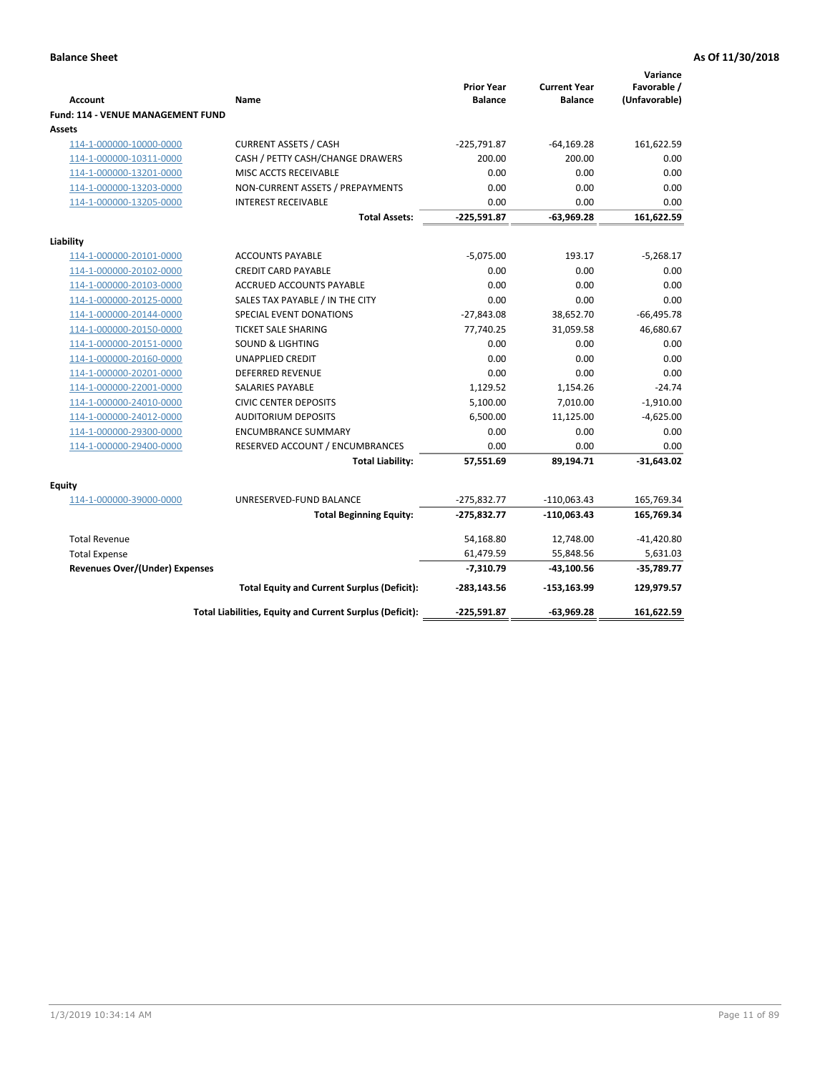| <b>Account</b>                              | <b>Name</b>                                              | <b>Prior Year</b><br><b>Balance</b> | <b>Current Year</b><br><b>Balance</b> | Variance<br>Favorable /<br>(Unfavorable) |
|---------------------------------------------|----------------------------------------------------------|-------------------------------------|---------------------------------------|------------------------------------------|
| Fund: 114 - VENUE MANAGEMENT FUND<br>Assets |                                                          |                                     |                                       |                                          |
| 114-1-000000-10000-0000                     | <b>CURRENT ASSETS / CASH</b>                             | $-225,791.87$                       | $-64,169.28$                          | 161,622.59                               |
| 114-1-000000-10311-0000                     | CASH / PETTY CASH/CHANGE DRAWERS                         | 200.00                              | 200.00                                | 0.00                                     |
| 114-1-000000-13201-0000                     | MISC ACCTS RECEIVABLE                                    | 0.00                                | 0.00                                  | 0.00                                     |
| 114-1-000000-13203-0000                     | NON-CURRENT ASSETS / PREPAYMENTS                         | 0.00                                | 0.00                                  | 0.00                                     |
| 114-1-000000-13205-0000                     | <b>INTEREST RECEIVABLE</b>                               | 0.00                                | 0.00                                  | 0.00                                     |
|                                             | <b>Total Assets:</b>                                     | $-225,591.87$                       | $-63,969.28$                          | 161,622.59                               |
| Liability                                   |                                                          |                                     |                                       |                                          |
| 114-1-000000-20101-0000                     | <b>ACCOUNTS PAYABLE</b>                                  | $-5,075.00$                         | 193.17                                | $-5,268.17$                              |
| 114-1-000000-20102-0000                     | <b>CREDIT CARD PAYABLE</b>                               | 0.00                                | 0.00                                  | 0.00                                     |
| 114-1-000000-20103-0000                     | <b>ACCRUED ACCOUNTS PAYABLE</b>                          | 0.00                                | 0.00                                  | 0.00                                     |
| 114-1-000000-20125-0000                     | SALES TAX PAYABLE / IN THE CITY                          | 0.00                                | 0.00                                  | 0.00                                     |
| 114-1-000000-20144-0000                     | SPECIAL EVENT DONATIONS                                  | $-27,843.08$                        | 38,652.70                             | $-66,495.78$                             |
| 114-1-000000-20150-0000                     | <b>TICKET SALE SHARING</b>                               | 77,740.25                           | 31,059.58                             | 46,680.67                                |
| 114-1-000000-20151-0000                     | <b>SOUND &amp; LIGHTING</b>                              | 0.00                                | 0.00                                  | 0.00                                     |
| 114-1-000000-20160-0000                     | <b>UNAPPLIED CREDIT</b>                                  | 0.00                                | 0.00                                  | 0.00                                     |
| 114-1-000000-20201-0000                     | <b>DEFERRED REVENUE</b>                                  | 0.00                                | 0.00                                  | 0.00                                     |
| 114-1-000000-22001-0000                     | SALARIES PAYABLE                                         | 1,129.52                            | 1,154.26                              | $-24.74$                                 |
| 114-1-000000-24010-0000                     | <b>CIVIC CENTER DEPOSITS</b>                             | 5,100.00                            | 7,010.00                              | $-1,910.00$                              |
| 114-1-000000-24012-0000                     | <b>AUDITORIUM DEPOSITS</b>                               | 6,500.00                            | 11,125.00                             | $-4,625.00$                              |
| 114-1-000000-29300-0000                     | <b>ENCUMBRANCE SUMMARY</b>                               | 0.00                                | 0.00                                  | 0.00                                     |
| 114-1-000000-29400-0000                     | RESERVED ACCOUNT / ENCUMBRANCES                          | 0.00                                | 0.00                                  | 0.00                                     |
|                                             | <b>Total Liability:</b>                                  | 57,551.69                           | 89,194.71                             | $-31,643.02$                             |
| Equity                                      |                                                          |                                     |                                       |                                          |
| 114-1-000000-39000-0000                     | UNRESERVED-FUND BALANCE                                  | $-275,832.77$                       | $-110,063.43$                         | 165,769.34                               |
|                                             | <b>Total Beginning Equity:</b>                           | $-275,832.77$                       | $-110,063.43$                         | 165,769.34                               |
| <b>Total Revenue</b>                        |                                                          | 54,168.80                           | 12,748.00                             | $-41,420.80$                             |
| <b>Total Expense</b>                        |                                                          | 61,479.59                           | 55,848.56                             | 5,631.03                                 |
| <b>Revenues Over/(Under) Expenses</b>       |                                                          | $-7,310.79$                         | $-43,100.56$                          | $-35,789.77$                             |
|                                             | <b>Total Equity and Current Surplus (Deficit):</b>       | $-283,143.56$                       | $-153, 163.99$                        | 129,979.57                               |
|                                             | Total Liabilities, Equity and Current Surplus (Deficit): | $-225,591.87$                       | $-63,969.28$                          | 161,622.59                               |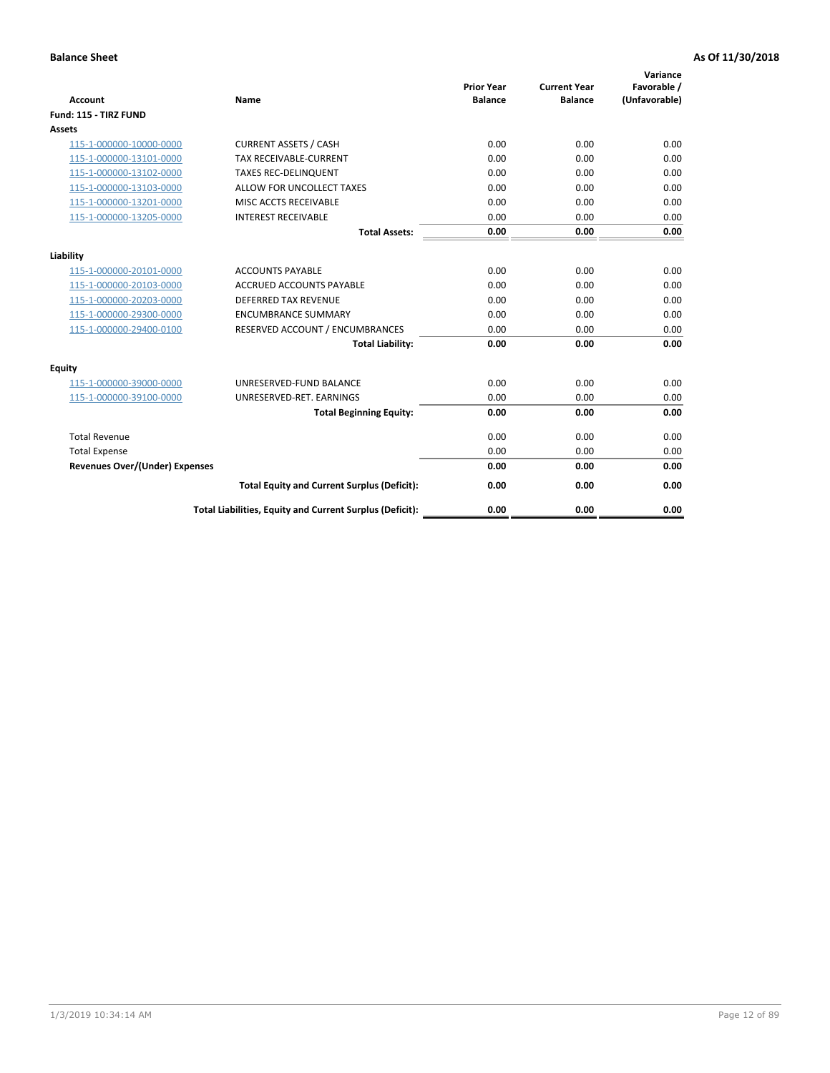| <b>Account</b>                        | <b>Name</b>                                              | <b>Prior Year</b><br><b>Balance</b> | <b>Current Year</b><br><b>Balance</b> | Variance<br>Favorable /<br>(Unfavorable) |
|---------------------------------------|----------------------------------------------------------|-------------------------------------|---------------------------------------|------------------------------------------|
| Fund: 115 - TIRZ FUND                 |                                                          |                                     |                                       |                                          |
| <b>Assets</b>                         |                                                          |                                     |                                       |                                          |
| 115-1-000000-10000-0000               | <b>CURRENT ASSETS / CASH</b>                             | 0.00                                | 0.00                                  | 0.00                                     |
| 115-1-000000-13101-0000               | <b>TAX RECEIVABLE-CURRENT</b>                            | 0.00                                | 0.00                                  | 0.00                                     |
| 115-1-000000-13102-0000               | <b>TAXES REC-DELINQUENT</b>                              | 0.00                                | 0.00                                  | 0.00                                     |
| 115-1-000000-13103-0000               | ALLOW FOR UNCOLLECT TAXES                                | 0.00                                | 0.00                                  | 0.00                                     |
| 115-1-000000-13201-0000               | MISC ACCTS RECEIVABLE                                    | 0.00                                | 0.00                                  | 0.00                                     |
| 115-1-000000-13205-0000               | <b>INTEREST RECEIVABLE</b>                               | 0.00                                | 0.00                                  | 0.00                                     |
|                                       | <b>Total Assets:</b>                                     | 0.00                                | 0.00                                  | 0.00                                     |
| Liability                             |                                                          |                                     |                                       |                                          |
| 115-1-000000-20101-0000               | <b>ACCOUNTS PAYABLE</b>                                  | 0.00                                | 0.00                                  | 0.00                                     |
| 115-1-000000-20103-0000               | <b>ACCRUED ACCOUNTS PAYABLE</b>                          | 0.00                                | 0.00                                  | 0.00                                     |
| 115-1-000000-20203-0000               | <b>DEFERRED TAX REVENUE</b>                              | 0.00                                | 0.00                                  | 0.00                                     |
| 115-1-000000-29300-0000               | <b>ENCUMBRANCE SUMMARY</b>                               | 0.00                                | 0.00                                  | 0.00                                     |
| 115-1-000000-29400-0100               | RESERVED ACCOUNT / ENCUMBRANCES                          | 0.00                                | 0.00                                  | 0.00                                     |
|                                       | <b>Total Liability:</b>                                  | 0.00                                | 0.00                                  | 0.00                                     |
| Equity                                |                                                          |                                     |                                       |                                          |
| 115-1-000000-39000-0000               | UNRESERVED-FUND BALANCE                                  | 0.00                                | 0.00                                  | 0.00                                     |
| 115-1-000000-39100-0000               | UNRESERVED-RET. EARNINGS                                 | 0.00                                | 0.00                                  | 0.00                                     |
|                                       | <b>Total Beginning Equity:</b>                           | 0.00                                | 0.00                                  | 0.00                                     |
| <b>Total Revenue</b>                  |                                                          | 0.00                                | 0.00                                  | 0.00                                     |
| <b>Total Expense</b>                  |                                                          | 0.00                                | 0.00                                  | 0.00                                     |
| <b>Revenues Over/(Under) Expenses</b> |                                                          | 0.00                                | 0.00                                  | 0.00                                     |
|                                       | <b>Total Equity and Current Surplus (Deficit):</b>       | 0.00                                | 0.00                                  | 0.00                                     |
|                                       | Total Liabilities, Equity and Current Surplus (Deficit): | 0.00                                | 0.00                                  | 0.00                                     |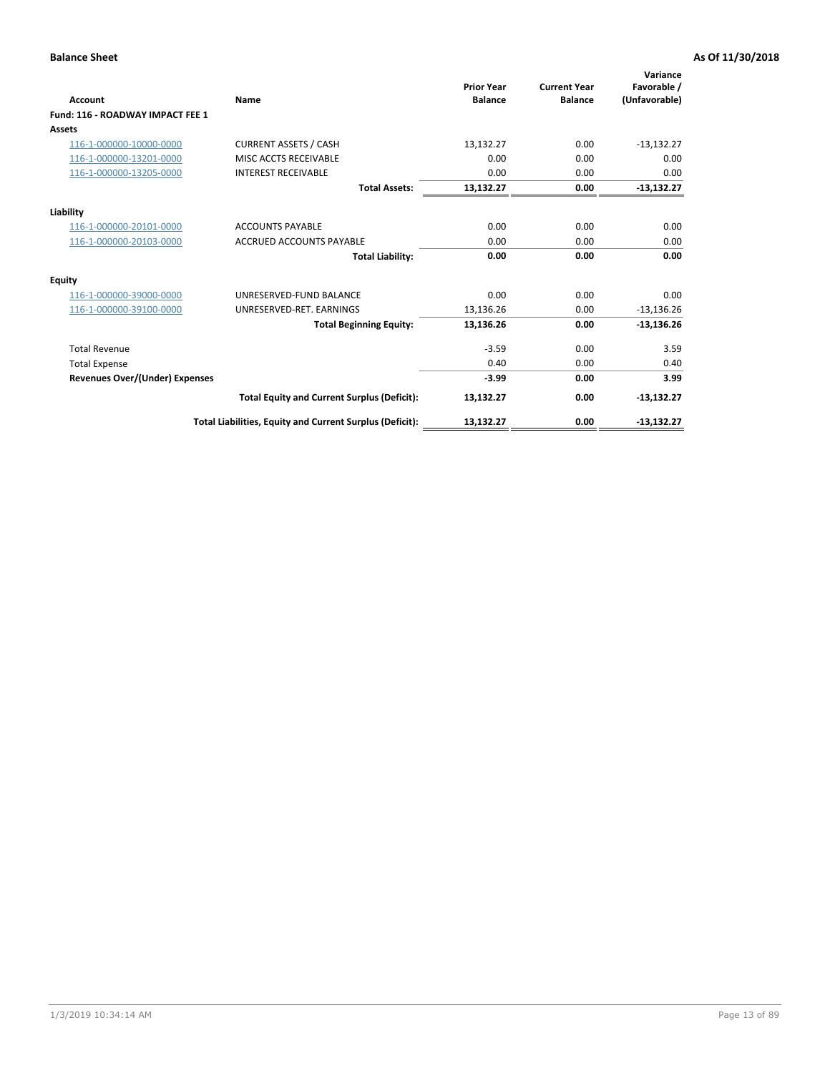| <b>Account</b>                        | Name                                                     | <b>Prior Year</b><br><b>Balance</b> | <b>Current Year</b><br><b>Balance</b> | Variance<br>Favorable /<br>(Unfavorable) |
|---------------------------------------|----------------------------------------------------------|-------------------------------------|---------------------------------------|------------------------------------------|
| Fund: 116 - ROADWAY IMPACT FEE 1      |                                                          |                                     |                                       |                                          |
| <b>Assets</b>                         |                                                          |                                     |                                       |                                          |
| 116-1-000000-10000-0000               | <b>CURRENT ASSETS / CASH</b>                             | 13,132.27                           | 0.00                                  | $-13,132.27$                             |
| 116-1-000000-13201-0000               | MISC ACCTS RECEIVABLE                                    | 0.00                                | 0.00                                  | 0.00                                     |
| 116-1-000000-13205-0000               | <b>INTEREST RECEIVABLE</b>                               | 0.00                                | 0.00                                  | 0.00                                     |
|                                       | <b>Total Assets:</b>                                     | 13,132.27                           | 0.00                                  | $-13,132.27$                             |
| Liability                             |                                                          |                                     |                                       |                                          |
| 116-1-000000-20101-0000               | <b>ACCOUNTS PAYABLE</b>                                  | 0.00                                | 0.00                                  | 0.00                                     |
| 116-1-000000-20103-0000               | <b>ACCRUED ACCOUNTS PAYABLE</b>                          | 0.00                                | 0.00                                  | 0.00                                     |
|                                       | <b>Total Liability:</b>                                  | 0.00                                | 0.00                                  | 0.00                                     |
| <b>Equity</b>                         |                                                          |                                     |                                       |                                          |
| 116-1-000000-39000-0000               | UNRESERVED-FUND BALANCE                                  | 0.00                                | 0.00                                  | 0.00                                     |
| 116-1-000000-39100-0000               | UNRESERVED-RET. EARNINGS                                 | 13,136.26                           | 0.00                                  | $-13,136.26$                             |
|                                       | <b>Total Beginning Equity:</b>                           | 13,136.26                           | 0.00                                  | $-13,136.26$                             |
| <b>Total Revenue</b>                  |                                                          | $-3.59$                             | 0.00                                  | 3.59                                     |
| <b>Total Expense</b>                  |                                                          | 0.40                                | 0.00                                  | 0.40                                     |
| <b>Revenues Over/(Under) Expenses</b> |                                                          | $-3.99$                             | 0.00                                  | 3.99                                     |
|                                       | <b>Total Equity and Current Surplus (Deficit):</b>       | 13,132.27                           | 0.00                                  | $-13,132.27$                             |
|                                       | Total Liabilities, Equity and Current Surplus (Deficit): | 13,132.27                           | 0.00                                  | $-13,132.27$                             |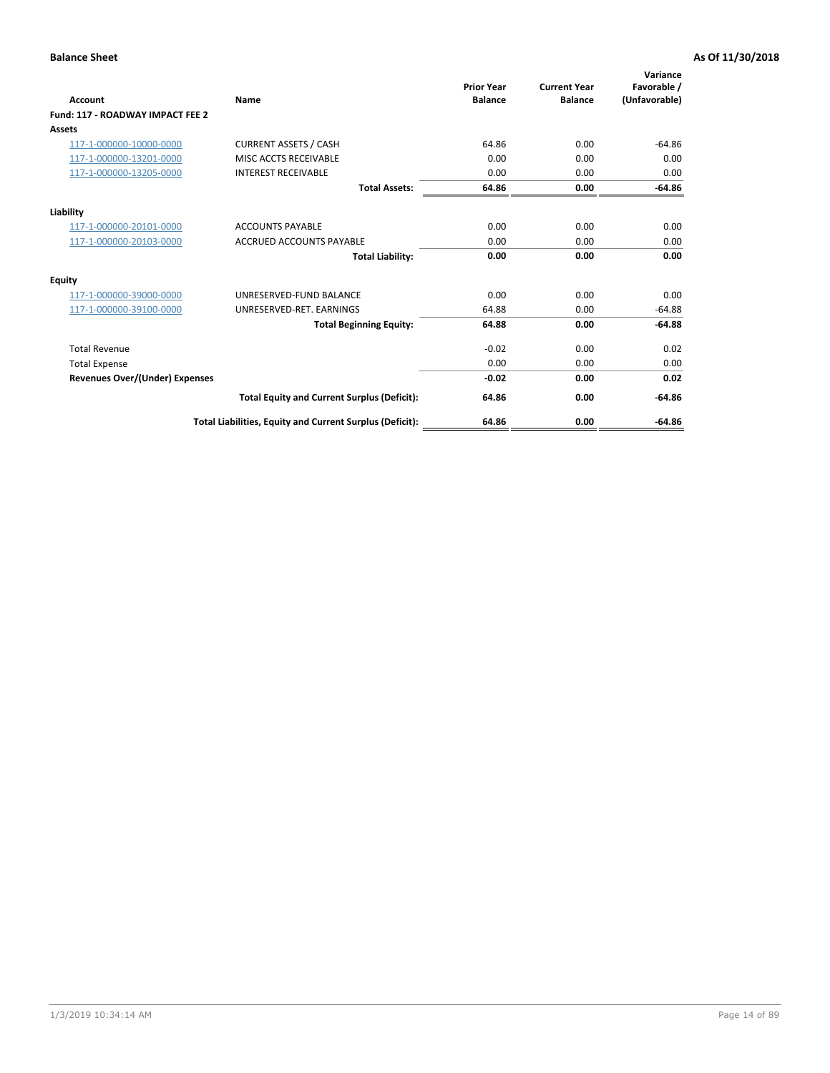| <b>Account</b>                        | Name                                                     | <b>Prior Year</b><br><b>Balance</b> | <b>Current Year</b><br><b>Balance</b> | Variance<br>Favorable /<br>(Unfavorable) |
|---------------------------------------|----------------------------------------------------------|-------------------------------------|---------------------------------------|------------------------------------------|
| Fund: 117 - ROADWAY IMPACT FEE 2      |                                                          |                                     |                                       |                                          |
| <b>Assets</b>                         |                                                          |                                     |                                       |                                          |
| 117-1-000000-10000-0000               | <b>CURRENT ASSETS / CASH</b>                             | 64.86                               | 0.00                                  | $-64.86$                                 |
| 117-1-000000-13201-0000               | MISC ACCTS RECEIVABLE                                    | 0.00                                | 0.00                                  | 0.00                                     |
| 117-1-000000-13205-0000               | <b>INTEREST RECEIVABLE</b>                               | 0.00                                | 0.00                                  | 0.00                                     |
|                                       | <b>Total Assets:</b>                                     | 64.86                               | 0.00                                  | $-64.86$                                 |
| Liability                             |                                                          |                                     |                                       |                                          |
| 117-1-000000-20101-0000               | <b>ACCOUNTS PAYABLE</b>                                  | 0.00                                | 0.00                                  | 0.00                                     |
| 117-1-000000-20103-0000               | <b>ACCRUED ACCOUNTS PAYABLE</b>                          | 0.00                                | 0.00                                  | 0.00                                     |
|                                       | <b>Total Liability:</b>                                  | 0.00                                | 0.00                                  | 0.00                                     |
| <b>Equity</b>                         |                                                          |                                     |                                       |                                          |
| 117-1-000000-39000-0000               | UNRESERVED-FUND BALANCE                                  | 0.00                                | 0.00                                  | 0.00                                     |
| 117-1-000000-39100-0000               | UNRESERVED-RET. EARNINGS                                 | 64.88                               | 0.00                                  | $-64.88$                                 |
|                                       | <b>Total Beginning Equity:</b>                           | 64.88                               | 0.00                                  | $-64.88$                                 |
| <b>Total Revenue</b>                  |                                                          | $-0.02$                             | 0.00                                  | 0.02                                     |
| <b>Total Expense</b>                  |                                                          | 0.00                                | 0.00                                  | 0.00                                     |
| <b>Revenues Over/(Under) Expenses</b> |                                                          | $-0.02$                             | 0.00                                  | 0.02                                     |
|                                       | <b>Total Equity and Current Surplus (Deficit):</b>       | 64.86                               | 0.00                                  | $-64.86$                                 |
|                                       | Total Liabilities, Equity and Current Surplus (Deficit): | 64.86                               | 0.00                                  | $-64.86$                                 |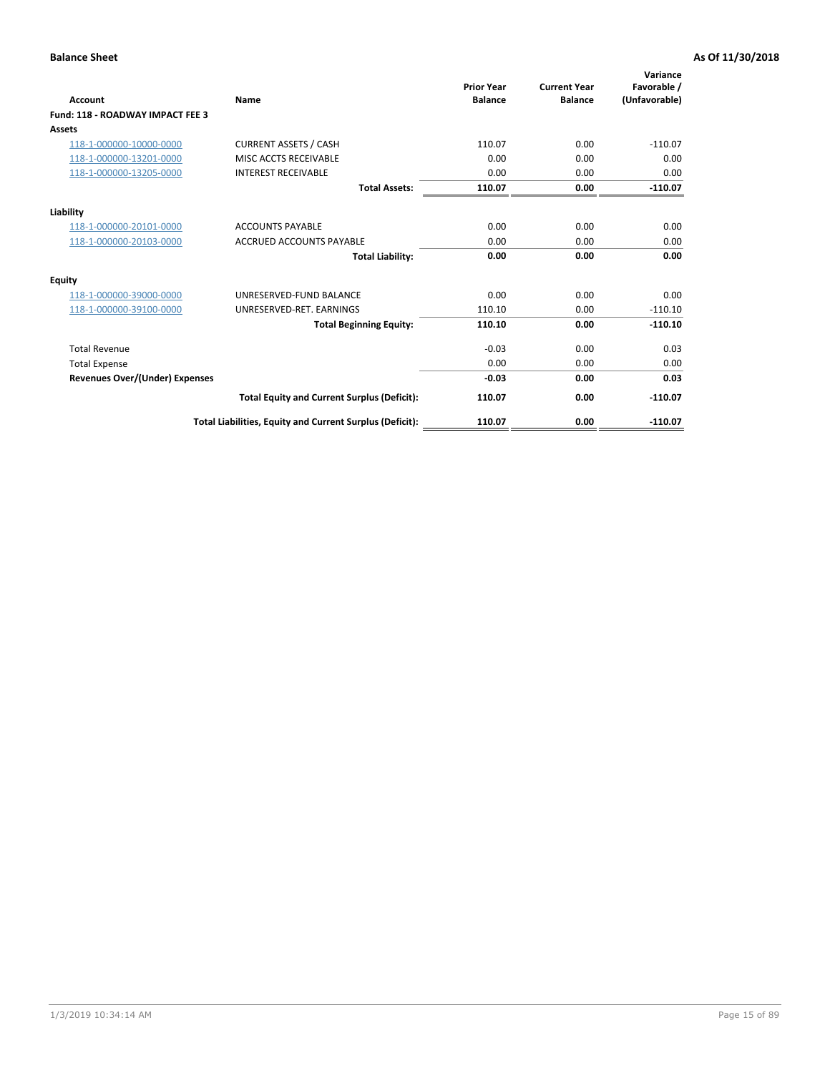| <b>Account</b>                        | Name                                                     | <b>Prior Year</b><br><b>Balance</b> | <b>Current Year</b><br><b>Balance</b> | Variance<br>Favorable /<br>(Unfavorable) |
|---------------------------------------|----------------------------------------------------------|-------------------------------------|---------------------------------------|------------------------------------------|
| Fund: 118 - ROADWAY IMPACT FEE 3      |                                                          |                                     |                                       |                                          |
| <b>Assets</b>                         |                                                          |                                     |                                       |                                          |
| 118-1-000000-10000-0000               | <b>CURRENT ASSETS / CASH</b>                             | 110.07                              | 0.00                                  | $-110.07$                                |
| 118-1-000000-13201-0000               | <b>MISC ACCTS RECEIVABLE</b>                             | 0.00                                | 0.00                                  | 0.00                                     |
| 118-1-000000-13205-0000               | <b>INTEREST RECEIVABLE</b>                               | 0.00                                | 0.00                                  | 0.00                                     |
|                                       | <b>Total Assets:</b>                                     | 110.07                              | 0.00                                  | $-110.07$                                |
| Liability                             |                                                          |                                     |                                       |                                          |
| 118-1-000000-20101-0000               | <b>ACCOUNTS PAYABLE</b>                                  | 0.00                                | 0.00                                  | 0.00                                     |
| 118-1-000000-20103-0000               | <b>ACCRUED ACCOUNTS PAYABLE</b>                          | 0.00                                | 0.00                                  | 0.00                                     |
|                                       | <b>Total Liability:</b>                                  | 0.00                                | 0.00                                  | 0.00                                     |
| <b>Equity</b>                         |                                                          |                                     |                                       |                                          |
| 118-1-000000-39000-0000               | UNRESERVED-FUND BALANCE                                  | 0.00                                | 0.00                                  | 0.00                                     |
| 118-1-000000-39100-0000               | UNRESERVED-RET, EARNINGS                                 | 110.10                              | 0.00                                  | $-110.10$                                |
|                                       | <b>Total Beginning Equity:</b>                           | 110.10                              | 0.00                                  | $-110.10$                                |
| <b>Total Revenue</b>                  |                                                          | $-0.03$                             | 0.00                                  | 0.03                                     |
| <b>Total Expense</b>                  |                                                          | 0.00                                | 0.00                                  | 0.00                                     |
| <b>Revenues Over/(Under) Expenses</b> |                                                          | $-0.03$                             | 0.00                                  | 0.03                                     |
|                                       | <b>Total Equity and Current Surplus (Deficit):</b>       | 110.07                              | 0.00                                  | $-110.07$                                |
|                                       | Total Liabilities, Equity and Current Surplus (Deficit): | 110.07                              | 0.00                                  | $-110.07$                                |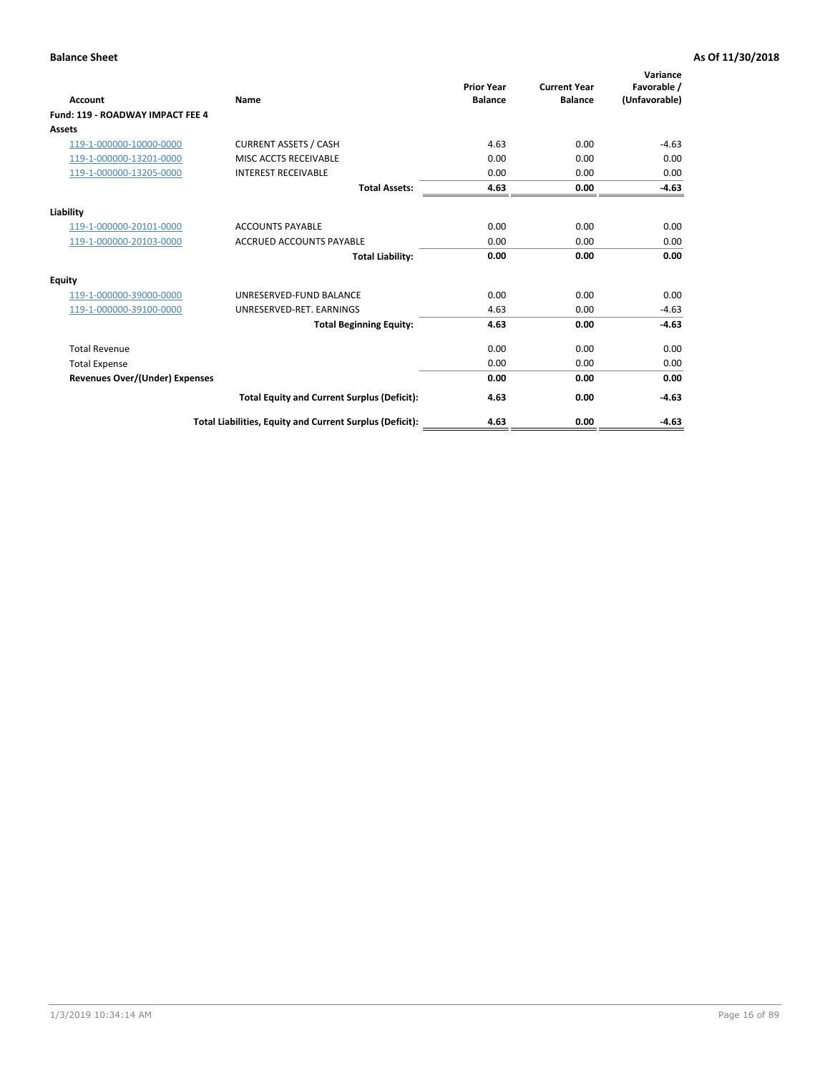| Account                               | Name                                                     | <b>Prior Year</b><br><b>Balance</b> | <b>Current Year</b><br><b>Balance</b> | Variance<br>Favorable /<br>(Unfavorable) |
|---------------------------------------|----------------------------------------------------------|-------------------------------------|---------------------------------------|------------------------------------------|
| Fund: 119 - ROADWAY IMPACT FEE 4      |                                                          |                                     |                                       |                                          |
| Assets                                |                                                          |                                     |                                       |                                          |
| 119-1-000000-10000-0000               | <b>CURRENT ASSETS / CASH</b>                             | 4.63                                | 0.00                                  | $-4.63$                                  |
| 119-1-000000-13201-0000               | MISC ACCTS RECEIVABLE                                    | 0.00                                | 0.00                                  | 0.00                                     |
| 119-1-000000-13205-0000               | <b>INTEREST RECEIVABLE</b>                               | 0.00                                | 0.00                                  | 0.00                                     |
|                                       | <b>Total Assets:</b>                                     | 4.63                                | 0.00                                  | $-4.63$                                  |
| Liability                             |                                                          |                                     |                                       |                                          |
| 119-1-000000-20101-0000               | <b>ACCOUNTS PAYABLE</b>                                  | 0.00                                | 0.00                                  | 0.00                                     |
| 119-1-000000-20103-0000               | <b>ACCRUED ACCOUNTS PAYABLE</b>                          | 0.00                                | 0.00                                  | 0.00                                     |
|                                       | <b>Total Liability:</b>                                  | 0.00                                | 0.00                                  | 0.00                                     |
| Equity                                |                                                          |                                     |                                       |                                          |
| 119-1-000000-39000-0000               | UNRESERVED-FUND BALANCE                                  | 0.00                                | 0.00                                  | 0.00                                     |
| 119-1-000000-39100-0000               | UNRESERVED-RET. EARNINGS                                 | 4.63                                | 0.00                                  | $-4.63$                                  |
|                                       | <b>Total Beginning Equity:</b>                           | 4.63                                | 0.00                                  | $-4.63$                                  |
| <b>Total Revenue</b>                  |                                                          | 0.00                                | 0.00                                  | 0.00                                     |
| <b>Total Expense</b>                  |                                                          | 0.00                                | 0.00                                  | 0.00                                     |
| <b>Revenues Over/(Under) Expenses</b> |                                                          | 0.00                                | 0.00                                  | 0.00                                     |
|                                       | <b>Total Equity and Current Surplus (Deficit):</b>       | 4.63                                | 0.00                                  | $-4.63$                                  |
|                                       | Total Liabilities, Equity and Current Surplus (Deficit): | 4.63                                | 0.00                                  | $-4.63$                                  |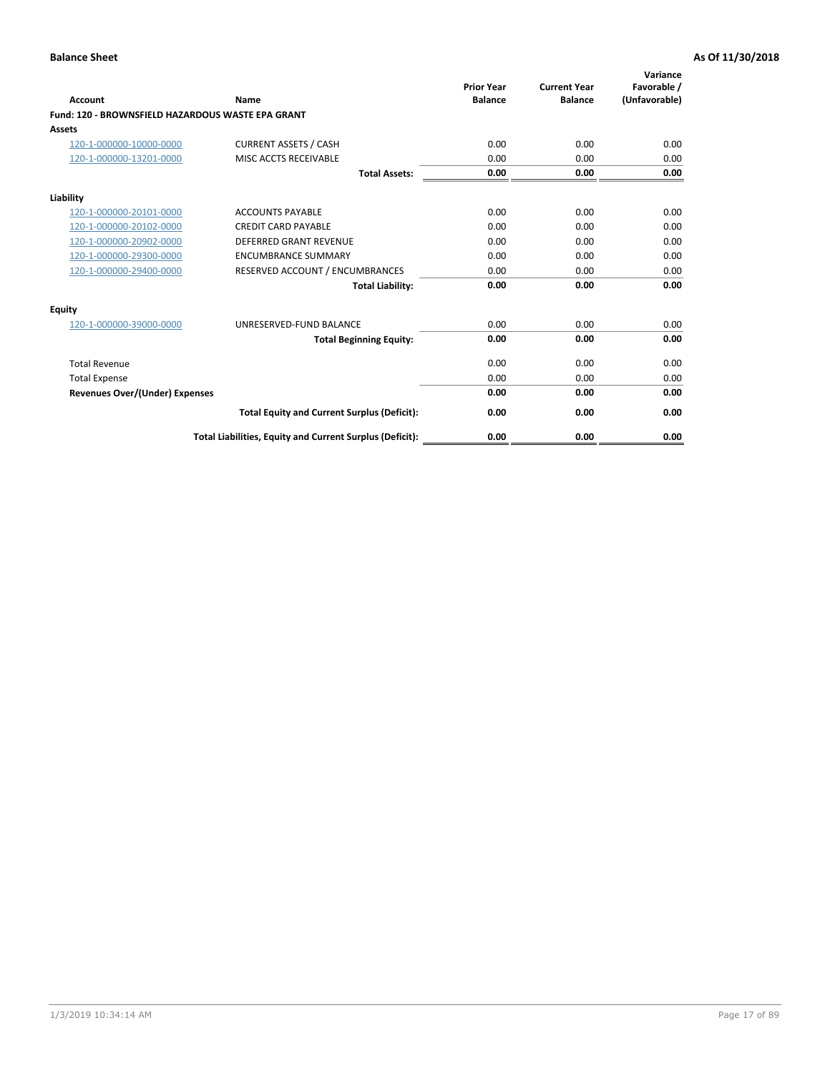|                                                   |                                                          | <b>Prior Year</b> | <b>Current Year</b> | Variance<br>Favorable / |
|---------------------------------------------------|----------------------------------------------------------|-------------------|---------------------|-------------------------|
| <b>Account</b>                                    | <b>Name</b>                                              | <b>Balance</b>    | <b>Balance</b>      | (Unfavorable)           |
| Fund: 120 - BROWNSFIELD HAZARDOUS WASTE EPA GRANT |                                                          |                   |                     |                         |
| <b>Assets</b>                                     |                                                          |                   |                     |                         |
| 120-1-000000-10000-0000                           | <b>CURRENT ASSETS / CASH</b>                             | 0.00              | 0.00                | 0.00                    |
| 120-1-000000-13201-0000                           | MISC ACCTS RECEIVABLE                                    | 0.00              | 0.00                | 0.00                    |
|                                                   | <b>Total Assets:</b>                                     | 0.00              | 0.00                | 0.00                    |
| Liability                                         |                                                          |                   |                     |                         |
| 120-1-000000-20101-0000                           | <b>ACCOUNTS PAYABLE</b>                                  | 0.00              | 0.00                | 0.00                    |
| 120-1-000000-20102-0000                           | <b>CREDIT CARD PAYABLE</b>                               | 0.00              | 0.00                | 0.00                    |
| 120-1-000000-20902-0000                           | <b>DEFERRED GRANT REVENUE</b>                            | 0.00              | 0.00                | 0.00                    |
| 120-1-000000-29300-0000                           | <b>ENCUMBRANCE SUMMARY</b>                               | 0.00              | 0.00                | 0.00                    |
| 120-1-000000-29400-0000                           | RESERVED ACCOUNT / ENCUMBRANCES                          | 0.00              | 0.00                | 0.00                    |
|                                                   | <b>Total Liability:</b>                                  | 0.00              | 0.00                | 0.00                    |
| Equity                                            |                                                          |                   |                     |                         |
| 120-1-000000-39000-0000                           | UNRESERVED-FUND BALANCE                                  | 0.00              | 0.00                | 0.00                    |
|                                                   | <b>Total Beginning Equity:</b>                           | 0.00              | 0.00                | 0.00                    |
| <b>Total Revenue</b>                              |                                                          | 0.00              | 0.00                | 0.00                    |
| <b>Total Expense</b>                              |                                                          | 0.00              | 0.00                | 0.00                    |
| <b>Revenues Over/(Under) Expenses</b>             |                                                          | 0.00              | 0.00                | 0.00                    |
|                                                   | <b>Total Equity and Current Surplus (Deficit):</b>       | 0.00              | 0.00                | 0.00                    |
|                                                   | Total Liabilities, Equity and Current Surplus (Deficit): | 0.00              | 0.00                | 0.00                    |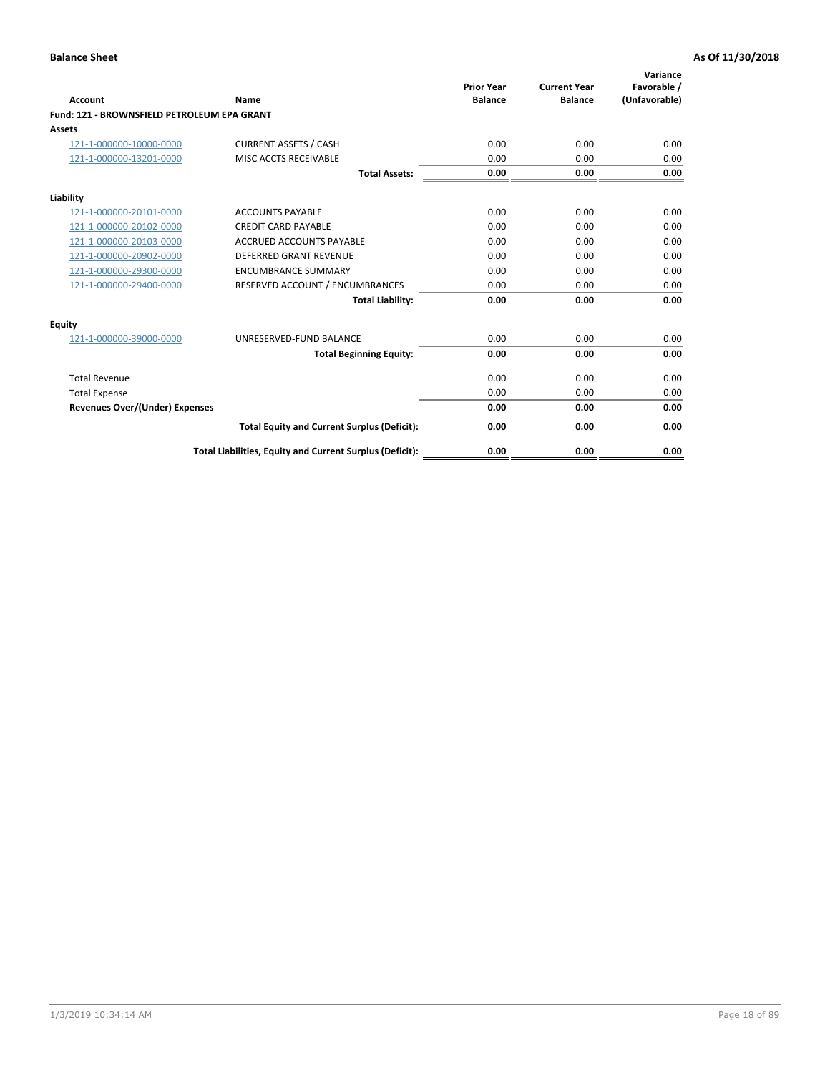| Account                                     | Name                                                     | <b>Prior Year</b><br><b>Balance</b> | <b>Current Year</b><br><b>Balance</b> | Variance<br>Favorable /<br>(Unfavorable) |
|---------------------------------------------|----------------------------------------------------------|-------------------------------------|---------------------------------------|------------------------------------------|
| Fund: 121 - BROWNSFIELD PETROLEUM EPA GRANT |                                                          |                                     |                                       |                                          |
| <b>Assets</b>                               |                                                          |                                     |                                       |                                          |
| 121-1-000000-10000-0000                     | <b>CURRENT ASSETS / CASH</b>                             | 0.00                                | 0.00                                  | 0.00                                     |
| 121-1-000000-13201-0000                     | <b>MISC ACCTS RECEIVABLE</b>                             | 0.00                                | 0.00                                  | 0.00                                     |
|                                             | <b>Total Assets:</b>                                     | 0.00                                | 0.00                                  | 0.00                                     |
| Liability                                   |                                                          |                                     |                                       |                                          |
| 121-1-000000-20101-0000                     | <b>ACCOUNTS PAYABLE</b>                                  | 0.00                                | 0.00                                  | 0.00                                     |
| 121-1-000000-20102-0000                     | <b>CREDIT CARD PAYABLE</b>                               | 0.00                                | 0.00                                  | 0.00                                     |
| 121-1-000000-20103-0000                     | <b>ACCRUED ACCOUNTS PAYABLE</b>                          | 0.00                                | 0.00                                  | 0.00                                     |
| 121-1-000000-20902-0000                     | <b>DEFERRED GRANT REVENUE</b>                            | 0.00                                | 0.00                                  | 0.00                                     |
| 121-1-000000-29300-0000                     | <b>ENCUMBRANCE SUMMARY</b>                               | 0.00                                | 0.00                                  | 0.00                                     |
| 121-1-000000-29400-0000                     | RESERVED ACCOUNT / ENCUMBRANCES                          | 0.00                                | 0.00                                  | 0.00                                     |
|                                             | <b>Total Liability:</b>                                  | 0.00                                | 0.00                                  | 0.00                                     |
| <b>Equity</b>                               |                                                          |                                     |                                       |                                          |
| 121-1-000000-39000-0000                     | UNRESERVED-FUND BALANCE                                  | 0.00                                | 0.00                                  | 0.00                                     |
|                                             | <b>Total Beginning Equity:</b>                           | 0.00                                | 0.00                                  | 0.00                                     |
| <b>Total Revenue</b>                        |                                                          | 0.00                                | 0.00                                  | 0.00                                     |
| <b>Total Expense</b>                        |                                                          | 0.00                                | 0.00                                  | 0.00                                     |
| <b>Revenues Over/(Under) Expenses</b>       |                                                          | 0.00                                | 0.00                                  | 0.00                                     |
|                                             | <b>Total Equity and Current Surplus (Deficit):</b>       | 0.00                                | 0.00                                  | 0.00                                     |
|                                             | Total Liabilities, Equity and Current Surplus (Deficit): | 0.00                                | 0.00                                  | 0.00                                     |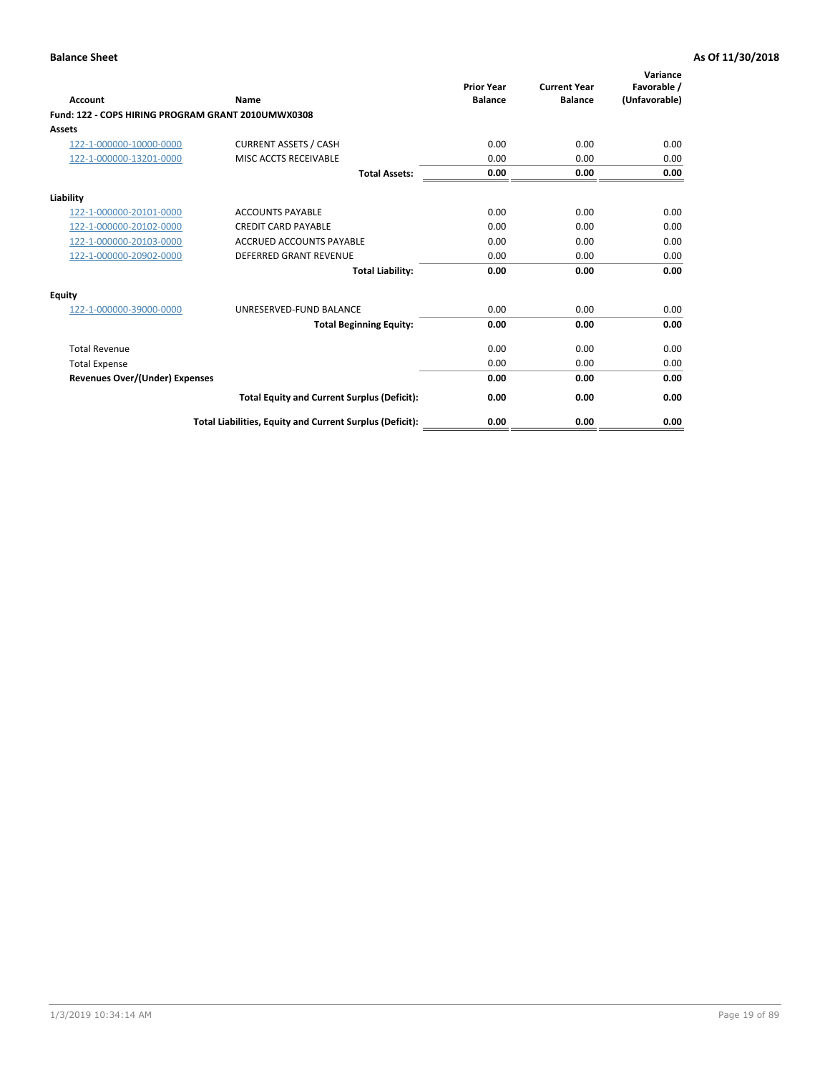| <b>Account</b>                                     | Name                                                     | <b>Prior Year</b><br><b>Balance</b> | <b>Current Year</b><br><b>Balance</b> | Variance<br>Favorable /<br>(Unfavorable) |
|----------------------------------------------------|----------------------------------------------------------|-------------------------------------|---------------------------------------|------------------------------------------|
| Fund: 122 - COPS HIRING PROGRAM GRANT 2010UMWX0308 |                                                          |                                     |                                       |                                          |
| Assets                                             |                                                          |                                     |                                       |                                          |
| 122-1-000000-10000-0000                            | <b>CURRENT ASSETS / CASH</b>                             | 0.00                                | 0.00                                  | 0.00                                     |
| 122-1-000000-13201-0000                            | MISC ACCTS RECEIVABLE                                    | 0.00                                | 0.00                                  | 0.00                                     |
|                                                    | <b>Total Assets:</b>                                     | 0.00                                | 0.00                                  | 0.00                                     |
| Liability                                          |                                                          |                                     |                                       |                                          |
| 122-1-000000-20101-0000                            | <b>ACCOUNTS PAYABLE</b>                                  | 0.00                                | 0.00                                  | 0.00                                     |
| 122-1-000000-20102-0000                            | <b>CREDIT CARD PAYABLE</b>                               | 0.00                                | 0.00                                  | 0.00                                     |
| 122-1-000000-20103-0000                            | <b>ACCRUED ACCOUNTS PAYABLE</b>                          | 0.00                                | 0.00                                  | 0.00                                     |
| 122-1-000000-20902-0000                            | <b>DEFERRED GRANT REVENUE</b>                            | 0.00                                | 0.00                                  | 0.00                                     |
|                                                    | <b>Total Liability:</b>                                  | 0.00                                | 0.00                                  | 0.00                                     |
| Equity                                             |                                                          |                                     |                                       |                                          |
| 122-1-000000-39000-0000                            | UNRESERVED-FUND BALANCE                                  | 0.00                                | 0.00                                  | 0.00                                     |
|                                                    | <b>Total Beginning Equity:</b>                           | 0.00                                | 0.00                                  | 0.00                                     |
| <b>Total Revenue</b>                               |                                                          | 0.00                                | 0.00                                  | 0.00                                     |
| <b>Total Expense</b>                               |                                                          | 0.00                                | 0.00                                  | 0.00                                     |
| <b>Revenues Over/(Under) Expenses</b>              |                                                          | 0.00                                | 0.00                                  | 0.00                                     |
|                                                    | <b>Total Equity and Current Surplus (Deficit):</b>       | 0.00                                | 0.00                                  | 0.00                                     |
|                                                    | Total Liabilities, Equity and Current Surplus (Deficit): | 0.00                                | 0.00                                  | 0.00                                     |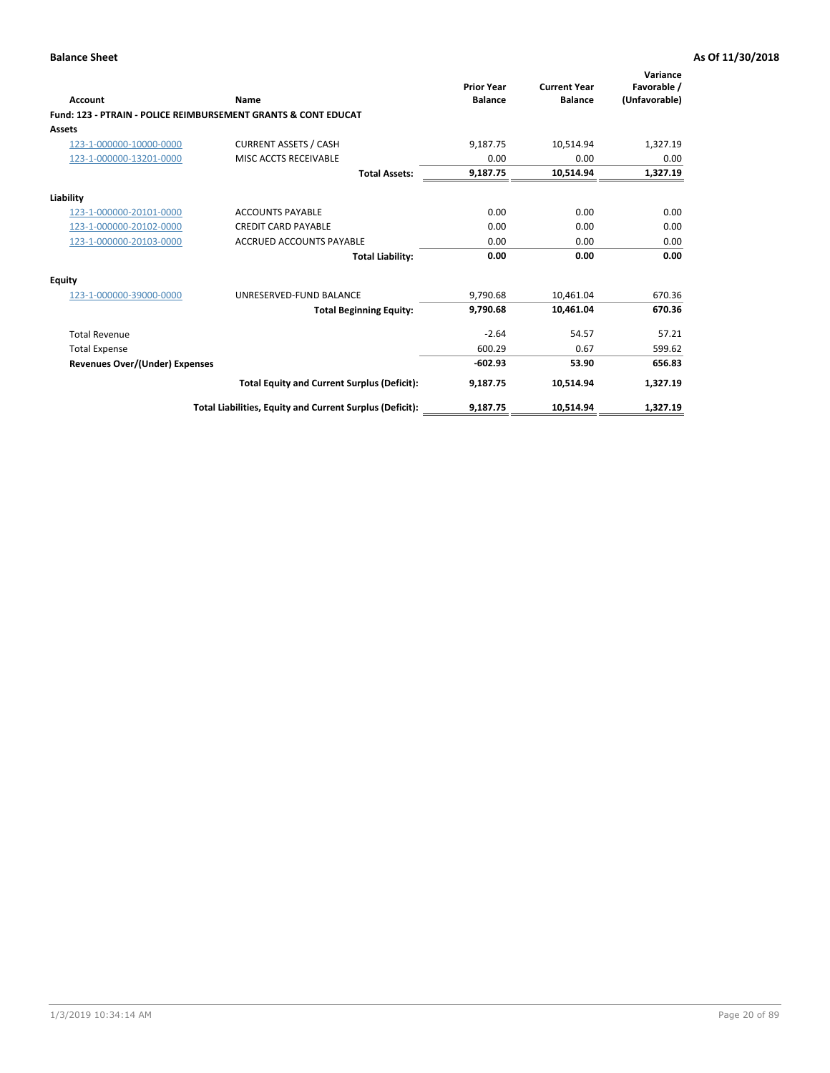| Account                               | Name                                                           | <b>Prior Year</b><br><b>Balance</b> | <b>Current Year</b><br><b>Balance</b> | Variance<br>Favorable /<br>(Unfavorable) |
|---------------------------------------|----------------------------------------------------------------|-------------------------------------|---------------------------------------|------------------------------------------|
|                                       | Fund: 123 - PTRAIN - POLICE REIMBURSEMENT GRANTS & CONT EDUCAT |                                     |                                       |                                          |
| Assets                                |                                                                |                                     |                                       |                                          |
| 123-1-000000-10000-0000               | <b>CURRENT ASSETS / CASH</b>                                   | 9.187.75                            | 10,514.94                             | 1,327.19                                 |
| 123-1-000000-13201-0000               | MISC ACCTS RECEIVABLE                                          | 0.00                                | 0.00                                  | 0.00                                     |
|                                       | <b>Total Assets:</b>                                           | 9,187.75                            | 10,514.94                             | 1,327.19                                 |
| Liability                             |                                                                |                                     |                                       |                                          |
| 123-1-000000-20101-0000               | <b>ACCOUNTS PAYABLE</b>                                        | 0.00                                | 0.00                                  | 0.00                                     |
| 123-1-000000-20102-0000               | <b>CREDIT CARD PAYABLE</b>                                     | 0.00                                | 0.00                                  | 0.00                                     |
| 123-1-000000-20103-0000               | <b>ACCRUED ACCOUNTS PAYABLE</b>                                | 0.00                                | 0.00                                  | 0.00                                     |
|                                       | <b>Total Liability:</b>                                        | 0.00                                | 0.00                                  | 0.00                                     |
| Equity                                |                                                                |                                     |                                       |                                          |
| 123-1-000000-39000-0000               | UNRESERVED-FUND BALANCE                                        | 9,790.68                            | 10,461.04                             | 670.36                                   |
|                                       | <b>Total Beginning Equity:</b>                                 | 9,790.68                            | 10,461.04                             | 670.36                                   |
| <b>Total Revenue</b>                  |                                                                | $-2.64$                             | 54.57                                 | 57.21                                    |
| <b>Total Expense</b>                  |                                                                | 600.29                              | 0.67                                  | 599.62                                   |
| <b>Revenues Over/(Under) Expenses</b> |                                                                | $-602.93$                           | 53.90                                 | 656.83                                   |
|                                       | <b>Total Equity and Current Surplus (Deficit):</b>             | 9,187.75                            | 10,514.94                             | 1,327.19                                 |
|                                       | Total Liabilities, Equity and Current Surplus (Deficit):       | 9,187.75                            | 10,514.94                             | 1,327.19                                 |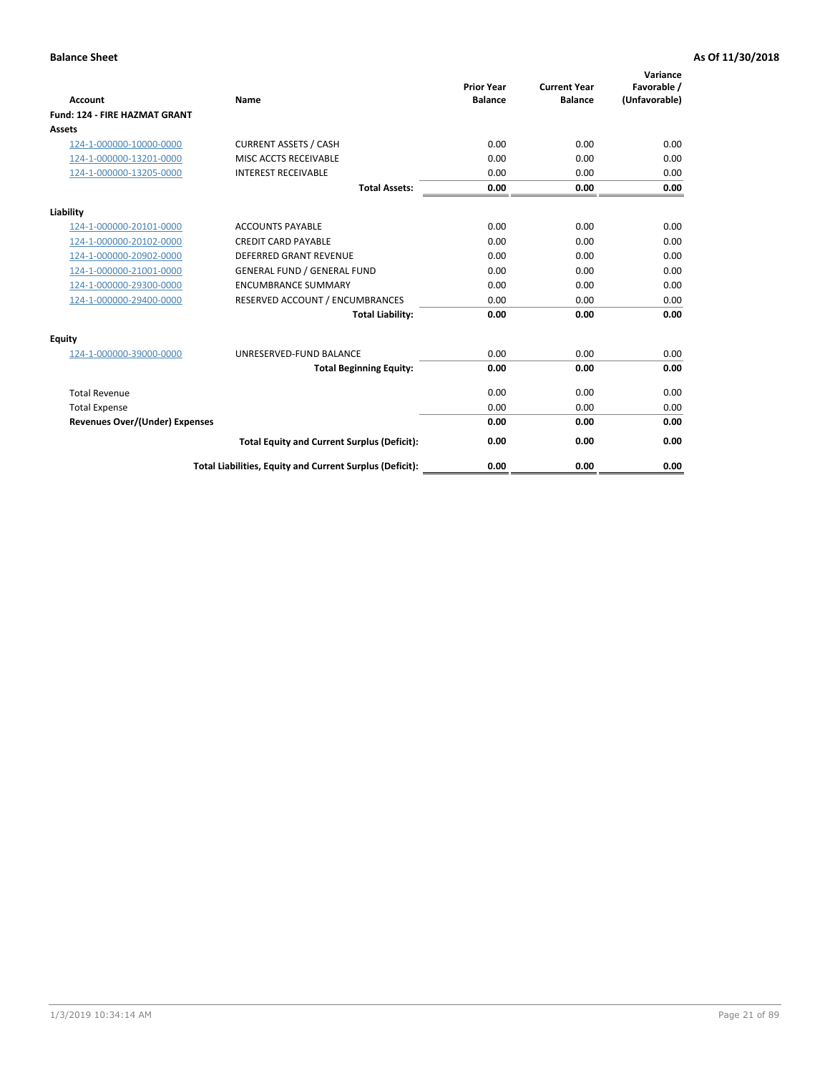| <b>Account</b>                        | Name                                                     | <b>Prior Year</b><br><b>Balance</b> | <b>Current Year</b><br><b>Balance</b> | Variance<br>Favorable /<br>(Unfavorable) |
|---------------------------------------|----------------------------------------------------------|-------------------------------------|---------------------------------------|------------------------------------------|
| <b>Fund: 124 - FIRE HAZMAT GRANT</b>  |                                                          |                                     |                                       |                                          |
| <b>Assets</b>                         |                                                          |                                     |                                       |                                          |
| 124-1-000000-10000-0000               | <b>CURRENT ASSETS / CASH</b>                             | 0.00                                | 0.00                                  | 0.00                                     |
| 124-1-000000-13201-0000               | MISC ACCTS RECEIVABLE                                    | 0.00                                | 0.00                                  | 0.00                                     |
| 124-1-000000-13205-0000               | <b>INTEREST RECEIVABLE</b>                               | 0.00                                | 0.00                                  | 0.00                                     |
|                                       | <b>Total Assets:</b>                                     | 0.00                                | 0.00                                  | 0.00                                     |
| Liability                             |                                                          |                                     |                                       |                                          |
| 124-1-000000-20101-0000               | <b>ACCOUNTS PAYABLE</b>                                  | 0.00                                | 0.00                                  | 0.00                                     |
| 124-1-000000-20102-0000               | <b>CREDIT CARD PAYABLE</b>                               | 0.00                                | 0.00                                  | 0.00                                     |
| 124-1-000000-20902-0000               | <b>DEFERRED GRANT REVENUE</b>                            | 0.00                                | 0.00                                  | 0.00                                     |
| 124-1-000000-21001-0000               | <b>GENERAL FUND / GENERAL FUND</b>                       | 0.00                                | 0.00                                  | 0.00                                     |
| 124-1-000000-29300-0000               | <b>ENCUMBRANCE SUMMARY</b>                               | 0.00                                | 0.00                                  | 0.00                                     |
| 124-1-000000-29400-0000               | RESERVED ACCOUNT / ENCUMBRANCES                          | 0.00                                | 0.00                                  | 0.00                                     |
|                                       | <b>Total Liability:</b>                                  | 0.00                                | 0.00                                  | 0.00                                     |
| <b>Equity</b>                         |                                                          |                                     |                                       |                                          |
| 124-1-000000-39000-0000               | UNRESERVED-FUND BALANCE                                  | 0.00                                | 0.00                                  | 0.00                                     |
|                                       | <b>Total Beginning Equity:</b>                           | 0.00                                | 0.00                                  | 0.00                                     |
| <b>Total Revenue</b>                  |                                                          | 0.00                                | 0.00                                  | 0.00                                     |
| <b>Total Expense</b>                  |                                                          | 0.00                                | 0.00                                  | 0.00                                     |
| <b>Revenues Over/(Under) Expenses</b> |                                                          | 0.00                                | 0.00                                  | 0.00                                     |
|                                       | <b>Total Equity and Current Surplus (Deficit):</b>       | 0.00                                | 0.00                                  | 0.00                                     |
|                                       | Total Liabilities, Equity and Current Surplus (Deficit): | 0.00                                | 0.00                                  | 0.00                                     |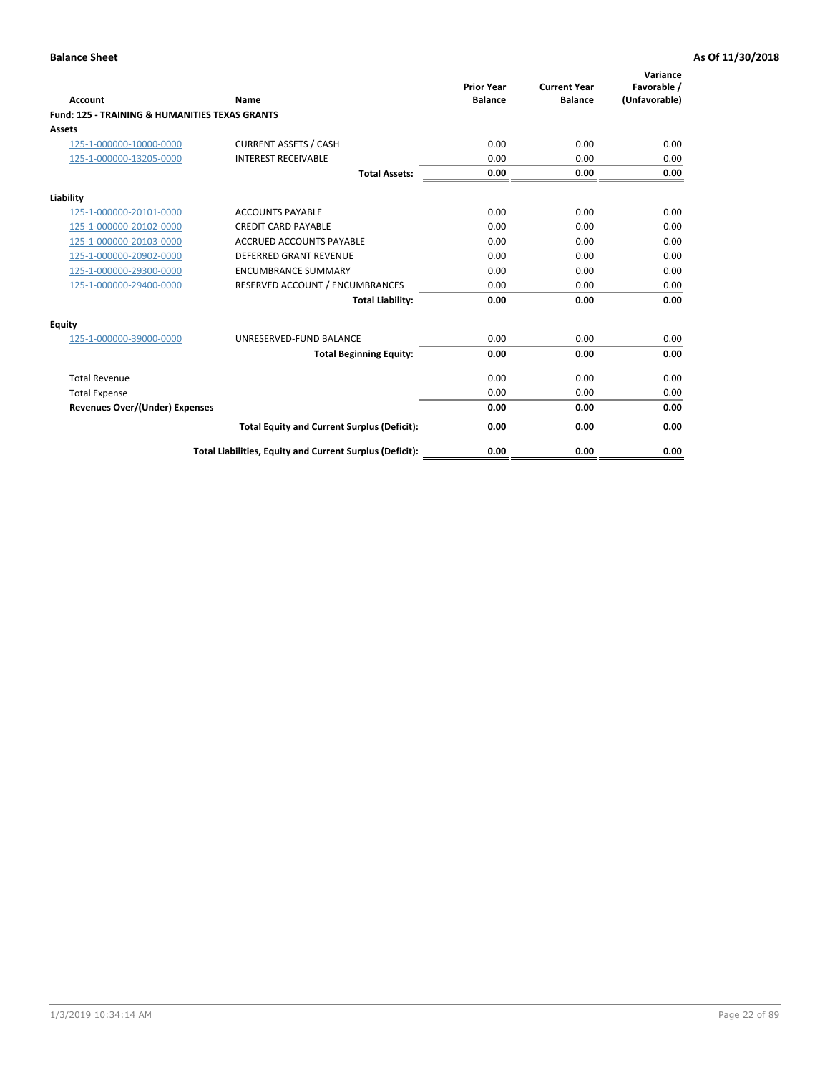| Account                                                   | Name                                                     | <b>Prior Year</b><br><b>Balance</b> | <b>Current Year</b><br><b>Balance</b> | Variance<br>Favorable /<br>(Unfavorable) |
|-----------------------------------------------------------|----------------------------------------------------------|-------------------------------------|---------------------------------------|------------------------------------------|
| <b>Fund: 125 - TRAINING &amp; HUMANITIES TEXAS GRANTS</b> |                                                          |                                     |                                       |                                          |
| <b>Assets</b>                                             |                                                          |                                     |                                       |                                          |
| 125-1-000000-10000-0000                                   | <b>CURRENT ASSETS / CASH</b>                             | 0.00                                | 0.00                                  | 0.00                                     |
| 125-1-000000-13205-0000                                   | <b>INTEREST RECEIVABLE</b>                               | 0.00                                | 0.00                                  | 0.00                                     |
|                                                           | <b>Total Assets:</b>                                     | 0.00                                | 0.00                                  | 0.00                                     |
| Liability                                                 |                                                          |                                     |                                       |                                          |
| 125-1-000000-20101-0000                                   | <b>ACCOUNTS PAYABLE</b>                                  | 0.00                                | 0.00                                  | 0.00                                     |
| 125-1-000000-20102-0000                                   | <b>CREDIT CARD PAYABLE</b>                               | 0.00                                | 0.00                                  | 0.00                                     |
| 125-1-000000-20103-0000                                   | <b>ACCRUED ACCOUNTS PAYABLE</b>                          | 0.00                                | 0.00                                  | 0.00                                     |
| 125-1-000000-20902-0000                                   | <b>DEFERRED GRANT REVENUE</b>                            | 0.00                                | 0.00                                  | 0.00                                     |
| 125-1-000000-29300-0000                                   | <b>ENCUMBRANCE SUMMARY</b>                               | 0.00                                | 0.00                                  | 0.00                                     |
| 125-1-000000-29400-0000                                   | RESERVED ACCOUNT / ENCUMBRANCES                          | 0.00                                | 0.00                                  | 0.00                                     |
|                                                           | <b>Total Liability:</b>                                  | 0.00                                | 0.00                                  | 0.00                                     |
| <b>Equity</b>                                             |                                                          |                                     |                                       |                                          |
| 125-1-000000-39000-0000                                   | UNRESERVED-FUND BALANCE                                  | 0.00                                | 0.00                                  | 0.00                                     |
|                                                           | <b>Total Beginning Equity:</b>                           | 0.00                                | 0.00                                  | 0.00                                     |
| <b>Total Revenue</b>                                      |                                                          | 0.00                                | 0.00                                  | 0.00                                     |
| <b>Total Expense</b>                                      |                                                          | 0.00                                | 0.00                                  | 0.00                                     |
| <b>Revenues Over/(Under) Expenses</b>                     |                                                          | 0.00                                | 0.00                                  | 0.00                                     |
|                                                           | <b>Total Equity and Current Surplus (Deficit):</b>       | 0.00                                | 0.00                                  | 0.00                                     |
|                                                           | Total Liabilities, Equity and Current Surplus (Deficit): | 0.00                                | 0.00                                  | 0.00                                     |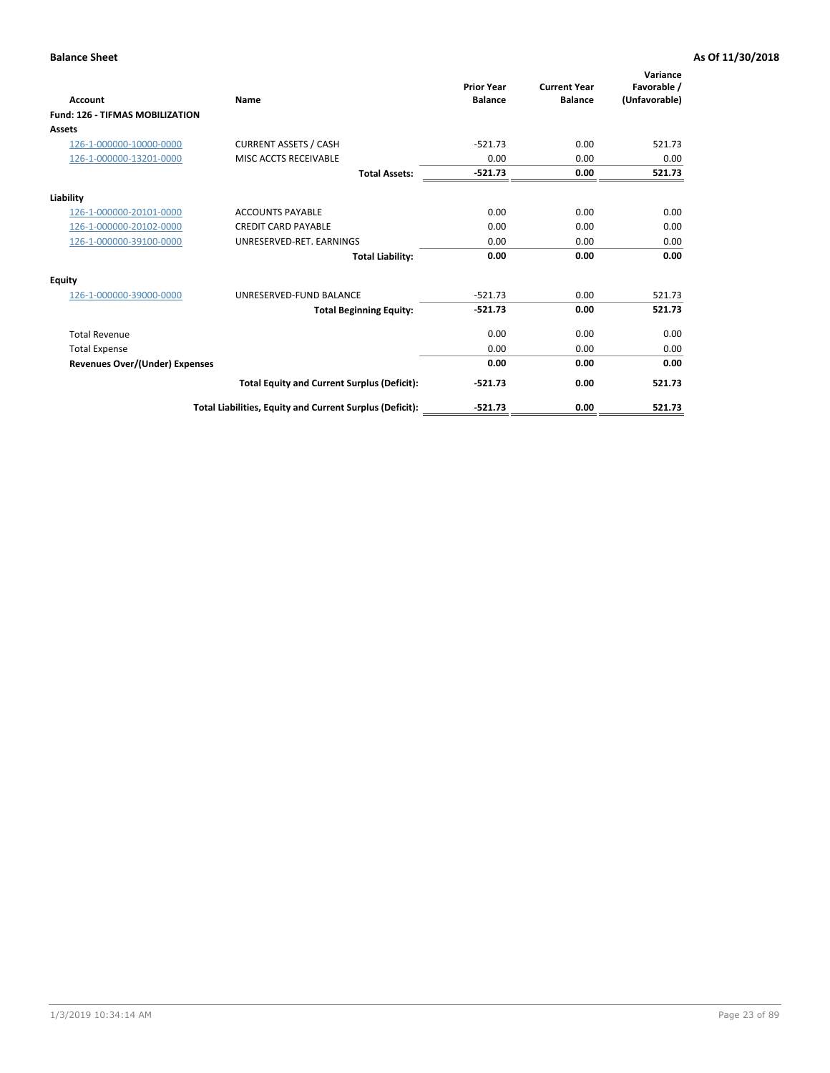| Account                                | Name                                                     | <b>Prior Year</b><br><b>Balance</b> | <b>Current Year</b><br><b>Balance</b> | Variance<br>Favorable /<br>(Unfavorable) |
|----------------------------------------|----------------------------------------------------------|-------------------------------------|---------------------------------------|------------------------------------------|
| <b>Fund: 126 - TIFMAS MOBILIZATION</b> |                                                          |                                     |                                       |                                          |
| <b>Assets</b>                          |                                                          |                                     |                                       |                                          |
| 126-1-000000-10000-0000                | <b>CURRENT ASSETS / CASH</b>                             | $-521.73$                           | 0.00                                  | 521.73                                   |
| 126-1-000000-13201-0000                | MISC ACCTS RECEIVABLE                                    | 0.00                                | 0.00                                  | 0.00                                     |
|                                        | <b>Total Assets:</b>                                     | $-521.73$                           | 0.00                                  | 521.73                                   |
| Liability                              |                                                          |                                     |                                       |                                          |
| 126-1-000000-20101-0000                | <b>ACCOUNTS PAYABLE</b>                                  | 0.00                                | 0.00                                  | 0.00                                     |
| 126-1-000000-20102-0000                | <b>CREDIT CARD PAYABLE</b>                               | 0.00                                | 0.00                                  | 0.00                                     |
| 126-1-000000-39100-0000                | UNRESERVED-RET. EARNINGS                                 | 0.00                                | 0.00                                  | 0.00                                     |
|                                        | <b>Total Liability:</b>                                  | 0.00                                | 0.00                                  | 0.00                                     |
| <b>Equity</b>                          |                                                          |                                     |                                       |                                          |
| 126-1-000000-39000-0000                | UNRESERVED-FUND BALANCE                                  | $-521.73$                           | 0.00                                  | 521.73                                   |
|                                        | <b>Total Beginning Equity:</b>                           | $-521.73$                           | 0.00                                  | 521.73                                   |
| <b>Total Revenue</b>                   |                                                          | 0.00                                | 0.00                                  | 0.00                                     |
| <b>Total Expense</b>                   |                                                          | 0.00                                | 0.00                                  | 0.00                                     |
| <b>Revenues Over/(Under) Expenses</b>  |                                                          | 0.00                                | 0.00                                  | 0.00                                     |
|                                        | <b>Total Equity and Current Surplus (Deficit):</b>       | $-521.73$                           | 0.00                                  | 521.73                                   |
|                                        | Total Liabilities, Equity and Current Surplus (Deficit): | $-521.73$                           | 0.00                                  | 521.73                                   |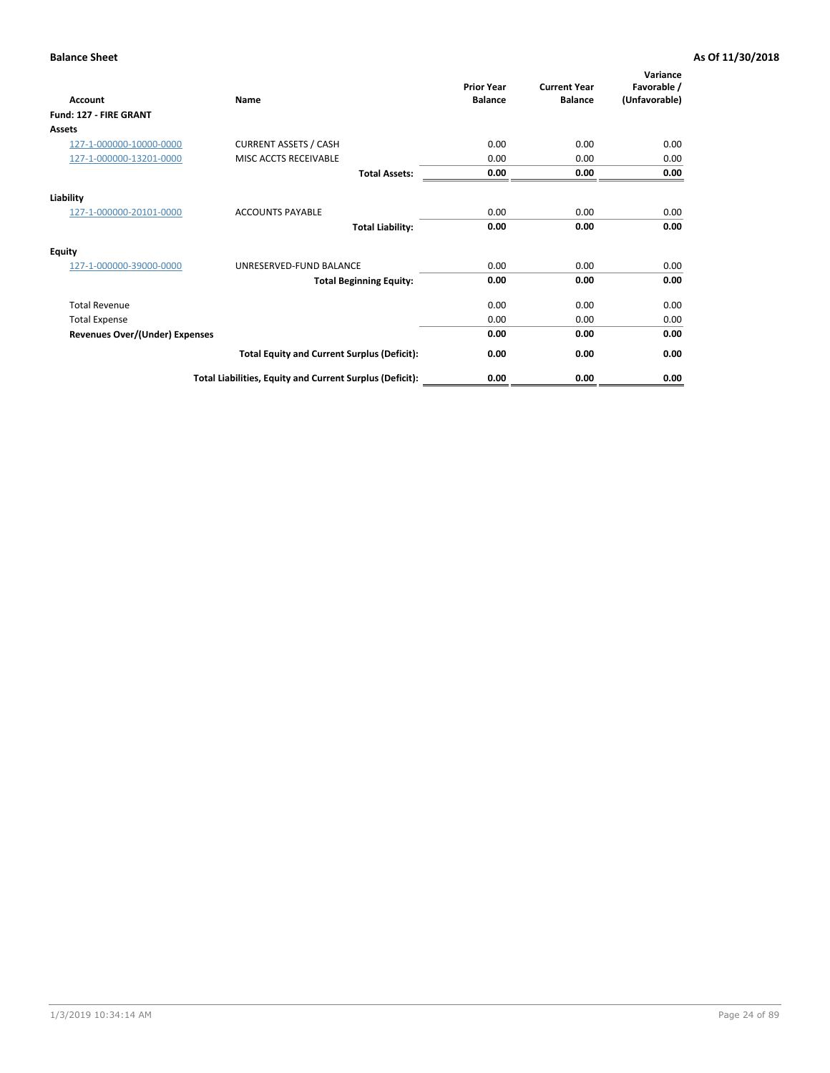| <b>Account</b>                        | Name                                                     | <b>Prior Year</b><br><b>Balance</b> | <b>Current Year</b><br><b>Balance</b> | Variance<br>Favorable /<br>(Unfavorable) |
|---------------------------------------|----------------------------------------------------------|-------------------------------------|---------------------------------------|------------------------------------------|
| Fund: 127 - FIRE GRANT                |                                                          |                                     |                                       |                                          |
| Assets                                |                                                          |                                     |                                       |                                          |
| 127-1-000000-10000-0000               | <b>CURRENT ASSETS / CASH</b>                             | 0.00                                | 0.00                                  | 0.00                                     |
| 127-1-000000-13201-0000               | MISC ACCTS RECEIVABLE                                    | 0.00                                | 0.00                                  | 0.00                                     |
|                                       | <b>Total Assets:</b>                                     | 0.00                                | 0.00                                  | 0.00                                     |
| Liability                             |                                                          |                                     |                                       |                                          |
| 127-1-000000-20101-0000               | <b>ACCOUNTS PAYABLE</b>                                  | 0.00                                | 0.00                                  | 0.00                                     |
|                                       | <b>Total Liability:</b>                                  | 0.00                                | 0.00                                  | 0.00                                     |
| <b>Equity</b>                         |                                                          |                                     |                                       |                                          |
| 127-1-000000-39000-0000               | UNRESERVED-FUND BALANCE                                  | 0.00                                | 0.00                                  | 0.00                                     |
|                                       | <b>Total Beginning Equity:</b>                           | 0.00                                | 0.00                                  | 0.00                                     |
| <b>Total Revenue</b>                  |                                                          | 0.00                                | 0.00                                  | 0.00                                     |
| <b>Total Expense</b>                  |                                                          | 0.00                                | 0.00                                  | 0.00                                     |
| <b>Revenues Over/(Under) Expenses</b> |                                                          | 0.00                                | 0.00                                  | 0.00                                     |
|                                       | <b>Total Equity and Current Surplus (Deficit):</b>       | 0.00                                | 0.00                                  | 0.00                                     |
|                                       | Total Liabilities, Equity and Current Surplus (Deficit): | 0.00                                | 0.00                                  | 0.00                                     |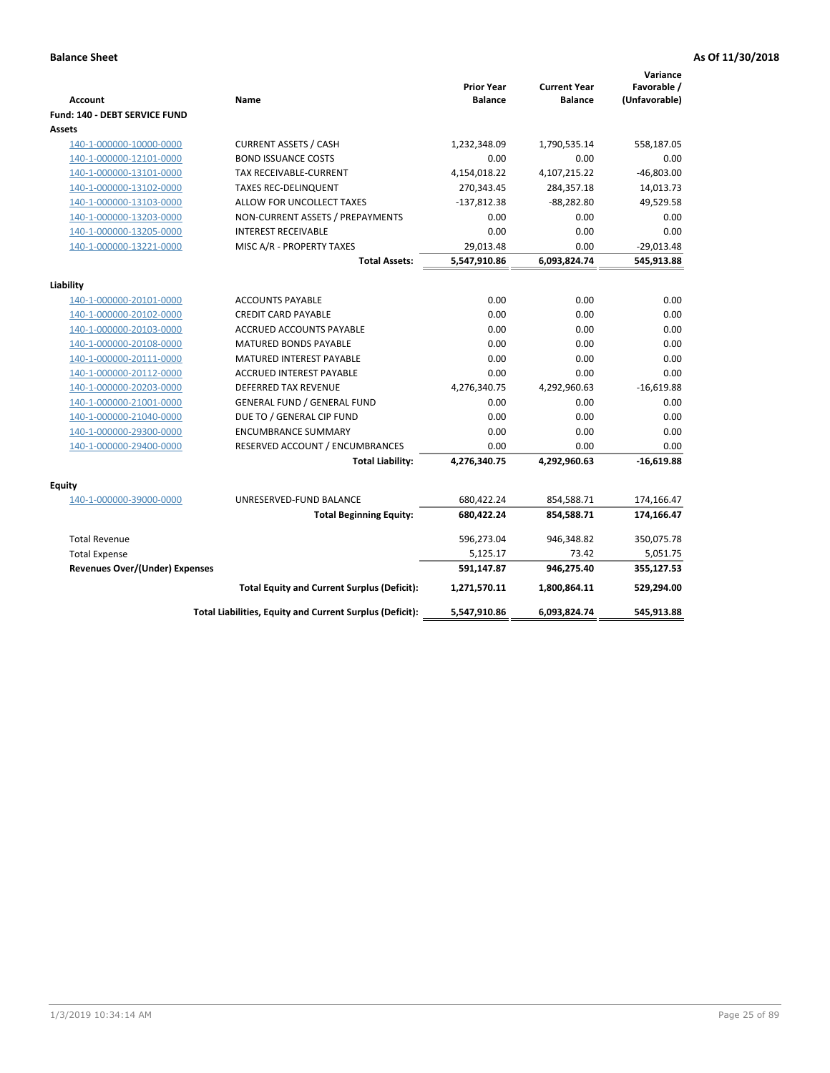| <b>Account</b>                        | Name                                                     | <b>Prior Year</b><br><b>Balance</b> | <b>Current Year</b><br><b>Balance</b> | Variance<br>Favorable /<br>(Unfavorable) |
|---------------------------------------|----------------------------------------------------------|-------------------------------------|---------------------------------------|------------------------------------------|
| Fund: 140 - DEBT SERVICE FUND         |                                                          |                                     |                                       |                                          |
| Assets                                |                                                          |                                     |                                       |                                          |
| 140-1-000000-10000-0000               | <b>CURRENT ASSETS / CASH</b>                             | 1,232,348.09                        | 1,790,535.14                          | 558,187.05                               |
| 140-1-000000-12101-0000               | <b>BOND ISSUANCE COSTS</b>                               | 0.00                                | 0.00                                  | 0.00                                     |
| 140-1-000000-13101-0000               | <b>TAX RECEIVABLE-CURRENT</b>                            | 4,154,018.22                        | 4,107,215.22                          | $-46,803.00$                             |
| 140-1-000000-13102-0000               | <b>TAXES REC-DELINQUENT</b>                              | 270,343.45                          | 284,357.18                            | 14,013.73                                |
| 140-1-000000-13103-0000               | ALLOW FOR UNCOLLECT TAXES                                | $-137,812.38$                       | $-88,282.80$                          | 49,529.58                                |
| 140-1-000000-13203-0000               | NON-CURRENT ASSETS / PREPAYMENTS                         | 0.00                                | 0.00                                  | 0.00                                     |
| 140-1-000000-13205-0000               | <b>INTEREST RECEIVABLE</b>                               | 0.00                                | 0.00                                  | 0.00                                     |
| 140-1-000000-13221-0000               | MISC A/R - PROPERTY TAXES                                | 29,013.48                           | 0.00                                  | $-29,013.48$                             |
|                                       | <b>Total Assets:</b>                                     | 5,547,910.86                        | 6,093,824.74                          | 545,913.88                               |
| Liability                             |                                                          |                                     |                                       |                                          |
| 140-1-000000-20101-0000               | <b>ACCOUNTS PAYABLE</b>                                  | 0.00                                | 0.00                                  | 0.00                                     |
| 140-1-000000-20102-0000               | <b>CREDIT CARD PAYABLE</b>                               | 0.00                                | 0.00                                  | 0.00                                     |
| 140-1-000000-20103-0000               | ACCRUED ACCOUNTS PAYABLE                                 | 0.00                                | 0.00                                  | 0.00                                     |
| 140-1-000000-20108-0000               | <b>MATURED BONDS PAYABLE</b>                             | 0.00                                | 0.00                                  | $0.00\,$                                 |
| 140-1-000000-20111-0000               | MATURED INTEREST PAYABLE                                 | 0.00                                | 0.00                                  | 0.00                                     |
| 140-1-000000-20112-0000               | <b>ACCRUED INTEREST PAYABLE</b>                          | 0.00                                | 0.00                                  | 0.00                                     |
| 140-1-000000-20203-0000               | <b>DEFERRED TAX REVENUE</b>                              | 4,276,340.75                        | 4,292,960.63                          | $-16,619.88$                             |
| 140-1-000000-21001-0000               | <b>GENERAL FUND / GENERAL FUND</b>                       | 0.00                                | 0.00                                  | 0.00                                     |
| 140-1-000000-21040-0000               | DUE TO / GENERAL CIP FUND                                | 0.00                                | 0.00                                  | 0.00                                     |
| 140-1-000000-29300-0000               | <b>ENCUMBRANCE SUMMARY</b>                               | 0.00                                | 0.00                                  | 0.00                                     |
| 140-1-000000-29400-0000               | RESERVED ACCOUNT / ENCUMBRANCES                          | 0.00                                | 0.00                                  | 0.00                                     |
|                                       | <b>Total Liability:</b>                                  | 4,276,340.75                        | 4,292,960.63                          | $-16,619.88$                             |
| Fquity                                |                                                          |                                     |                                       |                                          |
| 140-1-000000-39000-0000               | UNRESERVED-FUND BALANCE                                  | 680,422.24                          | 854,588.71                            | 174,166.47                               |
|                                       | <b>Total Beginning Equity:</b>                           | 680,422.24                          | 854,588.71                            | 174,166.47                               |
| <b>Total Revenue</b>                  |                                                          | 596,273.04                          | 946,348.82                            | 350,075.78                               |
| <b>Total Expense</b>                  |                                                          | 5,125.17                            | 73.42                                 | 5,051.75                                 |
| <b>Revenues Over/(Under) Expenses</b> |                                                          | 591,147.87                          | 946,275.40                            | 355,127.53                               |
|                                       | <b>Total Equity and Current Surplus (Deficit):</b>       | 1,271,570.11                        | 1,800,864.11                          | 529,294.00                               |
|                                       | Total Liabilities, Equity and Current Surplus (Deficit): | 5,547,910.86                        | 6,093,824.74                          | 545,913.88                               |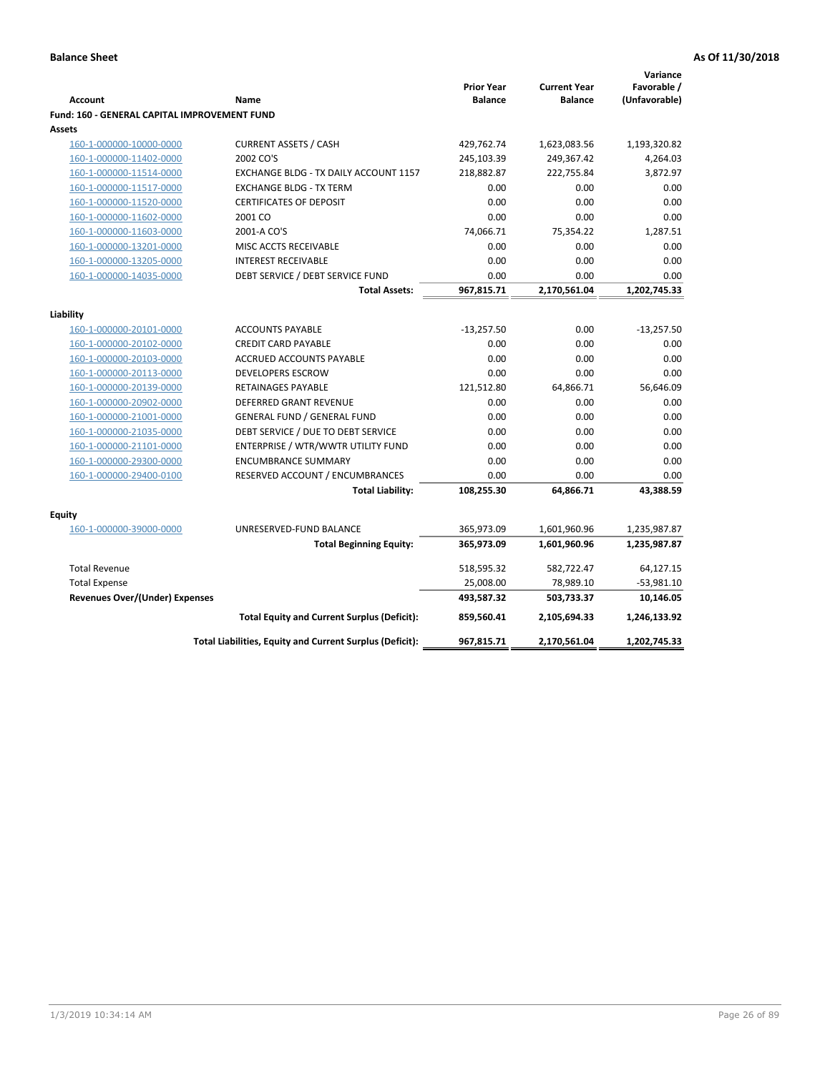|                                                     |                                                          |                   |                     | Variance      |
|-----------------------------------------------------|----------------------------------------------------------|-------------------|---------------------|---------------|
|                                                     |                                                          | <b>Prior Year</b> | <b>Current Year</b> | Favorable /   |
| <b>Account</b>                                      | Name                                                     | <b>Balance</b>    | <b>Balance</b>      | (Unfavorable) |
| <b>Fund: 160 - GENERAL CAPITAL IMPROVEMENT FUND</b> |                                                          |                   |                     |               |
| Assets                                              |                                                          |                   |                     |               |
| 160-1-000000-10000-0000                             | <b>CURRENT ASSETS / CASH</b><br>2002 CO'S                | 429,762.74        | 1,623,083.56        | 1,193,320.82  |
| 160-1-000000-11402-0000                             |                                                          | 245,103.39        | 249,367.42          | 4,264.03      |
| 160-1-000000-11514-0000                             | EXCHANGE BLDG - TX DAILY ACCOUNT 1157                    | 218,882.87        | 222,755.84          | 3,872.97      |
| 160-1-000000-11517-0000                             | <b>EXCHANGE BLDG - TX TERM</b>                           | 0.00<br>0.00      | 0.00<br>0.00        | 0.00<br>0.00  |
| 160-1-000000-11520-0000                             | <b>CERTIFICATES OF DEPOSIT</b>                           |                   |                     | 0.00          |
| 160-1-000000-11602-0000                             | 2001 CO                                                  | 0.00              | 0.00                |               |
| 160-1-000000-11603-0000                             | 2001-A CO'S                                              | 74,066.71         | 75,354.22           | 1,287.51      |
| 160-1-000000-13201-0000                             | MISC ACCTS RECEIVABLE                                    | 0.00              | 0.00                | 0.00          |
| 160-1-000000-13205-0000                             | <b>INTEREST RECEIVABLE</b>                               | 0.00              | 0.00                | 0.00          |
| 160-1-000000-14035-0000                             | DEBT SERVICE / DEBT SERVICE FUND                         | 0.00              | 0.00                | 0.00          |
|                                                     | <b>Total Assets:</b>                                     | 967,815.71        | 2,170,561.04        | 1,202,745.33  |
| Liability                                           |                                                          |                   |                     |               |
| 160-1-000000-20101-0000                             | <b>ACCOUNTS PAYABLE</b>                                  | $-13,257.50$      | 0.00                | $-13,257.50$  |
| 160-1-000000-20102-0000                             | <b>CREDIT CARD PAYABLE</b>                               | 0.00              | 0.00                | 0.00          |
| 160-1-000000-20103-0000                             | ACCRUED ACCOUNTS PAYABLE                                 | 0.00              | 0.00                | 0.00          |
| 160-1-000000-20113-0000                             | <b>DEVELOPERS ESCROW</b>                                 | 0.00              | 0.00                | 0.00          |
| 160-1-000000-20139-0000                             | <b>RETAINAGES PAYABLE</b>                                | 121,512.80        | 64,866.71           | 56,646.09     |
| 160-1-000000-20902-0000                             | <b>DEFERRED GRANT REVENUE</b>                            | 0.00              | 0.00                | 0.00          |
| 160-1-000000-21001-0000                             | <b>GENERAL FUND / GENERAL FUND</b>                       | 0.00              | 0.00                | 0.00          |
| 160-1-000000-21035-0000                             | DEBT SERVICE / DUE TO DEBT SERVICE                       | 0.00              | 0.00                | 0.00          |
| 160-1-000000-21101-0000                             | ENTERPRISE / WTR/WWTR UTILITY FUND                       | 0.00              | 0.00                | 0.00          |
| 160-1-000000-29300-0000                             | <b>ENCUMBRANCE SUMMARY</b>                               | 0.00              | 0.00                | 0.00          |
| 160-1-000000-29400-0100                             | RESERVED ACCOUNT / ENCUMBRANCES                          | 0.00              | 0.00                | 0.00          |
|                                                     | <b>Total Liability:</b>                                  | 108,255.30        | 64,866.71           | 43,388.59     |
|                                                     |                                                          |                   |                     |               |
| <b>Equity</b>                                       |                                                          |                   |                     |               |
| 160-1-000000-39000-0000                             | UNRESERVED-FUND BALANCE                                  | 365,973.09        | 1,601,960.96        | 1,235,987.87  |
|                                                     | <b>Total Beginning Equity:</b>                           | 365,973.09        | 1,601,960.96        | 1,235,987.87  |
| <b>Total Revenue</b>                                |                                                          | 518,595.32        | 582,722.47          | 64,127.15     |
| <b>Total Expense</b>                                |                                                          | 25,008.00         | 78,989.10           | $-53,981.10$  |
| <b>Revenues Over/(Under) Expenses</b>               |                                                          | 493,587.32        | 503,733.37          | 10,146.05     |
|                                                     | <b>Total Equity and Current Surplus (Deficit):</b>       | 859,560.41        | 2,105,694.33        | 1,246,133.92  |
|                                                     | Total Liabilities, Equity and Current Surplus (Deficit): | 967,815.71        | 2,170,561.04        | 1,202,745.33  |
|                                                     |                                                          |                   |                     |               |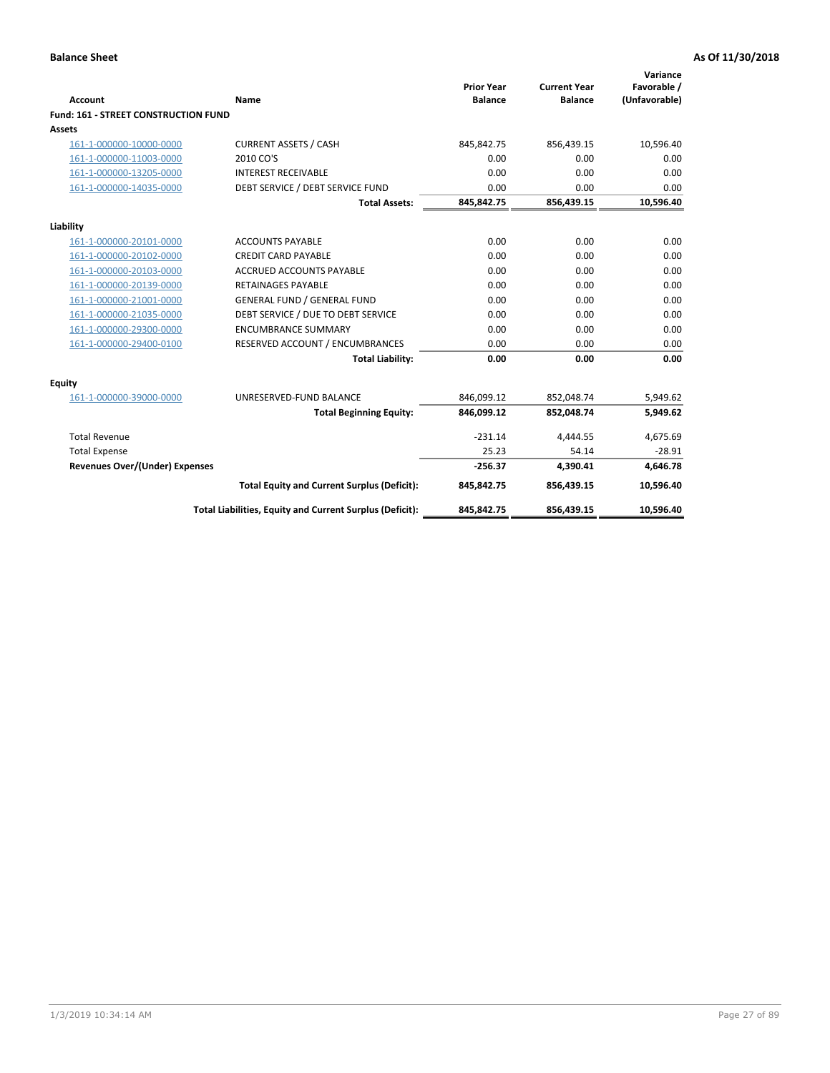| <b>Account</b>                       | Name                                                     | <b>Prior Year</b><br><b>Balance</b> | <b>Current Year</b><br><b>Balance</b> | Variance<br>Favorable /<br>(Unfavorable) |
|--------------------------------------|----------------------------------------------------------|-------------------------------------|---------------------------------------|------------------------------------------|
| Fund: 161 - STREET CONSTRUCTION FUND |                                                          |                                     |                                       |                                          |
| <b>Assets</b>                        |                                                          |                                     |                                       |                                          |
| 161-1-000000-10000-0000              | <b>CURRENT ASSETS / CASH</b>                             | 845,842.75                          | 856,439.15                            | 10,596.40                                |
| 161-1-000000-11003-0000              | 2010 CO'S                                                | 0.00                                | 0.00                                  | 0.00                                     |
| 161-1-000000-13205-0000              | <b>INTEREST RECEIVABLE</b>                               | 0.00                                | 0.00                                  | 0.00                                     |
| 161-1-000000-14035-0000              | DEBT SERVICE / DEBT SERVICE FUND                         | 0.00                                | 0.00                                  | 0.00                                     |
|                                      | <b>Total Assets:</b>                                     | 845,842.75                          | 856,439.15                            | 10,596.40                                |
| Liability                            |                                                          |                                     |                                       |                                          |
| 161-1-000000-20101-0000              | <b>ACCOUNTS PAYABLE</b>                                  | 0.00                                | 0.00                                  | 0.00                                     |
| 161-1-000000-20102-0000              | <b>CREDIT CARD PAYABLE</b>                               | 0.00                                | 0.00                                  | 0.00                                     |
| 161-1-000000-20103-0000              | <b>ACCRUED ACCOUNTS PAYABLE</b>                          | 0.00                                | 0.00                                  | 0.00                                     |
| 161-1-000000-20139-0000              | <b>RETAINAGES PAYABLE</b>                                | 0.00                                | 0.00                                  | 0.00                                     |
| 161-1-000000-21001-0000              | <b>GENERAL FUND / GENERAL FUND</b>                       | 0.00                                | 0.00                                  | 0.00                                     |
| 161-1-000000-21035-0000              | DEBT SERVICE / DUE TO DEBT SERVICE                       | 0.00                                | 0.00                                  | 0.00                                     |
| 161-1-000000-29300-0000              | <b>ENCUMBRANCE SUMMARY</b>                               | 0.00                                | 0.00                                  | 0.00                                     |
| 161-1-000000-29400-0100              | RESERVED ACCOUNT / ENCUMBRANCES                          | 0.00                                | 0.00                                  | 0.00                                     |
|                                      | <b>Total Liability:</b>                                  | 0.00                                | 0.00                                  | 0.00                                     |
| Equity                               |                                                          |                                     |                                       |                                          |
| 161-1-000000-39000-0000              | UNRESERVED-FUND BALANCE                                  | 846,099.12                          | 852,048.74                            | 5,949.62                                 |
|                                      | <b>Total Beginning Equity:</b>                           | 846,099.12                          | 852,048.74                            | 5,949.62                                 |
| <b>Total Revenue</b>                 |                                                          | $-231.14$                           | 4.444.55                              | 4,675.69                                 |
| <b>Total Expense</b>                 |                                                          | 25.23                               | 54.14                                 | $-28.91$                                 |
| Revenues Over/(Under) Expenses       |                                                          | $-256.37$                           | 4,390.41                              | 4,646.78                                 |
|                                      | <b>Total Equity and Current Surplus (Deficit):</b>       | 845,842.75                          | 856,439.15                            | 10,596.40                                |
|                                      | Total Liabilities, Equity and Current Surplus (Deficit): | 845,842.75                          | 856,439.15                            | 10,596.40                                |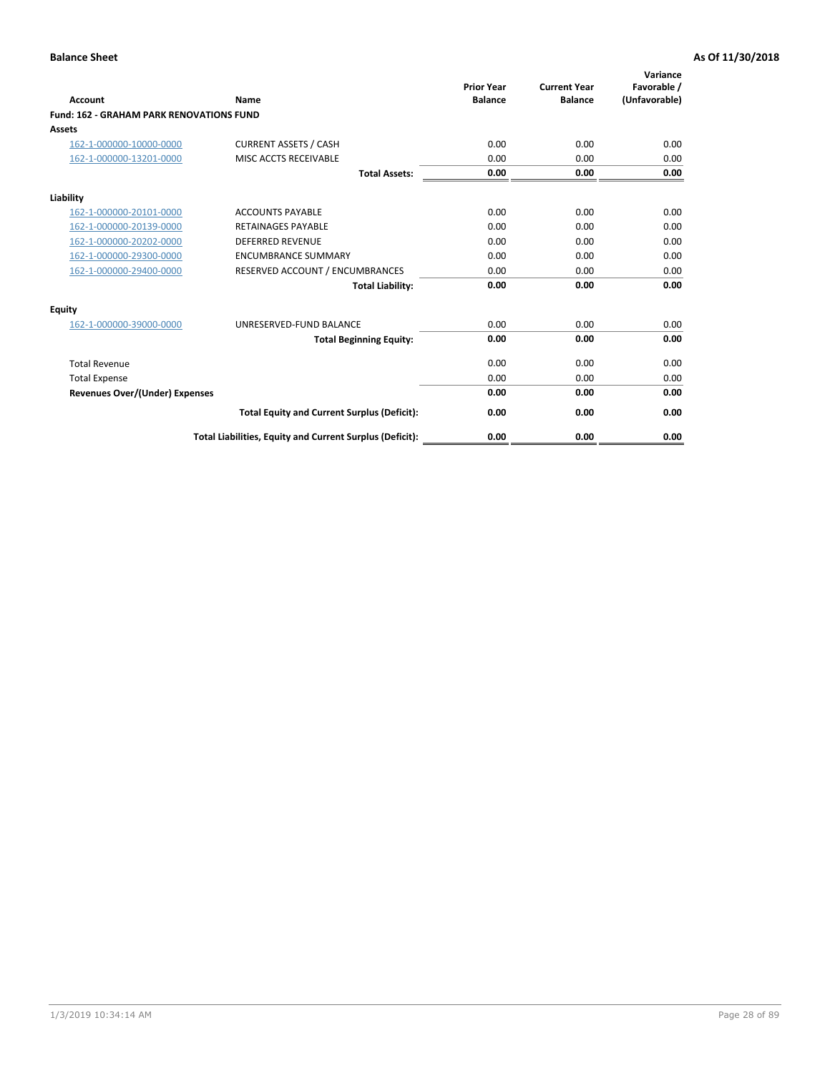|                                                 |                                                          | <b>Prior Year</b><br><b>Balance</b> | <b>Current Year</b> | Variance<br>Favorable / |
|-------------------------------------------------|----------------------------------------------------------|-------------------------------------|---------------------|-------------------------|
| <b>Account</b>                                  | Name                                                     |                                     | <b>Balance</b>      | (Unfavorable)           |
| <b>Fund: 162 - GRAHAM PARK RENOVATIONS FUND</b> |                                                          |                                     |                     |                         |
| <b>Assets</b>                                   |                                                          |                                     |                     |                         |
| 162-1-000000-10000-0000                         | <b>CURRENT ASSETS / CASH</b>                             | 0.00                                | 0.00                | 0.00                    |
| 162-1-000000-13201-0000                         | MISC ACCTS RECEIVABLE                                    | 0.00                                | 0.00                | 0.00                    |
|                                                 | <b>Total Assets:</b>                                     | 0.00                                | 0.00                | 0.00                    |
| Liability                                       |                                                          |                                     |                     |                         |
| 162-1-000000-20101-0000                         | <b>ACCOUNTS PAYABLE</b>                                  | 0.00                                | 0.00                | 0.00                    |
| 162-1-000000-20139-0000                         | <b>RETAINAGES PAYABLE</b>                                | 0.00                                | 0.00                | 0.00                    |
| 162-1-000000-20202-0000                         | <b>DEFERRED REVENUE</b>                                  | 0.00                                | 0.00                | 0.00                    |
| 162-1-000000-29300-0000                         | <b>ENCUMBRANCE SUMMARY</b>                               | 0.00                                | 0.00                | 0.00                    |
| 162-1-000000-29400-0000                         | RESERVED ACCOUNT / ENCUMBRANCES                          | 0.00                                | 0.00                | 0.00                    |
|                                                 | <b>Total Liability:</b>                                  | 0.00                                | 0.00                | 0.00                    |
| Equity                                          |                                                          |                                     |                     |                         |
| 162-1-000000-39000-0000                         | UNRESERVED-FUND BALANCE                                  | 0.00                                | 0.00                | 0.00                    |
|                                                 | <b>Total Beginning Equity:</b>                           | 0.00                                | 0.00                | 0.00                    |
| <b>Total Revenue</b>                            |                                                          | 0.00                                | 0.00                | 0.00                    |
| <b>Total Expense</b>                            |                                                          | 0.00                                | 0.00                | 0.00                    |
| Revenues Over/(Under) Expenses                  |                                                          | 0.00                                | 0.00                | 0.00                    |
|                                                 | <b>Total Equity and Current Surplus (Deficit):</b>       | 0.00                                | 0.00                | 0.00                    |
|                                                 | Total Liabilities, Equity and Current Surplus (Deficit): | 0.00                                | 0.00                | 0.00                    |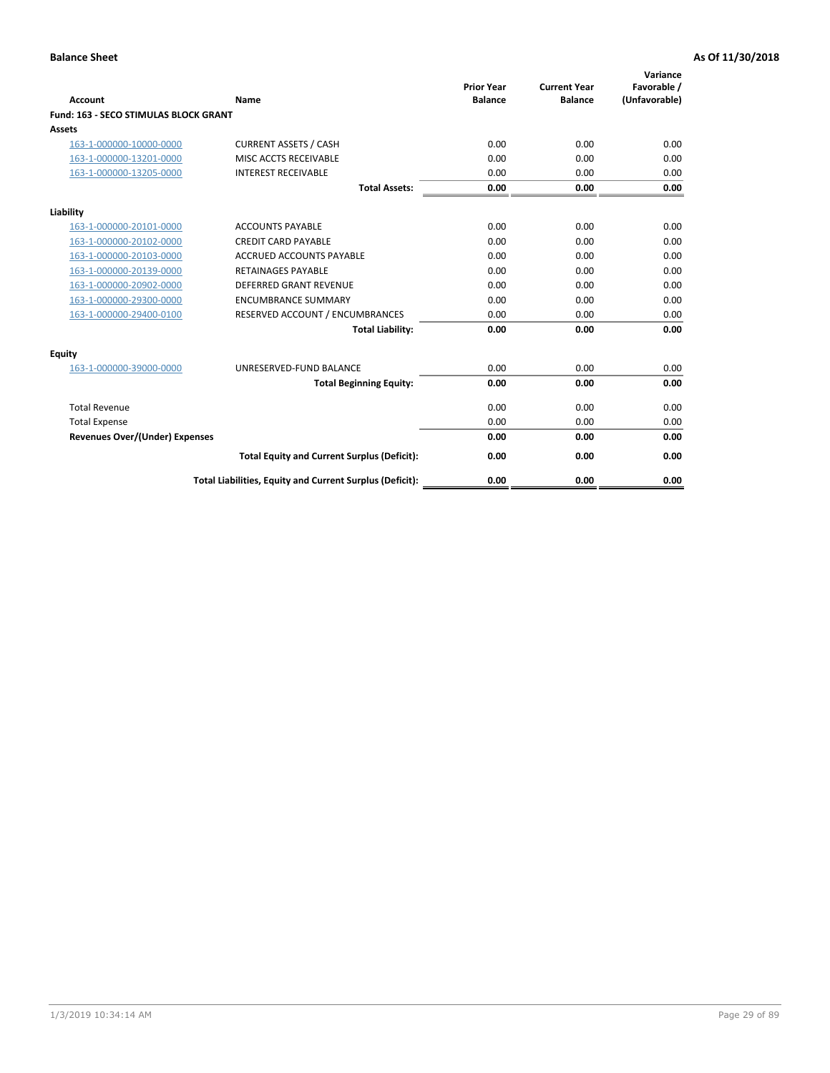|                                              |                                                          | <b>Prior Year</b> | <b>Current Year</b> | Variance<br>Favorable / |
|----------------------------------------------|----------------------------------------------------------|-------------------|---------------------|-------------------------|
| <b>Account</b>                               | Name                                                     | <b>Balance</b>    | <b>Balance</b>      | (Unfavorable)           |
| <b>Fund: 163 - SECO STIMULAS BLOCK GRANT</b> |                                                          |                   |                     |                         |
| Assets                                       |                                                          |                   |                     |                         |
| 163-1-000000-10000-0000                      | <b>CURRENT ASSETS / CASH</b>                             | 0.00              | 0.00                | 0.00                    |
| 163-1-000000-13201-0000                      | MISC ACCTS RECEIVABLE                                    | 0.00              | 0.00                | 0.00                    |
| 163-1-000000-13205-0000                      | <b>INTEREST RECEIVABLE</b>                               | 0.00              | 0.00                | 0.00                    |
|                                              | <b>Total Assets:</b>                                     | 0.00              | 0.00                | 0.00                    |
| Liability                                    |                                                          |                   |                     |                         |
| 163-1-000000-20101-0000                      | <b>ACCOUNTS PAYABLE</b>                                  | 0.00              | 0.00                | 0.00                    |
| 163-1-000000-20102-0000                      | <b>CREDIT CARD PAYABLE</b>                               | 0.00              | 0.00                | 0.00                    |
| 163-1-000000-20103-0000                      | <b>ACCRUED ACCOUNTS PAYABLE</b>                          | 0.00              | 0.00                | 0.00                    |
| 163-1-000000-20139-0000                      | <b>RETAINAGES PAYABLE</b>                                | 0.00              | 0.00                | 0.00                    |
| 163-1-000000-20902-0000                      | <b>DEFERRED GRANT REVENUE</b>                            | 0.00              | 0.00                | 0.00                    |
| 163-1-000000-29300-0000                      | <b>ENCUMBRANCE SUMMARY</b>                               | 0.00              | 0.00                | 0.00                    |
| 163-1-000000-29400-0100                      | RESERVED ACCOUNT / ENCUMBRANCES                          | 0.00              | 0.00                | 0.00                    |
|                                              | <b>Total Liability:</b>                                  | 0.00              | 0.00                | 0.00                    |
| <b>Equity</b>                                |                                                          |                   |                     |                         |
| 163-1-000000-39000-0000                      | UNRESERVED-FUND BALANCE                                  | 0.00              | 0.00                | 0.00                    |
|                                              | <b>Total Beginning Equity:</b>                           | 0.00              | 0.00                | 0.00                    |
| <b>Total Revenue</b>                         |                                                          | 0.00              | 0.00                | 0.00                    |
| <b>Total Expense</b>                         |                                                          | 0.00              | 0.00                | 0.00                    |
| Revenues Over/(Under) Expenses               |                                                          | 0.00              | 0.00                | 0.00                    |
|                                              | <b>Total Equity and Current Surplus (Deficit):</b>       | 0.00              | 0.00                | 0.00                    |
|                                              | Total Liabilities, Equity and Current Surplus (Deficit): | 0.00              | 0.00                | 0.00                    |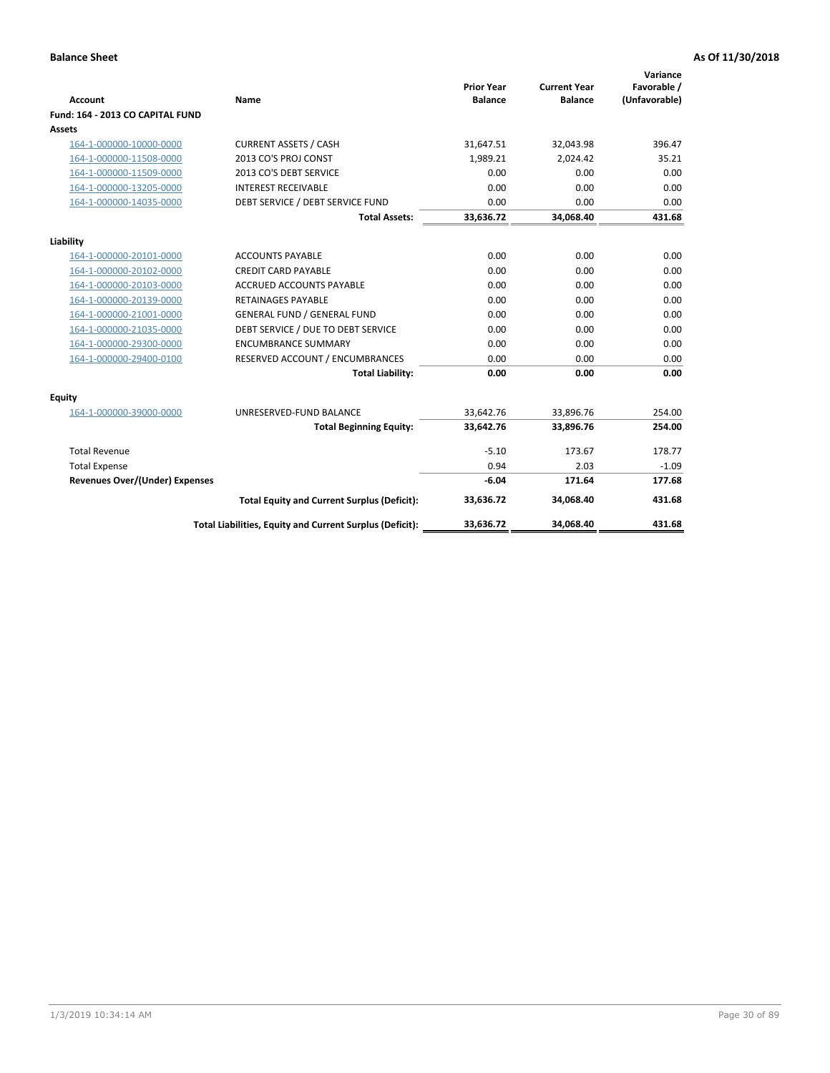| <b>Account</b>                        | <b>Name</b>                                              | <b>Prior Year</b><br><b>Balance</b> | <b>Current Year</b><br><b>Balance</b> | Variance<br>Favorable /<br>(Unfavorable) |
|---------------------------------------|----------------------------------------------------------|-------------------------------------|---------------------------------------|------------------------------------------|
| Fund: 164 - 2013 CO CAPITAL FUND      |                                                          |                                     |                                       |                                          |
| Assets                                |                                                          |                                     |                                       |                                          |
| 164-1-000000-10000-0000               | <b>CURRENT ASSETS / CASH</b>                             | 31,647.51                           | 32,043.98                             | 396.47                                   |
| 164-1-000000-11508-0000               | 2013 CO'S PROJ CONST                                     | 1,989.21                            | 2,024.42                              | 35.21                                    |
| 164-1-000000-11509-0000               | 2013 CO'S DEBT SERVICE                                   | 0.00                                | 0.00                                  | 0.00                                     |
| 164-1-000000-13205-0000               | <b>INTEREST RECEIVABLE</b>                               | 0.00                                | 0.00                                  | 0.00                                     |
| 164-1-000000-14035-0000               | DEBT SERVICE / DEBT SERVICE FUND                         | 0.00                                | 0.00                                  | 0.00                                     |
|                                       | <b>Total Assets:</b>                                     | 33,636.72                           | 34,068.40                             | 431.68                                   |
| Liability                             |                                                          |                                     |                                       |                                          |
| 164-1-000000-20101-0000               | <b>ACCOUNTS PAYABLE</b>                                  | 0.00                                | 0.00                                  | 0.00                                     |
| 164-1-000000-20102-0000               | <b>CREDIT CARD PAYABLE</b>                               | 0.00                                | 0.00                                  | 0.00                                     |
| 164-1-000000-20103-0000               | <b>ACCRUED ACCOUNTS PAYABLE</b>                          | 0.00                                | 0.00                                  | 0.00                                     |
| 164-1-000000-20139-0000               | <b>RETAINAGES PAYABLE</b>                                | 0.00                                | 0.00                                  | 0.00                                     |
| 164-1-000000-21001-0000               | <b>GENERAL FUND / GENERAL FUND</b>                       | 0.00                                | 0.00                                  | 0.00                                     |
| 164-1-000000-21035-0000               | DEBT SERVICE / DUE TO DEBT SERVICE                       | 0.00                                | 0.00                                  | 0.00                                     |
| 164-1-000000-29300-0000               | <b>ENCUMBRANCE SUMMARY</b>                               | 0.00                                | 0.00                                  | 0.00                                     |
| 164-1-000000-29400-0100               | RESERVED ACCOUNT / ENCUMBRANCES                          | 0.00                                | 0.00                                  | 0.00                                     |
|                                       | <b>Total Liability:</b>                                  | 0.00                                | 0.00                                  | 0.00                                     |
| Equity                                |                                                          |                                     |                                       |                                          |
| 164-1-000000-39000-0000               | UNRESERVED-FUND BALANCE                                  | 33,642.76                           | 33,896.76                             | 254.00                                   |
|                                       | <b>Total Beginning Equity:</b>                           | 33,642.76                           | 33,896.76                             | 254.00                                   |
| <b>Total Revenue</b>                  |                                                          | $-5.10$                             | 173.67                                | 178.77                                   |
| <b>Total Expense</b>                  |                                                          | 0.94                                | 2.03                                  | $-1.09$                                  |
| <b>Revenues Over/(Under) Expenses</b> |                                                          | $-6.04$                             | 171.64                                | 177.68                                   |
|                                       | <b>Total Equity and Current Surplus (Deficit):</b>       | 33,636.72                           | 34,068.40                             | 431.68                                   |
|                                       | Total Liabilities, Equity and Current Surplus (Deficit): | 33,636.72                           | 34,068.40                             | 431.68                                   |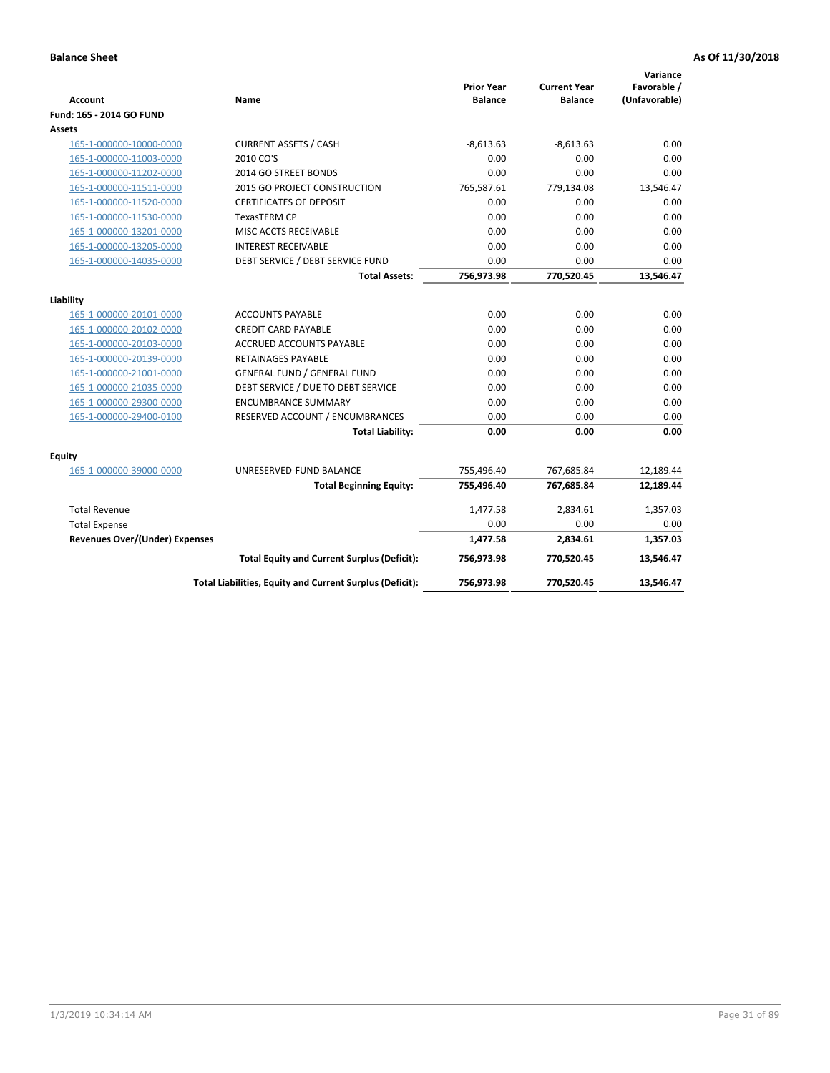| <b>Account</b>                        | <b>Name</b>                                              | <b>Prior Year</b><br><b>Balance</b> | <b>Current Year</b><br><b>Balance</b> | Variance<br>Favorable /<br>(Unfavorable) |
|---------------------------------------|----------------------------------------------------------|-------------------------------------|---------------------------------------|------------------------------------------|
| Fund: 165 - 2014 GO FUND              |                                                          |                                     |                                       |                                          |
| Assets                                |                                                          |                                     |                                       |                                          |
| 165-1-000000-10000-0000               | <b>CURRENT ASSETS / CASH</b>                             | $-8,613.63$                         | $-8,613.63$                           | 0.00                                     |
| 165-1-000000-11003-0000               | 2010 CO'S                                                | 0.00                                | 0.00                                  | 0.00                                     |
| 165-1-000000-11202-0000               | 2014 GO STREET BONDS                                     | 0.00                                | 0.00                                  | 0.00                                     |
| 165-1-000000-11511-0000               | 2015 GO PROJECT CONSTRUCTION                             | 765,587.61                          | 779,134.08                            | 13,546.47                                |
| 165-1-000000-11520-0000               | <b>CERTIFICATES OF DEPOSIT</b>                           | 0.00                                | 0.00                                  | 0.00                                     |
| 165-1-000000-11530-0000               | <b>TexasTERM CP</b>                                      | 0.00                                | 0.00                                  | 0.00                                     |
| 165-1-000000-13201-0000               | MISC ACCTS RECEIVABLE                                    | 0.00                                | 0.00                                  | 0.00                                     |
| 165-1-000000-13205-0000               | <b>INTEREST RECEIVABLE</b>                               | 0.00                                | 0.00                                  | 0.00                                     |
| 165-1-000000-14035-0000               | DEBT SERVICE / DEBT SERVICE FUND                         | 0.00                                | 0.00                                  | 0.00                                     |
|                                       | <b>Total Assets:</b>                                     | 756,973.98                          | 770,520.45                            | 13,546.47                                |
| Liability                             |                                                          |                                     |                                       |                                          |
| 165-1-000000-20101-0000               | <b>ACCOUNTS PAYABLE</b>                                  | 0.00                                | 0.00                                  | 0.00                                     |
| 165-1-000000-20102-0000               | <b>CREDIT CARD PAYABLE</b>                               | 0.00                                | 0.00                                  | 0.00                                     |
| 165-1-000000-20103-0000               | ACCRUED ACCOUNTS PAYABLE                                 | 0.00                                | 0.00                                  | 0.00                                     |
| 165-1-000000-20139-0000               | <b>RETAINAGES PAYABLE</b>                                | 0.00                                | 0.00                                  | 0.00                                     |
| 165-1-000000-21001-0000               | <b>GENERAL FUND / GENERAL FUND</b>                       | 0.00                                | 0.00                                  | 0.00                                     |
| 165-1-000000-21035-0000               | DEBT SERVICE / DUE TO DEBT SERVICE                       | 0.00                                | 0.00                                  | 0.00                                     |
| 165-1-000000-29300-0000               | <b>ENCUMBRANCE SUMMARY</b>                               | 0.00                                | 0.00                                  | 0.00                                     |
| 165-1-000000-29400-0100               | RESERVED ACCOUNT / ENCUMBRANCES                          | 0.00                                | 0.00                                  | 0.00                                     |
|                                       | <b>Total Liability:</b>                                  | 0.00                                | 0.00                                  | 0.00                                     |
| Equity                                |                                                          |                                     |                                       |                                          |
| 165-1-000000-39000-0000               | UNRESERVED-FUND BALANCE                                  | 755,496.40                          | 767,685.84                            | 12,189.44                                |
|                                       | <b>Total Beginning Equity:</b>                           | 755,496.40                          | 767,685.84                            | 12,189.44                                |
| <b>Total Revenue</b>                  |                                                          | 1,477.58                            | 2,834.61                              | 1,357.03                                 |
| <b>Total Expense</b>                  |                                                          | 0.00                                | 0.00                                  | 0.00                                     |
| <b>Revenues Over/(Under) Expenses</b> |                                                          | 1,477.58                            | 2,834.61                              | 1,357.03                                 |
|                                       | <b>Total Equity and Current Surplus (Deficit):</b>       | 756,973.98                          | 770,520.45                            | 13,546.47                                |
|                                       | Total Liabilities, Equity and Current Surplus (Deficit): | 756,973.98                          | 770,520.45                            | 13,546.47                                |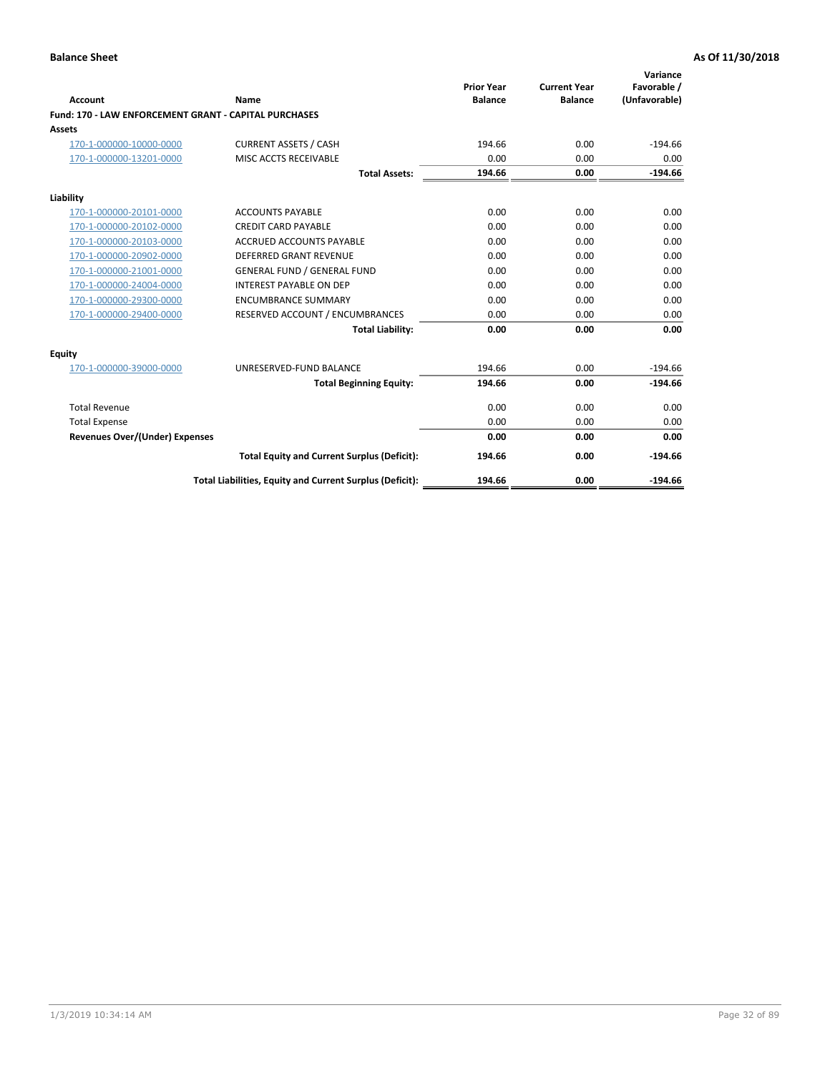|                                                       |                                                          | <b>Prior Year</b> | <b>Current Year</b> | Variance<br>Favorable / |
|-------------------------------------------------------|----------------------------------------------------------|-------------------|---------------------|-------------------------|
| Account                                               | Name                                                     | <b>Balance</b>    | <b>Balance</b>      | (Unfavorable)           |
| Fund: 170 - LAW ENFORCEMENT GRANT - CAPITAL PURCHASES |                                                          |                   |                     |                         |
| <b>Assets</b>                                         |                                                          |                   |                     |                         |
| 170-1-000000-10000-0000                               | <b>CURRENT ASSETS / CASH</b>                             | 194.66            | 0.00                | $-194.66$               |
| 170-1-000000-13201-0000                               | MISC ACCTS RECEIVABLE                                    | 0.00              | 0.00                | 0.00                    |
|                                                       | <b>Total Assets:</b>                                     | 194.66            | 0.00                | $-194.66$               |
| Liability                                             |                                                          |                   |                     |                         |
| 170-1-000000-20101-0000                               | <b>ACCOUNTS PAYABLE</b>                                  | 0.00              | 0.00                | 0.00                    |
| 170-1-000000-20102-0000                               | <b>CREDIT CARD PAYABLE</b>                               | 0.00              | 0.00                | 0.00                    |
| 170-1-000000-20103-0000                               | <b>ACCRUED ACCOUNTS PAYABLE</b>                          | 0.00              | 0.00                | 0.00                    |
| 170-1-000000-20902-0000                               | <b>DEFERRED GRANT REVENUE</b>                            | 0.00              | 0.00                | 0.00                    |
| 170-1-000000-21001-0000                               | <b>GENERAL FUND / GENERAL FUND</b>                       | 0.00              | 0.00                | 0.00                    |
| 170-1-000000-24004-0000                               | <b>INTEREST PAYABLE ON DEP</b>                           | 0.00              | 0.00                | 0.00                    |
| 170-1-000000-29300-0000                               | <b>ENCUMBRANCE SUMMARY</b>                               | 0.00              | 0.00                | 0.00                    |
| 170-1-000000-29400-0000                               | RESERVED ACCOUNT / ENCUMBRANCES                          | 0.00              | 0.00                | 0.00                    |
|                                                       | <b>Total Liability:</b>                                  | 0.00              | 0.00                | 0.00                    |
| <b>Equity</b>                                         |                                                          |                   |                     |                         |
| 170-1-000000-39000-0000                               | UNRESERVED-FUND BALANCE                                  | 194.66            | 0.00                | $-194.66$               |
|                                                       | <b>Total Beginning Equity:</b>                           | 194.66            | 0.00                | $-194.66$               |
| <b>Total Revenue</b>                                  |                                                          | 0.00              | 0.00                | 0.00                    |
| <b>Total Expense</b>                                  |                                                          | 0.00              | 0.00                | 0.00                    |
| <b>Revenues Over/(Under) Expenses</b>                 |                                                          | 0.00              | 0.00                | 0.00                    |
|                                                       | <b>Total Equity and Current Surplus (Deficit):</b>       | 194.66            | 0.00                | $-194.66$               |
|                                                       | Total Liabilities, Equity and Current Surplus (Deficit): | 194.66            | 0.00                | $-194.66$               |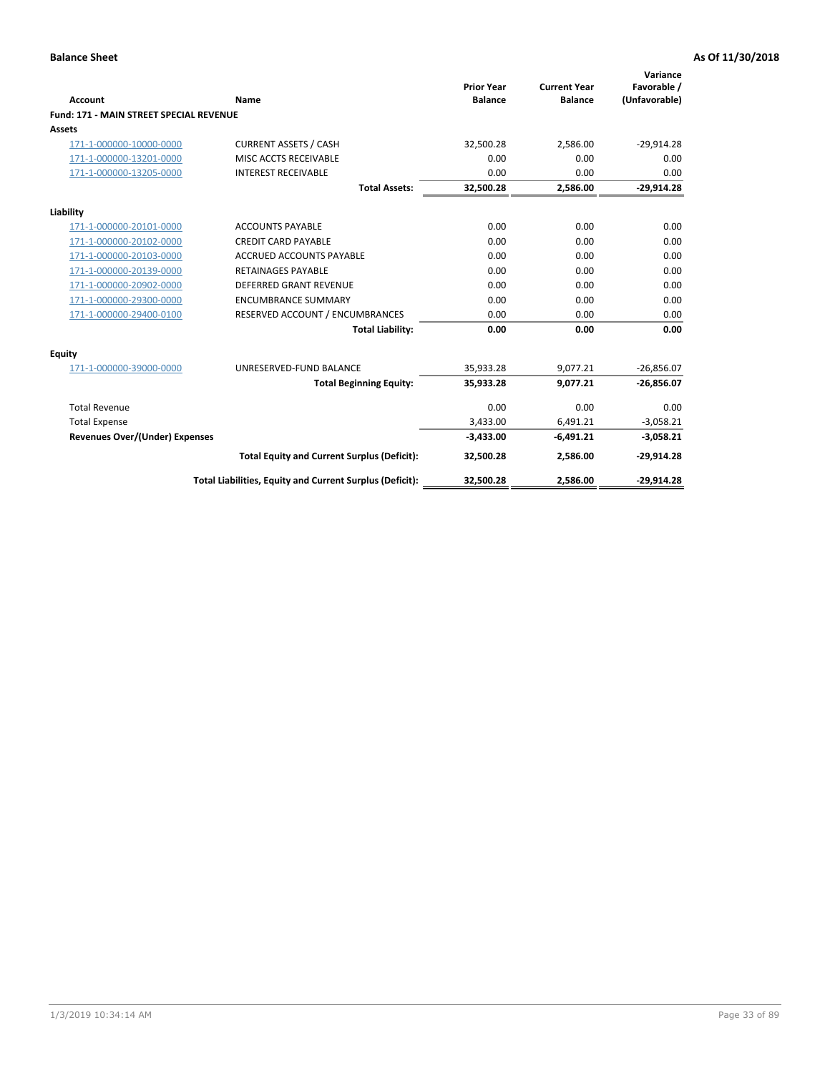|                                                |                                                          | <b>Prior Year</b> | <b>Current Year</b> | Variance<br>Favorable / |
|------------------------------------------------|----------------------------------------------------------|-------------------|---------------------|-------------------------|
| <b>Account</b>                                 | Name                                                     | <b>Balance</b>    | <b>Balance</b>      | (Unfavorable)           |
| <b>Fund: 171 - MAIN STREET SPECIAL REVENUE</b> |                                                          |                   |                     |                         |
| <b>Assets</b>                                  |                                                          |                   |                     |                         |
| 171-1-000000-10000-0000                        | <b>CURRENT ASSETS / CASH</b>                             | 32,500.28         | 2,586.00            | $-29,914.28$            |
| 171-1-000000-13201-0000                        | MISC ACCTS RECEIVABLE                                    | 0.00              | 0.00                | 0.00                    |
| 171-1-000000-13205-0000                        | <b>INTEREST RECEIVABLE</b>                               | 0.00              | 0.00                | 0.00                    |
|                                                | <b>Total Assets:</b>                                     | 32.500.28         | 2.586.00            | $-29,914.28$            |
| Liability                                      |                                                          |                   |                     |                         |
| 171-1-000000-20101-0000                        | <b>ACCOUNTS PAYABLE</b>                                  | 0.00              | 0.00                | 0.00                    |
| 171-1-000000-20102-0000                        | <b>CREDIT CARD PAYABLE</b>                               | 0.00              | 0.00                | 0.00                    |
| 171-1-000000-20103-0000                        | <b>ACCRUED ACCOUNTS PAYABLE</b>                          | 0.00              | 0.00                | 0.00                    |
| 171-1-000000-20139-0000                        | <b>RETAINAGES PAYABLE</b>                                | 0.00              | 0.00                | 0.00                    |
| 171-1-000000-20902-0000                        | DEFERRED GRANT REVENUE                                   | 0.00              | 0.00                | 0.00                    |
| 171-1-000000-29300-0000                        | <b>ENCUMBRANCE SUMMARY</b>                               | 0.00              | 0.00                | 0.00                    |
| 171-1-000000-29400-0100                        | RESERVED ACCOUNT / ENCUMBRANCES                          | 0.00              | 0.00                | 0.00                    |
|                                                | <b>Total Liability:</b>                                  | 0.00              | 0.00                | 0.00                    |
| <b>Equity</b>                                  |                                                          |                   |                     |                         |
| 171-1-000000-39000-0000                        | UNRESERVED-FUND BALANCE                                  | 35,933.28         | 9,077.21            | $-26,856.07$            |
|                                                | <b>Total Beginning Equity:</b>                           | 35,933.28         | 9.077.21            | $-26,856.07$            |
| <b>Total Revenue</b>                           |                                                          | 0.00              | 0.00                | 0.00                    |
| <b>Total Expense</b>                           |                                                          | 3,433.00          | 6,491.21            | $-3,058.21$             |
| <b>Revenues Over/(Under) Expenses</b>          |                                                          | $-3,433.00$       | $-6,491.21$         | $-3,058.21$             |
|                                                | <b>Total Equity and Current Surplus (Deficit):</b>       | 32,500.28         | 2,586.00            | $-29,914.28$            |
|                                                | Total Liabilities, Equity and Current Surplus (Deficit): | 32,500.28         | 2,586.00            | $-29.914.28$            |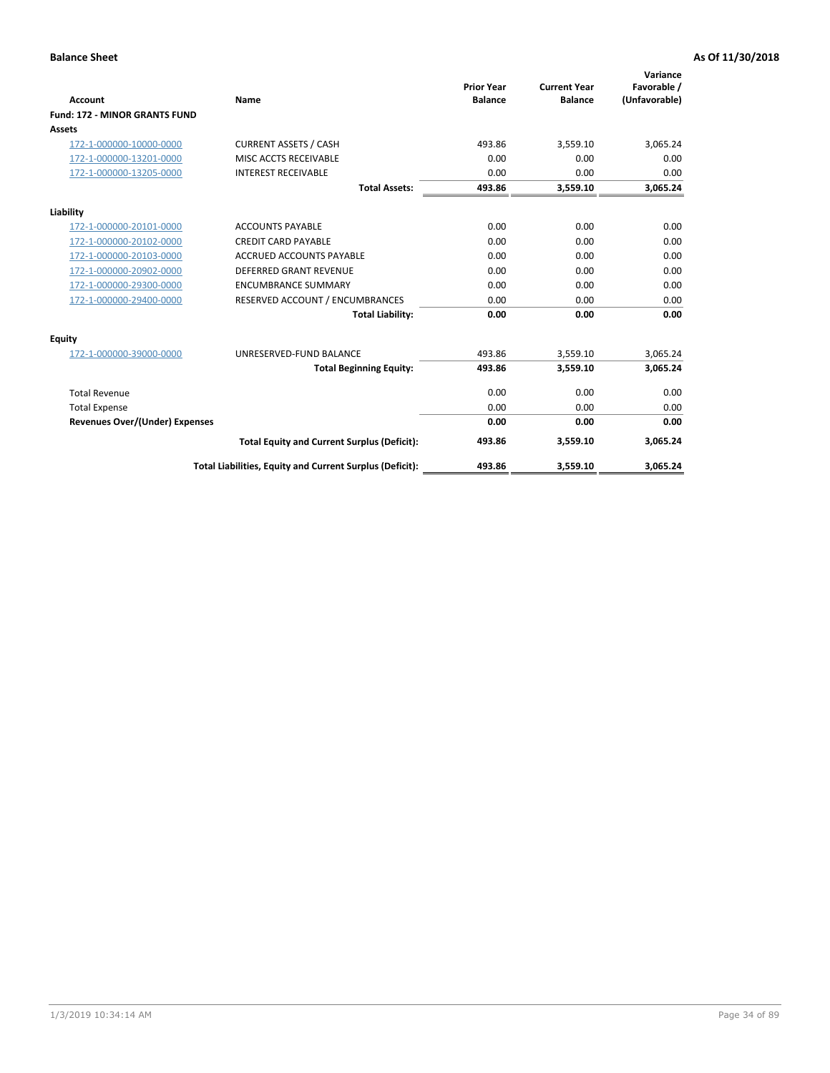|                                      |                                                          |                                     |                                       | Variance                     |
|--------------------------------------|----------------------------------------------------------|-------------------------------------|---------------------------------------|------------------------------|
| <b>Account</b>                       | Name                                                     | <b>Prior Year</b><br><b>Balance</b> | <b>Current Year</b><br><b>Balance</b> | Favorable /<br>(Unfavorable) |
| <b>Fund: 172 - MINOR GRANTS FUND</b> |                                                          |                                     |                                       |                              |
| <b>Assets</b>                        |                                                          |                                     |                                       |                              |
| 172-1-000000-10000-0000              | <b>CURRENT ASSETS / CASH</b>                             | 493.86                              | 3,559.10                              | 3,065.24                     |
| 172-1-000000-13201-0000              | MISC ACCTS RECEIVABLE                                    | 0.00                                | 0.00                                  | 0.00                         |
| 172-1-000000-13205-0000              | <b>INTEREST RECEIVABLE</b>                               | 0.00                                | 0.00                                  | 0.00                         |
|                                      | <b>Total Assets:</b>                                     | 493.86                              | 3,559.10                              | 3,065.24                     |
| Liability                            |                                                          |                                     |                                       |                              |
| 172-1-000000-20101-0000              | <b>ACCOUNTS PAYABLE</b>                                  | 0.00                                | 0.00                                  | 0.00                         |
| 172-1-000000-20102-0000              | <b>CREDIT CARD PAYABLE</b>                               | 0.00                                | 0.00                                  | 0.00                         |
| 172-1-000000-20103-0000              | <b>ACCRUED ACCOUNTS PAYABLE</b>                          | 0.00                                | 0.00                                  | 0.00                         |
| 172-1-000000-20902-0000              | DEFERRED GRANT REVENUE                                   | 0.00                                | 0.00                                  | 0.00                         |
| 172-1-000000-29300-0000              | <b>ENCUMBRANCE SUMMARY</b>                               | 0.00                                | 0.00                                  | 0.00                         |
| 172-1-000000-29400-0000              | RESERVED ACCOUNT / ENCUMBRANCES                          | 0.00                                | 0.00                                  | 0.00                         |
|                                      | <b>Total Liability:</b>                                  | 0.00                                | 0.00                                  | 0.00                         |
| Equity                               |                                                          |                                     |                                       |                              |
| 172-1-000000-39000-0000              | UNRESERVED-FUND BALANCE                                  | 493.86                              | 3,559.10                              | 3,065.24                     |
|                                      | <b>Total Beginning Equity:</b>                           | 493.86                              | 3,559.10                              | 3,065.24                     |
| <b>Total Revenue</b>                 |                                                          | 0.00                                | 0.00                                  | 0.00                         |
| <b>Total Expense</b>                 |                                                          | 0.00                                | 0.00                                  | 0.00                         |
| Revenues Over/(Under) Expenses       |                                                          | 0.00                                | 0.00                                  | 0.00                         |
|                                      | <b>Total Equity and Current Surplus (Deficit):</b>       | 493.86                              | 3,559.10                              | 3,065.24                     |
|                                      | Total Liabilities, Equity and Current Surplus (Deficit): | 493.86                              | 3,559.10                              | 3,065.24                     |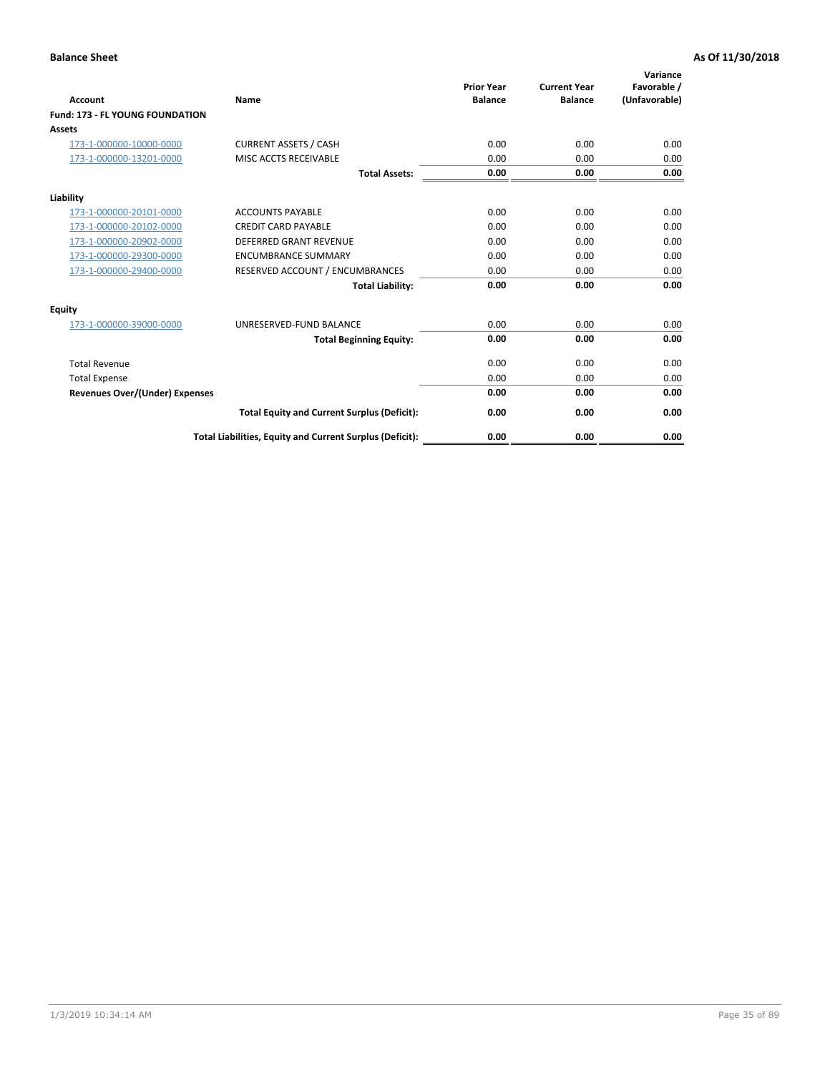| <b>Account</b>                         | <b>Name</b>                                              | <b>Prior Year</b><br><b>Balance</b> | <b>Current Year</b><br><b>Balance</b> | Variance<br>Favorable /<br>(Unfavorable) |
|----------------------------------------|----------------------------------------------------------|-------------------------------------|---------------------------------------|------------------------------------------|
| <b>Fund: 173 - FL YOUNG FOUNDATION</b> |                                                          |                                     |                                       |                                          |
| Assets                                 |                                                          |                                     |                                       |                                          |
| 173-1-000000-10000-0000                | <b>CURRENT ASSETS / CASH</b>                             | 0.00                                | 0.00                                  | 0.00                                     |
| 173-1-000000-13201-0000                | MISC ACCTS RECEIVABLE                                    | 0.00                                | 0.00                                  | 0.00                                     |
|                                        | <b>Total Assets:</b>                                     | 0.00                                | 0.00                                  | 0.00                                     |
| Liability                              |                                                          |                                     |                                       |                                          |
| 173-1-000000-20101-0000                | <b>ACCOUNTS PAYABLE</b>                                  | 0.00                                | 0.00                                  | 0.00                                     |
| 173-1-000000-20102-0000                | <b>CREDIT CARD PAYABLE</b>                               | 0.00                                | 0.00                                  | 0.00                                     |
| 173-1-000000-20902-0000                | <b>DEFERRED GRANT REVENUE</b>                            | 0.00                                | 0.00                                  | 0.00                                     |
| 173-1-000000-29300-0000                | <b>ENCUMBRANCE SUMMARY</b>                               | 0.00                                | 0.00                                  | 0.00                                     |
| 173-1-000000-29400-0000                | RESERVED ACCOUNT / ENCUMBRANCES                          | 0.00                                | 0.00                                  | 0.00                                     |
|                                        | <b>Total Liability:</b>                                  | 0.00                                | 0.00                                  | 0.00                                     |
| Equity                                 |                                                          |                                     |                                       |                                          |
| 173-1-000000-39000-0000                | UNRESERVED-FUND BALANCE                                  | 0.00                                | 0.00                                  | 0.00                                     |
|                                        | <b>Total Beginning Equity:</b>                           | 0.00                                | 0.00                                  | 0.00                                     |
| <b>Total Revenue</b>                   |                                                          | 0.00                                | 0.00                                  | 0.00                                     |
| <b>Total Expense</b>                   |                                                          | 0.00                                | 0.00                                  | 0.00                                     |
| <b>Revenues Over/(Under) Expenses</b>  |                                                          | 0.00                                | 0.00                                  | 0.00                                     |
|                                        | <b>Total Equity and Current Surplus (Deficit):</b>       | 0.00                                | 0.00                                  | 0.00                                     |
|                                        | Total Liabilities, Equity and Current Surplus (Deficit): | 0.00                                | 0.00                                  | 0.00                                     |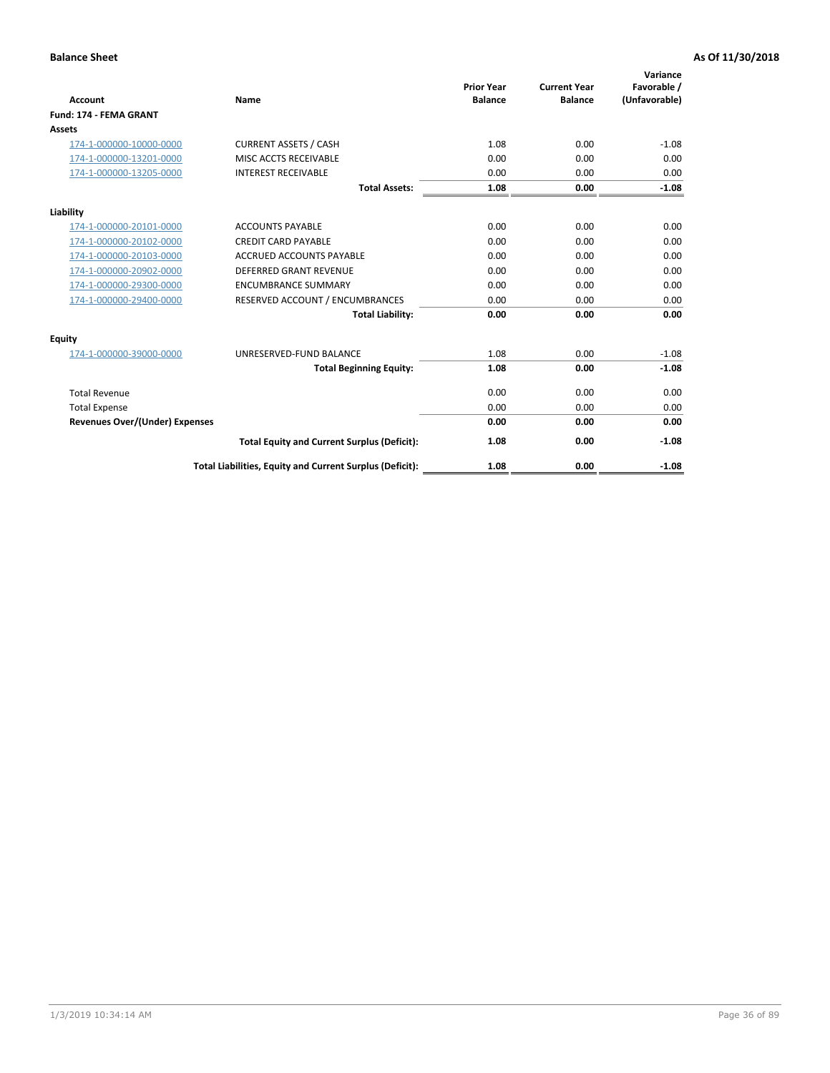| <b>Account</b>                        | Name                                                     | <b>Prior Year</b><br><b>Balance</b> | <b>Current Year</b><br><b>Balance</b> | Variance<br>Favorable /<br>(Unfavorable) |
|---------------------------------------|----------------------------------------------------------|-------------------------------------|---------------------------------------|------------------------------------------|
| <b>Fund: 174 - FEMA GRANT</b>         |                                                          |                                     |                                       |                                          |
| <b>Assets</b>                         |                                                          |                                     |                                       |                                          |
| 174-1-000000-10000-0000               | <b>CURRENT ASSETS / CASH</b>                             | 1.08                                | 0.00                                  | $-1.08$                                  |
| 174-1-000000-13201-0000               | MISC ACCTS RECEIVABLE                                    | 0.00                                | 0.00                                  | 0.00                                     |
| 174-1-000000-13205-0000               | <b>INTEREST RECEIVABLE</b>                               | 0.00                                | 0.00                                  | 0.00                                     |
|                                       | <b>Total Assets:</b>                                     | 1.08                                | 0.00                                  | $-1.08$                                  |
| Liability                             |                                                          |                                     |                                       |                                          |
| 174-1-000000-20101-0000               | <b>ACCOUNTS PAYABLE</b>                                  | 0.00                                | 0.00                                  | 0.00                                     |
| 174-1-000000-20102-0000               | <b>CREDIT CARD PAYABLE</b>                               | 0.00                                | 0.00                                  | 0.00                                     |
| 174-1-000000-20103-0000               | <b>ACCRUED ACCOUNTS PAYABLE</b>                          | 0.00                                | 0.00                                  | 0.00                                     |
| 174-1-000000-20902-0000               | <b>DEFERRED GRANT REVENUE</b>                            | 0.00                                | 0.00                                  | 0.00                                     |
| 174-1-000000-29300-0000               | <b>ENCUMBRANCE SUMMARY</b>                               | 0.00                                | 0.00                                  | 0.00                                     |
| 174-1-000000-29400-0000               | RESERVED ACCOUNT / ENCUMBRANCES                          | 0.00                                | 0.00                                  | 0.00                                     |
|                                       | <b>Total Liability:</b>                                  | 0.00                                | 0.00                                  | 0.00                                     |
| <b>Equity</b>                         |                                                          |                                     |                                       |                                          |
| 174-1-000000-39000-0000               | UNRESERVED-FUND BALANCE                                  | 1.08                                | 0.00                                  | $-1.08$                                  |
|                                       | <b>Total Beginning Equity:</b>                           | 1.08                                | 0.00                                  | $-1.08$                                  |
| <b>Total Revenue</b>                  |                                                          | 0.00                                | 0.00                                  | 0.00                                     |
| <b>Total Expense</b>                  |                                                          | 0.00                                | 0.00                                  | 0.00                                     |
| <b>Revenues Over/(Under) Expenses</b> |                                                          | 0.00                                | 0.00                                  | 0.00                                     |
|                                       | <b>Total Equity and Current Surplus (Deficit):</b>       | 1.08                                | 0.00                                  | $-1.08$                                  |
|                                       | Total Liabilities, Equity and Current Surplus (Deficit): | 1.08                                | 0.00                                  | $-1.08$                                  |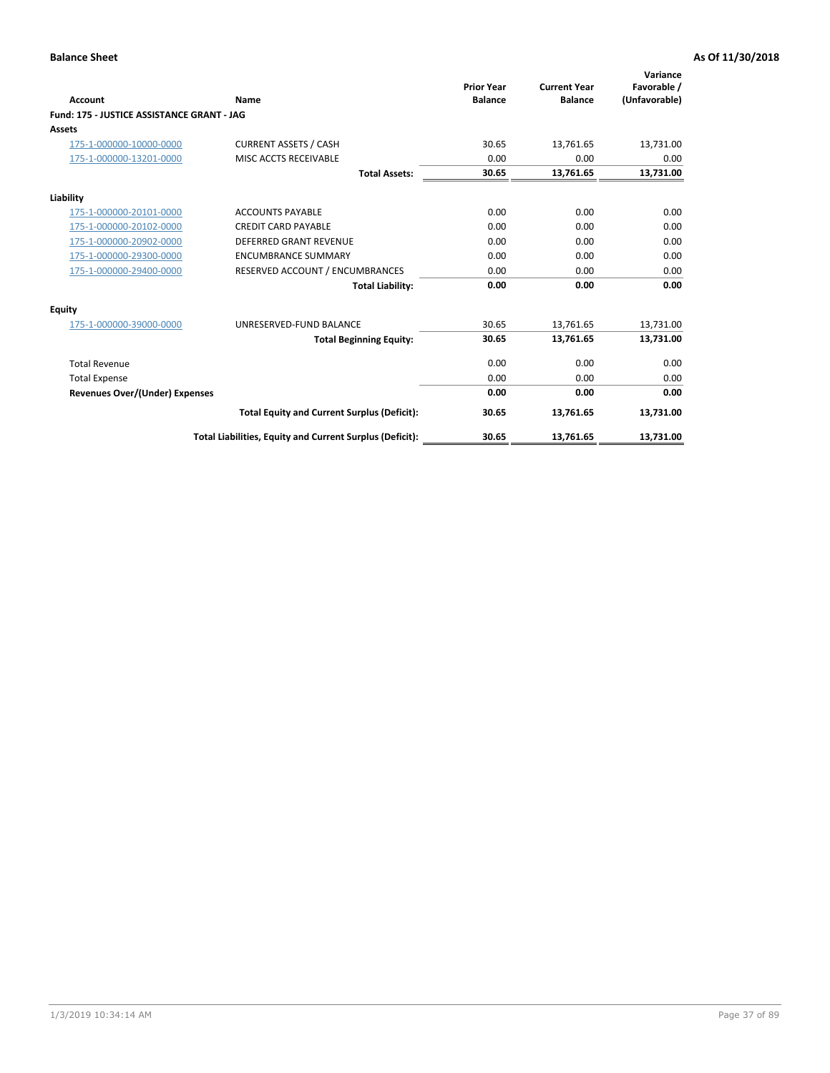|                                            |                                                          | <b>Prior Year</b> | <b>Current Year</b> | Variance<br>Favorable / |
|--------------------------------------------|----------------------------------------------------------|-------------------|---------------------|-------------------------|
| <b>Account</b>                             | Name                                                     | <b>Balance</b>    | <b>Balance</b>      | (Unfavorable)           |
| Fund: 175 - JUSTICE ASSISTANCE GRANT - JAG |                                                          |                   |                     |                         |
| <b>Assets</b>                              |                                                          |                   |                     |                         |
| 175-1-000000-10000-0000                    | <b>CURRENT ASSETS / CASH</b>                             | 30.65             | 13,761.65           | 13,731.00               |
| 175-1-000000-13201-0000                    | MISC ACCTS RECEIVABLE                                    | 0.00              | 0.00                | 0.00                    |
|                                            | <b>Total Assets:</b>                                     | 30.65             | 13,761.65           | 13,731.00               |
| Liability                                  |                                                          |                   |                     |                         |
| 175-1-000000-20101-0000                    | <b>ACCOUNTS PAYABLE</b>                                  | 0.00              | 0.00                | 0.00                    |
| 175-1-000000-20102-0000                    | <b>CREDIT CARD PAYABLE</b>                               | 0.00              | 0.00                | 0.00                    |
| 175-1-000000-20902-0000                    | <b>DEFERRED GRANT REVENUE</b>                            | 0.00              | 0.00                | 0.00                    |
| 175-1-000000-29300-0000                    | <b>ENCUMBRANCE SUMMARY</b>                               | 0.00              | 0.00                | 0.00                    |
| 175-1-000000-29400-0000                    | RESERVED ACCOUNT / ENCUMBRANCES                          | 0.00              | 0.00                | 0.00                    |
|                                            | <b>Total Liability:</b>                                  | 0.00              | 0.00                | 0.00                    |
| Equity                                     |                                                          |                   |                     |                         |
| 175-1-000000-39000-0000                    | UNRESERVED-FUND BALANCE                                  | 30.65             | 13,761.65           | 13,731.00               |
|                                            | <b>Total Beginning Equity:</b>                           | 30.65             | 13,761.65           | 13,731.00               |
| <b>Total Revenue</b>                       |                                                          | 0.00              | 0.00                | 0.00                    |
| <b>Total Expense</b>                       |                                                          | 0.00              | 0.00                | 0.00                    |
| Revenues Over/(Under) Expenses             |                                                          | 0.00              | 0.00                | 0.00                    |
|                                            | <b>Total Equity and Current Surplus (Deficit):</b>       | 30.65             | 13,761.65           | 13,731.00               |
|                                            | Total Liabilities, Equity and Current Surplus (Deficit): | 30.65             | 13,761.65           | 13,731.00               |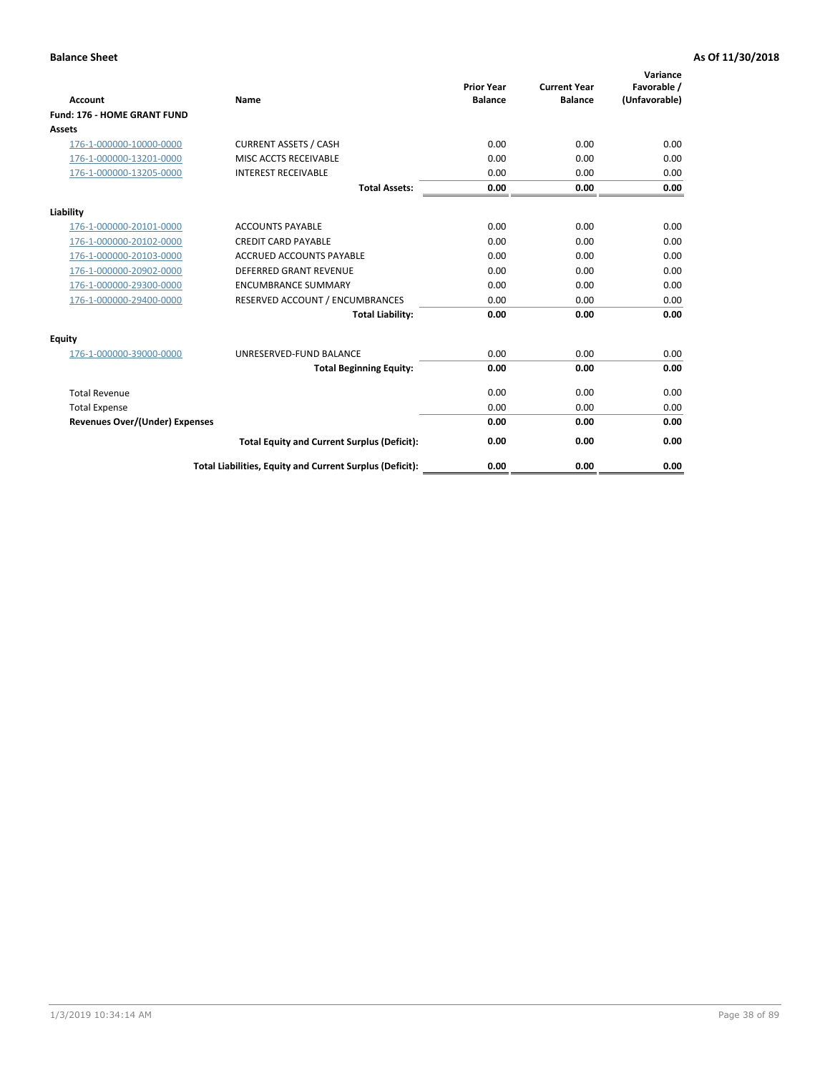| Account                               | Name                                                     | <b>Prior Year</b><br><b>Balance</b> | <b>Current Year</b><br><b>Balance</b> | Variance<br>Favorable /<br>(Unfavorable) |
|---------------------------------------|----------------------------------------------------------|-------------------------------------|---------------------------------------|------------------------------------------|
| Fund: 176 - HOME GRANT FUND           |                                                          |                                     |                                       |                                          |
| Assets                                |                                                          |                                     |                                       |                                          |
| 176-1-000000-10000-0000               | <b>CURRENT ASSETS / CASH</b>                             | 0.00                                | 0.00                                  | 0.00                                     |
| 176-1-000000-13201-0000               | MISC ACCTS RECEIVABLE                                    | 0.00                                | 0.00                                  | 0.00                                     |
| 176-1-000000-13205-0000               | <b>INTEREST RECEIVABLE</b>                               | 0.00                                | 0.00                                  | 0.00                                     |
|                                       | <b>Total Assets:</b>                                     | 0.00                                | 0.00                                  | 0.00                                     |
| Liability                             |                                                          |                                     |                                       |                                          |
| 176-1-000000-20101-0000               | <b>ACCOUNTS PAYABLE</b>                                  | 0.00                                | 0.00                                  | 0.00                                     |
| 176-1-000000-20102-0000               | <b>CREDIT CARD PAYABLE</b>                               | 0.00                                | 0.00                                  | 0.00                                     |
| 176-1-000000-20103-0000               | <b>ACCRUED ACCOUNTS PAYABLE</b>                          | 0.00                                | 0.00                                  | 0.00                                     |
| 176-1-000000-20902-0000               | <b>DEFERRED GRANT REVENUE</b>                            | 0.00                                | 0.00                                  | 0.00                                     |
| 176-1-000000-29300-0000               | <b>ENCUMBRANCE SUMMARY</b>                               | 0.00                                | 0.00                                  | 0.00                                     |
| 176-1-000000-29400-0000               | RESERVED ACCOUNT / ENCUMBRANCES                          | 0.00                                | 0.00                                  | 0.00                                     |
|                                       | <b>Total Liability:</b>                                  | 0.00                                | 0.00                                  | 0.00                                     |
| <b>Equity</b>                         |                                                          |                                     |                                       |                                          |
| 176-1-000000-39000-0000               | UNRESERVED-FUND BALANCE                                  | 0.00                                | 0.00                                  | 0.00                                     |
|                                       | <b>Total Beginning Equity:</b>                           | 0.00                                | 0.00                                  | 0.00                                     |
| <b>Total Revenue</b>                  |                                                          | 0.00                                | 0.00                                  | 0.00                                     |
| <b>Total Expense</b>                  |                                                          | 0.00                                | 0.00                                  | 0.00                                     |
| <b>Revenues Over/(Under) Expenses</b> |                                                          | 0.00                                | 0.00                                  | 0.00                                     |
|                                       | <b>Total Equity and Current Surplus (Deficit):</b>       | 0.00                                | 0.00                                  | 0.00                                     |
|                                       | Total Liabilities, Equity and Current Surplus (Deficit): | 0.00                                | 0.00                                  | 0.00                                     |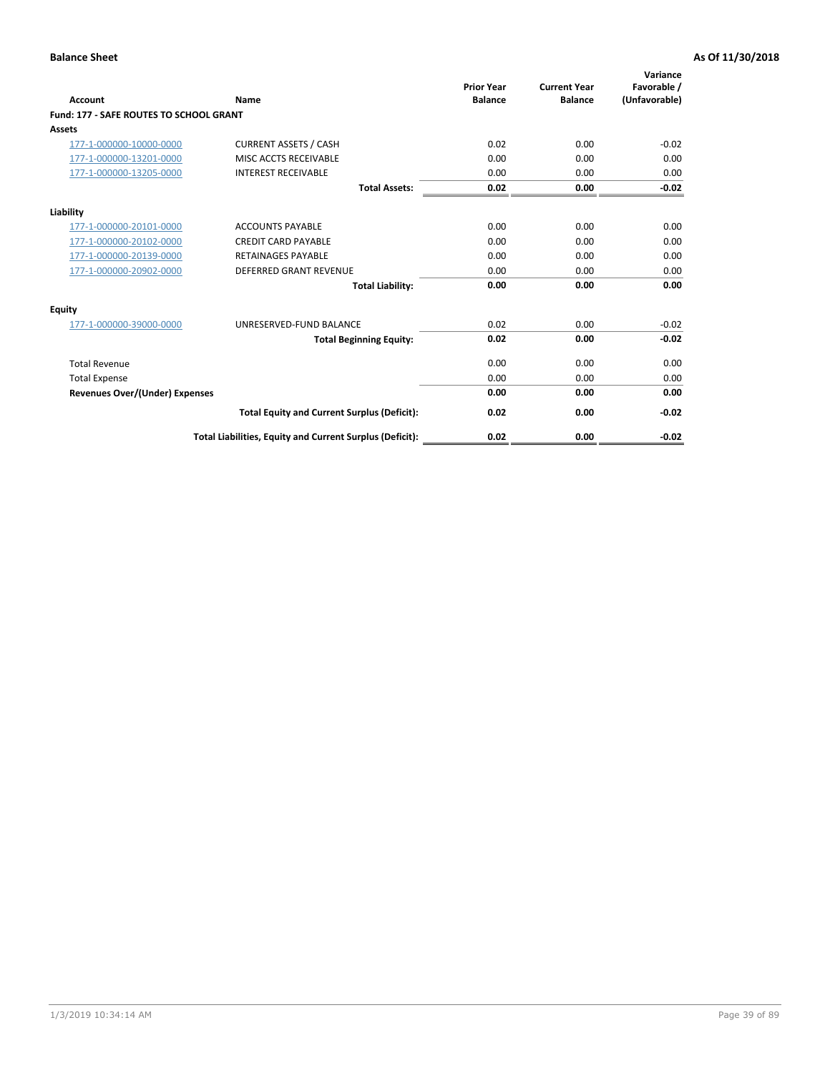| Account                                        | Name                                                     | <b>Prior Year</b><br><b>Balance</b> | <b>Current Year</b><br><b>Balance</b> | Variance<br>Favorable /<br>(Unfavorable) |
|------------------------------------------------|----------------------------------------------------------|-------------------------------------|---------------------------------------|------------------------------------------|
| <b>Fund: 177 - SAFE ROUTES TO SCHOOL GRANT</b> |                                                          |                                     |                                       |                                          |
| <b>Assets</b>                                  |                                                          |                                     |                                       |                                          |
| 177-1-000000-10000-0000                        | <b>CURRENT ASSETS / CASH</b>                             | 0.02                                | 0.00                                  | $-0.02$                                  |
| 177-1-000000-13201-0000                        | MISC ACCTS RECEIVABLE                                    | 0.00                                | 0.00                                  | 0.00                                     |
| 177-1-000000-13205-0000                        | <b>INTEREST RECEIVABLE</b>                               | 0.00                                | 0.00                                  | 0.00                                     |
|                                                | <b>Total Assets:</b>                                     | 0.02                                | 0.00                                  | $-0.02$                                  |
| Liability                                      |                                                          |                                     |                                       |                                          |
| 177-1-000000-20101-0000                        | <b>ACCOUNTS PAYABLE</b>                                  | 0.00                                | 0.00                                  | 0.00                                     |
| 177-1-000000-20102-0000                        | <b>CREDIT CARD PAYABLE</b>                               | 0.00                                | 0.00                                  | 0.00                                     |
| 177-1-000000-20139-0000                        | <b>RETAINAGES PAYABLE</b>                                | 0.00                                | 0.00                                  | 0.00                                     |
| 177-1-000000-20902-0000                        | <b>DEFERRED GRANT REVENUE</b>                            | 0.00                                | 0.00                                  | 0.00                                     |
|                                                | <b>Total Liability:</b>                                  | 0.00                                | 0.00                                  | 0.00                                     |
| Equity                                         |                                                          |                                     |                                       |                                          |
| 177-1-000000-39000-0000                        | UNRESERVED-FUND BALANCE                                  | 0.02                                | 0.00                                  | $-0.02$                                  |
|                                                | <b>Total Beginning Equity:</b>                           | 0.02                                | 0.00                                  | $-0.02$                                  |
| <b>Total Revenue</b>                           |                                                          | 0.00                                | 0.00                                  | 0.00                                     |
| <b>Total Expense</b>                           |                                                          | 0.00                                | 0.00                                  | 0.00                                     |
| <b>Revenues Over/(Under) Expenses</b>          |                                                          | 0.00                                | 0.00                                  | 0.00                                     |
|                                                | <b>Total Equity and Current Surplus (Deficit):</b>       | 0.02                                | 0.00                                  | $-0.02$                                  |
|                                                | Total Liabilities, Equity and Current Surplus (Deficit): | 0.02                                | 0.00                                  | $-0.02$                                  |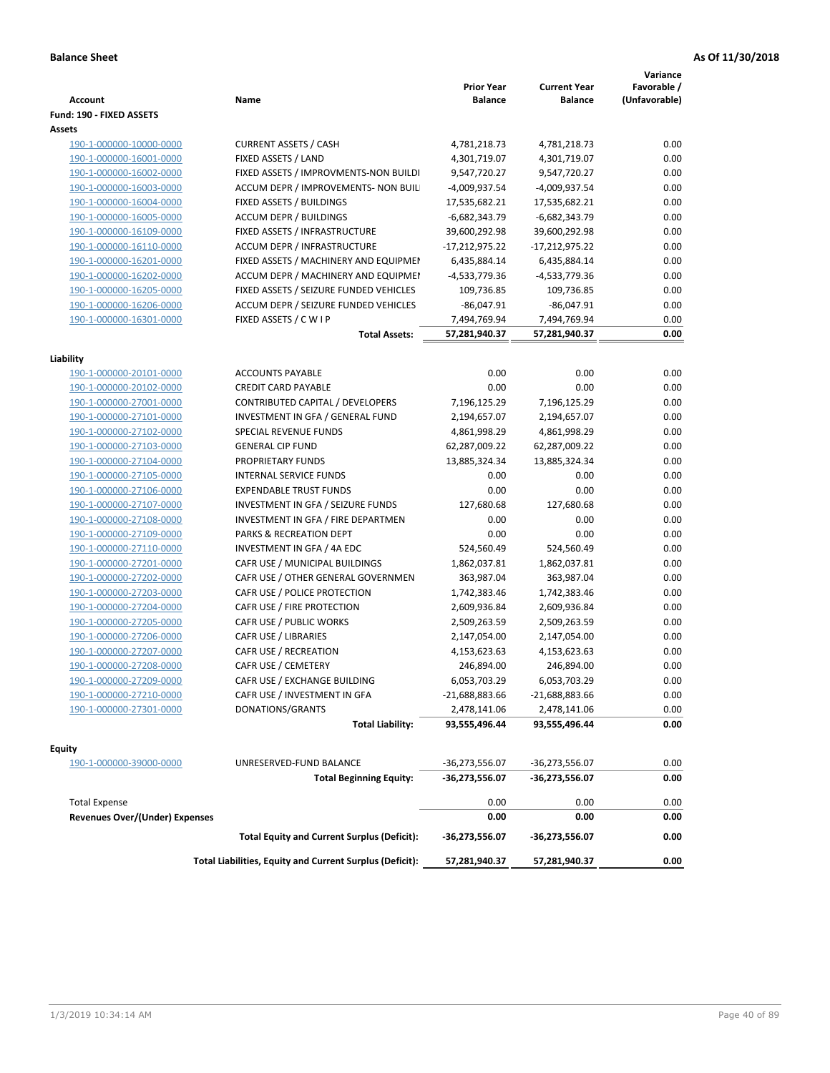| Fund: 190 - FIXED ASSETS<br>Assets<br><b>CURRENT ASSETS / CASH</b><br>4,781,218.73<br>0.00<br>190-1-000000-10000-0000<br>4,781,218.73<br>190-1-000000-16001-0000<br>FIXED ASSETS / LAND<br>4,301,719.07<br>4,301,719.07<br>0.00<br>0.00<br>190-1-000000-16002-0000<br>FIXED ASSETS / IMPROVMENTS-NON BUILDI<br>9,547,720.27<br>9,547,720.27<br>0.00<br>190-1-000000-16003-0000<br>ACCUM DEPR / IMPROVEMENTS- NON BUIL<br>-4,009,937.54<br>-4,009,937.54<br>0.00<br>FIXED ASSETS / BUILDINGS<br>17,535,682.21<br>190-1-000000-16004-0000<br>17,535,682.21<br><b>ACCUM DEPR / BUILDINGS</b><br>$-6,682,343.79$<br>$-6,682,343.79$<br>0.00<br>190-1-000000-16005-0000<br>190-1-000000-16109-0000<br>FIXED ASSETS / INFRASTRUCTURE<br>39,600,292.98<br>39,600,292.98<br>0.00<br>0.00<br>190-1-000000-16110-0000<br><b>ACCUM DEPR / INFRASTRUCTURE</b><br>$-17,212,975.22$<br>-17,212,975.22<br>0.00<br>190-1-000000-16201-0000<br>FIXED ASSETS / MACHINERY AND EQUIPMEN<br>6,435,884.14<br>6,435,884.14<br>ACCUM DEPR / MACHINERY AND EQUIPMEI<br>-4,533,779.36<br>-4,533,779.36<br>0.00<br>190-1-000000-16202-0000<br>FIXED ASSETS / SEIZURE FUNDED VEHICLES<br>109,736.85<br>0.00<br>190-1-000000-16205-0000<br>109,736.85<br>190-1-000000-16206-0000<br>ACCUM DEPR / SEIZURE FUNDED VEHICLES<br>$-86,047.91$<br>$-86,047.91$<br>0.00<br>190-1-000000-16301-0000<br>0.00<br>FIXED ASSETS / C W I P<br>7,494,769.94<br>7,494,769.94<br>0.00<br><b>Total Assets:</b><br>57,281,940.37<br>57,281,940.37<br>Liability<br><b>ACCOUNTS PAYABLE</b><br>0.00<br>0.00<br>0.00<br>190-1-000000-20101-0000<br><b>CREDIT CARD PAYABLE</b><br>0.00<br>0.00<br>0.00<br>190-1-000000-20102-0000<br>190-1-000000-27001-0000<br>CONTRIBUTED CAPITAL / DEVELOPERS<br>7,196,125.29<br>7,196,125.29<br>0.00<br>2,194,657.07<br>0.00<br>190-1-000000-27101-0000<br>INVESTMENT IN GFA / GENERAL FUND<br>2,194,657.07<br>0.00<br>190-1-000000-27102-0000<br><b>SPECIAL REVENUE FUNDS</b><br>4,861,998.29<br>4,861,998.29<br>0.00<br><b>GENERAL CIP FUND</b><br>190-1-000000-27103-0000<br>62,287,009.22<br>62,287,009.22<br>190-1-000000-27104-0000<br>PROPRIETARY FUNDS<br>13,885,324.34<br>13,885,324.34<br>0.00<br>190-1-000000-27105-0000<br><b>INTERNAL SERVICE FUNDS</b><br>0.00<br>0.00<br>0.00<br>0.00<br>190-1-000000-27106-0000<br><b>EXPENDABLE TRUST FUNDS</b><br>0.00<br>0.00<br>0.00<br>190-1-000000-27107-0000<br>INVESTMENT IN GFA / SEIZURE FUNDS<br>127,680.68<br>127,680.68<br>INVESTMENT IN GFA / FIRE DEPARTMEN<br>0.00<br>0.00<br>0.00<br>190-1-000000-27108-0000<br>PARKS & RECREATION DEPT<br>0.00<br>0.00<br>0.00<br>190-1-000000-27109-0000<br>190-1-000000-27110-0000<br>INVESTMENT IN GFA / 4A EDC<br>524,560.49<br>524,560.49<br>0.00<br>0.00<br>190-1-000000-27201-0000<br>CAFR USE / MUNICIPAL BUILDINGS<br>1,862,037.81<br>1,862,037.81<br>CAFR USE / OTHER GENERAL GOVERNMEN<br>0.00<br>190-1-000000-27202-0000<br>363,987.04<br>363,987.04<br>0.00<br>CAFR USE / POLICE PROTECTION<br>190-1-000000-27203-0000<br>1,742,383.46<br>1,742,383.46<br>190-1-000000-27204-0000<br>CAFR USE / FIRE PROTECTION<br>2,609,936.84<br>0.00<br>2,609,936.84<br>190-1-000000-27205-0000<br>CAFR USE / PUBLIC WORKS<br>2,509,263.59<br>0.00<br>2,509,263.59<br>0.00<br>190-1-000000-27206-0000<br>CAFR USE / LIBRARIES<br>2,147,054.00<br>2,147,054.00<br>0.00<br>190-1-000000-27207-0000<br>CAFR USE / RECREATION<br>4,153,623.63<br>4,153,623.63<br>CAFR USE / CEMETERY<br>0.00<br>190-1-000000-27208-0000<br>246,894.00<br>246,894.00<br>6,053,703.29<br>6,053,703.29<br>0.00<br>190-1-000000-27209-0000<br>CAFR USE / EXCHANGE BUILDING<br>190-1-000000-27210-0000<br>CAFR USE / INVESTMENT IN GFA<br>$-21,688,883.66$<br>-21,688,883.66<br>0.00<br>190-1-000000-27301-0000<br>DONATIONS/GRANTS<br>2,478,141.06<br>2,478,141.06<br>0.00<br>0.00<br><b>Total Liability:</b><br>93,555,496.44<br>93,555,496.44<br><b>Equity</b><br>UNRESERVED-FUND BALANCE<br>$-36,273,556.07$<br>0.00<br>190-1-000000-39000-0000<br>-36,273,556.07<br><b>Total Beginning Equity:</b><br>-36,273,556.07<br>-36,273,556.07<br>0.00<br><b>Total Expense</b><br>0.00<br>0.00<br>0.00<br><b>Revenues Over/(Under) Expenses</b><br>0.00<br>0.00<br>0.00<br>0.00<br><b>Total Equity and Current Surplus (Deficit):</b><br>-36,273,556.07<br>-36,273,556.07<br>Total Liabilities, Equity and Current Surplus (Deficit):<br>0.00<br>57,281,940.37<br>57,281,940.37 | <b>Account</b> | Name | <b>Prior Year</b><br><b>Balance</b> | <b>Current Year</b><br><b>Balance</b> | Variance<br>Favorable /<br>(Unfavorable) |
|----------------------------------------------------------------------------------------------------------------------------------------------------------------------------------------------------------------------------------------------------------------------------------------------------------------------------------------------------------------------------------------------------------------------------------------------------------------------------------------------------------------------------------------------------------------------------------------------------------------------------------------------------------------------------------------------------------------------------------------------------------------------------------------------------------------------------------------------------------------------------------------------------------------------------------------------------------------------------------------------------------------------------------------------------------------------------------------------------------------------------------------------------------------------------------------------------------------------------------------------------------------------------------------------------------------------------------------------------------------------------------------------------------------------------------------------------------------------------------------------------------------------------------------------------------------------------------------------------------------------------------------------------------------------------------------------------------------------------------------------------------------------------------------------------------------------------------------------------------------------------------------------------------------------------------------------------------------------------------------------------------------------------------------------------------------------------------------------------------------------------------------------------------------------------------------------------------------------------------------------------------------------------------------------------------------------------------------------------------------------------------------------------------------------------------------------------------------------------------------------------------------------------------------------------------------------------------------------------------------------------------------------------------------------------------------------------------------------------------------------------------------------------------------------------------------------------------------------------------------------------------------------------------------------------------------------------------------------------------------------------------------------------------------------------------------------------------------------------------------------------------------------------------------------------------------------------------------------------------------------------------------------------------------------------------------------------------------------------------------------------------------------------------------------------------------------------------------------------------------------------------------------------------------------------------------------------------------------------------------------------------------------------------------------------------------------------------------------------------------------------------------------------------------------------------------------------------------------------------------------------------------------------------------------------------------------------------------------------------------------------------------------------------------------------------------------------------------------------------------------------------------------------------------------------------------------------------------------------------------------------------------------------------------------------------------------------------------------------------------------------------------------------------------------------------------|----------------|------|-------------------------------------|---------------------------------------|------------------------------------------|
|                                                                                                                                                                                                                                                                                                                                                                                                                                                                                                                                                                                                                                                                                                                                                                                                                                                                                                                                                                                                                                                                                                                                                                                                                                                                                                                                                                                                                                                                                                                                                                                                                                                                                                                                                                                                                                                                                                                                                                                                                                                                                                                                                                                                                                                                                                                                                                                                                                                                                                                                                                                                                                                                                                                                                                                                                                                                                                                                                                                                                                                                                                                                                                                                                                                                                                                                                                                                                                                                                                                                                                                                                                                                                                                                                                                                                                                                                                                                                                                                                                                                                                                                                                                                                                                                                                                                                                                                                                        |                |      |                                     |                                       |                                          |
|                                                                                                                                                                                                                                                                                                                                                                                                                                                                                                                                                                                                                                                                                                                                                                                                                                                                                                                                                                                                                                                                                                                                                                                                                                                                                                                                                                                                                                                                                                                                                                                                                                                                                                                                                                                                                                                                                                                                                                                                                                                                                                                                                                                                                                                                                                                                                                                                                                                                                                                                                                                                                                                                                                                                                                                                                                                                                                                                                                                                                                                                                                                                                                                                                                                                                                                                                                                                                                                                                                                                                                                                                                                                                                                                                                                                                                                                                                                                                                                                                                                                                                                                                                                                                                                                                                                                                                                                                                        |                |      |                                     |                                       |                                          |
|                                                                                                                                                                                                                                                                                                                                                                                                                                                                                                                                                                                                                                                                                                                                                                                                                                                                                                                                                                                                                                                                                                                                                                                                                                                                                                                                                                                                                                                                                                                                                                                                                                                                                                                                                                                                                                                                                                                                                                                                                                                                                                                                                                                                                                                                                                                                                                                                                                                                                                                                                                                                                                                                                                                                                                                                                                                                                                                                                                                                                                                                                                                                                                                                                                                                                                                                                                                                                                                                                                                                                                                                                                                                                                                                                                                                                                                                                                                                                                                                                                                                                                                                                                                                                                                                                                                                                                                                                                        |                |      |                                     |                                       |                                          |
|                                                                                                                                                                                                                                                                                                                                                                                                                                                                                                                                                                                                                                                                                                                                                                                                                                                                                                                                                                                                                                                                                                                                                                                                                                                                                                                                                                                                                                                                                                                                                                                                                                                                                                                                                                                                                                                                                                                                                                                                                                                                                                                                                                                                                                                                                                                                                                                                                                                                                                                                                                                                                                                                                                                                                                                                                                                                                                                                                                                                                                                                                                                                                                                                                                                                                                                                                                                                                                                                                                                                                                                                                                                                                                                                                                                                                                                                                                                                                                                                                                                                                                                                                                                                                                                                                                                                                                                                                                        |                |      |                                     |                                       |                                          |
|                                                                                                                                                                                                                                                                                                                                                                                                                                                                                                                                                                                                                                                                                                                                                                                                                                                                                                                                                                                                                                                                                                                                                                                                                                                                                                                                                                                                                                                                                                                                                                                                                                                                                                                                                                                                                                                                                                                                                                                                                                                                                                                                                                                                                                                                                                                                                                                                                                                                                                                                                                                                                                                                                                                                                                                                                                                                                                                                                                                                                                                                                                                                                                                                                                                                                                                                                                                                                                                                                                                                                                                                                                                                                                                                                                                                                                                                                                                                                                                                                                                                                                                                                                                                                                                                                                                                                                                                                                        |                |      |                                     |                                       |                                          |
|                                                                                                                                                                                                                                                                                                                                                                                                                                                                                                                                                                                                                                                                                                                                                                                                                                                                                                                                                                                                                                                                                                                                                                                                                                                                                                                                                                                                                                                                                                                                                                                                                                                                                                                                                                                                                                                                                                                                                                                                                                                                                                                                                                                                                                                                                                                                                                                                                                                                                                                                                                                                                                                                                                                                                                                                                                                                                                                                                                                                                                                                                                                                                                                                                                                                                                                                                                                                                                                                                                                                                                                                                                                                                                                                                                                                                                                                                                                                                                                                                                                                                                                                                                                                                                                                                                                                                                                                                                        |                |      |                                     |                                       |                                          |
|                                                                                                                                                                                                                                                                                                                                                                                                                                                                                                                                                                                                                                                                                                                                                                                                                                                                                                                                                                                                                                                                                                                                                                                                                                                                                                                                                                                                                                                                                                                                                                                                                                                                                                                                                                                                                                                                                                                                                                                                                                                                                                                                                                                                                                                                                                                                                                                                                                                                                                                                                                                                                                                                                                                                                                                                                                                                                                                                                                                                                                                                                                                                                                                                                                                                                                                                                                                                                                                                                                                                                                                                                                                                                                                                                                                                                                                                                                                                                                                                                                                                                                                                                                                                                                                                                                                                                                                                                                        |                |      |                                     |                                       |                                          |
|                                                                                                                                                                                                                                                                                                                                                                                                                                                                                                                                                                                                                                                                                                                                                                                                                                                                                                                                                                                                                                                                                                                                                                                                                                                                                                                                                                                                                                                                                                                                                                                                                                                                                                                                                                                                                                                                                                                                                                                                                                                                                                                                                                                                                                                                                                                                                                                                                                                                                                                                                                                                                                                                                                                                                                                                                                                                                                                                                                                                                                                                                                                                                                                                                                                                                                                                                                                                                                                                                                                                                                                                                                                                                                                                                                                                                                                                                                                                                                                                                                                                                                                                                                                                                                                                                                                                                                                                                                        |                |      |                                     |                                       |                                          |
|                                                                                                                                                                                                                                                                                                                                                                                                                                                                                                                                                                                                                                                                                                                                                                                                                                                                                                                                                                                                                                                                                                                                                                                                                                                                                                                                                                                                                                                                                                                                                                                                                                                                                                                                                                                                                                                                                                                                                                                                                                                                                                                                                                                                                                                                                                                                                                                                                                                                                                                                                                                                                                                                                                                                                                                                                                                                                                                                                                                                                                                                                                                                                                                                                                                                                                                                                                                                                                                                                                                                                                                                                                                                                                                                                                                                                                                                                                                                                                                                                                                                                                                                                                                                                                                                                                                                                                                                                                        |                |      |                                     |                                       |                                          |
|                                                                                                                                                                                                                                                                                                                                                                                                                                                                                                                                                                                                                                                                                                                                                                                                                                                                                                                                                                                                                                                                                                                                                                                                                                                                                                                                                                                                                                                                                                                                                                                                                                                                                                                                                                                                                                                                                                                                                                                                                                                                                                                                                                                                                                                                                                                                                                                                                                                                                                                                                                                                                                                                                                                                                                                                                                                                                                                                                                                                                                                                                                                                                                                                                                                                                                                                                                                                                                                                                                                                                                                                                                                                                                                                                                                                                                                                                                                                                                                                                                                                                                                                                                                                                                                                                                                                                                                                                                        |                |      |                                     |                                       |                                          |
|                                                                                                                                                                                                                                                                                                                                                                                                                                                                                                                                                                                                                                                                                                                                                                                                                                                                                                                                                                                                                                                                                                                                                                                                                                                                                                                                                                                                                                                                                                                                                                                                                                                                                                                                                                                                                                                                                                                                                                                                                                                                                                                                                                                                                                                                                                                                                                                                                                                                                                                                                                                                                                                                                                                                                                                                                                                                                                                                                                                                                                                                                                                                                                                                                                                                                                                                                                                                                                                                                                                                                                                                                                                                                                                                                                                                                                                                                                                                                                                                                                                                                                                                                                                                                                                                                                                                                                                                                                        |                |      |                                     |                                       |                                          |
|                                                                                                                                                                                                                                                                                                                                                                                                                                                                                                                                                                                                                                                                                                                                                                                                                                                                                                                                                                                                                                                                                                                                                                                                                                                                                                                                                                                                                                                                                                                                                                                                                                                                                                                                                                                                                                                                                                                                                                                                                                                                                                                                                                                                                                                                                                                                                                                                                                                                                                                                                                                                                                                                                                                                                                                                                                                                                                                                                                                                                                                                                                                                                                                                                                                                                                                                                                                                                                                                                                                                                                                                                                                                                                                                                                                                                                                                                                                                                                                                                                                                                                                                                                                                                                                                                                                                                                                                                                        |                |      |                                     |                                       |                                          |
|                                                                                                                                                                                                                                                                                                                                                                                                                                                                                                                                                                                                                                                                                                                                                                                                                                                                                                                                                                                                                                                                                                                                                                                                                                                                                                                                                                                                                                                                                                                                                                                                                                                                                                                                                                                                                                                                                                                                                                                                                                                                                                                                                                                                                                                                                                                                                                                                                                                                                                                                                                                                                                                                                                                                                                                                                                                                                                                                                                                                                                                                                                                                                                                                                                                                                                                                                                                                                                                                                                                                                                                                                                                                                                                                                                                                                                                                                                                                                                                                                                                                                                                                                                                                                                                                                                                                                                                                                                        |                |      |                                     |                                       |                                          |
|                                                                                                                                                                                                                                                                                                                                                                                                                                                                                                                                                                                                                                                                                                                                                                                                                                                                                                                                                                                                                                                                                                                                                                                                                                                                                                                                                                                                                                                                                                                                                                                                                                                                                                                                                                                                                                                                                                                                                                                                                                                                                                                                                                                                                                                                                                                                                                                                                                                                                                                                                                                                                                                                                                                                                                                                                                                                                                                                                                                                                                                                                                                                                                                                                                                                                                                                                                                                                                                                                                                                                                                                                                                                                                                                                                                                                                                                                                                                                                                                                                                                                                                                                                                                                                                                                                                                                                                                                                        |                |      |                                     |                                       |                                          |
|                                                                                                                                                                                                                                                                                                                                                                                                                                                                                                                                                                                                                                                                                                                                                                                                                                                                                                                                                                                                                                                                                                                                                                                                                                                                                                                                                                                                                                                                                                                                                                                                                                                                                                                                                                                                                                                                                                                                                                                                                                                                                                                                                                                                                                                                                                                                                                                                                                                                                                                                                                                                                                                                                                                                                                                                                                                                                                                                                                                                                                                                                                                                                                                                                                                                                                                                                                                                                                                                                                                                                                                                                                                                                                                                                                                                                                                                                                                                                                                                                                                                                                                                                                                                                                                                                                                                                                                                                                        |                |      |                                     |                                       |                                          |
|                                                                                                                                                                                                                                                                                                                                                                                                                                                                                                                                                                                                                                                                                                                                                                                                                                                                                                                                                                                                                                                                                                                                                                                                                                                                                                                                                                                                                                                                                                                                                                                                                                                                                                                                                                                                                                                                                                                                                                                                                                                                                                                                                                                                                                                                                                                                                                                                                                                                                                                                                                                                                                                                                                                                                                                                                                                                                                                                                                                                                                                                                                                                                                                                                                                                                                                                                                                                                                                                                                                                                                                                                                                                                                                                                                                                                                                                                                                                                                                                                                                                                                                                                                                                                                                                                                                                                                                                                                        |                |      |                                     |                                       |                                          |
|                                                                                                                                                                                                                                                                                                                                                                                                                                                                                                                                                                                                                                                                                                                                                                                                                                                                                                                                                                                                                                                                                                                                                                                                                                                                                                                                                                                                                                                                                                                                                                                                                                                                                                                                                                                                                                                                                                                                                                                                                                                                                                                                                                                                                                                                                                                                                                                                                                                                                                                                                                                                                                                                                                                                                                                                                                                                                                                                                                                                                                                                                                                                                                                                                                                                                                                                                                                                                                                                                                                                                                                                                                                                                                                                                                                                                                                                                                                                                                                                                                                                                                                                                                                                                                                                                                                                                                                                                                        |                |      |                                     |                                       |                                          |
|                                                                                                                                                                                                                                                                                                                                                                                                                                                                                                                                                                                                                                                                                                                                                                                                                                                                                                                                                                                                                                                                                                                                                                                                                                                                                                                                                                                                                                                                                                                                                                                                                                                                                                                                                                                                                                                                                                                                                                                                                                                                                                                                                                                                                                                                                                                                                                                                                                                                                                                                                                                                                                                                                                                                                                                                                                                                                                                                                                                                                                                                                                                                                                                                                                                                                                                                                                                                                                                                                                                                                                                                                                                                                                                                                                                                                                                                                                                                                                                                                                                                                                                                                                                                                                                                                                                                                                                                                                        |                |      |                                     |                                       |                                          |
|                                                                                                                                                                                                                                                                                                                                                                                                                                                                                                                                                                                                                                                                                                                                                                                                                                                                                                                                                                                                                                                                                                                                                                                                                                                                                                                                                                                                                                                                                                                                                                                                                                                                                                                                                                                                                                                                                                                                                                                                                                                                                                                                                                                                                                                                                                                                                                                                                                                                                                                                                                                                                                                                                                                                                                                                                                                                                                                                                                                                                                                                                                                                                                                                                                                                                                                                                                                                                                                                                                                                                                                                                                                                                                                                                                                                                                                                                                                                                                                                                                                                                                                                                                                                                                                                                                                                                                                                                                        |                |      |                                     |                                       |                                          |
|                                                                                                                                                                                                                                                                                                                                                                                                                                                                                                                                                                                                                                                                                                                                                                                                                                                                                                                                                                                                                                                                                                                                                                                                                                                                                                                                                                                                                                                                                                                                                                                                                                                                                                                                                                                                                                                                                                                                                                                                                                                                                                                                                                                                                                                                                                                                                                                                                                                                                                                                                                                                                                                                                                                                                                                                                                                                                                                                                                                                                                                                                                                                                                                                                                                                                                                                                                                                                                                                                                                                                                                                                                                                                                                                                                                                                                                                                                                                                                                                                                                                                                                                                                                                                                                                                                                                                                                                                                        |                |      |                                     |                                       |                                          |
|                                                                                                                                                                                                                                                                                                                                                                                                                                                                                                                                                                                                                                                                                                                                                                                                                                                                                                                                                                                                                                                                                                                                                                                                                                                                                                                                                                                                                                                                                                                                                                                                                                                                                                                                                                                                                                                                                                                                                                                                                                                                                                                                                                                                                                                                                                                                                                                                                                                                                                                                                                                                                                                                                                                                                                                                                                                                                                                                                                                                                                                                                                                                                                                                                                                                                                                                                                                                                                                                                                                                                                                                                                                                                                                                                                                                                                                                                                                                                                                                                                                                                                                                                                                                                                                                                                                                                                                                                                        |                |      |                                     |                                       |                                          |
|                                                                                                                                                                                                                                                                                                                                                                                                                                                                                                                                                                                                                                                                                                                                                                                                                                                                                                                                                                                                                                                                                                                                                                                                                                                                                                                                                                                                                                                                                                                                                                                                                                                                                                                                                                                                                                                                                                                                                                                                                                                                                                                                                                                                                                                                                                                                                                                                                                                                                                                                                                                                                                                                                                                                                                                                                                                                                                                                                                                                                                                                                                                                                                                                                                                                                                                                                                                                                                                                                                                                                                                                                                                                                                                                                                                                                                                                                                                                                                                                                                                                                                                                                                                                                                                                                                                                                                                                                                        |                |      |                                     |                                       |                                          |
|                                                                                                                                                                                                                                                                                                                                                                                                                                                                                                                                                                                                                                                                                                                                                                                                                                                                                                                                                                                                                                                                                                                                                                                                                                                                                                                                                                                                                                                                                                                                                                                                                                                                                                                                                                                                                                                                                                                                                                                                                                                                                                                                                                                                                                                                                                                                                                                                                                                                                                                                                                                                                                                                                                                                                                                                                                                                                                                                                                                                                                                                                                                                                                                                                                                                                                                                                                                                                                                                                                                                                                                                                                                                                                                                                                                                                                                                                                                                                                                                                                                                                                                                                                                                                                                                                                                                                                                                                                        |                |      |                                     |                                       |                                          |
|                                                                                                                                                                                                                                                                                                                                                                                                                                                                                                                                                                                                                                                                                                                                                                                                                                                                                                                                                                                                                                                                                                                                                                                                                                                                                                                                                                                                                                                                                                                                                                                                                                                                                                                                                                                                                                                                                                                                                                                                                                                                                                                                                                                                                                                                                                                                                                                                                                                                                                                                                                                                                                                                                                                                                                                                                                                                                                                                                                                                                                                                                                                                                                                                                                                                                                                                                                                                                                                                                                                                                                                                                                                                                                                                                                                                                                                                                                                                                                                                                                                                                                                                                                                                                                                                                                                                                                                                                                        |                |      |                                     |                                       |                                          |
|                                                                                                                                                                                                                                                                                                                                                                                                                                                                                                                                                                                                                                                                                                                                                                                                                                                                                                                                                                                                                                                                                                                                                                                                                                                                                                                                                                                                                                                                                                                                                                                                                                                                                                                                                                                                                                                                                                                                                                                                                                                                                                                                                                                                                                                                                                                                                                                                                                                                                                                                                                                                                                                                                                                                                                                                                                                                                                                                                                                                                                                                                                                                                                                                                                                                                                                                                                                                                                                                                                                                                                                                                                                                                                                                                                                                                                                                                                                                                                                                                                                                                                                                                                                                                                                                                                                                                                                                                                        |                |      |                                     |                                       |                                          |
|                                                                                                                                                                                                                                                                                                                                                                                                                                                                                                                                                                                                                                                                                                                                                                                                                                                                                                                                                                                                                                                                                                                                                                                                                                                                                                                                                                                                                                                                                                                                                                                                                                                                                                                                                                                                                                                                                                                                                                                                                                                                                                                                                                                                                                                                                                                                                                                                                                                                                                                                                                                                                                                                                                                                                                                                                                                                                                                                                                                                                                                                                                                                                                                                                                                                                                                                                                                                                                                                                                                                                                                                                                                                                                                                                                                                                                                                                                                                                                                                                                                                                                                                                                                                                                                                                                                                                                                                                                        |                |      |                                     |                                       |                                          |
|                                                                                                                                                                                                                                                                                                                                                                                                                                                                                                                                                                                                                                                                                                                                                                                                                                                                                                                                                                                                                                                                                                                                                                                                                                                                                                                                                                                                                                                                                                                                                                                                                                                                                                                                                                                                                                                                                                                                                                                                                                                                                                                                                                                                                                                                                                                                                                                                                                                                                                                                                                                                                                                                                                                                                                                                                                                                                                                                                                                                                                                                                                                                                                                                                                                                                                                                                                                                                                                                                                                                                                                                                                                                                                                                                                                                                                                                                                                                                                                                                                                                                                                                                                                                                                                                                                                                                                                                                                        |                |      |                                     |                                       |                                          |
|                                                                                                                                                                                                                                                                                                                                                                                                                                                                                                                                                                                                                                                                                                                                                                                                                                                                                                                                                                                                                                                                                                                                                                                                                                                                                                                                                                                                                                                                                                                                                                                                                                                                                                                                                                                                                                                                                                                                                                                                                                                                                                                                                                                                                                                                                                                                                                                                                                                                                                                                                                                                                                                                                                                                                                                                                                                                                                                                                                                                                                                                                                                                                                                                                                                                                                                                                                                                                                                                                                                                                                                                                                                                                                                                                                                                                                                                                                                                                                                                                                                                                                                                                                                                                                                                                                                                                                                                                                        |                |      |                                     |                                       |                                          |
|                                                                                                                                                                                                                                                                                                                                                                                                                                                                                                                                                                                                                                                                                                                                                                                                                                                                                                                                                                                                                                                                                                                                                                                                                                                                                                                                                                                                                                                                                                                                                                                                                                                                                                                                                                                                                                                                                                                                                                                                                                                                                                                                                                                                                                                                                                                                                                                                                                                                                                                                                                                                                                                                                                                                                                                                                                                                                                                                                                                                                                                                                                                                                                                                                                                                                                                                                                                                                                                                                                                                                                                                                                                                                                                                                                                                                                                                                                                                                                                                                                                                                                                                                                                                                                                                                                                                                                                                                                        |                |      |                                     |                                       |                                          |
|                                                                                                                                                                                                                                                                                                                                                                                                                                                                                                                                                                                                                                                                                                                                                                                                                                                                                                                                                                                                                                                                                                                                                                                                                                                                                                                                                                                                                                                                                                                                                                                                                                                                                                                                                                                                                                                                                                                                                                                                                                                                                                                                                                                                                                                                                                                                                                                                                                                                                                                                                                                                                                                                                                                                                                                                                                                                                                                                                                                                                                                                                                                                                                                                                                                                                                                                                                                                                                                                                                                                                                                                                                                                                                                                                                                                                                                                                                                                                                                                                                                                                                                                                                                                                                                                                                                                                                                                                                        |                |      |                                     |                                       |                                          |
|                                                                                                                                                                                                                                                                                                                                                                                                                                                                                                                                                                                                                                                                                                                                                                                                                                                                                                                                                                                                                                                                                                                                                                                                                                                                                                                                                                                                                                                                                                                                                                                                                                                                                                                                                                                                                                                                                                                                                                                                                                                                                                                                                                                                                                                                                                                                                                                                                                                                                                                                                                                                                                                                                                                                                                                                                                                                                                                                                                                                                                                                                                                                                                                                                                                                                                                                                                                                                                                                                                                                                                                                                                                                                                                                                                                                                                                                                                                                                                                                                                                                                                                                                                                                                                                                                                                                                                                                                                        |                |      |                                     |                                       |                                          |
|                                                                                                                                                                                                                                                                                                                                                                                                                                                                                                                                                                                                                                                                                                                                                                                                                                                                                                                                                                                                                                                                                                                                                                                                                                                                                                                                                                                                                                                                                                                                                                                                                                                                                                                                                                                                                                                                                                                                                                                                                                                                                                                                                                                                                                                                                                                                                                                                                                                                                                                                                                                                                                                                                                                                                                                                                                                                                                                                                                                                                                                                                                                                                                                                                                                                                                                                                                                                                                                                                                                                                                                                                                                                                                                                                                                                                                                                                                                                                                                                                                                                                                                                                                                                                                                                                                                                                                                                                                        |                |      |                                     |                                       |                                          |
|                                                                                                                                                                                                                                                                                                                                                                                                                                                                                                                                                                                                                                                                                                                                                                                                                                                                                                                                                                                                                                                                                                                                                                                                                                                                                                                                                                                                                                                                                                                                                                                                                                                                                                                                                                                                                                                                                                                                                                                                                                                                                                                                                                                                                                                                                                                                                                                                                                                                                                                                                                                                                                                                                                                                                                                                                                                                                                                                                                                                                                                                                                                                                                                                                                                                                                                                                                                                                                                                                                                                                                                                                                                                                                                                                                                                                                                                                                                                                                                                                                                                                                                                                                                                                                                                                                                                                                                                                                        |                |      |                                     |                                       |                                          |
|                                                                                                                                                                                                                                                                                                                                                                                                                                                                                                                                                                                                                                                                                                                                                                                                                                                                                                                                                                                                                                                                                                                                                                                                                                                                                                                                                                                                                                                                                                                                                                                                                                                                                                                                                                                                                                                                                                                                                                                                                                                                                                                                                                                                                                                                                                                                                                                                                                                                                                                                                                                                                                                                                                                                                                                                                                                                                                                                                                                                                                                                                                                                                                                                                                                                                                                                                                                                                                                                                                                                                                                                                                                                                                                                                                                                                                                                                                                                                                                                                                                                                                                                                                                                                                                                                                                                                                                                                                        |                |      |                                     |                                       |                                          |
|                                                                                                                                                                                                                                                                                                                                                                                                                                                                                                                                                                                                                                                                                                                                                                                                                                                                                                                                                                                                                                                                                                                                                                                                                                                                                                                                                                                                                                                                                                                                                                                                                                                                                                                                                                                                                                                                                                                                                                                                                                                                                                                                                                                                                                                                                                                                                                                                                                                                                                                                                                                                                                                                                                                                                                                                                                                                                                                                                                                                                                                                                                                                                                                                                                                                                                                                                                                                                                                                                                                                                                                                                                                                                                                                                                                                                                                                                                                                                                                                                                                                                                                                                                                                                                                                                                                                                                                                                                        |                |      |                                     |                                       |                                          |
|                                                                                                                                                                                                                                                                                                                                                                                                                                                                                                                                                                                                                                                                                                                                                                                                                                                                                                                                                                                                                                                                                                                                                                                                                                                                                                                                                                                                                                                                                                                                                                                                                                                                                                                                                                                                                                                                                                                                                                                                                                                                                                                                                                                                                                                                                                                                                                                                                                                                                                                                                                                                                                                                                                                                                                                                                                                                                                                                                                                                                                                                                                                                                                                                                                                                                                                                                                                                                                                                                                                                                                                                                                                                                                                                                                                                                                                                                                                                                                                                                                                                                                                                                                                                                                                                                                                                                                                                                                        |                |      |                                     |                                       |                                          |
|                                                                                                                                                                                                                                                                                                                                                                                                                                                                                                                                                                                                                                                                                                                                                                                                                                                                                                                                                                                                                                                                                                                                                                                                                                                                                                                                                                                                                                                                                                                                                                                                                                                                                                                                                                                                                                                                                                                                                                                                                                                                                                                                                                                                                                                                                                                                                                                                                                                                                                                                                                                                                                                                                                                                                                                                                                                                                                                                                                                                                                                                                                                                                                                                                                                                                                                                                                                                                                                                                                                                                                                                                                                                                                                                                                                                                                                                                                                                                                                                                                                                                                                                                                                                                                                                                                                                                                                                                                        |                |      |                                     |                                       |                                          |
|                                                                                                                                                                                                                                                                                                                                                                                                                                                                                                                                                                                                                                                                                                                                                                                                                                                                                                                                                                                                                                                                                                                                                                                                                                                                                                                                                                                                                                                                                                                                                                                                                                                                                                                                                                                                                                                                                                                                                                                                                                                                                                                                                                                                                                                                                                                                                                                                                                                                                                                                                                                                                                                                                                                                                                                                                                                                                                                                                                                                                                                                                                                                                                                                                                                                                                                                                                                                                                                                                                                                                                                                                                                                                                                                                                                                                                                                                                                                                                                                                                                                                                                                                                                                                                                                                                                                                                                                                                        |                |      |                                     |                                       |                                          |
|                                                                                                                                                                                                                                                                                                                                                                                                                                                                                                                                                                                                                                                                                                                                                                                                                                                                                                                                                                                                                                                                                                                                                                                                                                                                                                                                                                                                                                                                                                                                                                                                                                                                                                                                                                                                                                                                                                                                                                                                                                                                                                                                                                                                                                                                                                                                                                                                                                                                                                                                                                                                                                                                                                                                                                                                                                                                                                                                                                                                                                                                                                                                                                                                                                                                                                                                                                                                                                                                                                                                                                                                                                                                                                                                                                                                                                                                                                                                                                                                                                                                                                                                                                                                                                                                                                                                                                                                                                        |                |      |                                     |                                       |                                          |
|                                                                                                                                                                                                                                                                                                                                                                                                                                                                                                                                                                                                                                                                                                                                                                                                                                                                                                                                                                                                                                                                                                                                                                                                                                                                                                                                                                                                                                                                                                                                                                                                                                                                                                                                                                                                                                                                                                                                                                                                                                                                                                                                                                                                                                                                                                                                                                                                                                                                                                                                                                                                                                                                                                                                                                                                                                                                                                                                                                                                                                                                                                                                                                                                                                                                                                                                                                                                                                                                                                                                                                                                                                                                                                                                                                                                                                                                                                                                                                                                                                                                                                                                                                                                                                                                                                                                                                                                                                        |                |      |                                     |                                       |                                          |
|                                                                                                                                                                                                                                                                                                                                                                                                                                                                                                                                                                                                                                                                                                                                                                                                                                                                                                                                                                                                                                                                                                                                                                                                                                                                                                                                                                                                                                                                                                                                                                                                                                                                                                                                                                                                                                                                                                                                                                                                                                                                                                                                                                                                                                                                                                                                                                                                                                                                                                                                                                                                                                                                                                                                                                                                                                                                                                                                                                                                                                                                                                                                                                                                                                                                                                                                                                                                                                                                                                                                                                                                                                                                                                                                                                                                                                                                                                                                                                                                                                                                                                                                                                                                                                                                                                                                                                                                                                        |                |      |                                     |                                       |                                          |
|                                                                                                                                                                                                                                                                                                                                                                                                                                                                                                                                                                                                                                                                                                                                                                                                                                                                                                                                                                                                                                                                                                                                                                                                                                                                                                                                                                                                                                                                                                                                                                                                                                                                                                                                                                                                                                                                                                                                                                                                                                                                                                                                                                                                                                                                                                                                                                                                                                                                                                                                                                                                                                                                                                                                                                                                                                                                                                                                                                                                                                                                                                                                                                                                                                                                                                                                                                                                                                                                                                                                                                                                                                                                                                                                                                                                                                                                                                                                                                                                                                                                                                                                                                                                                                                                                                                                                                                                                                        |                |      |                                     |                                       |                                          |
|                                                                                                                                                                                                                                                                                                                                                                                                                                                                                                                                                                                                                                                                                                                                                                                                                                                                                                                                                                                                                                                                                                                                                                                                                                                                                                                                                                                                                                                                                                                                                                                                                                                                                                                                                                                                                                                                                                                                                                                                                                                                                                                                                                                                                                                                                                                                                                                                                                                                                                                                                                                                                                                                                                                                                                                                                                                                                                                                                                                                                                                                                                                                                                                                                                                                                                                                                                                                                                                                                                                                                                                                                                                                                                                                                                                                                                                                                                                                                                                                                                                                                                                                                                                                                                                                                                                                                                                                                                        |                |      |                                     |                                       |                                          |
|                                                                                                                                                                                                                                                                                                                                                                                                                                                                                                                                                                                                                                                                                                                                                                                                                                                                                                                                                                                                                                                                                                                                                                                                                                                                                                                                                                                                                                                                                                                                                                                                                                                                                                                                                                                                                                                                                                                                                                                                                                                                                                                                                                                                                                                                                                                                                                                                                                                                                                                                                                                                                                                                                                                                                                                                                                                                                                                                                                                                                                                                                                                                                                                                                                                                                                                                                                                                                                                                                                                                                                                                                                                                                                                                                                                                                                                                                                                                                                                                                                                                                                                                                                                                                                                                                                                                                                                                                                        |                |      |                                     |                                       |                                          |
|                                                                                                                                                                                                                                                                                                                                                                                                                                                                                                                                                                                                                                                                                                                                                                                                                                                                                                                                                                                                                                                                                                                                                                                                                                                                                                                                                                                                                                                                                                                                                                                                                                                                                                                                                                                                                                                                                                                                                                                                                                                                                                                                                                                                                                                                                                                                                                                                                                                                                                                                                                                                                                                                                                                                                                                                                                                                                                                                                                                                                                                                                                                                                                                                                                                                                                                                                                                                                                                                                                                                                                                                                                                                                                                                                                                                                                                                                                                                                                                                                                                                                                                                                                                                                                                                                                                                                                                                                                        |                |      |                                     |                                       |                                          |
|                                                                                                                                                                                                                                                                                                                                                                                                                                                                                                                                                                                                                                                                                                                                                                                                                                                                                                                                                                                                                                                                                                                                                                                                                                                                                                                                                                                                                                                                                                                                                                                                                                                                                                                                                                                                                                                                                                                                                                                                                                                                                                                                                                                                                                                                                                                                                                                                                                                                                                                                                                                                                                                                                                                                                                                                                                                                                                                                                                                                                                                                                                                                                                                                                                                                                                                                                                                                                                                                                                                                                                                                                                                                                                                                                                                                                                                                                                                                                                                                                                                                                                                                                                                                                                                                                                                                                                                                                                        |                |      |                                     |                                       |                                          |
|                                                                                                                                                                                                                                                                                                                                                                                                                                                                                                                                                                                                                                                                                                                                                                                                                                                                                                                                                                                                                                                                                                                                                                                                                                                                                                                                                                                                                                                                                                                                                                                                                                                                                                                                                                                                                                                                                                                                                                                                                                                                                                                                                                                                                                                                                                                                                                                                                                                                                                                                                                                                                                                                                                                                                                                                                                                                                                                                                                                                                                                                                                                                                                                                                                                                                                                                                                                                                                                                                                                                                                                                                                                                                                                                                                                                                                                                                                                                                                                                                                                                                                                                                                                                                                                                                                                                                                                                                                        |                |      |                                     |                                       |                                          |
|                                                                                                                                                                                                                                                                                                                                                                                                                                                                                                                                                                                                                                                                                                                                                                                                                                                                                                                                                                                                                                                                                                                                                                                                                                                                                                                                                                                                                                                                                                                                                                                                                                                                                                                                                                                                                                                                                                                                                                                                                                                                                                                                                                                                                                                                                                                                                                                                                                                                                                                                                                                                                                                                                                                                                                                                                                                                                                                                                                                                                                                                                                                                                                                                                                                                                                                                                                                                                                                                                                                                                                                                                                                                                                                                                                                                                                                                                                                                                                                                                                                                                                                                                                                                                                                                                                                                                                                                                                        |                |      |                                     |                                       |                                          |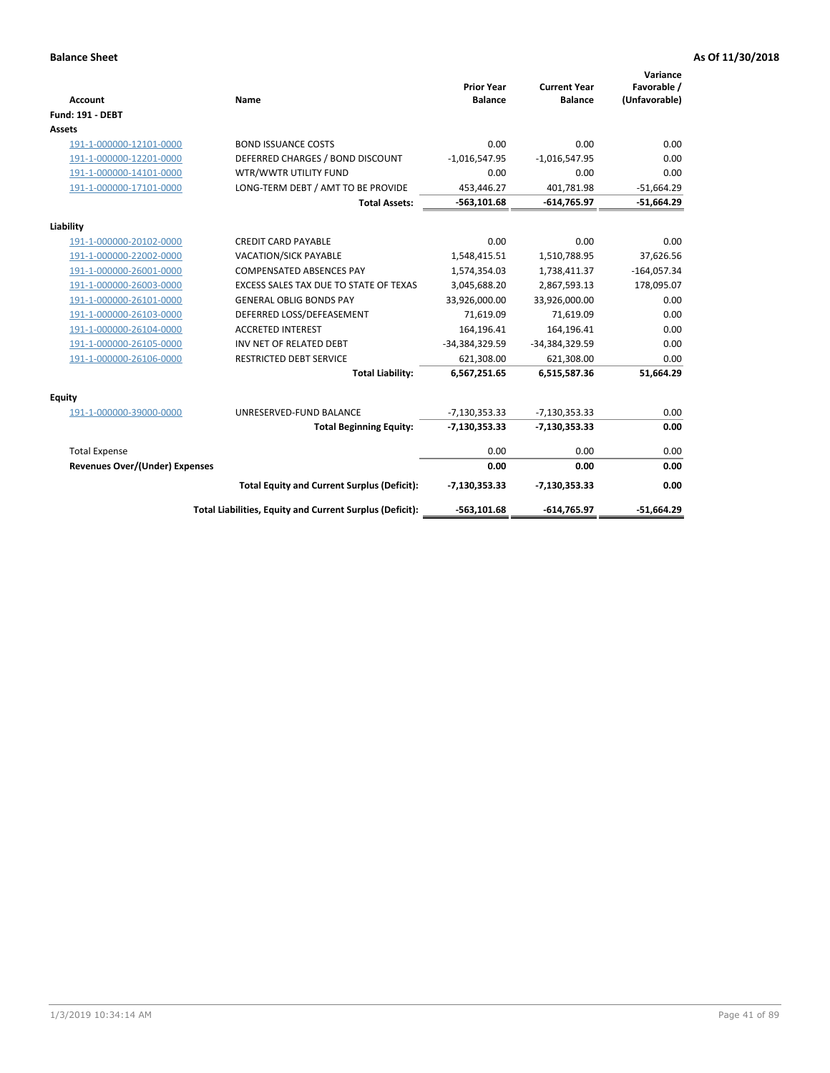| <b>Account</b>                        | Name                                                     | <b>Prior Year</b><br><b>Balance</b> | <b>Current Year</b><br><b>Balance</b> | Variance<br>Favorable /<br>(Unfavorable) |
|---------------------------------------|----------------------------------------------------------|-------------------------------------|---------------------------------------|------------------------------------------|
| <b>Fund: 191 - DEBT</b>               |                                                          |                                     |                                       |                                          |
| Assets                                |                                                          |                                     |                                       |                                          |
| 191-1-000000-12101-0000               | <b>BOND ISSUANCE COSTS</b>                               | 0.00                                | 0.00                                  | 0.00                                     |
| 191-1-000000-12201-0000               | DEFERRED CHARGES / BOND DISCOUNT                         | $-1,016,547.95$                     | $-1,016,547.95$                       | 0.00                                     |
| 191-1-000000-14101-0000               | WTR/WWTR UTILITY FUND                                    | 0.00                                | 0.00                                  | 0.00                                     |
| 191-1-000000-17101-0000               | LONG-TERM DEBT / AMT TO BE PROVIDE                       | 453,446.27                          | 401.781.98                            | $-51,664.29$                             |
|                                       | <b>Total Assets:</b>                                     | $-563, 101.68$                      | $-614,765.97$                         | $-51,664.29$                             |
| Liability                             |                                                          |                                     |                                       |                                          |
| 191-1-000000-20102-0000               | <b>CREDIT CARD PAYABLE</b>                               | 0.00                                | 0.00                                  | 0.00                                     |
| 191-1-000000-22002-0000               | <b>VACATION/SICK PAYABLE</b>                             | 1,548,415.51                        | 1,510,788.95                          | 37,626.56                                |
| 191-1-000000-26001-0000               | <b>COMPENSATED ABSENCES PAY</b>                          | 1,574,354.03                        | 1,738,411.37                          | $-164,057.34$                            |
| 191-1-000000-26003-0000               | EXCESS SALES TAX DUE TO STATE OF TEXAS                   | 3,045,688.20                        | 2,867,593.13                          | 178,095.07                               |
| 191-1-000000-26101-0000               | <b>GENERAL OBLIG BONDS PAY</b>                           | 33,926,000.00                       | 33,926,000.00                         | 0.00                                     |
| 191-1-000000-26103-0000               | DEFERRED LOSS/DEFEASEMENT                                | 71,619.09                           | 71,619.09                             | 0.00                                     |
| 191-1-000000-26104-0000               | <b>ACCRETED INTEREST</b>                                 | 164,196.41                          | 164,196.41                            | 0.00                                     |
| 191-1-000000-26105-0000               | INV NET OF RELATED DEBT                                  | -34,384,329.59                      | -34,384,329.59                        | 0.00                                     |
| 191-1-000000-26106-0000               | <b>RESTRICTED DEBT SERVICE</b>                           | 621,308.00                          | 621,308.00                            | 0.00                                     |
|                                       | <b>Total Liability:</b>                                  | 6,567,251.65                        | 6,515,587.36                          | 51,664.29                                |
| Equity                                |                                                          |                                     |                                       |                                          |
| 191-1-000000-39000-0000               | UNRESERVED-FUND BALANCE                                  | $-7,130,353.33$                     | $-7,130,353.33$                       | 0.00                                     |
|                                       | <b>Total Beginning Equity:</b>                           | $-7,130,353.33$                     | $-7,130,353.33$                       | 0.00                                     |
| <b>Total Expense</b>                  |                                                          | 0.00                                | 0.00                                  | 0.00                                     |
| <b>Revenues Over/(Under) Expenses</b> |                                                          | 0.00                                | 0.00                                  | 0.00                                     |
|                                       | <b>Total Equity and Current Surplus (Deficit):</b>       | $-7,130,353.33$                     | $-7,130,353.33$                       | 0.00                                     |
|                                       | Total Liabilities, Equity and Current Surplus (Deficit): | $-563,101.68$                       | $-614,765.97$                         | $-51,664.29$                             |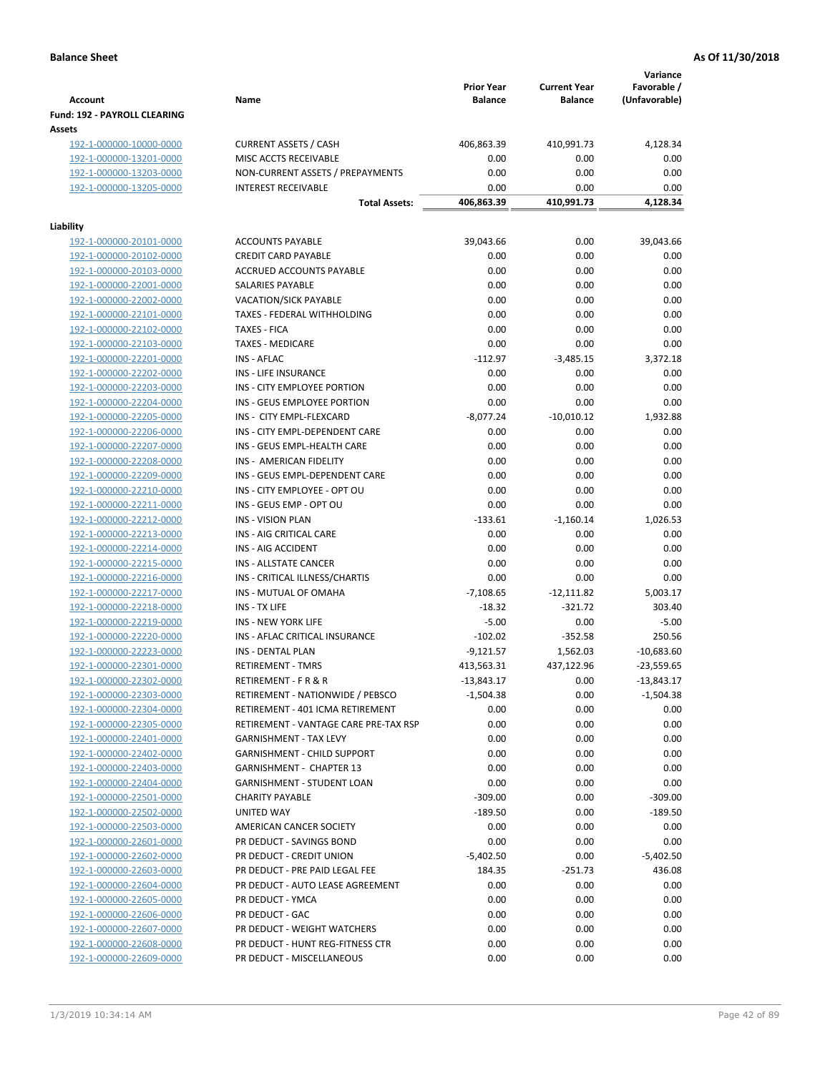| <b>Account</b>                                | Name                                  | <b>Prior Year</b><br><b>Balance</b> | <b>Current Year</b><br><b>Balance</b> | Variance<br>Favorable /<br>(Unfavorable) |
|-----------------------------------------------|---------------------------------------|-------------------------------------|---------------------------------------|------------------------------------------|
| <b>Fund: 192 - PAYROLL CLEARING</b><br>Assets |                                       |                                     |                                       |                                          |
| 192-1-000000-10000-0000                       | <b>CURRENT ASSETS / CASH</b>          | 406,863.39                          | 410,991.73                            | 4,128.34                                 |
| 192-1-000000-13201-0000                       | MISC ACCTS RECEIVABLE                 | 0.00                                | 0.00                                  | 0.00                                     |
| 192-1-000000-13203-0000                       | NON-CURRENT ASSETS / PREPAYMENTS      | 0.00                                | 0.00                                  | 0.00                                     |
| 192-1-000000-13205-0000                       | <b>INTEREST RECEIVABLE</b>            | 0.00                                | 0.00                                  | 0.00                                     |
|                                               | <b>Total Assets:</b>                  | 406,863.39                          | 410,991.73                            | 4,128.34                                 |
| Liability                                     |                                       |                                     |                                       |                                          |
| 192-1-000000-20101-0000                       | <b>ACCOUNTS PAYABLE</b>               | 39,043.66                           | 0.00                                  | 39,043.66                                |
| 192-1-000000-20102-0000                       | <b>CREDIT CARD PAYABLE</b>            | 0.00                                | 0.00                                  | 0.00                                     |
| 192-1-000000-20103-0000                       | ACCRUED ACCOUNTS PAYABLE              | 0.00                                | 0.00                                  | 0.00                                     |
| 192-1-000000-22001-0000                       | SALARIES PAYABLE                      | 0.00                                | 0.00                                  | 0.00                                     |
| 192-1-000000-22002-0000                       | <b>VACATION/SICK PAYABLE</b>          | 0.00                                | 0.00                                  | 0.00                                     |
| 192-1-000000-22101-0000                       | TAXES - FEDERAL WITHHOLDING           | 0.00                                | 0.00                                  | 0.00                                     |
| 192-1-000000-22102-0000                       | <b>TAXES - FICA</b>                   | 0.00                                | 0.00                                  | 0.00                                     |
| 192-1-000000-22103-0000                       | <b>TAXES - MEDICARE</b>               | 0.00                                | 0.00                                  | 0.00                                     |
| 192-1-000000-22201-0000                       | <b>INS - AFLAC</b>                    | $-112.97$                           | $-3,485.15$                           | 3,372.18                                 |
| 192-1-000000-22202-0000                       | INS - LIFE INSURANCE                  | 0.00                                | 0.00                                  | 0.00                                     |
| 192-1-000000-22203-0000                       | INS - CITY EMPLOYEE PORTION           | 0.00                                | 0.00                                  | 0.00                                     |
| 192-1-000000-22204-0000                       | INS - GEUS EMPLOYEE PORTION           | 0.00                                | 0.00                                  | 0.00                                     |
| 192-1-000000-22205-0000                       | INS - CITY EMPL-FLEXCARD              | $-8,077.24$                         | $-10,010.12$                          | 1,932.88                                 |
| 192-1-000000-22206-0000                       | INS - CITY EMPL-DEPENDENT CARE        | 0.00                                | 0.00                                  | 0.00                                     |
| 192-1-000000-22207-0000                       | INS - GEUS EMPL-HEALTH CARE           | 0.00                                | 0.00                                  | 0.00                                     |
| 192-1-000000-22208-0000                       | INS - AMERICAN FIDELITY               | 0.00                                | 0.00                                  | 0.00                                     |
| 192-1-000000-22209-0000                       | INS - GEUS EMPL-DEPENDENT CARE        | 0.00                                | 0.00                                  | 0.00                                     |
| 192-1-000000-22210-0000                       | INS - CITY EMPLOYEE - OPT OU          | 0.00                                | 0.00                                  | 0.00                                     |
| 192-1-000000-22211-0000                       | INS - GEUS EMP - OPT OU               | 0.00                                | 0.00                                  | 0.00                                     |
| 192-1-000000-22212-0000                       | INS - VISION PLAN                     | $-133.61$                           | $-1,160.14$                           | 1,026.53                                 |
| 192-1-000000-22213-0000                       | INS - AIG CRITICAL CARE               | 0.00                                | 0.00                                  | 0.00                                     |
| 192-1-000000-22214-0000                       | INS - AIG ACCIDENT                    | 0.00                                | 0.00                                  | 0.00                                     |
| 192-1-000000-22215-0000                       | INS - ALLSTATE CANCER                 | 0.00                                | 0.00                                  | 0.00                                     |
| 192-1-000000-22216-0000                       | INS - CRITICAL ILLNESS/CHARTIS        | 0.00                                | 0.00                                  | 0.00                                     |
| 192-1-000000-22217-0000                       | INS - MUTUAL OF OMAHA                 | $-7,108.65$                         | $-12,111.82$                          | 5,003.17                                 |
| 192-1-000000-22218-0000                       | INS - TX LIFE                         | $-18.32$                            | $-321.72$                             | 303.40                                   |
| 192-1-000000-22219-0000                       | <b>INS - NEW YORK LIFE</b>            | $-5.00$                             | 0.00                                  | $-5.00$                                  |
| 192-1-000000-22220-0000                       | INS - AFLAC CRITICAL INSURANCE        | $-102.02$                           | $-352.58$                             | 250.56                                   |
| 192-1-000000-22223-0000                       | INS - DENTAL PLAN                     | $-9,121.57$                         | 1,562.03                              | $-10,683.60$                             |
| 192-1-000000-22301-0000                       | <b>RETIREMENT - TMRS</b>              | 413,563.31                          | 437,122.96                            | $-23,559.65$                             |
| 192-1-000000-22302-0000                       | RETIREMENT - F R & R                  | $-13,843.17$                        | 0.00                                  | $-13,843.17$                             |
| 192-1-000000-22303-0000                       | RETIREMENT - NATIONWIDE / PEBSCO      | $-1,504.38$                         | 0.00                                  | $-1,504.38$                              |
| 192-1-000000-22304-0000                       | RETIREMENT - 401 ICMA RETIREMENT      | 0.00                                | 0.00                                  | 0.00                                     |
| 192-1-000000-22305-0000                       | RETIREMENT - VANTAGE CARE PRE-TAX RSP | 0.00                                | 0.00                                  | 0.00                                     |
| 192-1-000000-22401-0000                       | <b>GARNISHMENT - TAX LEVY</b>         | 0.00                                | 0.00                                  | 0.00                                     |
| 192-1-000000-22402-0000                       | GARNISHMENT - CHILD SUPPORT           | 0.00                                | 0.00                                  | 0.00                                     |
| 192-1-000000-22403-0000                       | <b>GARNISHMENT - CHAPTER 13</b>       | 0.00                                | 0.00                                  | 0.00                                     |
| 192-1-000000-22404-0000                       | <b>GARNISHMENT - STUDENT LOAN</b>     | 0.00                                | 0.00                                  | 0.00                                     |
| 192-1-000000-22501-0000                       | <b>CHARITY PAYABLE</b>                | $-309.00$                           | 0.00                                  | $-309.00$                                |
| 192-1-000000-22502-0000                       | UNITED WAY                            | $-189.50$                           | 0.00                                  | $-189.50$                                |
| 192-1-000000-22503-0000                       | AMERICAN CANCER SOCIETY               | 0.00                                | 0.00                                  | 0.00                                     |
| 192-1-000000-22601-0000                       | PR DEDUCT - SAVINGS BOND              | 0.00                                | 0.00                                  | 0.00                                     |
| 192-1-000000-22602-0000                       | PR DEDUCT - CREDIT UNION              | $-5,402.50$                         | 0.00                                  | $-5,402.50$                              |
| 192-1-000000-22603-0000                       | PR DEDUCT - PRE PAID LEGAL FEE        | 184.35                              | $-251.73$                             | 436.08                                   |
| 192-1-000000-22604-0000                       | PR DEDUCT - AUTO LEASE AGREEMENT      | 0.00                                | 0.00                                  | 0.00                                     |
| 192-1-000000-22605-0000                       | PR DEDUCT - YMCA                      | 0.00                                | 0.00                                  | 0.00                                     |
| 192-1-000000-22606-0000                       | PR DEDUCT - GAC                       | 0.00                                | 0.00                                  | 0.00                                     |
| 192-1-000000-22607-0000                       | PR DEDUCT - WEIGHT WATCHERS           | 0.00                                | 0.00                                  | 0.00                                     |
| 192-1-000000-22608-0000                       | PR DEDUCT - HUNT REG-FITNESS CTR      | 0.00                                | 0.00                                  | 0.00                                     |
| 192-1-000000-22609-0000                       | PR DEDUCT - MISCELLANEOUS             | 0.00                                | 0.00                                  | 0.00                                     |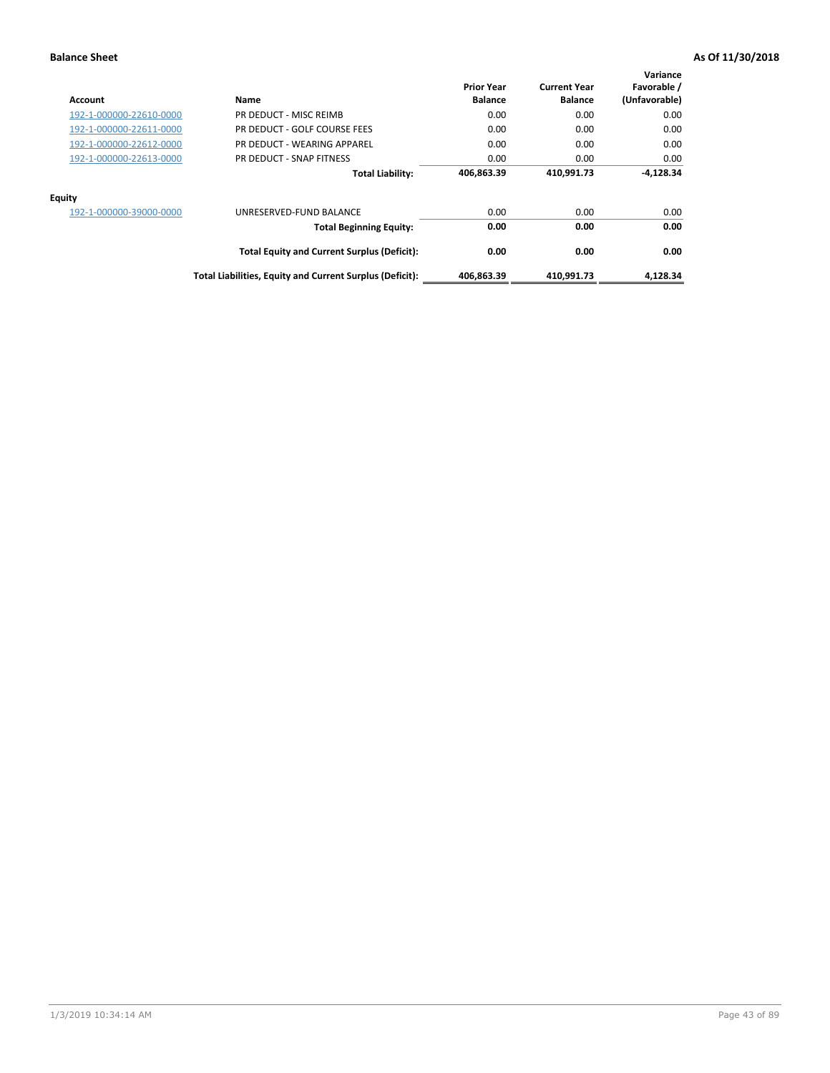| Account                 | Name                                                     | <b>Prior Year</b><br><b>Balance</b> | <b>Current Year</b><br><b>Balance</b> | Variance<br>Favorable /<br>(Unfavorable) |
|-------------------------|----------------------------------------------------------|-------------------------------------|---------------------------------------|------------------------------------------|
| 192-1-000000-22610-0000 | PR DEDUCT - MISC REIMB                                   | 0.00                                | 0.00                                  | 0.00                                     |
| 192-1-000000-22611-0000 | PR DEDUCT - GOLF COURSE FEES                             | 0.00                                | 0.00                                  | 0.00                                     |
| 192-1-000000-22612-0000 | PR DEDUCT - WEARING APPAREL                              | 0.00                                | 0.00                                  | 0.00                                     |
| 192-1-000000-22613-0000 | PR DEDUCT - SNAP FITNESS                                 | 0.00                                | 0.00                                  | 0.00                                     |
|                         | <b>Total Liability:</b>                                  | 406,863.39                          | 410,991.73                            | $-4,128.34$                              |
| Equity                  |                                                          |                                     |                                       |                                          |
| 192-1-000000-39000-0000 | UNRESERVED-FUND BALANCE                                  | 0.00                                | 0.00                                  | 0.00                                     |
|                         | <b>Total Beginning Equity:</b>                           | 0.00                                | 0.00                                  | 0.00                                     |
|                         | <b>Total Equity and Current Surplus (Deficit):</b>       | 0.00                                | 0.00                                  | 0.00                                     |
|                         | Total Liabilities, Equity and Current Surplus (Deficit): | 406,863.39                          | 410,991.73                            | 4,128.34                                 |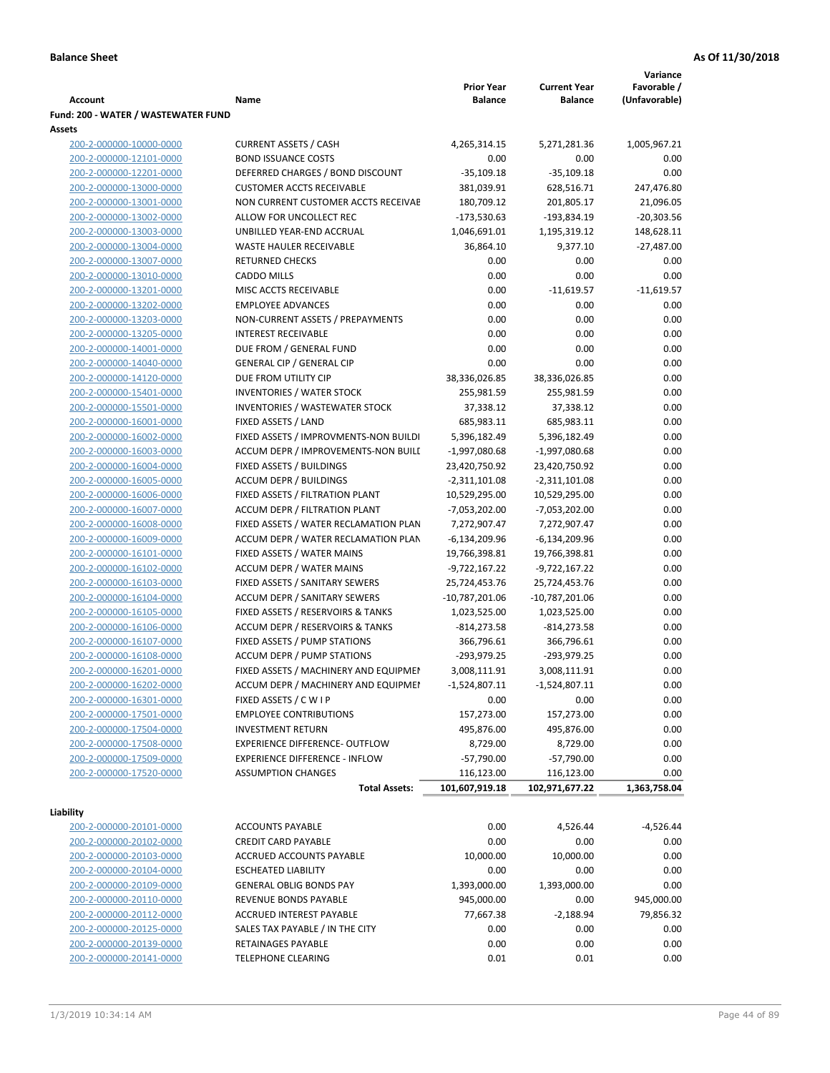|                                                    |                                       |                      |                      | Variance      |
|----------------------------------------------------|---------------------------------------|----------------------|----------------------|---------------|
|                                                    |                                       | <b>Prior Year</b>    | <b>Current Year</b>  | Favorable /   |
| <b>Account</b>                                     | Name                                  | <b>Balance</b>       | <b>Balance</b>       | (Unfavorable) |
| Fund: 200 - WATER / WASTEWATER FUND                |                                       |                      |                      |               |
| Assets                                             |                                       |                      |                      |               |
| 200-2-000000-10000-0000                            | <b>CURRENT ASSETS / CASH</b>          | 4,265,314.15         | 5,271,281.36         | 1,005,967.21  |
| 200-2-000000-12101-0000                            | <b>BOND ISSUANCE COSTS</b>            | 0.00                 | 0.00                 | 0.00          |
| 200-2-000000-12201-0000                            | DEFERRED CHARGES / BOND DISCOUNT      | $-35,109.18$         | $-35,109.18$         | 0.00          |
| 200-2-000000-13000-0000                            | <b>CUSTOMER ACCTS RECEIVABLE</b>      | 381,039.91           | 628,516.71           | 247,476.80    |
| 200-2-000000-13001-0000                            | NON CURRENT CUSTOMER ACCTS RECEIVAE   | 180,709.12           | 201,805.17           | 21,096.05     |
| 200-2-000000-13002-0000                            | ALLOW FOR UNCOLLECT REC               | $-173,530.63$        | -193,834.19          | $-20,303.56$  |
| 200-2-000000-13003-0000                            | UNBILLED YEAR-END ACCRUAL             | 1,046,691.01         | 1,195,319.12         | 148,628.11    |
| 200-2-000000-13004-0000                            | <b>WASTE HAULER RECEIVABLE</b>        | 36,864.10            | 9,377.10             | $-27,487.00$  |
| 200-2-000000-13007-0000                            | <b>RETURNED CHECKS</b>                | 0.00                 | 0.00                 | 0.00          |
| 200-2-000000-13010-0000                            | <b>CADDO MILLS</b>                    | 0.00                 | 0.00                 | 0.00          |
| 200-2-000000-13201-0000                            | MISC ACCTS RECEIVABLE                 | 0.00                 | $-11,619.57$         | $-11,619.57$  |
| 200-2-000000-13202-0000                            | <b>EMPLOYEE ADVANCES</b>              | 0.00                 | 0.00                 | 0.00          |
| 200-2-000000-13203-0000                            | NON-CURRENT ASSETS / PREPAYMENTS      | 0.00                 | 0.00                 | 0.00          |
| 200-2-000000-13205-0000                            | <b>INTEREST RECEIVABLE</b>            | 0.00                 | 0.00                 | 0.00          |
| 200-2-000000-14001-0000                            | DUE FROM / GENERAL FUND               | 0.00                 | 0.00                 | 0.00          |
| 200-2-000000-14040-0000                            | <b>GENERAL CIP / GENERAL CIP</b>      | 0.00                 | 0.00                 | 0.00          |
| 200-2-000000-14120-0000                            | DUE FROM UTILITY CIP                  | 38,336,026.85        | 38,336,026.85        | 0.00          |
| 200-2-000000-15401-0000                            | <b>INVENTORIES / WATER STOCK</b>      | 255,981.59           | 255,981.59           | 0.00          |
| 200-2-000000-15501-0000                            | <b>INVENTORIES / WASTEWATER STOCK</b> | 37,338.12            | 37,338.12            | 0.00          |
| 200-2-000000-16001-0000                            | FIXED ASSETS / LAND                   | 685,983.11           | 685,983.11           | 0.00          |
| 200-2-000000-16002-0000                            | FIXED ASSETS / IMPROVMENTS-NON BUILDI | 5,396,182.49         | 5,396,182.49         | 0.00          |
| 200-2-000000-16003-0000                            | ACCUM DEPR / IMPROVEMENTS-NON BUILI   | $-1,997,080.68$      | -1,997,080.68        | 0.00          |
| 200-2-000000-16004-0000                            | FIXED ASSETS / BUILDINGS              | 23,420,750.92        | 23,420,750.92        | 0.00          |
| 200-2-000000-16005-0000                            | <b>ACCUM DEPR / BUILDINGS</b>         | $-2,311,101.08$      | $-2,311,101.08$      | 0.00          |
| 200-2-000000-16006-0000                            | FIXED ASSETS / FILTRATION PLANT       | 10,529,295.00        | 10,529,295.00        | 0.00          |
| 200-2-000000-16007-0000                            | ACCUM DEPR / FILTRATION PLANT         | -7,053,202.00        | $-7,053,202.00$      | 0.00          |
| 200-2-000000-16008-0000                            | FIXED ASSETS / WATER RECLAMATION PLAN | 7,272,907.47         | 7,272,907.47         | 0.00          |
| 200-2-000000-16009-0000                            | ACCUM DEPR / WATER RECLAMATION PLAN   | $-6,134,209.96$      | $-6,134,209.96$      | 0.00          |
| 200-2-000000-16101-0000                            | FIXED ASSETS / WATER MAINS            | 19,766,398.81        | 19,766,398.81        | 0.00          |
| 200-2-000000-16102-0000                            | <b>ACCUM DEPR / WATER MAINS</b>       | -9,722,167.22        | -9,722,167.22        | 0.00          |
| 200-2-000000-16103-0000                            | FIXED ASSETS / SANITARY SEWERS        | 25,724,453.76        | 25,724,453.76        | 0.00          |
| 200-2-000000-16104-0000                            | <b>ACCUM DEPR / SANITARY SEWERS</b>   | $-10,787,201.06$     | $-10,787,201.06$     | 0.00          |
| 200-2-000000-16105-0000                            | FIXED ASSETS / RESERVOIRS & TANKS     | 1,023,525.00         | 1,023,525.00         | 0.00          |
| 200-2-000000-16106-0000                            | ACCUM DEPR / RESERVOIRS & TANKS       | $-814, 273.58$       | $-814,273.58$        | 0.00          |
| 200-2-000000-16107-0000                            | FIXED ASSETS / PUMP STATIONS          | 366,796.61           | 366,796.61           | 0.00          |
| 200-2-000000-16108-0000                            | <b>ACCUM DEPR / PUMP STATIONS</b>     | $-293,979.25$        | $-293,979.25$        | 0.00          |
| 200-2-000000-16201-0000                            | FIXED ASSETS / MACHINERY AND EQUIPMEN | 3,008,111.91         | 3,008,111.91         | 0.00          |
| 200-2-000000-16202-0000                            | ACCUM DEPR / MACHINERY AND EQUIPMEI   | $-1,524,807.11$      | $-1,524,807.11$      | 0.00          |
| 200-2-000000-16301-0000                            | FIXED ASSETS / C W I P                | 0.00                 | 0.00                 | 0.00          |
| 200-2-000000-17501-0000                            | <b>EMPLOYEE CONTRIBUTIONS</b>         | 157,273.00           | 157,273.00           | 0.00          |
| 200-2-000000-17504-0000                            | <b>INVESTMENT RETURN</b>              | 495,876.00           | 495,876.00           | 0.00          |
| 200-2-000000-17508-0000                            | EXPERIENCE DIFFERENCE- OUTFLOW        | 8,729.00             | 8,729.00             | 0.00          |
| 200-2-000000-17509-0000                            | <b>EXPERIENCE DIFFERENCE - INFLOW</b> | $-57,790.00$         | $-57,790.00$         | 0.00          |
| 200-2-000000-17520-0000                            | <b>ASSUMPTION CHANGES</b>             | 116,123.00           | 116,123.00           | 0.00          |
|                                                    | <b>Total Assets:</b>                  | 101,607,919.18       | 102,971,677.22       | 1,363,758.04  |
| Liability                                          |                                       |                      |                      |               |
| 200-2-000000-20101-0000                            | <b>ACCOUNTS PAYABLE</b>               | 0.00                 | 4,526.44             | $-4,526.44$   |
| 200-2-000000-20102-0000                            | <b>CREDIT CARD PAYABLE</b>            | 0.00                 | 0.00                 | 0.00          |
| 200-2-000000-20103-0000                            | ACCRUED ACCOUNTS PAYABLE              | 10,000.00            | 10,000.00            | 0.00          |
|                                                    | <b>ESCHEATED LIABILITY</b>            |                      |                      |               |
| 200-2-000000-20104-0000<br>200-2-000000-20109-0000 | <b>GENERAL OBLIG BONDS PAY</b>        | 0.00<br>1,393,000.00 | 0.00<br>1,393,000.00 | 0.00<br>0.00  |
| 200-2-000000-20110-0000                            | REVENUE BONDS PAYABLE                 | 945,000.00           | 0.00                 | 945,000.00    |
| 200-2-000000-20112-0000                            | ACCRUED INTEREST PAYABLE              | 77,667.38            | $-2,188.94$          | 79,856.32     |
| 200-2-000000-20125-0000                            | SALES TAX PAYABLE / IN THE CITY       | 0.00                 | 0.00                 | 0.00          |
| 200-2-000000-20139-0000                            | RETAINAGES PAYABLE                    | 0.00                 | 0.00                 | 0.00          |
| 200-2-000000-20141-0000                            | <b>TELEPHONE CLEARING</b>             | 0.01                 | 0.01                 | 0.00          |
|                                                    |                                       |                      |                      |               |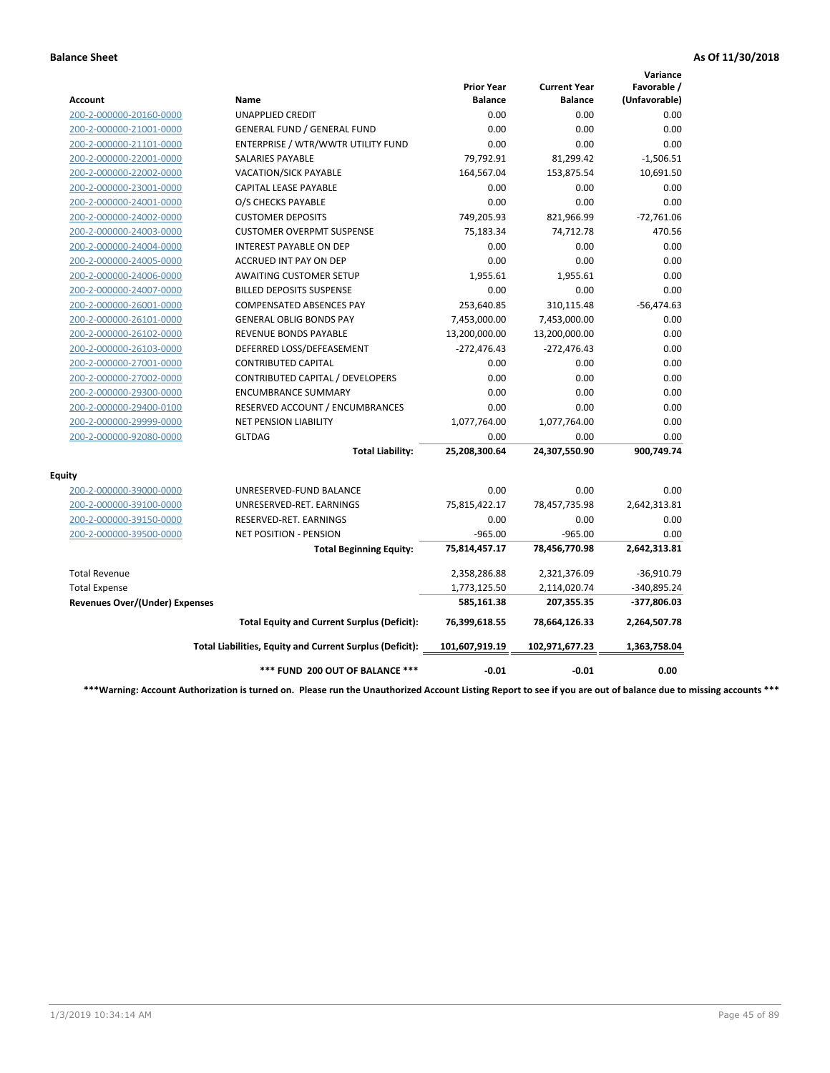|                                       |                                                          |                                     |                                       | Variance                     |
|---------------------------------------|----------------------------------------------------------|-------------------------------------|---------------------------------------|------------------------------|
| Account                               | Name                                                     | <b>Prior Year</b><br><b>Balance</b> | <b>Current Year</b><br><b>Balance</b> | Favorable /<br>(Unfavorable) |
| 200-2-000000-20160-0000               | <b>UNAPPLIED CREDIT</b>                                  | 0.00                                | 0.00                                  | 0.00                         |
| 200-2-000000-21001-0000               | <b>GENERAL FUND / GENERAL FUND</b>                       | 0.00                                | 0.00                                  | 0.00                         |
| 200-2-000000-21101-0000               | ENTERPRISE / WTR/WWTR UTILITY FUND                       | 0.00                                | 0.00                                  | 0.00                         |
| 200-2-000000-22001-0000               | <b>SALARIES PAYABLE</b>                                  | 79,792.91                           | 81,299.42                             | $-1,506.51$                  |
| 200-2-000000-22002-0000               | <b>VACATION/SICK PAYABLE</b>                             | 164,567.04                          | 153,875.54                            | 10,691.50                    |
| 200-2-000000-23001-0000               | CAPITAL LEASE PAYABLE                                    | 0.00                                | 0.00                                  | 0.00                         |
| 200-2-000000-24001-0000               | O/S CHECKS PAYABLE                                       | 0.00                                | 0.00                                  | 0.00                         |
| 200-2-000000-24002-0000               | <b>CUSTOMER DEPOSITS</b>                                 | 749,205.93                          | 821,966.99                            | $-72,761.06$                 |
| 200-2-000000-24003-0000               | <b>CUSTOMER OVERPMT SUSPENSE</b>                         | 75,183.34                           | 74,712.78                             | 470.56                       |
| 200-2-000000-24004-0000               | <b>INTEREST PAYABLE ON DEP</b>                           | 0.00                                | 0.00                                  | 0.00                         |
| 200-2-000000-24005-0000               | <b>ACCRUED INT PAY ON DEP</b>                            | 0.00                                | 0.00                                  | 0.00                         |
| 200-2-000000-24006-0000               | <b>AWAITING CUSTOMER SETUP</b>                           | 1,955.61                            | 1,955.61                              | 0.00                         |
| 200-2-000000-24007-0000               | <b>BILLED DEPOSITS SUSPENSE</b>                          | 0.00                                | 0.00                                  | 0.00                         |
| 200-2-000000-26001-0000               | <b>COMPENSATED ABSENCES PAY</b>                          | 253,640.85                          | 310,115.48                            | $-56,474.63$                 |
| 200-2-000000-26101-0000               | <b>GENERAL OBLIG BONDS PAY</b>                           | 7,453,000.00                        | 7,453,000.00                          | 0.00                         |
| 200-2-000000-26102-0000               | <b>REVENUE BONDS PAYABLE</b>                             | 13,200,000.00                       | 13,200,000.00                         | 0.00                         |
| 200-2-000000-26103-0000               | DEFERRED LOSS/DEFEASEMENT                                | $-272,476.43$                       | $-272,476.43$                         | 0.00                         |
| 200-2-000000-27001-0000               | <b>CONTRIBUTED CAPITAL</b>                               | 0.00                                | 0.00                                  | 0.00                         |
| 200-2-000000-27002-0000               | CONTRIBUTED CAPITAL / DEVELOPERS                         | 0.00                                | 0.00                                  | 0.00                         |
| 200-2-000000-29300-0000               | <b>ENCUMBRANCE SUMMARY</b>                               | 0.00                                | 0.00                                  | 0.00                         |
| 200-2-000000-29400-0100               | RESERVED ACCOUNT / ENCUMBRANCES                          | 0.00                                | 0.00                                  | 0.00                         |
| 200-2-000000-29999-0000               | <b>NET PENSION LIABILITY</b>                             | 1,077,764.00                        | 1,077,764.00                          | 0.00                         |
| 200-2-000000-92080-0000               | <b>GLTDAG</b>                                            | 0.00                                | 0.00                                  | 0.00                         |
|                                       | <b>Total Liability:</b>                                  | 25,208,300.64                       | 24,307,550.90                         | 900,749.74                   |
| <b>Equity</b>                         |                                                          |                                     |                                       |                              |
| 200-2-000000-39000-0000               | UNRESERVED-FUND BALANCE                                  | 0.00                                | 0.00                                  | 0.00                         |
| 200-2-000000-39100-0000               | UNRESERVED-RET. EARNINGS                                 | 75,815,422.17                       | 78,457,735.98                         | 2,642,313.81                 |
| 200-2-000000-39150-0000               | RESERVED-RET. EARNINGS                                   | 0.00                                | 0.00                                  | 0.00                         |
| 200-2-000000-39500-0000               | NET POSITION - PENSION                                   | $-965.00$                           | $-965.00$                             | 0.00                         |
|                                       | <b>Total Beginning Equity:</b>                           | 75,814,457.17                       | 78,456,770.98                         | 2,642,313.81                 |
| <b>Total Revenue</b>                  |                                                          | 2,358,286.88                        | 2,321,376.09                          | $-36,910.79$                 |
| <b>Total Expense</b>                  |                                                          | 1,773,125.50                        | 2,114,020.74                          | -340,895.24                  |
| <b>Revenues Over/(Under) Expenses</b> |                                                          | 585,161.38                          | 207,355.35                            | -377,806.03                  |
|                                       | <b>Total Equity and Current Surplus (Deficit):</b>       | 76,399,618.55                       | 78,664,126.33                         | 2,264,507.78                 |
|                                       | Total Liabilities, Equity and Current Surplus (Deficit): | 101,607,919.19                      | 102,971,677.23                        | 1,363,758.04                 |
|                                       | *** FUND 200 OUT OF BALANCE ***                          | $-0.01$                             | $-0.01$                               | 0.00                         |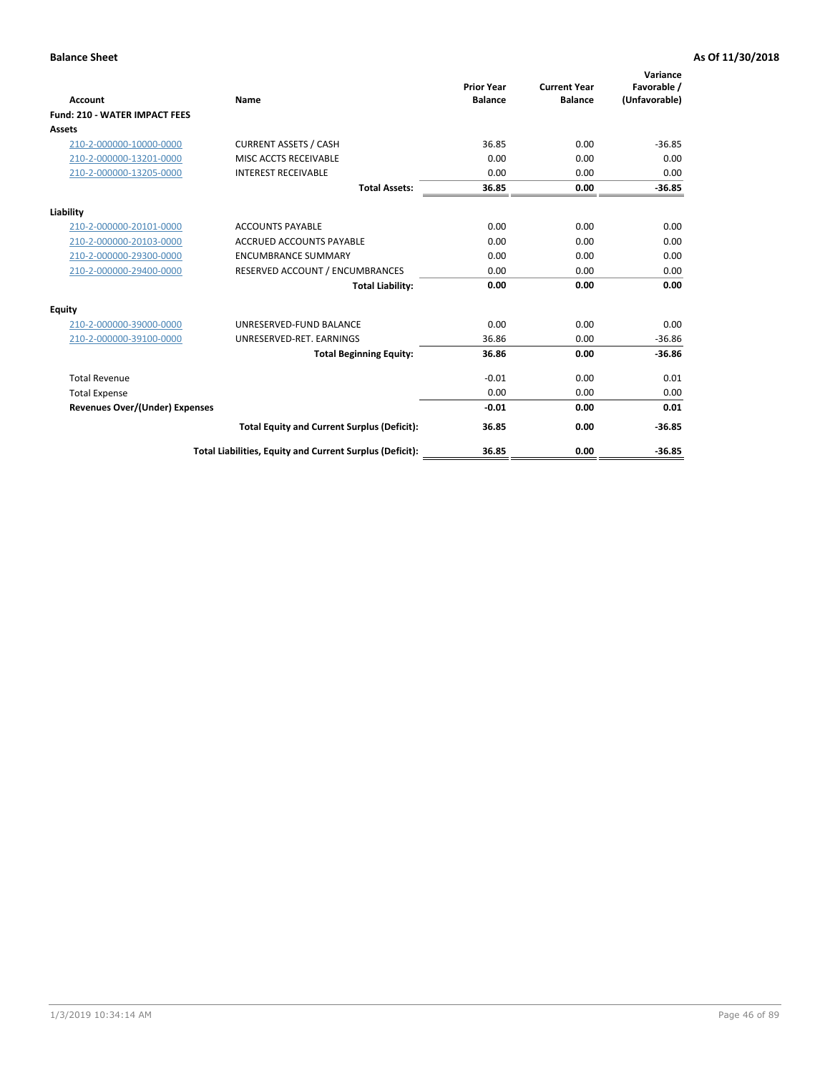| Account                              | Name                                                     | <b>Prior Year</b><br><b>Balance</b> | <b>Current Year</b><br><b>Balance</b> | Variance<br>Favorable /<br>(Unfavorable) |
|--------------------------------------|----------------------------------------------------------|-------------------------------------|---------------------------------------|------------------------------------------|
| <b>Fund: 210 - WATER IMPACT FEES</b> |                                                          |                                     |                                       |                                          |
| <b>Assets</b>                        |                                                          |                                     |                                       |                                          |
| 210-2-000000-10000-0000              | <b>CURRENT ASSETS / CASH</b>                             | 36.85                               | 0.00                                  | $-36.85$                                 |
| 210-2-000000-13201-0000              | MISC ACCTS RECEIVABLE                                    | 0.00                                | 0.00                                  | 0.00                                     |
| 210-2-000000-13205-0000              | <b>INTEREST RECEIVABLE</b>                               | 0.00                                | 0.00                                  | 0.00                                     |
|                                      | <b>Total Assets:</b>                                     | 36.85                               | 0.00                                  | $-36.85$                                 |
| Liability                            |                                                          |                                     |                                       |                                          |
| 210-2-000000-20101-0000              | <b>ACCOUNTS PAYABLE</b>                                  | 0.00                                | 0.00                                  | 0.00                                     |
| 210-2-000000-20103-0000              | <b>ACCRUED ACCOUNTS PAYABLE</b>                          | 0.00                                | 0.00                                  | 0.00                                     |
| 210-2-000000-29300-0000              | <b>ENCUMBRANCE SUMMARY</b>                               | 0.00                                | 0.00                                  | 0.00                                     |
| 210-2-000000-29400-0000              | RESERVED ACCOUNT / ENCUMBRANCES                          | 0.00                                | 0.00                                  | 0.00                                     |
|                                      | <b>Total Liability:</b>                                  | 0.00                                | 0.00                                  | 0.00                                     |
| Equity                               |                                                          |                                     |                                       |                                          |
| 210-2-000000-39000-0000              | UNRESERVED-FUND BALANCE                                  | 0.00                                | 0.00                                  | 0.00                                     |
| 210-2-000000-39100-0000              | UNRESERVED-RET. EARNINGS                                 | 36.86                               | 0.00                                  | $-36.86$                                 |
|                                      | <b>Total Beginning Equity:</b>                           | 36.86                               | 0.00                                  | $-36.86$                                 |
| <b>Total Revenue</b>                 |                                                          | $-0.01$                             | 0.00                                  | 0.01                                     |
| <b>Total Expense</b>                 |                                                          | 0.00                                | 0.00                                  | 0.00                                     |
| Revenues Over/(Under) Expenses       |                                                          | $-0.01$                             | 0.00                                  | 0.01                                     |
|                                      | <b>Total Equity and Current Surplus (Deficit):</b>       | 36.85                               | 0.00                                  | $-36.85$                                 |
|                                      | Total Liabilities, Equity and Current Surplus (Deficit): | 36.85                               | 0.00                                  | $-36.85$                                 |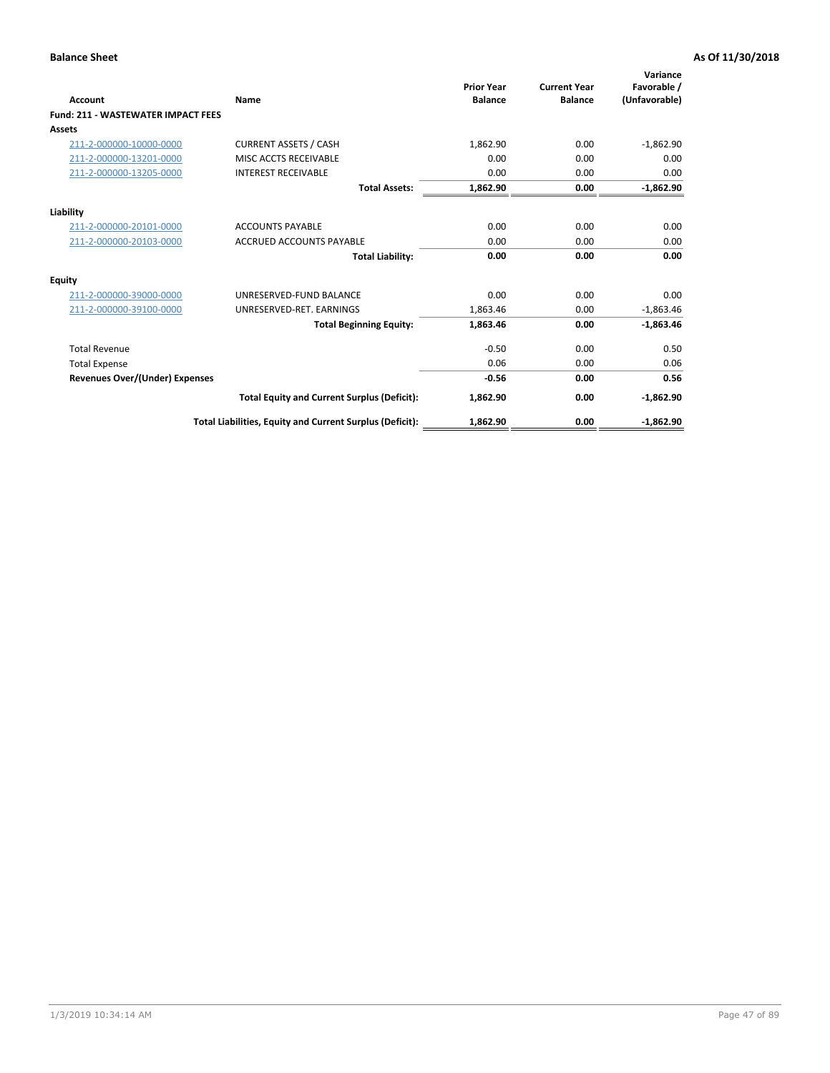| <b>Account</b>                        | Name                                                     | <b>Prior Year</b><br><b>Balance</b> | <b>Current Year</b><br><b>Balance</b> | Variance<br>Favorable /<br>(Unfavorable) |
|---------------------------------------|----------------------------------------------------------|-------------------------------------|---------------------------------------|------------------------------------------|
| Fund: 211 - WASTEWATER IMPACT FEES    |                                                          |                                     |                                       |                                          |
| <b>Assets</b>                         |                                                          |                                     |                                       |                                          |
| 211-2-000000-10000-0000               | <b>CURRENT ASSETS / CASH</b>                             | 1,862.90                            | 0.00                                  | $-1,862.90$                              |
| 211-2-000000-13201-0000               | MISC ACCTS RECEIVABLE                                    | 0.00                                | 0.00                                  | 0.00                                     |
| 211-2-000000-13205-0000               | <b>INTEREST RECEIVABLE</b>                               | 0.00                                | 0.00                                  | 0.00                                     |
|                                       | <b>Total Assets:</b>                                     | 1,862.90                            | 0.00                                  | $-1,862.90$                              |
| Liability                             |                                                          |                                     |                                       |                                          |
| 211-2-000000-20101-0000               | <b>ACCOUNTS PAYABLE</b>                                  | 0.00                                | 0.00                                  | 0.00                                     |
| 211-2-000000-20103-0000               | <b>ACCRUED ACCOUNTS PAYABLE</b>                          | 0.00                                | 0.00                                  | 0.00                                     |
|                                       | <b>Total Liability:</b>                                  | 0.00                                | 0.00                                  | 0.00                                     |
| Equity                                |                                                          |                                     |                                       |                                          |
| 211-2-000000-39000-0000               | UNRESERVED-FUND BALANCE                                  | 0.00                                | 0.00                                  | 0.00                                     |
| 211-2-000000-39100-0000               | UNRESERVED-RET. EARNINGS                                 | 1,863.46                            | 0.00                                  | $-1,863.46$                              |
|                                       | <b>Total Beginning Equity:</b>                           | 1,863.46                            | 0.00                                  | $-1,863.46$                              |
| <b>Total Revenue</b>                  |                                                          | $-0.50$                             | 0.00                                  | 0.50                                     |
| <b>Total Expense</b>                  |                                                          | 0.06                                | 0.00                                  | 0.06                                     |
| <b>Revenues Over/(Under) Expenses</b> |                                                          | $-0.56$                             | 0.00                                  | 0.56                                     |
|                                       | <b>Total Equity and Current Surplus (Deficit):</b>       | 1,862.90                            | 0.00                                  | $-1,862.90$                              |
|                                       | Total Liabilities, Equity and Current Surplus (Deficit): | 1,862.90                            | 0.00                                  | $-1,862.90$                              |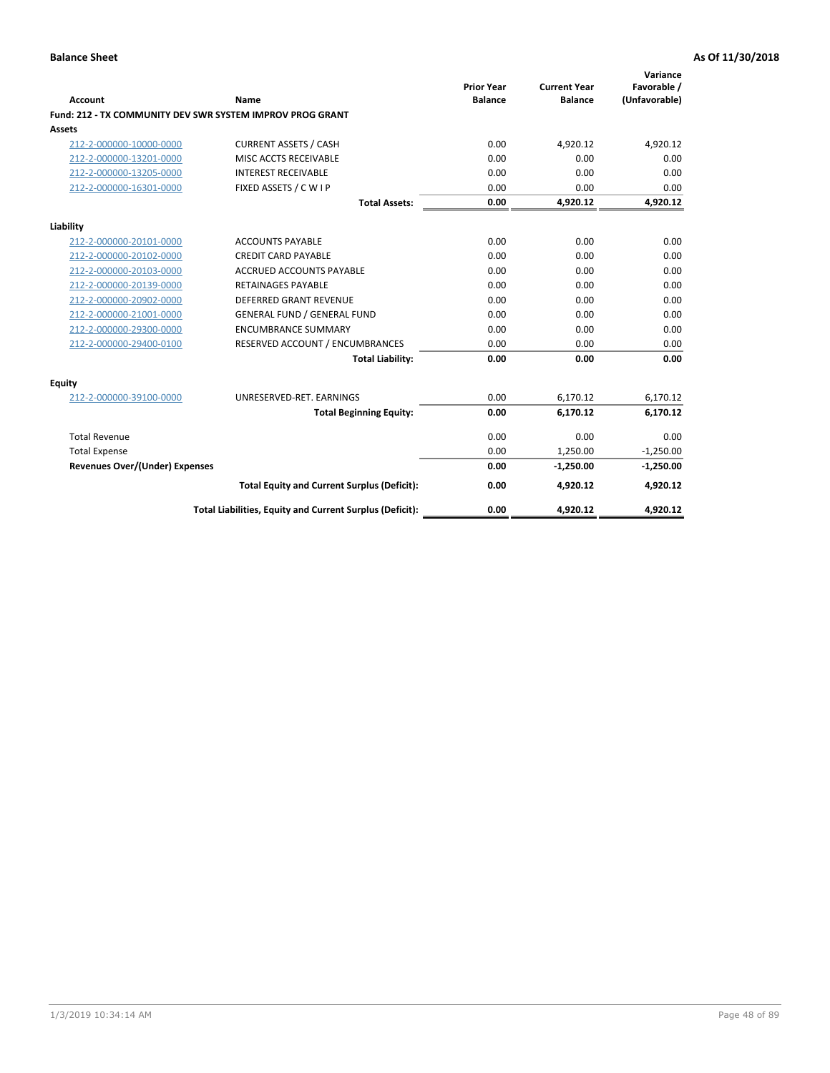| <b>Account</b>                        | Name                                                      | <b>Prior Year</b><br><b>Balance</b> | <b>Current Year</b><br><b>Balance</b> | Variance<br>Favorable /<br>(Unfavorable) |
|---------------------------------------|-----------------------------------------------------------|-------------------------------------|---------------------------------------|------------------------------------------|
|                                       | Fund: 212 - TX COMMUNITY DEV SWR SYSTEM IMPROV PROG GRANT |                                     |                                       |                                          |
| <b>Assets</b>                         |                                                           |                                     |                                       |                                          |
| 212-2-000000-10000-0000               | <b>CURRENT ASSETS / CASH</b>                              | 0.00                                | 4,920.12                              | 4,920.12                                 |
| 212-2-000000-13201-0000               | MISC ACCTS RECEIVABLE                                     | 0.00                                | 0.00                                  | 0.00                                     |
| 212-2-000000-13205-0000               | <b>INTEREST RECEIVABLE</b>                                | 0.00                                | 0.00                                  | 0.00                                     |
| 212-2-000000-16301-0000               | FIXED ASSETS / C W I P                                    | 0.00                                | 0.00                                  | 0.00                                     |
|                                       | <b>Total Assets:</b>                                      | 0.00                                | 4,920.12                              | 4,920.12                                 |
| Liability                             |                                                           |                                     |                                       |                                          |
| 212-2-000000-20101-0000               | <b>ACCOUNTS PAYABLE</b>                                   | 0.00                                | 0.00                                  | 0.00                                     |
| 212-2-000000-20102-0000               | <b>CREDIT CARD PAYABLE</b>                                | 0.00                                | 0.00                                  | 0.00                                     |
| 212-2-000000-20103-0000               | <b>ACCRUED ACCOUNTS PAYABLE</b>                           | 0.00                                | 0.00                                  | 0.00                                     |
| 212-2-000000-20139-0000               | <b>RETAINAGES PAYABLE</b>                                 | 0.00                                | 0.00                                  | 0.00                                     |
| 212-2-000000-20902-0000               | <b>DEFERRED GRANT REVENUE</b>                             | 0.00                                | 0.00                                  | 0.00                                     |
| 212-2-000000-21001-0000               | <b>GENERAL FUND / GENERAL FUND</b>                        | 0.00                                | 0.00                                  | 0.00                                     |
| 212-2-000000-29300-0000               | <b>ENCUMBRANCE SUMMARY</b>                                | 0.00                                | 0.00                                  | 0.00                                     |
| 212-2-000000-29400-0100               | RESERVED ACCOUNT / ENCUMBRANCES                           | 0.00                                | 0.00                                  | 0.00                                     |
|                                       | <b>Total Liability:</b>                                   | 0.00                                | 0.00                                  | 0.00                                     |
| Equity                                |                                                           |                                     |                                       |                                          |
| 212-2-000000-39100-0000               | UNRESERVED-RET. EARNINGS                                  | 0.00                                | 6,170.12                              | 6,170.12                                 |
|                                       | <b>Total Beginning Equity:</b>                            | 0.00                                | 6,170.12                              | 6,170.12                                 |
| <b>Total Revenue</b>                  |                                                           | 0.00                                | 0.00                                  | 0.00                                     |
| <b>Total Expense</b>                  |                                                           | 0.00                                | 1,250.00                              | $-1,250.00$                              |
| <b>Revenues Over/(Under) Expenses</b> |                                                           | 0.00                                | $-1,250.00$                           | $-1,250.00$                              |
|                                       | <b>Total Equity and Current Surplus (Deficit):</b>        | 0.00                                | 4,920.12                              | 4,920.12                                 |
|                                       | Total Liabilities, Equity and Current Surplus (Deficit):  | 0.00                                | 4,920.12                              | 4,920.12                                 |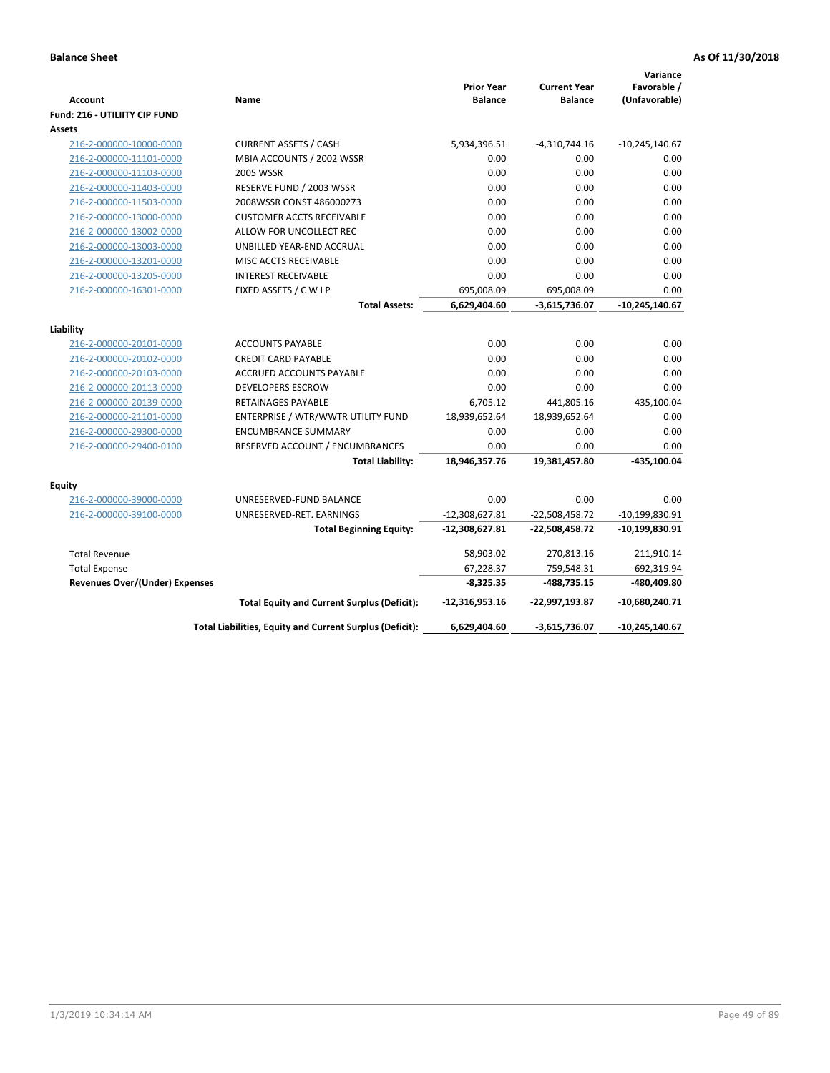| <b>Account</b>                          | Name                                                     | <b>Prior Year</b><br><b>Balance</b> | <b>Current Year</b><br><b>Balance</b> | Variance<br>Favorable /<br>(Unfavorable) |
|-----------------------------------------|----------------------------------------------------------|-------------------------------------|---------------------------------------|------------------------------------------|
| Fund: 216 - UTILIITY CIP FUND<br>Assets |                                                          |                                     |                                       |                                          |
| 216-2-000000-10000-0000                 | <b>CURRENT ASSETS / CASH</b>                             | 5,934,396.51                        | $-4,310,744.16$                       | $-10,245,140.67$                         |
| 216-2-000000-11101-0000                 | MBIA ACCOUNTS / 2002 WSSR                                | 0.00                                | 0.00                                  | 0.00                                     |
| 216-2-000000-11103-0000                 | 2005 WSSR                                                | 0.00                                | 0.00                                  | 0.00                                     |
| 216-2-000000-11403-0000                 | RESERVE FUND / 2003 WSSR                                 | 0.00                                | 0.00                                  | 0.00                                     |
| 216-2-000000-11503-0000                 | 2008WSSR CONST 486000273                                 | 0.00                                | 0.00                                  | 0.00                                     |
| 216-2-000000-13000-0000                 | <b>CUSTOMER ACCTS RECEIVABLE</b>                         | 0.00                                | 0.00                                  | 0.00                                     |
| 216-2-000000-13002-0000                 | ALLOW FOR UNCOLLECT REC                                  | 0.00                                | 0.00                                  | 0.00                                     |
| 216-2-000000-13003-0000                 | UNBILLED YEAR-END ACCRUAL                                | 0.00                                | 0.00                                  | 0.00                                     |
| 216-2-000000-13201-0000                 | MISC ACCTS RECEIVABLE                                    | 0.00                                | 0.00                                  | 0.00                                     |
| 216-2-000000-13205-0000                 | <b>INTEREST RECEIVABLE</b>                               | 0.00                                | 0.00                                  | 0.00                                     |
| 216-2-000000-16301-0000                 | FIXED ASSETS / C W I P                                   | 695,008.09                          | 695,008.09                            | 0.00                                     |
|                                         | <b>Total Assets:</b>                                     | 6,629,404.60                        | $-3,615,736.07$                       | $-10,245,140.67$                         |
|                                         |                                                          |                                     |                                       |                                          |
| Liability                               |                                                          |                                     |                                       |                                          |
| 216-2-000000-20101-0000                 | <b>ACCOUNTS PAYABLE</b>                                  | 0.00                                | 0.00                                  | 0.00                                     |
| 216-2-000000-20102-0000                 | <b>CREDIT CARD PAYABLE</b>                               | 0.00                                | 0.00                                  | 0.00                                     |
| 216-2-000000-20103-0000                 | ACCRUED ACCOUNTS PAYABLE                                 | 0.00                                | 0.00                                  | 0.00                                     |
| 216-2-000000-20113-0000                 | <b>DEVELOPERS ESCROW</b>                                 | 0.00                                | 0.00                                  | 0.00                                     |
| 216-2-000000-20139-0000                 | RETAINAGES PAYABLE                                       | 6,705.12                            | 441,805.16                            | $-435,100.04$                            |
| 216-2-000000-21101-0000                 | ENTERPRISE / WTR/WWTR UTILITY FUND                       | 18,939,652.64                       | 18,939,652.64                         | 0.00                                     |
| 216-2-000000-29300-0000                 | <b>ENCUMBRANCE SUMMARY</b>                               | 0.00                                | 0.00                                  | 0.00                                     |
| 216-2-000000-29400-0100                 | RESERVED ACCOUNT / ENCUMBRANCES                          | 0.00                                | 0.00                                  | 0.00                                     |
|                                         | <b>Total Liability:</b>                                  | 18,946,357.76                       | 19,381,457.80                         | $-435,100.04$                            |
| <b>Equity</b>                           |                                                          |                                     |                                       |                                          |
| 216-2-000000-39000-0000                 | UNRESERVED-FUND BALANCE                                  | 0.00                                | 0.00                                  | 0.00                                     |
| 216-2-000000-39100-0000                 | UNRESERVED-RET. EARNINGS                                 | $-12,308,627.81$                    | $-22,508,458.72$                      | $-10,199,830.91$                         |
|                                         | <b>Total Beginning Equity:</b>                           | -12,308,627.81                      | -22,508,458.72                        | -10,199,830.91                           |
| <b>Total Revenue</b>                    |                                                          | 58,903.02                           | 270,813.16                            | 211,910.14                               |
| <b>Total Expense</b>                    |                                                          | 67,228.37                           | 759,548.31                            | $-692,319.94$                            |
| <b>Revenues Over/(Under) Expenses</b>   |                                                          | $-8,325.35$                         | -488,735.15                           | -480,409.80                              |
|                                         | <b>Total Equity and Current Surplus (Deficit):</b>       | $-12,316,953.16$                    | -22,997,193.87                        | $-10,680,240.71$                         |
|                                         | Total Liabilities, Equity and Current Surplus (Deficit): | 6,629,404.60                        | -3,615,736.07                         | -10,245,140.67                           |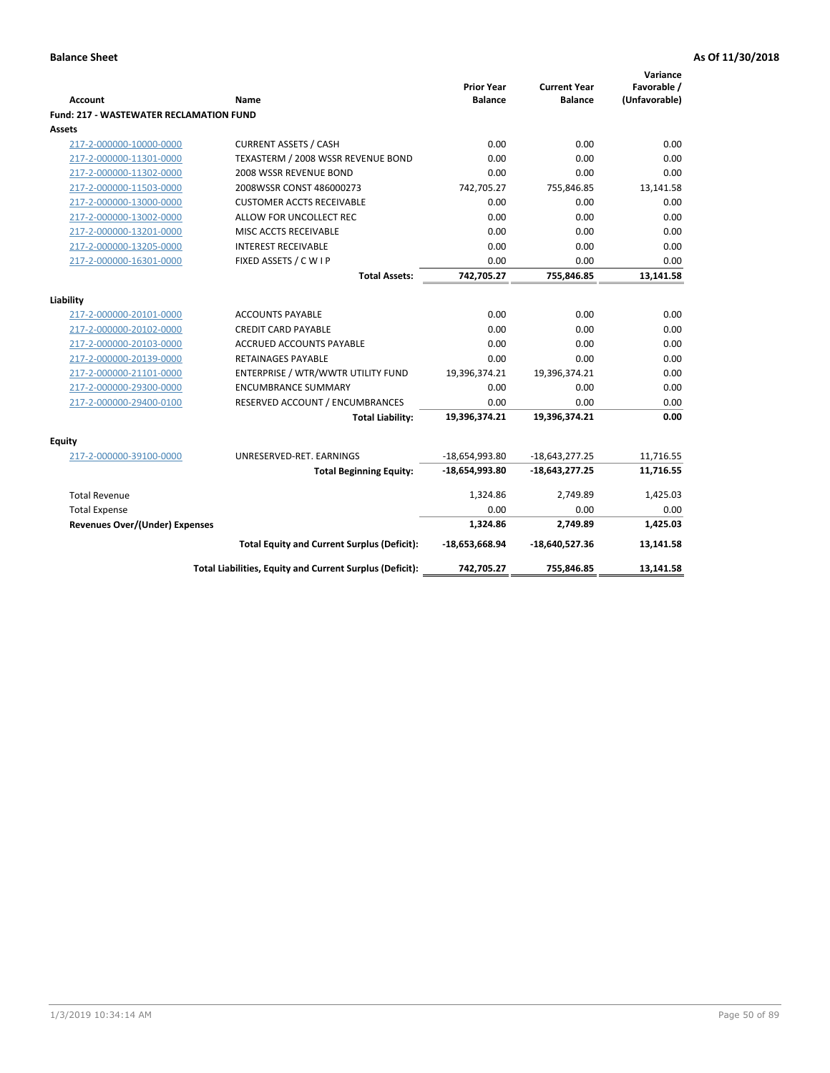| <b>Account</b>                                 | Name                                                     | <b>Prior Year</b><br><b>Balance</b> | <b>Current Year</b><br><b>Balance</b> | Variance<br>Favorable /<br>(Unfavorable) |
|------------------------------------------------|----------------------------------------------------------|-------------------------------------|---------------------------------------|------------------------------------------|
| <b>Fund: 217 - WASTEWATER RECLAMATION FUND</b> |                                                          |                                     |                                       |                                          |
| Assets                                         |                                                          |                                     |                                       |                                          |
| 217-2-000000-10000-0000                        | <b>CURRENT ASSETS / CASH</b>                             | 0.00                                | 0.00                                  | 0.00                                     |
| 217-2-000000-11301-0000                        | TEXASTERM / 2008 WSSR REVENUE BOND                       | 0.00                                | 0.00                                  | 0.00                                     |
| 217-2-000000-11302-0000                        | 2008 WSSR REVENUE BOND                                   | 0.00                                | 0.00                                  | 0.00                                     |
| 217-2-000000-11503-0000                        | 2008WSSR CONST 486000273                                 | 742,705.27                          | 755,846.85                            | 13,141.58                                |
| 217-2-000000-13000-0000                        | <b>CUSTOMER ACCTS RECEIVABLE</b>                         | 0.00                                | 0.00                                  | 0.00                                     |
| 217-2-000000-13002-0000                        | ALLOW FOR UNCOLLECT REC                                  | 0.00                                | 0.00                                  | 0.00                                     |
| 217-2-000000-13201-0000                        | MISC ACCTS RECEIVABLE                                    | 0.00                                | 0.00                                  | 0.00                                     |
| 217-2-000000-13205-0000                        | <b>INTEREST RECEIVABLE</b>                               | 0.00                                | 0.00                                  | 0.00                                     |
| 217-2-000000-16301-0000                        | FIXED ASSETS / C W I P                                   | 0.00                                | 0.00                                  | 0.00                                     |
|                                                | <b>Total Assets:</b>                                     | 742,705.27                          | 755,846.85                            | 13,141.58                                |
|                                                |                                                          |                                     |                                       |                                          |
| Liability                                      |                                                          |                                     |                                       |                                          |
| 217-2-000000-20101-0000                        | <b>ACCOUNTS PAYABLE</b>                                  | 0.00                                | 0.00                                  | 0.00                                     |
| 217-2-000000-20102-0000                        | <b>CREDIT CARD PAYABLE</b>                               | 0.00                                | 0.00                                  | 0.00                                     |
| 217-2-000000-20103-0000                        | <b>ACCRUED ACCOUNTS PAYABLE</b>                          | 0.00                                | 0.00                                  | 0.00                                     |
| 217-2-000000-20139-0000                        | <b>RETAINAGES PAYABLE</b>                                | 0.00                                | 0.00                                  | 0.00                                     |
| 217-2-000000-21101-0000                        | ENTERPRISE / WTR/WWTR UTILITY FUND                       | 19,396,374.21                       | 19,396,374.21                         | 0.00                                     |
| 217-2-000000-29300-0000                        | <b>ENCUMBRANCE SUMMARY</b>                               | 0.00                                | 0.00                                  | 0.00                                     |
| 217-2-000000-29400-0100                        | RESERVED ACCOUNT / ENCUMBRANCES                          | 0.00                                | 0.00                                  | 0.00                                     |
|                                                | <b>Total Liability:</b>                                  | 19,396,374.21                       | 19,396,374.21                         | 0.00                                     |
| <b>Equity</b>                                  |                                                          |                                     |                                       |                                          |
| 217-2-000000-39100-0000                        | UNRESERVED-RET. EARNINGS                                 | -18,654,993.80                      | $-18,643,277.25$                      | 11,716.55                                |
|                                                | <b>Total Beginning Equity:</b>                           | -18,654,993.80                      | $-18,643,277.25$                      | 11,716.55                                |
| <b>Total Revenue</b>                           |                                                          | 1,324.86                            | 2,749.89                              | 1,425.03                                 |
| <b>Total Expense</b>                           |                                                          | 0.00                                | 0.00                                  | 0.00                                     |
| <b>Revenues Over/(Under) Expenses</b>          |                                                          | 1,324.86                            | 2,749.89                              | 1,425.03                                 |
|                                                | <b>Total Equity and Current Surplus (Deficit):</b>       | $-18,653,668.94$                    | $-18,640,527.36$                      | 13,141.58                                |
|                                                | Total Liabilities, Equity and Current Surplus (Deficit): | 742,705.27                          | 755,846.85                            | 13.141.58                                |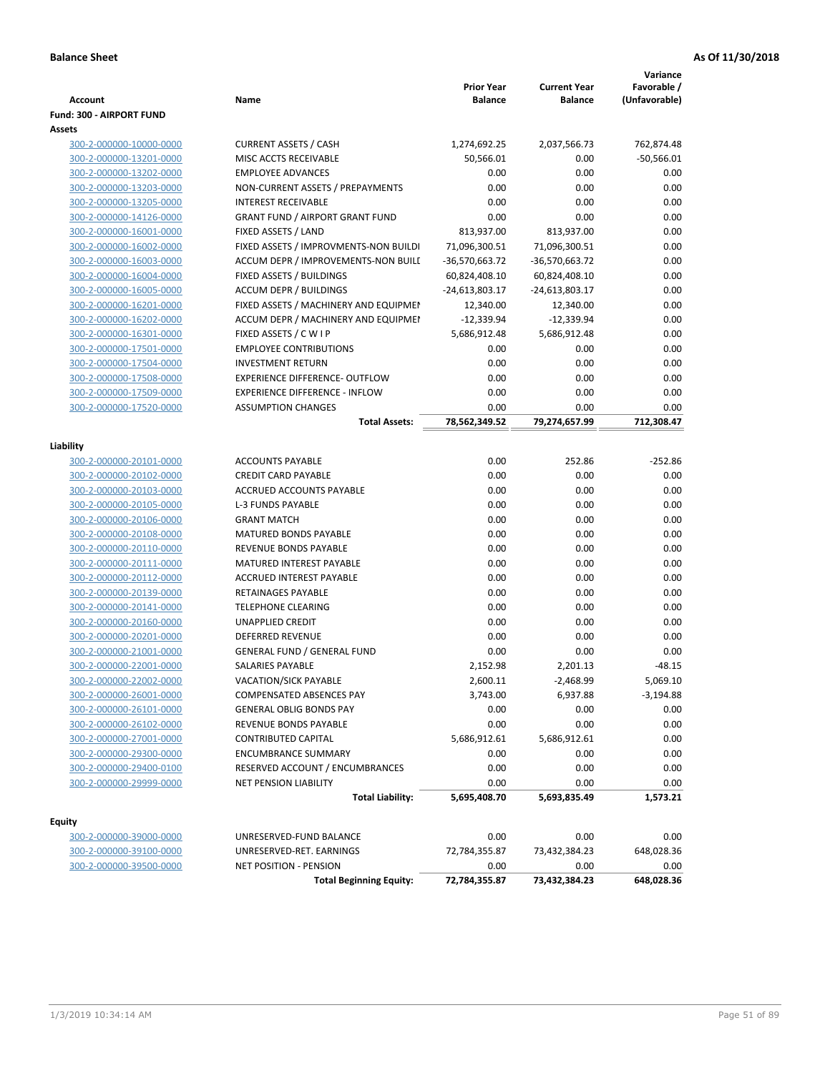| <b>Account</b>                                     | Name                                   | <b>Prior Year</b><br><b>Balance</b> | <b>Current Year</b><br><b>Balance</b> | Variance<br>Favorable / |
|----------------------------------------------------|----------------------------------------|-------------------------------------|---------------------------------------|-------------------------|
|                                                    |                                        |                                     |                                       | (Unfavorable)           |
| Fund: 300 - AIRPORT FUND<br>Assets                 |                                        |                                     |                                       |                         |
|                                                    | <b>CURRENT ASSETS / CASH</b>           |                                     |                                       |                         |
| 300-2-000000-10000-0000                            | MISC ACCTS RECEIVABLE                  | 1,274,692.25<br>50,566.01           | 2,037,566.73<br>0.00                  | 762,874.48              |
| 300-2-000000-13201-0000<br>300-2-000000-13202-0000 | <b>EMPLOYEE ADVANCES</b>               | 0.00                                | 0.00                                  | $-50,566.01$<br>0.00    |
| 300-2-000000-13203-0000                            | NON-CURRENT ASSETS / PREPAYMENTS       | 0.00                                | 0.00                                  | 0.00                    |
| 300-2-000000-13205-0000                            | <b>INTEREST RECEIVABLE</b>             | 0.00                                | 0.00                                  | 0.00                    |
| 300-2-000000-14126-0000                            | <b>GRANT FUND / AIRPORT GRANT FUND</b> | 0.00                                | 0.00                                  | 0.00                    |
| 300-2-000000-16001-0000                            | FIXED ASSETS / LAND                    | 813,937.00                          | 813,937.00                            | 0.00                    |
| 300-2-000000-16002-0000                            | FIXED ASSETS / IMPROVMENTS-NON BUILDI  | 71,096,300.51                       | 71,096,300.51                         | 0.00                    |
| 300-2-000000-16003-0000                            | ACCUM DEPR / IMPROVEMENTS-NON BUILI    | -36,570,663.72                      | -36,570,663.72                        | 0.00                    |
| 300-2-000000-16004-0000                            | FIXED ASSETS / BUILDINGS               | 60,824,408.10                       | 60,824,408.10                         | 0.00                    |
| 300-2-000000-16005-0000                            | <b>ACCUM DEPR / BUILDINGS</b>          | $-24,613,803.17$                    | -24,613,803.17                        | 0.00                    |
| 300-2-000000-16201-0000                            | FIXED ASSETS / MACHINERY AND EQUIPMEN  | 12,340.00                           | 12,340.00                             | 0.00                    |
| 300-2-000000-16202-0000                            | ACCUM DEPR / MACHINERY AND EQUIPMEI    | $-12,339.94$                        | $-12,339.94$                          | 0.00                    |
| 300-2-000000-16301-0000                            | FIXED ASSETS / C W I P                 | 5,686,912.48                        | 5,686,912.48                          | 0.00                    |
| 300-2-000000-17501-0000                            | <b>EMPLOYEE CONTRIBUTIONS</b>          | 0.00                                | 0.00                                  | 0.00                    |
| 300-2-000000-17504-0000                            | <b>INVESTMENT RETURN</b>               | 0.00                                | 0.00                                  | 0.00                    |
| 300-2-000000-17508-0000                            | EXPERIENCE DIFFERENCE- OUTFLOW         | 0.00                                | 0.00                                  | 0.00                    |
| 300-2-000000-17509-0000                            | <b>EXPERIENCE DIFFERENCE - INFLOW</b>  | 0.00                                | 0.00                                  | 0.00                    |
| 300-2-000000-17520-0000                            | <b>ASSUMPTION CHANGES</b>              | 0.00                                | 0.00                                  | 0.00                    |
|                                                    | <b>Total Assets:</b>                   | 78,562,349.52                       | 79,274,657.99                         | 712,308.47              |
|                                                    |                                        |                                     |                                       |                         |
| Liability                                          |                                        |                                     |                                       |                         |
| 300-2-000000-20101-0000                            | <b>ACCOUNTS PAYABLE</b>                | 0.00                                | 252.86                                | $-252.86$               |
| 300-2-000000-20102-0000                            | <b>CREDIT CARD PAYABLE</b>             | 0.00                                | 0.00                                  | 0.00                    |
| 300-2-000000-20103-0000                            | ACCRUED ACCOUNTS PAYABLE               | 0.00                                | 0.00                                  | 0.00                    |
| 300-2-000000-20105-0000                            | <b>L-3 FUNDS PAYABLE</b>               | 0.00                                | 0.00                                  | 0.00                    |
| 300-2-000000-20106-0000                            | <b>GRANT MATCH</b>                     | 0.00                                | 0.00                                  | 0.00                    |
| 300-2-000000-20108-0000                            | <b>MATURED BONDS PAYABLE</b>           | 0.00                                | 0.00                                  | 0.00                    |
| 300-2-000000-20110-0000                            | REVENUE BONDS PAYABLE                  | 0.00                                | 0.00                                  | 0.00                    |
| 300-2-000000-20111-0000                            | MATURED INTEREST PAYABLE               | 0.00                                | 0.00                                  | 0.00                    |
| 300-2-000000-20112-0000                            | <b>ACCRUED INTEREST PAYABLE</b>        | 0.00                                | 0.00                                  | 0.00                    |
| 300-2-000000-20139-0000                            | RETAINAGES PAYABLE                     | 0.00                                | 0.00                                  | 0.00                    |
| 300-2-000000-20141-0000                            | <b>TELEPHONE CLEARING</b>              | 0.00                                | 0.00                                  | 0.00                    |
| 300-2-000000-20160-0000                            | <b>UNAPPLIED CREDIT</b>                | 0.00                                | 0.00                                  | 0.00                    |
| 300-2-000000-20201-0000                            | <b>DEFERRED REVENUE</b>                | 0.00                                | 0.00                                  | 0.00                    |
| 300-2-000000-21001-0000                            | <b>GENERAL FUND / GENERAL FUND</b>     | 0.00                                | 0.00                                  | 0.00                    |
| 300-2-000000-22001-0000                            | SALARIES PAYABLE                       | 2,152.98                            | 2,201.13                              | $-48.15$                |
| 300-2-000000-22002-0000                            | VACATION/SICK PAYABLE                  | 2,600.11                            | $-2,468.99$                           | 5,069.10                |
| 300-2-000000-26001-0000                            | COMPENSATED ABSENCES PAY               | 3,743.00                            | 6,937.88                              | $-3,194.88$             |
| 300-2-000000-26101-0000                            | <b>GENERAL OBLIG BONDS PAY</b>         | 0.00                                | 0.00                                  | 0.00                    |
| 300-2-000000-26102-0000                            | REVENUE BONDS PAYABLE                  | 0.00                                | 0.00                                  | 0.00                    |
| 300-2-000000-27001-0000                            | CONTRIBUTED CAPITAL                    | 5,686,912.61                        | 5,686,912.61                          | 0.00                    |
| 300-2-000000-29300-0000                            | <b>ENCUMBRANCE SUMMARY</b>             | 0.00                                | 0.00                                  | 0.00                    |
| 300-2-000000-29400-0100                            | RESERVED ACCOUNT / ENCUMBRANCES        | 0.00                                | 0.00                                  | 0.00                    |
| 300-2-000000-29999-0000                            | <b>NET PENSION LIABILITY</b>           | 0.00                                | 0.00                                  | 0.00                    |
|                                                    | <b>Total Liability:</b>                | 5,695,408.70                        | 5,693,835.49                          | 1,573.21                |
|                                                    |                                        |                                     |                                       |                         |
| <b>Equity</b><br>300-2-000000-39000-0000           | UNRESERVED-FUND BALANCE                | 0.00                                | 0.00                                  | 0.00                    |
| 300-2-000000-39100-0000                            | UNRESERVED-RET. EARNINGS               | 72,784,355.87                       | 73,432,384.23                         | 648,028.36              |
| 300-2-000000-39500-0000                            | NET POSITION - PENSION                 | 0.00                                | 0.00                                  | 0.00                    |
|                                                    | <b>Total Beginning Equity:</b>         | 72,784,355.87                       | 73,432,384.23                         | 648,028.36              |
|                                                    |                                        |                                     |                                       |                         |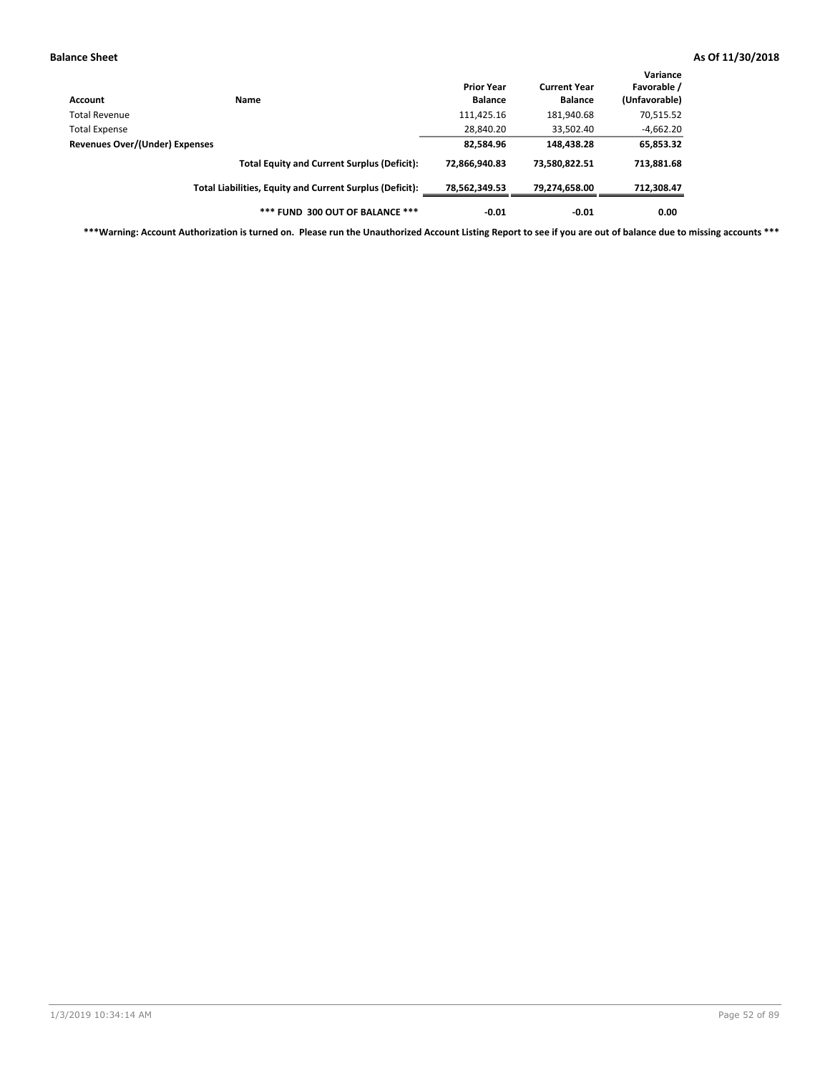| Account                        | Name                                                     | <b>Prior Year</b><br><b>Balance</b> | <b>Current Year</b><br><b>Balance</b> | Variance<br>Favorable /<br>(Unfavorable) |
|--------------------------------|----------------------------------------------------------|-------------------------------------|---------------------------------------|------------------------------------------|
| Total Revenue                  |                                                          | 111,425.16                          | 181,940.68                            | 70,515.52                                |
| Total Expense                  |                                                          | 28,840.20                           | 33,502.40                             | $-4,662.20$                              |
| Revenues Over/(Under) Expenses |                                                          | 82,584.96                           | 148,438.28                            | 65,853.32                                |
|                                | <b>Total Equity and Current Surplus (Deficit):</b>       | 72,866,940.83                       | 73,580,822.51                         | 713,881.68                               |
|                                | Total Liabilities, Equity and Current Surplus (Deficit): | 78,562,349.53                       | 79,274,658.00                         | 712,308.47                               |
|                                | *** FUND 300 OUT OF BALANCE ***                          | $-0.01$                             | $-0.01$                               | 0.00                                     |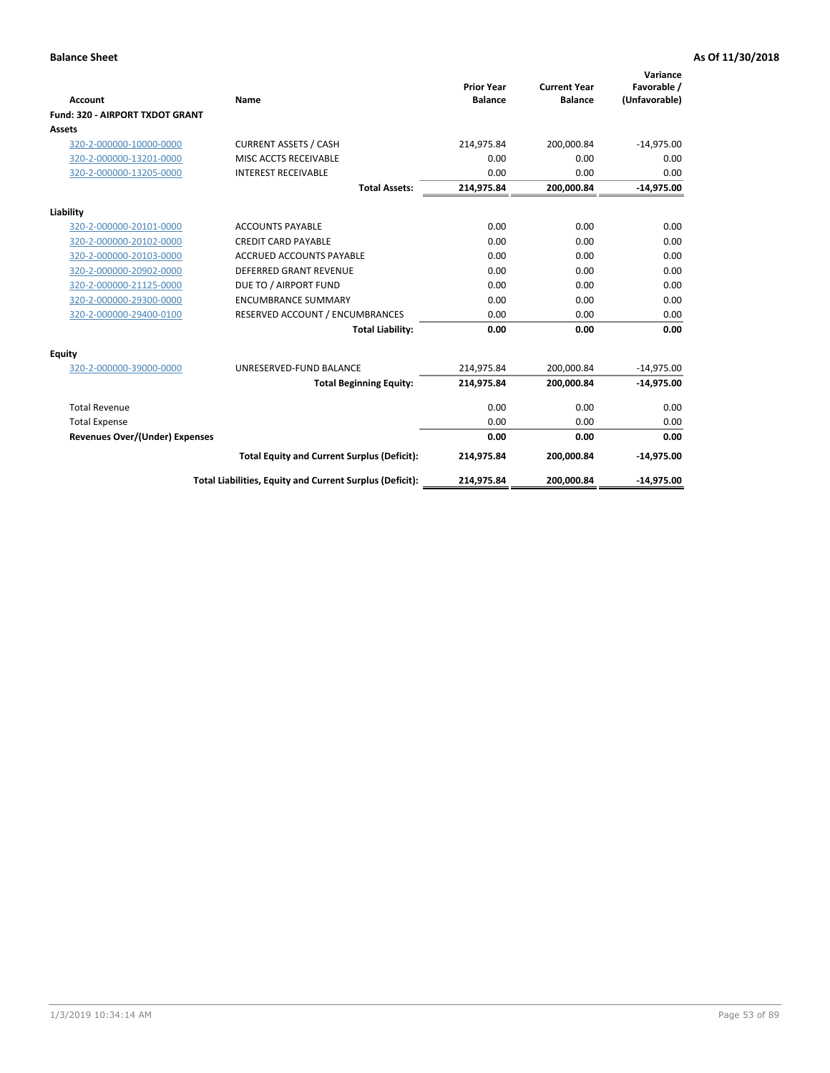|                                       |                                                          |                                     |                                       | Variance                     |
|---------------------------------------|----------------------------------------------------------|-------------------------------------|---------------------------------------|------------------------------|
| <b>Account</b>                        | Name                                                     | <b>Prior Year</b><br><b>Balance</b> | <b>Current Year</b><br><b>Balance</b> | Favorable /<br>(Unfavorable) |
| Fund: 320 - AIRPORT TXDOT GRANT       |                                                          |                                     |                                       |                              |
| Assets                                |                                                          |                                     |                                       |                              |
| 320-2-000000-10000-0000               | <b>CURRENT ASSETS / CASH</b>                             | 214,975.84                          | 200,000.84                            | $-14,975.00$                 |
| 320-2-000000-13201-0000               | MISC ACCTS RECEIVABLE                                    | 0.00                                | 0.00                                  | 0.00                         |
| 320-2-000000-13205-0000               | <b>INTEREST RECEIVABLE</b>                               | 0.00                                | 0.00                                  | 0.00                         |
|                                       | <b>Total Assets:</b>                                     | 214,975.84                          | 200,000.84                            | $-14,975.00$                 |
| Liability                             |                                                          |                                     |                                       |                              |
| 320-2-000000-20101-0000               | <b>ACCOUNTS PAYABLE</b>                                  | 0.00                                | 0.00                                  | 0.00                         |
| 320-2-000000-20102-0000               | <b>CREDIT CARD PAYABLE</b>                               | 0.00                                | 0.00                                  | 0.00                         |
| 320-2-000000-20103-0000               | <b>ACCRUED ACCOUNTS PAYABLE</b>                          | 0.00                                | 0.00                                  | 0.00                         |
| 320-2-000000-20902-0000               | <b>DEFERRED GRANT REVENUE</b>                            | 0.00                                | 0.00                                  | 0.00                         |
| 320-2-000000-21125-0000               | DUE TO / AIRPORT FUND                                    | 0.00                                | 0.00                                  | 0.00                         |
| 320-2-000000-29300-0000               | <b>ENCUMBRANCE SUMMARY</b>                               | 0.00                                | 0.00                                  | 0.00                         |
| 320-2-000000-29400-0100               | RESERVED ACCOUNT / ENCUMBRANCES                          | 0.00                                | 0.00                                  | 0.00                         |
|                                       | <b>Total Liability:</b>                                  | 0.00                                | 0.00                                  | 0.00                         |
| <b>Equity</b>                         |                                                          |                                     |                                       |                              |
| 320-2-000000-39000-0000               | UNRESERVED-FUND BALANCE                                  | 214,975.84                          | 200,000.84                            | $-14,975.00$                 |
|                                       | <b>Total Beginning Equity:</b>                           | 214,975.84                          | 200,000.84                            | $-14,975.00$                 |
| <b>Total Revenue</b>                  |                                                          | 0.00                                | 0.00                                  | 0.00                         |
| <b>Total Expense</b>                  |                                                          | 0.00                                | 0.00                                  | 0.00                         |
| <b>Revenues Over/(Under) Expenses</b> |                                                          | 0.00                                | 0.00                                  | 0.00                         |
|                                       | <b>Total Equity and Current Surplus (Deficit):</b>       | 214,975.84                          | 200,000.84                            | $-14,975.00$                 |
|                                       | Total Liabilities, Equity and Current Surplus (Deficit): | 214,975.84                          | 200,000.84                            | $-14,975.00$                 |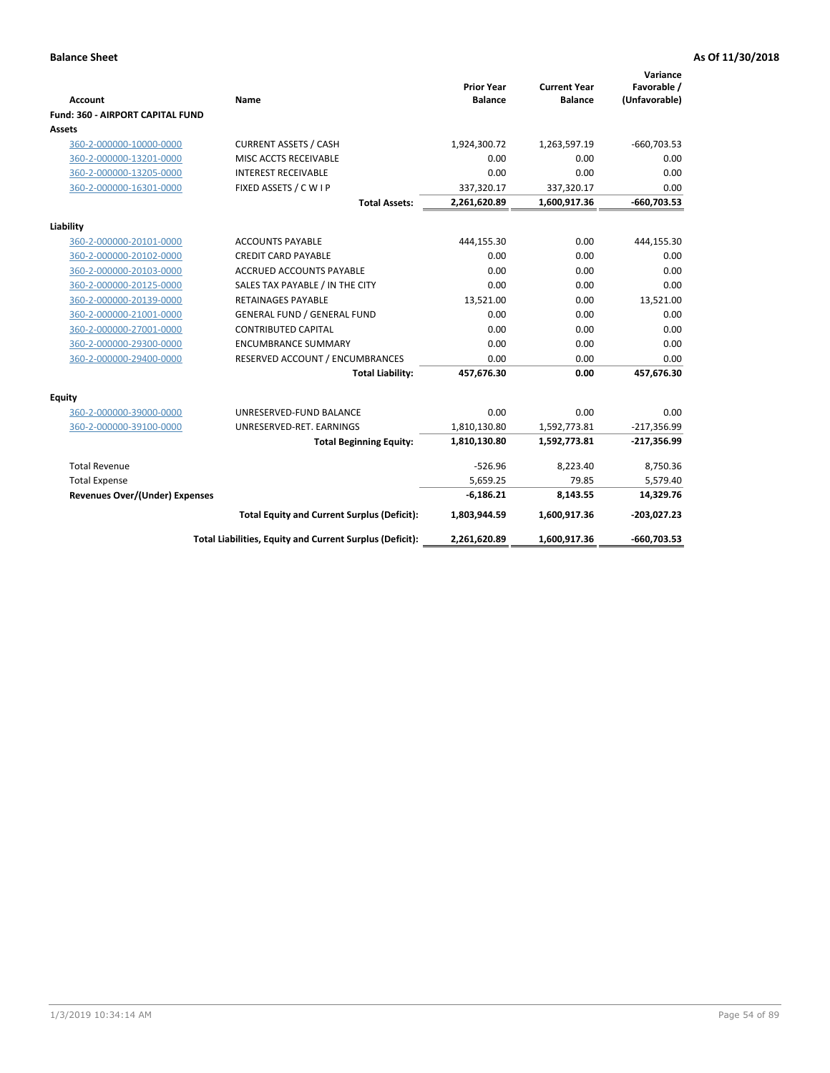| <b>Account</b>                          | Name                                                     | <b>Prior Year</b><br><b>Balance</b> | <b>Current Year</b><br><b>Balance</b> | Variance<br>Favorable /<br>(Unfavorable) |
|-----------------------------------------|----------------------------------------------------------|-------------------------------------|---------------------------------------|------------------------------------------|
| <b>Fund: 360 - AIRPORT CAPITAL FUND</b> |                                                          |                                     |                                       |                                          |
| Assets                                  |                                                          |                                     |                                       |                                          |
| 360-2-000000-10000-0000                 | <b>CURRENT ASSETS / CASH</b>                             | 1,924,300.72                        | 1,263,597.19                          | $-660,703.53$                            |
| 360-2-000000-13201-0000                 | MISC ACCTS RECEIVABLE                                    | 0.00                                | 0.00                                  | 0.00                                     |
| 360-2-000000-13205-0000                 | <b>INTEREST RECEIVABLE</b>                               | 0.00                                | 0.00                                  | 0.00                                     |
| 360-2-000000-16301-0000                 | FIXED ASSETS / C W I P                                   | 337,320.17                          | 337,320.17                            | 0.00                                     |
|                                         | <b>Total Assets:</b>                                     | 2,261,620.89                        | 1,600,917.36                          | $-660,703.53$                            |
| Liability                               |                                                          |                                     |                                       |                                          |
| 360-2-000000-20101-0000                 | <b>ACCOUNTS PAYABLE</b>                                  | 444,155.30                          | 0.00                                  | 444,155.30                               |
| 360-2-000000-20102-0000                 | <b>CREDIT CARD PAYABLE</b>                               | 0.00                                | 0.00                                  | 0.00                                     |
| 360-2-000000-20103-0000                 | ACCRUED ACCOUNTS PAYABLE                                 | 0.00                                | 0.00                                  | 0.00                                     |
| 360-2-000000-20125-0000                 | SALES TAX PAYABLE / IN THE CITY                          | 0.00                                | 0.00                                  | 0.00                                     |
| 360-2-000000-20139-0000                 | <b>RETAINAGES PAYABLE</b>                                | 13,521.00                           | 0.00                                  | 13,521.00                                |
| 360-2-000000-21001-0000                 | <b>GENERAL FUND / GENERAL FUND</b>                       | 0.00                                | 0.00                                  | 0.00                                     |
| 360-2-000000-27001-0000                 | <b>CONTRIBUTED CAPITAL</b>                               | 0.00                                | 0.00                                  | 0.00                                     |
| 360-2-000000-29300-0000                 | <b>ENCUMBRANCE SUMMARY</b>                               | 0.00                                | 0.00                                  | 0.00                                     |
| 360-2-000000-29400-0000                 | RESERVED ACCOUNT / ENCUMBRANCES                          | 0.00                                | 0.00                                  | 0.00                                     |
|                                         | <b>Total Liability:</b>                                  | 457,676.30                          | 0.00                                  | 457,676.30                               |
| <b>Equity</b>                           |                                                          |                                     |                                       |                                          |
| 360-2-000000-39000-0000                 | UNRESERVED-FUND BALANCE                                  | 0.00                                | 0.00                                  | 0.00                                     |
| 360-2-000000-39100-0000                 | UNRESERVED-RET. EARNINGS                                 | 1,810,130.80                        | 1,592,773.81                          | $-217,356.99$                            |
|                                         | <b>Total Beginning Equity:</b>                           | 1,810,130.80                        | 1,592,773.81                          | $-217,356.99$                            |
| <b>Total Revenue</b>                    |                                                          | $-526.96$                           | 8,223.40                              | 8,750.36                                 |
| <b>Total Expense</b>                    |                                                          | 5,659.25                            | 79.85                                 | 5,579.40                                 |
| <b>Revenues Over/(Under) Expenses</b>   |                                                          | $-6,186.21$                         | 8,143.55                              | 14,329.76                                |
|                                         | <b>Total Equity and Current Surplus (Deficit):</b>       | 1,803,944.59                        | 1,600,917.36                          | $-203,027.23$                            |
|                                         | Total Liabilities, Equity and Current Surplus (Deficit): | 2,261,620.89                        | 1,600,917.36                          | $-660,703.53$                            |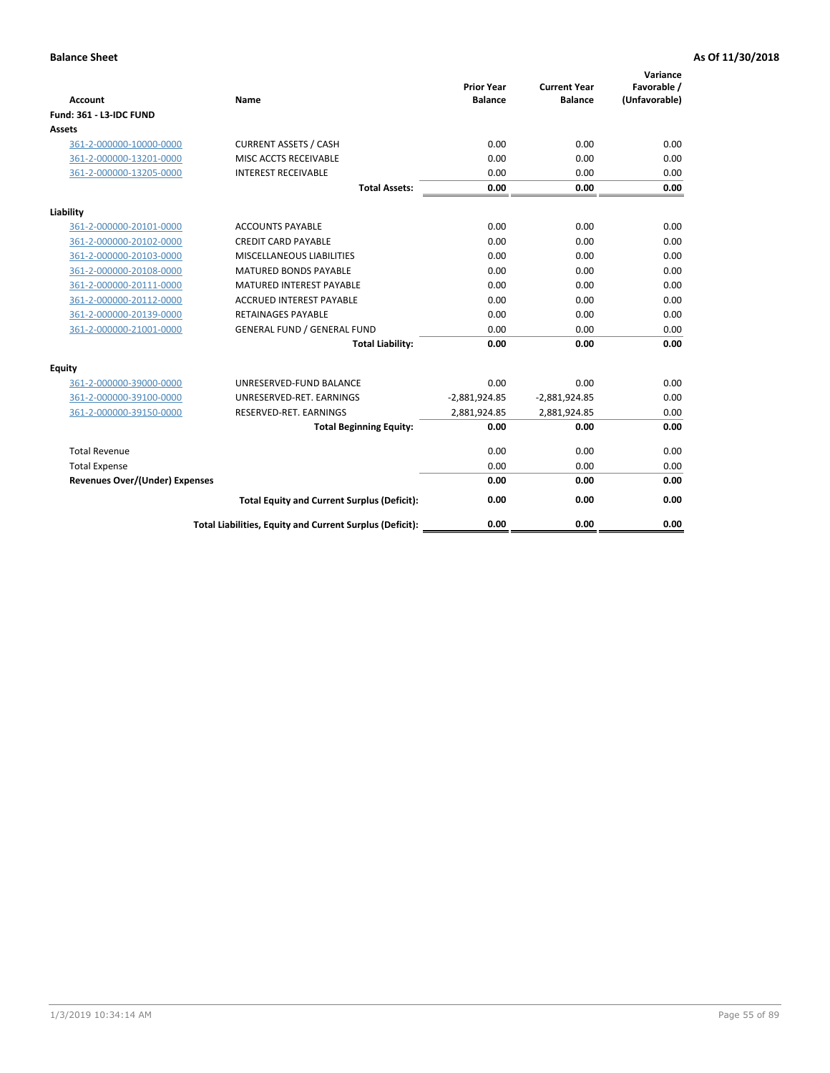| <b>Account</b>                        | Name                                                     | <b>Prior Year</b><br><b>Balance</b> | <b>Current Year</b><br><b>Balance</b> | Variance<br>Favorable /<br>(Unfavorable) |
|---------------------------------------|----------------------------------------------------------|-------------------------------------|---------------------------------------|------------------------------------------|
| Fund: 361 - L3-IDC FUND               |                                                          |                                     |                                       |                                          |
| Assets                                |                                                          |                                     |                                       |                                          |
| 361-2-000000-10000-0000               | <b>CURRENT ASSETS / CASH</b>                             | 0.00                                | 0.00                                  | 0.00                                     |
| 361-2-000000-13201-0000               | MISC ACCTS RECEIVABLE                                    | 0.00                                | 0.00                                  | 0.00                                     |
| 361-2-000000-13205-0000               | <b>INTEREST RECEIVABLE</b>                               | 0.00                                | 0.00                                  | 0.00                                     |
|                                       | <b>Total Assets:</b>                                     | 0.00                                | 0.00                                  | 0.00                                     |
| Liability                             |                                                          |                                     |                                       |                                          |
| 361-2-000000-20101-0000               | <b>ACCOUNTS PAYABLE</b>                                  | 0.00                                | 0.00                                  | 0.00                                     |
| 361-2-000000-20102-0000               | <b>CREDIT CARD PAYABLE</b>                               | 0.00                                | 0.00                                  | 0.00                                     |
| 361-2-000000-20103-0000               | MISCELLANEOUS LIABILITIES                                | 0.00                                | 0.00                                  | 0.00                                     |
| 361-2-000000-20108-0000               | <b>MATURED BONDS PAYABLE</b>                             | 0.00                                | 0.00                                  | 0.00                                     |
| 361-2-000000-20111-0000               | <b>MATURED INTEREST PAYABLE</b>                          | 0.00                                | 0.00                                  | 0.00                                     |
| 361-2-000000-20112-0000               | <b>ACCRUED INTEREST PAYABLE</b>                          | 0.00                                | 0.00                                  | 0.00                                     |
| 361-2-000000-20139-0000               | <b>RETAINAGES PAYABLE</b>                                | 0.00                                | 0.00                                  | 0.00                                     |
| 361-2-000000-21001-0000               | <b>GENERAL FUND / GENERAL FUND</b>                       | 0.00                                | 0.00                                  | 0.00                                     |
|                                       | <b>Total Liability:</b>                                  | 0.00                                | 0.00                                  | 0.00                                     |
| Equity                                |                                                          |                                     |                                       |                                          |
| 361-2-000000-39000-0000               | UNRESERVED-FUND BALANCE                                  | 0.00                                | 0.00                                  | 0.00                                     |
| 361-2-000000-39100-0000               | UNRESERVED-RET. EARNINGS                                 | $-2,881,924.85$                     | $-2,881,924.85$                       | 0.00                                     |
| 361-2-000000-39150-0000               | RESERVED-RET. EARNINGS                                   | 2,881,924.85                        | 2,881,924.85                          | 0.00                                     |
|                                       | <b>Total Beginning Equity:</b>                           | 0.00                                | 0.00                                  | 0.00                                     |
| <b>Total Revenue</b>                  |                                                          | 0.00                                | 0.00                                  | 0.00                                     |
| <b>Total Expense</b>                  |                                                          | 0.00                                | 0.00                                  | 0.00                                     |
| <b>Revenues Over/(Under) Expenses</b> |                                                          | 0.00                                | 0.00                                  | 0.00                                     |
|                                       | <b>Total Equity and Current Surplus (Deficit):</b>       | 0.00                                | 0.00                                  | 0.00                                     |
|                                       | Total Liabilities, Equity and Current Surplus (Deficit): | 0.00                                | 0.00                                  | 0.00                                     |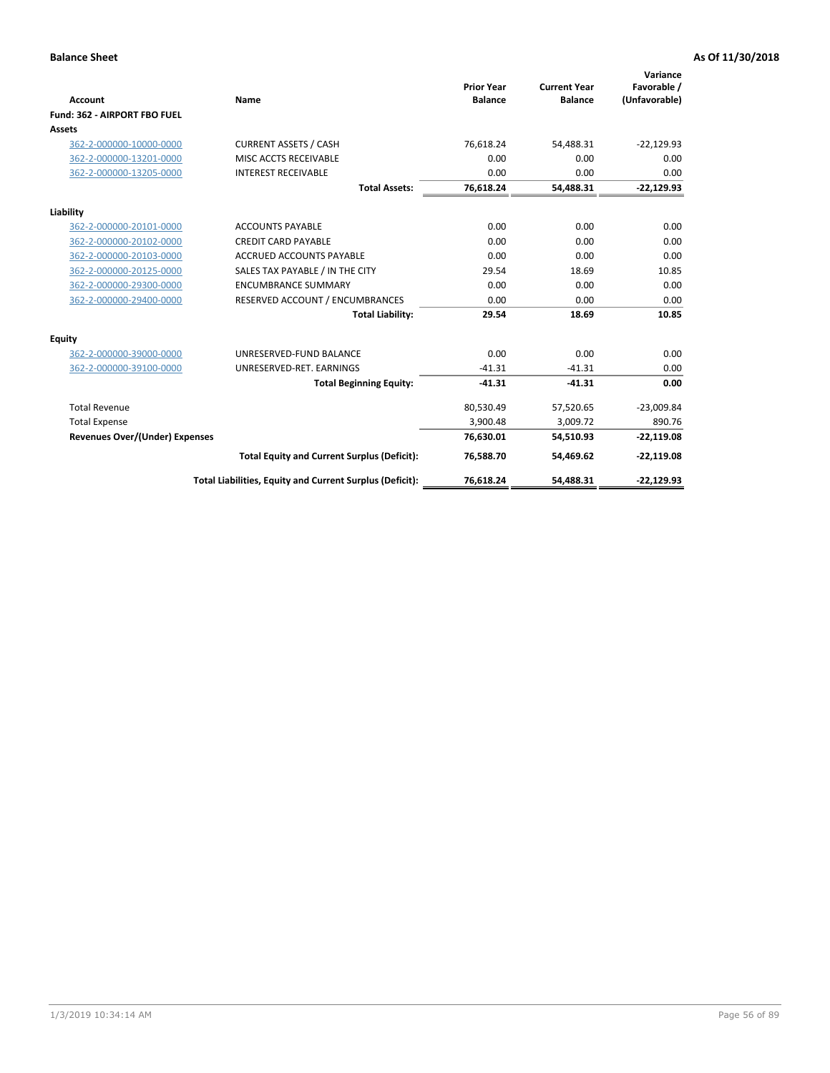|                                       |                                                          |                                     |                                       | Variance                     |
|---------------------------------------|----------------------------------------------------------|-------------------------------------|---------------------------------------|------------------------------|
| <b>Account</b>                        | Name                                                     | <b>Prior Year</b><br><b>Balance</b> | <b>Current Year</b><br><b>Balance</b> | Favorable /<br>(Unfavorable) |
| Fund: 362 - AIRPORT FBO FUEL          |                                                          |                                     |                                       |                              |
| Assets                                |                                                          |                                     |                                       |                              |
| 362-2-000000-10000-0000               | <b>CURRENT ASSETS / CASH</b>                             | 76.618.24                           | 54.488.31                             | $-22,129.93$                 |
| 362-2-000000-13201-0000               | MISC ACCTS RECEIVABLE                                    | 0.00                                | 0.00                                  | 0.00                         |
| 362-2-000000-13205-0000               | <b>INTEREST RECEIVABLE</b>                               | 0.00                                | 0.00                                  | 0.00                         |
|                                       | <b>Total Assets:</b>                                     | 76,618.24                           | 54,488.31                             | $-22,129.93$                 |
| Liability                             |                                                          |                                     |                                       |                              |
| 362-2-000000-20101-0000               | <b>ACCOUNTS PAYABLE</b>                                  | 0.00                                | 0.00                                  | 0.00                         |
| 362-2-000000-20102-0000               | <b>CREDIT CARD PAYABLE</b>                               | 0.00                                | 0.00                                  | 0.00                         |
| 362-2-000000-20103-0000               | <b>ACCRUED ACCOUNTS PAYABLE</b>                          | 0.00                                | 0.00                                  | 0.00                         |
| 362-2-000000-20125-0000               | SALES TAX PAYABLE / IN THE CITY                          | 29.54                               | 18.69                                 | 10.85                        |
| 362-2-000000-29300-0000               | <b>ENCUMBRANCE SUMMARY</b>                               | 0.00                                | 0.00                                  | 0.00                         |
| 362-2-000000-29400-0000               | RESERVED ACCOUNT / ENCUMBRANCES                          | 0.00                                | 0.00                                  | 0.00                         |
|                                       | <b>Total Liability:</b>                                  | 29.54                               | 18.69                                 | 10.85                        |
| <b>Equity</b>                         |                                                          |                                     |                                       |                              |
| 362-2-000000-39000-0000               | UNRESERVED-FUND BALANCE                                  | 0.00                                | 0.00                                  | 0.00                         |
| 362-2-000000-39100-0000               | UNRESERVED-RET. EARNINGS                                 | $-41.31$                            | $-41.31$                              | 0.00                         |
|                                       | <b>Total Beginning Equity:</b>                           | $-41.31$                            | $-41.31$                              | 0.00                         |
| <b>Total Revenue</b>                  |                                                          | 80,530.49                           | 57,520.65                             | $-23,009.84$                 |
| <b>Total Expense</b>                  |                                                          | 3,900.48                            | 3,009.72                              | 890.76                       |
| <b>Revenues Over/(Under) Expenses</b> |                                                          | 76,630.01                           | 54,510.93                             | $-22,119.08$                 |
|                                       | <b>Total Equity and Current Surplus (Deficit):</b>       | 76,588.70                           | 54,469.62                             | $-22,119.08$                 |
|                                       | Total Liabilities, Equity and Current Surplus (Deficit): | 76,618.24                           | 54,488.31                             | $-22,129.93$                 |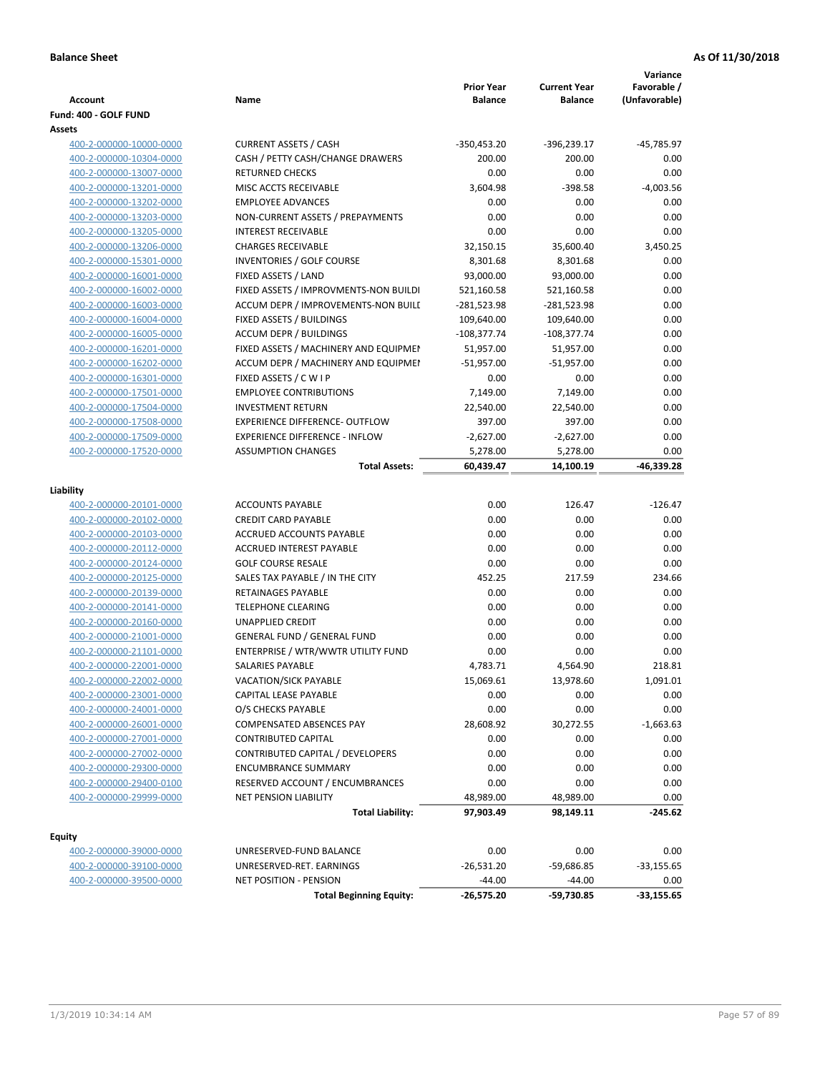| Fund: 400 - GOLF FUND<br>Assets<br><b>CURRENT ASSETS / CASH</b><br>-45,785.97<br>400-2-000000-10000-0000<br>$-350,453.20$<br>-396,239.17<br>CASH / PETTY CASH/CHANGE DRAWERS<br>200.00<br>200.00<br>400-2-000000-10304-0000<br>0.00<br>400-2-000000-13007-0000<br><b>RETURNED CHECKS</b><br>0.00<br>0.00<br>0.00<br>400-2-000000-13201-0000<br>MISC ACCTS RECEIVABLE<br>3,604.98<br>$-398.58$<br>$-4,003.56$<br>400-2-000000-13202-0000<br><b>EMPLOYEE ADVANCES</b><br>0.00<br>0.00<br>0.00<br>0.00<br>NON-CURRENT ASSETS / PREPAYMENTS<br>0.00<br>0.00<br>400-2-000000-13203-0000<br>0.00<br><b>INTEREST RECEIVABLE</b><br>0.00<br>0.00<br>400-2-000000-13205-0000<br>400-2-000000-13206-0000<br><b>CHARGES RECEIVABLE</b><br>32,150.15<br>35,600.40<br>3,450.25<br>8,301.68<br>400-2-000000-15301-0000<br><b>INVENTORIES / GOLF COURSE</b><br>8,301.68<br>0.00<br>400-2-000000-16001-0000<br>FIXED ASSETS / LAND<br>93,000.00<br>93,000.00<br>0.00<br>0.00<br>FIXED ASSETS / IMPROVMENTS-NON BUILDI<br>400-2-000000-16002-0000<br>521,160.58<br>521,160.58<br>ACCUM DEPR / IMPROVEMENTS-NON BUILI<br>0.00<br>400-2-000000-16003-0000<br>-281,523.98<br>-281,523.98<br>400-2-000000-16004-0000<br>FIXED ASSETS / BUILDINGS<br>109,640.00<br>109,640.00<br>0.00<br>400-2-000000-16005-0000<br><b>ACCUM DEPR / BUILDINGS</b><br>$-108,377.74$<br>$-108,377.74$<br>0.00<br>400-2-000000-16201-0000<br>FIXED ASSETS / MACHINERY AND EQUIPMEN<br>51,957.00<br>0.00<br>51,957.00<br>ACCUM DEPR / MACHINERY AND EQUIPMEI<br>$-51,957.00$<br>0.00<br>400-2-000000-16202-0000<br>$-51,957.00$<br>FIXED ASSETS / C W I P<br>0.00<br>0.00<br>400-2-000000-16301-0000<br>0.00<br>400-2-000000-17501-0000<br><b>EMPLOYEE CONTRIBUTIONS</b><br>7,149.00<br>7,149.00<br>0.00<br>400-2-000000-17504-0000<br><b>INVESTMENT RETURN</b><br>22,540.00<br>22,540.00<br>0.00<br>400-2-000000-17508-0000<br><b>EXPERIENCE DIFFERENCE- OUTFLOW</b><br>397.00<br>397.00<br>0.00<br><b>EXPERIENCE DIFFERENCE - INFLOW</b><br>0.00<br>400-2-000000-17509-0000<br>$-2,627.00$<br>$-2,627.00$<br>400-2-000000-17520-0000<br><b>ASSUMPTION CHANGES</b><br>0.00<br>5,278.00<br>5,278.00<br><b>Total Assets:</b><br>60,439.47<br>-46,339.28<br>14,100.19<br>Liability<br>400-2-000000-20101-0000<br><b>ACCOUNTS PAYABLE</b><br>0.00<br>126.47<br>$-126.47$<br><b>CREDIT CARD PAYABLE</b><br>0.00<br>0.00<br>0.00<br>400-2-000000-20102-0000<br>0.00<br>ACCRUED ACCOUNTS PAYABLE<br>0.00<br>0.00<br>400-2-000000-20103-0000<br><b>ACCRUED INTEREST PAYABLE</b><br>0.00<br>0.00<br>0.00<br>400-2-000000-20112-0000<br>400-2-000000-20124-0000<br><b>GOLF COURSE RESALE</b><br>0.00<br>0.00<br>0.00<br>400-2-000000-20125-0000<br>SALES TAX PAYABLE / IN THE CITY<br>452.25<br>217.59<br>234.66<br>400-2-000000-20139-0000<br>RETAINAGES PAYABLE<br>0.00<br>0.00<br>0.00<br>0.00<br><b>TELEPHONE CLEARING</b><br>0.00<br>0.00<br>400-2-000000-20141-0000<br>0.00<br><b>UNAPPLIED CREDIT</b><br>0.00<br>0.00<br>400-2-000000-20160-0000<br>400-2-000000-21001-0000<br><b>GENERAL FUND / GENERAL FUND</b><br>0.00<br>0.00<br>0.00<br>400-2-000000-21101-0000<br>ENTERPRISE / WTR/WWTR UTILITY FUND<br>0.00<br>0.00<br>0.00<br>4,783.71<br>4,564.90<br>218.81<br>400-2-000000-22001-0000<br>SALARIES PAYABLE<br>13,978.60<br>400-2-000000-22002-0000<br><b>VACATION/SICK PAYABLE</b><br>15,069.61<br>1,091.01<br>0.00<br>CAPITAL LEASE PAYABLE<br>0.00<br>0.00<br>400-2-000000-23001-0000<br>400-2-000000-24001-0000<br>O/S CHECKS PAYABLE<br>0.00<br>0.00<br>0.00<br>28,608.92<br>400-2-000000-26001-0000<br>COMPENSATED ABSENCES PAY<br>30,272.55<br>$-1,663.63$<br>400-2-000000-27001-0000<br><b>CONTRIBUTED CAPITAL</b><br>0.00<br>0.00<br>0.00<br>0.00<br>0.00<br>CONTRIBUTED CAPITAL / DEVELOPERS<br>0.00<br>400-2-000000-27002-0000<br><b>ENCUMBRANCE SUMMARY</b><br>0.00<br>0.00<br>0.00<br>400-2-000000-29300-0000<br>RESERVED ACCOUNT / ENCUMBRANCES<br>0.00<br>0.00<br>0.00<br>400-2-000000-29400-0100<br>400-2-000000-29999-0000<br><b>NET PENSION LIABILITY</b><br>48,989.00<br>48,989.00<br>0.00<br>97,903.49<br>98,149.11<br>$-245.62$<br><b>Total Liability:</b><br><b>Equity</b><br>0.00<br>0.00<br>400-2-000000-39000-0000<br>UNRESERVED-FUND BALANCE<br>0.00<br>$-26,531.20$<br>$-59,686.85$<br>$-33,155.65$<br>400-2-000000-39100-0000<br>UNRESERVED-RET. EARNINGS<br>400-2-000000-39500-0000<br><b>NET POSITION - PENSION</b><br>$-44.00$<br>$-44.00$<br>0.00<br><b>Total Beginning Equity:</b><br>$-26,575.20$<br>-59,730.85<br>$-33,155.65$ | Account | Name | <b>Prior Year</b><br><b>Balance</b> | <b>Current Year</b><br><b>Balance</b> | Variance<br>Favorable /<br>(Unfavorable) |
|-------------------------------------------------------------------------------------------------------------------------------------------------------------------------------------------------------------------------------------------------------------------------------------------------------------------------------------------------------------------------------------------------------------------------------------------------------------------------------------------------------------------------------------------------------------------------------------------------------------------------------------------------------------------------------------------------------------------------------------------------------------------------------------------------------------------------------------------------------------------------------------------------------------------------------------------------------------------------------------------------------------------------------------------------------------------------------------------------------------------------------------------------------------------------------------------------------------------------------------------------------------------------------------------------------------------------------------------------------------------------------------------------------------------------------------------------------------------------------------------------------------------------------------------------------------------------------------------------------------------------------------------------------------------------------------------------------------------------------------------------------------------------------------------------------------------------------------------------------------------------------------------------------------------------------------------------------------------------------------------------------------------------------------------------------------------------------------------------------------------------------------------------------------------------------------------------------------------------------------------------------------------------------------------------------------------------------------------------------------------------------------------------------------------------------------------------------------------------------------------------------------------------------------------------------------------------------------------------------------------------------------------------------------------------------------------------------------------------------------------------------------------------------------------------------------------------------------------------------------------------------------------------------------------------------------------------------------------------------------------------------------------------------------------------------------------------------------------------------------------------------------------------------------------------------------------------------------------------------------------------------------------------------------------------------------------------------------------------------------------------------------------------------------------------------------------------------------------------------------------------------------------------------------------------------------------------------------------------------------------------------------------------------------------------------------------------------------------------------------------------------------------------------------------------------------------------------------------------------------------------------------------------------------------------------------------------------------------------------------------------------------------------------------------------------------------------------------------------------------------------------------------------------------------------------------------------------------------------------------------------------------------------------------------------------------------------------------------------------------------------------------------------------------------------------------------------------------------------------------------------------------------------------|---------|------|-------------------------------------|---------------------------------------|------------------------------------------|
|                                                                                                                                                                                                                                                                                                                                                                                                                                                                                                                                                                                                                                                                                                                                                                                                                                                                                                                                                                                                                                                                                                                                                                                                                                                                                                                                                                                                                                                                                                                                                                                                                                                                                                                                                                                                                                                                                                                                                                                                                                                                                                                                                                                                                                                                                                                                                                                                                                                                                                                                                                                                                                                                                                                                                                                                                                                                                                                                                                                                                                                                                                                                                                                                                                                                                                                                                                                                                                                                                                                                                                                                                                                                                                                                                                                                                                                                                                                                                                                                                                                                                                                                                                                                                                                                                                                                                                                                                                                                                                                               |         |      |                                     |                                       |                                          |
|                                                                                                                                                                                                                                                                                                                                                                                                                                                                                                                                                                                                                                                                                                                                                                                                                                                                                                                                                                                                                                                                                                                                                                                                                                                                                                                                                                                                                                                                                                                                                                                                                                                                                                                                                                                                                                                                                                                                                                                                                                                                                                                                                                                                                                                                                                                                                                                                                                                                                                                                                                                                                                                                                                                                                                                                                                                                                                                                                                                                                                                                                                                                                                                                                                                                                                                                                                                                                                                                                                                                                                                                                                                                                                                                                                                                                                                                                                                                                                                                                                                                                                                                                                                                                                                                                                                                                                                                                                                                                                                               |         |      |                                     |                                       |                                          |
|                                                                                                                                                                                                                                                                                                                                                                                                                                                                                                                                                                                                                                                                                                                                                                                                                                                                                                                                                                                                                                                                                                                                                                                                                                                                                                                                                                                                                                                                                                                                                                                                                                                                                                                                                                                                                                                                                                                                                                                                                                                                                                                                                                                                                                                                                                                                                                                                                                                                                                                                                                                                                                                                                                                                                                                                                                                                                                                                                                                                                                                                                                                                                                                                                                                                                                                                                                                                                                                                                                                                                                                                                                                                                                                                                                                                                                                                                                                                                                                                                                                                                                                                                                                                                                                                                                                                                                                                                                                                                                                               |         |      |                                     |                                       |                                          |
|                                                                                                                                                                                                                                                                                                                                                                                                                                                                                                                                                                                                                                                                                                                                                                                                                                                                                                                                                                                                                                                                                                                                                                                                                                                                                                                                                                                                                                                                                                                                                                                                                                                                                                                                                                                                                                                                                                                                                                                                                                                                                                                                                                                                                                                                                                                                                                                                                                                                                                                                                                                                                                                                                                                                                                                                                                                                                                                                                                                                                                                                                                                                                                                                                                                                                                                                                                                                                                                                                                                                                                                                                                                                                                                                                                                                                                                                                                                                                                                                                                                                                                                                                                                                                                                                                                                                                                                                                                                                                                                               |         |      |                                     |                                       |                                          |
|                                                                                                                                                                                                                                                                                                                                                                                                                                                                                                                                                                                                                                                                                                                                                                                                                                                                                                                                                                                                                                                                                                                                                                                                                                                                                                                                                                                                                                                                                                                                                                                                                                                                                                                                                                                                                                                                                                                                                                                                                                                                                                                                                                                                                                                                                                                                                                                                                                                                                                                                                                                                                                                                                                                                                                                                                                                                                                                                                                                                                                                                                                                                                                                                                                                                                                                                                                                                                                                                                                                                                                                                                                                                                                                                                                                                                                                                                                                                                                                                                                                                                                                                                                                                                                                                                                                                                                                                                                                                                                                               |         |      |                                     |                                       |                                          |
|                                                                                                                                                                                                                                                                                                                                                                                                                                                                                                                                                                                                                                                                                                                                                                                                                                                                                                                                                                                                                                                                                                                                                                                                                                                                                                                                                                                                                                                                                                                                                                                                                                                                                                                                                                                                                                                                                                                                                                                                                                                                                                                                                                                                                                                                                                                                                                                                                                                                                                                                                                                                                                                                                                                                                                                                                                                                                                                                                                                                                                                                                                                                                                                                                                                                                                                                                                                                                                                                                                                                                                                                                                                                                                                                                                                                                                                                                                                                                                                                                                                                                                                                                                                                                                                                                                                                                                                                                                                                                                                               |         |      |                                     |                                       |                                          |
|                                                                                                                                                                                                                                                                                                                                                                                                                                                                                                                                                                                                                                                                                                                                                                                                                                                                                                                                                                                                                                                                                                                                                                                                                                                                                                                                                                                                                                                                                                                                                                                                                                                                                                                                                                                                                                                                                                                                                                                                                                                                                                                                                                                                                                                                                                                                                                                                                                                                                                                                                                                                                                                                                                                                                                                                                                                                                                                                                                                                                                                                                                                                                                                                                                                                                                                                                                                                                                                                                                                                                                                                                                                                                                                                                                                                                                                                                                                                                                                                                                                                                                                                                                                                                                                                                                                                                                                                                                                                                                                               |         |      |                                     |                                       |                                          |
|                                                                                                                                                                                                                                                                                                                                                                                                                                                                                                                                                                                                                                                                                                                                                                                                                                                                                                                                                                                                                                                                                                                                                                                                                                                                                                                                                                                                                                                                                                                                                                                                                                                                                                                                                                                                                                                                                                                                                                                                                                                                                                                                                                                                                                                                                                                                                                                                                                                                                                                                                                                                                                                                                                                                                                                                                                                                                                                                                                                                                                                                                                                                                                                                                                                                                                                                                                                                                                                                                                                                                                                                                                                                                                                                                                                                                                                                                                                                                                                                                                                                                                                                                                                                                                                                                                                                                                                                                                                                                                                               |         |      |                                     |                                       |                                          |
|                                                                                                                                                                                                                                                                                                                                                                                                                                                                                                                                                                                                                                                                                                                                                                                                                                                                                                                                                                                                                                                                                                                                                                                                                                                                                                                                                                                                                                                                                                                                                                                                                                                                                                                                                                                                                                                                                                                                                                                                                                                                                                                                                                                                                                                                                                                                                                                                                                                                                                                                                                                                                                                                                                                                                                                                                                                                                                                                                                                                                                                                                                                                                                                                                                                                                                                                                                                                                                                                                                                                                                                                                                                                                                                                                                                                                                                                                                                                                                                                                                                                                                                                                                                                                                                                                                                                                                                                                                                                                                                               |         |      |                                     |                                       |                                          |
|                                                                                                                                                                                                                                                                                                                                                                                                                                                                                                                                                                                                                                                                                                                                                                                                                                                                                                                                                                                                                                                                                                                                                                                                                                                                                                                                                                                                                                                                                                                                                                                                                                                                                                                                                                                                                                                                                                                                                                                                                                                                                                                                                                                                                                                                                                                                                                                                                                                                                                                                                                                                                                                                                                                                                                                                                                                                                                                                                                                                                                                                                                                                                                                                                                                                                                                                                                                                                                                                                                                                                                                                                                                                                                                                                                                                                                                                                                                                                                                                                                                                                                                                                                                                                                                                                                                                                                                                                                                                                                                               |         |      |                                     |                                       |                                          |
|                                                                                                                                                                                                                                                                                                                                                                                                                                                                                                                                                                                                                                                                                                                                                                                                                                                                                                                                                                                                                                                                                                                                                                                                                                                                                                                                                                                                                                                                                                                                                                                                                                                                                                                                                                                                                                                                                                                                                                                                                                                                                                                                                                                                                                                                                                                                                                                                                                                                                                                                                                                                                                                                                                                                                                                                                                                                                                                                                                                                                                                                                                                                                                                                                                                                                                                                                                                                                                                                                                                                                                                                                                                                                                                                                                                                                                                                                                                                                                                                                                                                                                                                                                                                                                                                                                                                                                                                                                                                                                                               |         |      |                                     |                                       |                                          |
|                                                                                                                                                                                                                                                                                                                                                                                                                                                                                                                                                                                                                                                                                                                                                                                                                                                                                                                                                                                                                                                                                                                                                                                                                                                                                                                                                                                                                                                                                                                                                                                                                                                                                                                                                                                                                                                                                                                                                                                                                                                                                                                                                                                                                                                                                                                                                                                                                                                                                                                                                                                                                                                                                                                                                                                                                                                                                                                                                                                                                                                                                                                                                                                                                                                                                                                                                                                                                                                                                                                                                                                                                                                                                                                                                                                                                                                                                                                                                                                                                                                                                                                                                                                                                                                                                                                                                                                                                                                                                                                               |         |      |                                     |                                       |                                          |
|                                                                                                                                                                                                                                                                                                                                                                                                                                                                                                                                                                                                                                                                                                                                                                                                                                                                                                                                                                                                                                                                                                                                                                                                                                                                                                                                                                                                                                                                                                                                                                                                                                                                                                                                                                                                                                                                                                                                                                                                                                                                                                                                                                                                                                                                                                                                                                                                                                                                                                                                                                                                                                                                                                                                                                                                                                                                                                                                                                                                                                                                                                                                                                                                                                                                                                                                                                                                                                                                                                                                                                                                                                                                                                                                                                                                                                                                                                                                                                                                                                                                                                                                                                                                                                                                                                                                                                                                                                                                                                                               |         |      |                                     |                                       |                                          |
|                                                                                                                                                                                                                                                                                                                                                                                                                                                                                                                                                                                                                                                                                                                                                                                                                                                                                                                                                                                                                                                                                                                                                                                                                                                                                                                                                                                                                                                                                                                                                                                                                                                                                                                                                                                                                                                                                                                                                                                                                                                                                                                                                                                                                                                                                                                                                                                                                                                                                                                                                                                                                                                                                                                                                                                                                                                                                                                                                                                                                                                                                                                                                                                                                                                                                                                                                                                                                                                                                                                                                                                                                                                                                                                                                                                                                                                                                                                                                                                                                                                                                                                                                                                                                                                                                                                                                                                                                                                                                                                               |         |      |                                     |                                       |                                          |
|                                                                                                                                                                                                                                                                                                                                                                                                                                                                                                                                                                                                                                                                                                                                                                                                                                                                                                                                                                                                                                                                                                                                                                                                                                                                                                                                                                                                                                                                                                                                                                                                                                                                                                                                                                                                                                                                                                                                                                                                                                                                                                                                                                                                                                                                                                                                                                                                                                                                                                                                                                                                                                                                                                                                                                                                                                                                                                                                                                                                                                                                                                                                                                                                                                                                                                                                                                                                                                                                                                                                                                                                                                                                                                                                                                                                                                                                                                                                                                                                                                                                                                                                                                                                                                                                                                                                                                                                                                                                                                                               |         |      |                                     |                                       |                                          |
|                                                                                                                                                                                                                                                                                                                                                                                                                                                                                                                                                                                                                                                                                                                                                                                                                                                                                                                                                                                                                                                                                                                                                                                                                                                                                                                                                                                                                                                                                                                                                                                                                                                                                                                                                                                                                                                                                                                                                                                                                                                                                                                                                                                                                                                                                                                                                                                                                                                                                                                                                                                                                                                                                                                                                                                                                                                                                                                                                                                                                                                                                                                                                                                                                                                                                                                                                                                                                                                                                                                                                                                                                                                                                                                                                                                                                                                                                                                                                                                                                                                                                                                                                                                                                                                                                                                                                                                                                                                                                                                               |         |      |                                     |                                       |                                          |
|                                                                                                                                                                                                                                                                                                                                                                                                                                                                                                                                                                                                                                                                                                                                                                                                                                                                                                                                                                                                                                                                                                                                                                                                                                                                                                                                                                                                                                                                                                                                                                                                                                                                                                                                                                                                                                                                                                                                                                                                                                                                                                                                                                                                                                                                                                                                                                                                                                                                                                                                                                                                                                                                                                                                                                                                                                                                                                                                                                                                                                                                                                                                                                                                                                                                                                                                                                                                                                                                                                                                                                                                                                                                                                                                                                                                                                                                                                                                                                                                                                                                                                                                                                                                                                                                                                                                                                                                                                                                                                                               |         |      |                                     |                                       |                                          |
|                                                                                                                                                                                                                                                                                                                                                                                                                                                                                                                                                                                                                                                                                                                                                                                                                                                                                                                                                                                                                                                                                                                                                                                                                                                                                                                                                                                                                                                                                                                                                                                                                                                                                                                                                                                                                                                                                                                                                                                                                                                                                                                                                                                                                                                                                                                                                                                                                                                                                                                                                                                                                                                                                                                                                                                                                                                                                                                                                                                                                                                                                                                                                                                                                                                                                                                                                                                                                                                                                                                                                                                                                                                                                                                                                                                                                                                                                                                                                                                                                                                                                                                                                                                                                                                                                                                                                                                                                                                                                                                               |         |      |                                     |                                       |                                          |
|                                                                                                                                                                                                                                                                                                                                                                                                                                                                                                                                                                                                                                                                                                                                                                                                                                                                                                                                                                                                                                                                                                                                                                                                                                                                                                                                                                                                                                                                                                                                                                                                                                                                                                                                                                                                                                                                                                                                                                                                                                                                                                                                                                                                                                                                                                                                                                                                                                                                                                                                                                                                                                                                                                                                                                                                                                                                                                                                                                                                                                                                                                                                                                                                                                                                                                                                                                                                                                                                                                                                                                                                                                                                                                                                                                                                                                                                                                                                                                                                                                                                                                                                                                                                                                                                                                                                                                                                                                                                                                                               |         |      |                                     |                                       |                                          |
|                                                                                                                                                                                                                                                                                                                                                                                                                                                                                                                                                                                                                                                                                                                                                                                                                                                                                                                                                                                                                                                                                                                                                                                                                                                                                                                                                                                                                                                                                                                                                                                                                                                                                                                                                                                                                                                                                                                                                                                                                                                                                                                                                                                                                                                                                                                                                                                                                                                                                                                                                                                                                                                                                                                                                                                                                                                                                                                                                                                                                                                                                                                                                                                                                                                                                                                                                                                                                                                                                                                                                                                                                                                                                                                                                                                                                                                                                                                                                                                                                                                                                                                                                                                                                                                                                                                                                                                                                                                                                                                               |         |      |                                     |                                       |                                          |
|                                                                                                                                                                                                                                                                                                                                                                                                                                                                                                                                                                                                                                                                                                                                                                                                                                                                                                                                                                                                                                                                                                                                                                                                                                                                                                                                                                                                                                                                                                                                                                                                                                                                                                                                                                                                                                                                                                                                                                                                                                                                                                                                                                                                                                                                                                                                                                                                                                                                                                                                                                                                                                                                                                                                                                                                                                                                                                                                                                                                                                                                                                                                                                                                                                                                                                                                                                                                                                                                                                                                                                                                                                                                                                                                                                                                                                                                                                                                                                                                                                                                                                                                                                                                                                                                                                                                                                                                                                                                                                                               |         |      |                                     |                                       |                                          |
|                                                                                                                                                                                                                                                                                                                                                                                                                                                                                                                                                                                                                                                                                                                                                                                                                                                                                                                                                                                                                                                                                                                                                                                                                                                                                                                                                                                                                                                                                                                                                                                                                                                                                                                                                                                                                                                                                                                                                                                                                                                                                                                                                                                                                                                                                                                                                                                                                                                                                                                                                                                                                                                                                                                                                                                                                                                                                                                                                                                                                                                                                                                                                                                                                                                                                                                                                                                                                                                                                                                                                                                                                                                                                                                                                                                                                                                                                                                                                                                                                                                                                                                                                                                                                                                                                                                                                                                                                                                                                                                               |         |      |                                     |                                       |                                          |
|                                                                                                                                                                                                                                                                                                                                                                                                                                                                                                                                                                                                                                                                                                                                                                                                                                                                                                                                                                                                                                                                                                                                                                                                                                                                                                                                                                                                                                                                                                                                                                                                                                                                                                                                                                                                                                                                                                                                                                                                                                                                                                                                                                                                                                                                                                                                                                                                                                                                                                                                                                                                                                                                                                                                                                                                                                                                                                                                                                                                                                                                                                                                                                                                                                                                                                                                                                                                                                                                                                                                                                                                                                                                                                                                                                                                                                                                                                                                                                                                                                                                                                                                                                                                                                                                                                                                                                                                                                                                                                                               |         |      |                                     |                                       |                                          |
|                                                                                                                                                                                                                                                                                                                                                                                                                                                                                                                                                                                                                                                                                                                                                                                                                                                                                                                                                                                                                                                                                                                                                                                                                                                                                                                                                                                                                                                                                                                                                                                                                                                                                                                                                                                                                                                                                                                                                                                                                                                                                                                                                                                                                                                                                                                                                                                                                                                                                                                                                                                                                                                                                                                                                                                                                                                                                                                                                                                                                                                                                                                                                                                                                                                                                                                                                                                                                                                                                                                                                                                                                                                                                                                                                                                                                                                                                                                                                                                                                                                                                                                                                                                                                                                                                                                                                                                                                                                                                                                               |         |      |                                     |                                       |                                          |
|                                                                                                                                                                                                                                                                                                                                                                                                                                                                                                                                                                                                                                                                                                                                                                                                                                                                                                                                                                                                                                                                                                                                                                                                                                                                                                                                                                                                                                                                                                                                                                                                                                                                                                                                                                                                                                                                                                                                                                                                                                                                                                                                                                                                                                                                                                                                                                                                                                                                                                                                                                                                                                                                                                                                                                                                                                                                                                                                                                                                                                                                                                                                                                                                                                                                                                                                                                                                                                                                                                                                                                                                                                                                                                                                                                                                                                                                                                                                                                                                                                                                                                                                                                                                                                                                                                                                                                                                                                                                                                                               |         |      |                                     |                                       |                                          |
|                                                                                                                                                                                                                                                                                                                                                                                                                                                                                                                                                                                                                                                                                                                                                                                                                                                                                                                                                                                                                                                                                                                                                                                                                                                                                                                                                                                                                                                                                                                                                                                                                                                                                                                                                                                                                                                                                                                                                                                                                                                                                                                                                                                                                                                                                                                                                                                                                                                                                                                                                                                                                                                                                                                                                                                                                                                                                                                                                                                                                                                                                                                                                                                                                                                                                                                                                                                                                                                                                                                                                                                                                                                                                                                                                                                                                                                                                                                                                                                                                                                                                                                                                                                                                                                                                                                                                                                                                                                                                                                               |         |      |                                     |                                       |                                          |
|                                                                                                                                                                                                                                                                                                                                                                                                                                                                                                                                                                                                                                                                                                                                                                                                                                                                                                                                                                                                                                                                                                                                                                                                                                                                                                                                                                                                                                                                                                                                                                                                                                                                                                                                                                                                                                                                                                                                                                                                                                                                                                                                                                                                                                                                                                                                                                                                                                                                                                                                                                                                                                                                                                                                                                                                                                                                                                                                                                                                                                                                                                                                                                                                                                                                                                                                                                                                                                                                                                                                                                                                                                                                                                                                                                                                                                                                                                                                                                                                                                                                                                                                                                                                                                                                                                                                                                                                                                                                                                                               |         |      |                                     |                                       |                                          |
|                                                                                                                                                                                                                                                                                                                                                                                                                                                                                                                                                                                                                                                                                                                                                                                                                                                                                                                                                                                                                                                                                                                                                                                                                                                                                                                                                                                                                                                                                                                                                                                                                                                                                                                                                                                                                                                                                                                                                                                                                                                                                                                                                                                                                                                                                                                                                                                                                                                                                                                                                                                                                                                                                                                                                                                                                                                                                                                                                                                                                                                                                                                                                                                                                                                                                                                                                                                                                                                                                                                                                                                                                                                                                                                                                                                                                                                                                                                                                                                                                                                                                                                                                                                                                                                                                                                                                                                                                                                                                                                               |         |      |                                     |                                       |                                          |
|                                                                                                                                                                                                                                                                                                                                                                                                                                                                                                                                                                                                                                                                                                                                                                                                                                                                                                                                                                                                                                                                                                                                                                                                                                                                                                                                                                                                                                                                                                                                                                                                                                                                                                                                                                                                                                                                                                                                                                                                                                                                                                                                                                                                                                                                                                                                                                                                                                                                                                                                                                                                                                                                                                                                                                                                                                                                                                                                                                                                                                                                                                                                                                                                                                                                                                                                                                                                                                                                                                                                                                                                                                                                                                                                                                                                                                                                                                                                                                                                                                                                                                                                                                                                                                                                                                                                                                                                                                                                                                                               |         |      |                                     |                                       |                                          |
|                                                                                                                                                                                                                                                                                                                                                                                                                                                                                                                                                                                                                                                                                                                                                                                                                                                                                                                                                                                                                                                                                                                                                                                                                                                                                                                                                                                                                                                                                                                                                                                                                                                                                                                                                                                                                                                                                                                                                                                                                                                                                                                                                                                                                                                                                                                                                                                                                                                                                                                                                                                                                                                                                                                                                                                                                                                                                                                                                                                                                                                                                                                                                                                                                                                                                                                                                                                                                                                                                                                                                                                                                                                                                                                                                                                                                                                                                                                                                                                                                                                                                                                                                                                                                                                                                                                                                                                                                                                                                                                               |         |      |                                     |                                       |                                          |
|                                                                                                                                                                                                                                                                                                                                                                                                                                                                                                                                                                                                                                                                                                                                                                                                                                                                                                                                                                                                                                                                                                                                                                                                                                                                                                                                                                                                                                                                                                                                                                                                                                                                                                                                                                                                                                                                                                                                                                                                                                                                                                                                                                                                                                                                                                                                                                                                                                                                                                                                                                                                                                                                                                                                                                                                                                                                                                                                                                                                                                                                                                                                                                                                                                                                                                                                                                                                                                                                                                                                                                                                                                                                                                                                                                                                                                                                                                                                                                                                                                                                                                                                                                                                                                                                                                                                                                                                                                                                                                                               |         |      |                                     |                                       |                                          |
|                                                                                                                                                                                                                                                                                                                                                                                                                                                                                                                                                                                                                                                                                                                                                                                                                                                                                                                                                                                                                                                                                                                                                                                                                                                                                                                                                                                                                                                                                                                                                                                                                                                                                                                                                                                                                                                                                                                                                                                                                                                                                                                                                                                                                                                                                                                                                                                                                                                                                                                                                                                                                                                                                                                                                                                                                                                                                                                                                                                                                                                                                                                                                                                                                                                                                                                                                                                                                                                                                                                                                                                                                                                                                                                                                                                                                                                                                                                                                                                                                                                                                                                                                                                                                                                                                                                                                                                                                                                                                                                               |         |      |                                     |                                       |                                          |
|                                                                                                                                                                                                                                                                                                                                                                                                                                                                                                                                                                                                                                                                                                                                                                                                                                                                                                                                                                                                                                                                                                                                                                                                                                                                                                                                                                                                                                                                                                                                                                                                                                                                                                                                                                                                                                                                                                                                                                                                                                                                                                                                                                                                                                                                                                                                                                                                                                                                                                                                                                                                                                                                                                                                                                                                                                                                                                                                                                                                                                                                                                                                                                                                                                                                                                                                                                                                                                                                                                                                                                                                                                                                                                                                                                                                                                                                                                                                                                                                                                                                                                                                                                                                                                                                                                                                                                                                                                                                                                                               |         |      |                                     |                                       |                                          |
|                                                                                                                                                                                                                                                                                                                                                                                                                                                                                                                                                                                                                                                                                                                                                                                                                                                                                                                                                                                                                                                                                                                                                                                                                                                                                                                                                                                                                                                                                                                                                                                                                                                                                                                                                                                                                                                                                                                                                                                                                                                                                                                                                                                                                                                                                                                                                                                                                                                                                                                                                                                                                                                                                                                                                                                                                                                                                                                                                                                                                                                                                                                                                                                                                                                                                                                                                                                                                                                                                                                                                                                                                                                                                                                                                                                                                                                                                                                                                                                                                                                                                                                                                                                                                                                                                                                                                                                                                                                                                                                               |         |      |                                     |                                       |                                          |
|                                                                                                                                                                                                                                                                                                                                                                                                                                                                                                                                                                                                                                                                                                                                                                                                                                                                                                                                                                                                                                                                                                                                                                                                                                                                                                                                                                                                                                                                                                                                                                                                                                                                                                                                                                                                                                                                                                                                                                                                                                                                                                                                                                                                                                                                                                                                                                                                                                                                                                                                                                                                                                                                                                                                                                                                                                                                                                                                                                                                                                                                                                                                                                                                                                                                                                                                                                                                                                                                                                                                                                                                                                                                                                                                                                                                                                                                                                                                                                                                                                                                                                                                                                                                                                                                                                                                                                                                                                                                                                                               |         |      |                                     |                                       |                                          |
|                                                                                                                                                                                                                                                                                                                                                                                                                                                                                                                                                                                                                                                                                                                                                                                                                                                                                                                                                                                                                                                                                                                                                                                                                                                                                                                                                                                                                                                                                                                                                                                                                                                                                                                                                                                                                                                                                                                                                                                                                                                                                                                                                                                                                                                                                                                                                                                                                                                                                                                                                                                                                                                                                                                                                                                                                                                                                                                                                                                                                                                                                                                                                                                                                                                                                                                                                                                                                                                                                                                                                                                                                                                                                                                                                                                                                                                                                                                                                                                                                                                                                                                                                                                                                                                                                                                                                                                                                                                                                                                               |         |      |                                     |                                       |                                          |
|                                                                                                                                                                                                                                                                                                                                                                                                                                                                                                                                                                                                                                                                                                                                                                                                                                                                                                                                                                                                                                                                                                                                                                                                                                                                                                                                                                                                                                                                                                                                                                                                                                                                                                                                                                                                                                                                                                                                                                                                                                                                                                                                                                                                                                                                                                                                                                                                                                                                                                                                                                                                                                                                                                                                                                                                                                                                                                                                                                                                                                                                                                                                                                                                                                                                                                                                                                                                                                                                                                                                                                                                                                                                                                                                                                                                                                                                                                                                                                                                                                                                                                                                                                                                                                                                                                                                                                                                                                                                                                                               |         |      |                                     |                                       |                                          |
|                                                                                                                                                                                                                                                                                                                                                                                                                                                                                                                                                                                                                                                                                                                                                                                                                                                                                                                                                                                                                                                                                                                                                                                                                                                                                                                                                                                                                                                                                                                                                                                                                                                                                                                                                                                                                                                                                                                                                                                                                                                                                                                                                                                                                                                                                                                                                                                                                                                                                                                                                                                                                                                                                                                                                                                                                                                                                                                                                                                                                                                                                                                                                                                                                                                                                                                                                                                                                                                                                                                                                                                                                                                                                                                                                                                                                                                                                                                                                                                                                                                                                                                                                                                                                                                                                                                                                                                                                                                                                                                               |         |      |                                     |                                       |                                          |
|                                                                                                                                                                                                                                                                                                                                                                                                                                                                                                                                                                                                                                                                                                                                                                                                                                                                                                                                                                                                                                                                                                                                                                                                                                                                                                                                                                                                                                                                                                                                                                                                                                                                                                                                                                                                                                                                                                                                                                                                                                                                                                                                                                                                                                                                                                                                                                                                                                                                                                                                                                                                                                                                                                                                                                                                                                                                                                                                                                                                                                                                                                                                                                                                                                                                                                                                                                                                                                                                                                                                                                                                                                                                                                                                                                                                                                                                                                                                                                                                                                                                                                                                                                                                                                                                                                                                                                                                                                                                                                                               |         |      |                                     |                                       |                                          |
|                                                                                                                                                                                                                                                                                                                                                                                                                                                                                                                                                                                                                                                                                                                                                                                                                                                                                                                                                                                                                                                                                                                                                                                                                                                                                                                                                                                                                                                                                                                                                                                                                                                                                                                                                                                                                                                                                                                                                                                                                                                                                                                                                                                                                                                                                                                                                                                                                                                                                                                                                                                                                                                                                                                                                                                                                                                                                                                                                                                                                                                                                                                                                                                                                                                                                                                                                                                                                                                                                                                                                                                                                                                                                                                                                                                                                                                                                                                                                                                                                                                                                                                                                                                                                                                                                                                                                                                                                                                                                                                               |         |      |                                     |                                       |                                          |
|                                                                                                                                                                                                                                                                                                                                                                                                                                                                                                                                                                                                                                                                                                                                                                                                                                                                                                                                                                                                                                                                                                                                                                                                                                                                                                                                                                                                                                                                                                                                                                                                                                                                                                                                                                                                                                                                                                                                                                                                                                                                                                                                                                                                                                                                                                                                                                                                                                                                                                                                                                                                                                                                                                                                                                                                                                                                                                                                                                                                                                                                                                                                                                                                                                                                                                                                                                                                                                                                                                                                                                                                                                                                                                                                                                                                                                                                                                                                                                                                                                                                                                                                                                                                                                                                                                                                                                                                                                                                                                                               |         |      |                                     |                                       |                                          |
|                                                                                                                                                                                                                                                                                                                                                                                                                                                                                                                                                                                                                                                                                                                                                                                                                                                                                                                                                                                                                                                                                                                                                                                                                                                                                                                                                                                                                                                                                                                                                                                                                                                                                                                                                                                                                                                                                                                                                                                                                                                                                                                                                                                                                                                                                                                                                                                                                                                                                                                                                                                                                                                                                                                                                                                                                                                                                                                                                                                                                                                                                                                                                                                                                                                                                                                                                                                                                                                                                                                                                                                                                                                                                                                                                                                                                                                                                                                                                                                                                                                                                                                                                                                                                                                                                                                                                                                                                                                                                                                               |         |      |                                     |                                       |                                          |
|                                                                                                                                                                                                                                                                                                                                                                                                                                                                                                                                                                                                                                                                                                                                                                                                                                                                                                                                                                                                                                                                                                                                                                                                                                                                                                                                                                                                                                                                                                                                                                                                                                                                                                                                                                                                                                                                                                                                                                                                                                                                                                                                                                                                                                                                                                                                                                                                                                                                                                                                                                                                                                                                                                                                                                                                                                                                                                                                                                                                                                                                                                                                                                                                                                                                                                                                                                                                                                                                                                                                                                                                                                                                                                                                                                                                                                                                                                                                                                                                                                                                                                                                                                                                                                                                                                                                                                                                                                                                                                                               |         |      |                                     |                                       |                                          |
|                                                                                                                                                                                                                                                                                                                                                                                                                                                                                                                                                                                                                                                                                                                                                                                                                                                                                                                                                                                                                                                                                                                                                                                                                                                                                                                                                                                                                                                                                                                                                                                                                                                                                                                                                                                                                                                                                                                                                                                                                                                                                                                                                                                                                                                                                                                                                                                                                                                                                                                                                                                                                                                                                                                                                                                                                                                                                                                                                                                                                                                                                                                                                                                                                                                                                                                                                                                                                                                                                                                                                                                                                                                                                                                                                                                                                                                                                                                                                                                                                                                                                                                                                                                                                                                                                                                                                                                                                                                                                                                               |         |      |                                     |                                       |                                          |
|                                                                                                                                                                                                                                                                                                                                                                                                                                                                                                                                                                                                                                                                                                                                                                                                                                                                                                                                                                                                                                                                                                                                                                                                                                                                                                                                                                                                                                                                                                                                                                                                                                                                                                                                                                                                                                                                                                                                                                                                                                                                                                                                                                                                                                                                                                                                                                                                                                                                                                                                                                                                                                                                                                                                                                                                                                                                                                                                                                                                                                                                                                                                                                                                                                                                                                                                                                                                                                                                                                                                                                                                                                                                                                                                                                                                                                                                                                                                                                                                                                                                                                                                                                                                                                                                                                                                                                                                                                                                                                                               |         |      |                                     |                                       |                                          |
|                                                                                                                                                                                                                                                                                                                                                                                                                                                                                                                                                                                                                                                                                                                                                                                                                                                                                                                                                                                                                                                                                                                                                                                                                                                                                                                                                                                                                                                                                                                                                                                                                                                                                                                                                                                                                                                                                                                                                                                                                                                                                                                                                                                                                                                                                                                                                                                                                                                                                                                                                                                                                                                                                                                                                                                                                                                                                                                                                                                                                                                                                                                                                                                                                                                                                                                                                                                                                                                                                                                                                                                                                                                                                                                                                                                                                                                                                                                                                                                                                                                                                                                                                                                                                                                                                                                                                                                                                                                                                                                               |         |      |                                     |                                       |                                          |
|                                                                                                                                                                                                                                                                                                                                                                                                                                                                                                                                                                                                                                                                                                                                                                                                                                                                                                                                                                                                                                                                                                                                                                                                                                                                                                                                                                                                                                                                                                                                                                                                                                                                                                                                                                                                                                                                                                                                                                                                                                                                                                                                                                                                                                                                                                                                                                                                                                                                                                                                                                                                                                                                                                                                                                                                                                                                                                                                                                                                                                                                                                                                                                                                                                                                                                                                                                                                                                                                                                                                                                                                                                                                                                                                                                                                                                                                                                                                                                                                                                                                                                                                                                                                                                                                                                                                                                                                                                                                                                                               |         |      |                                     |                                       |                                          |
|                                                                                                                                                                                                                                                                                                                                                                                                                                                                                                                                                                                                                                                                                                                                                                                                                                                                                                                                                                                                                                                                                                                                                                                                                                                                                                                                                                                                                                                                                                                                                                                                                                                                                                                                                                                                                                                                                                                                                                                                                                                                                                                                                                                                                                                                                                                                                                                                                                                                                                                                                                                                                                                                                                                                                                                                                                                                                                                                                                                                                                                                                                                                                                                                                                                                                                                                                                                                                                                                                                                                                                                                                                                                                                                                                                                                                                                                                                                                                                                                                                                                                                                                                                                                                                                                                                                                                                                                                                                                                                                               |         |      |                                     |                                       |                                          |
|                                                                                                                                                                                                                                                                                                                                                                                                                                                                                                                                                                                                                                                                                                                                                                                                                                                                                                                                                                                                                                                                                                                                                                                                                                                                                                                                                                                                                                                                                                                                                                                                                                                                                                                                                                                                                                                                                                                                                                                                                                                                                                                                                                                                                                                                                                                                                                                                                                                                                                                                                                                                                                                                                                                                                                                                                                                                                                                                                                                                                                                                                                                                                                                                                                                                                                                                                                                                                                                                                                                                                                                                                                                                                                                                                                                                                                                                                                                                                                                                                                                                                                                                                                                                                                                                                                                                                                                                                                                                                                                               |         |      |                                     |                                       |                                          |
|                                                                                                                                                                                                                                                                                                                                                                                                                                                                                                                                                                                                                                                                                                                                                                                                                                                                                                                                                                                                                                                                                                                                                                                                                                                                                                                                                                                                                                                                                                                                                                                                                                                                                                                                                                                                                                                                                                                                                                                                                                                                                                                                                                                                                                                                                                                                                                                                                                                                                                                                                                                                                                                                                                                                                                                                                                                                                                                                                                                                                                                                                                                                                                                                                                                                                                                                                                                                                                                                                                                                                                                                                                                                                                                                                                                                                                                                                                                                                                                                                                                                                                                                                                                                                                                                                                                                                                                                                                                                                                                               |         |      |                                     |                                       |                                          |
|                                                                                                                                                                                                                                                                                                                                                                                                                                                                                                                                                                                                                                                                                                                                                                                                                                                                                                                                                                                                                                                                                                                                                                                                                                                                                                                                                                                                                                                                                                                                                                                                                                                                                                                                                                                                                                                                                                                                                                                                                                                                                                                                                                                                                                                                                                                                                                                                                                                                                                                                                                                                                                                                                                                                                                                                                                                                                                                                                                                                                                                                                                                                                                                                                                                                                                                                                                                                                                                                                                                                                                                                                                                                                                                                                                                                                                                                                                                                                                                                                                                                                                                                                                                                                                                                                                                                                                                                                                                                                                                               |         |      |                                     |                                       |                                          |
|                                                                                                                                                                                                                                                                                                                                                                                                                                                                                                                                                                                                                                                                                                                                                                                                                                                                                                                                                                                                                                                                                                                                                                                                                                                                                                                                                                                                                                                                                                                                                                                                                                                                                                                                                                                                                                                                                                                                                                                                                                                                                                                                                                                                                                                                                                                                                                                                                                                                                                                                                                                                                                                                                                                                                                                                                                                                                                                                                                                                                                                                                                                                                                                                                                                                                                                                                                                                                                                                                                                                                                                                                                                                                                                                                                                                                                                                                                                                                                                                                                                                                                                                                                                                                                                                                                                                                                                                                                                                                                                               |         |      |                                     |                                       |                                          |
|                                                                                                                                                                                                                                                                                                                                                                                                                                                                                                                                                                                                                                                                                                                                                                                                                                                                                                                                                                                                                                                                                                                                                                                                                                                                                                                                                                                                                                                                                                                                                                                                                                                                                                                                                                                                                                                                                                                                                                                                                                                                                                                                                                                                                                                                                                                                                                                                                                                                                                                                                                                                                                                                                                                                                                                                                                                                                                                                                                                                                                                                                                                                                                                                                                                                                                                                                                                                                                                                                                                                                                                                                                                                                                                                                                                                                                                                                                                                                                                                                                                                                                                                                                                                                                                                                                                                                                                                                                                                                                                               |         |      |                                     |                                       |                                          |
|                                                                                                                                                                                                                                                                                                                                                                                                                                                                                                                                                                                                                                                                                                                                                                                                                                                                                                                                                                                                                                                                                                                                                                                                                                                                                                                                                                                                                                                                                                                                                                                                                                                                                                                                                                                                                                                                                                                                                                                                                                                                                                                                                                                                                                                                                                                                                                                                                                                                                                                                                                                                                                                                                                                                                                                                                                                                                                                                                                                                                                                                                                                                                                                                                                                                                                                                                                                                                                                                                                                                                                                                                                                                                                                                                                                                                                                                                                                                                                                                                                                                                                                                                                                                                                                                                                                                                                                                                                                                                                                               |         |      |                                     |                                       |                                          |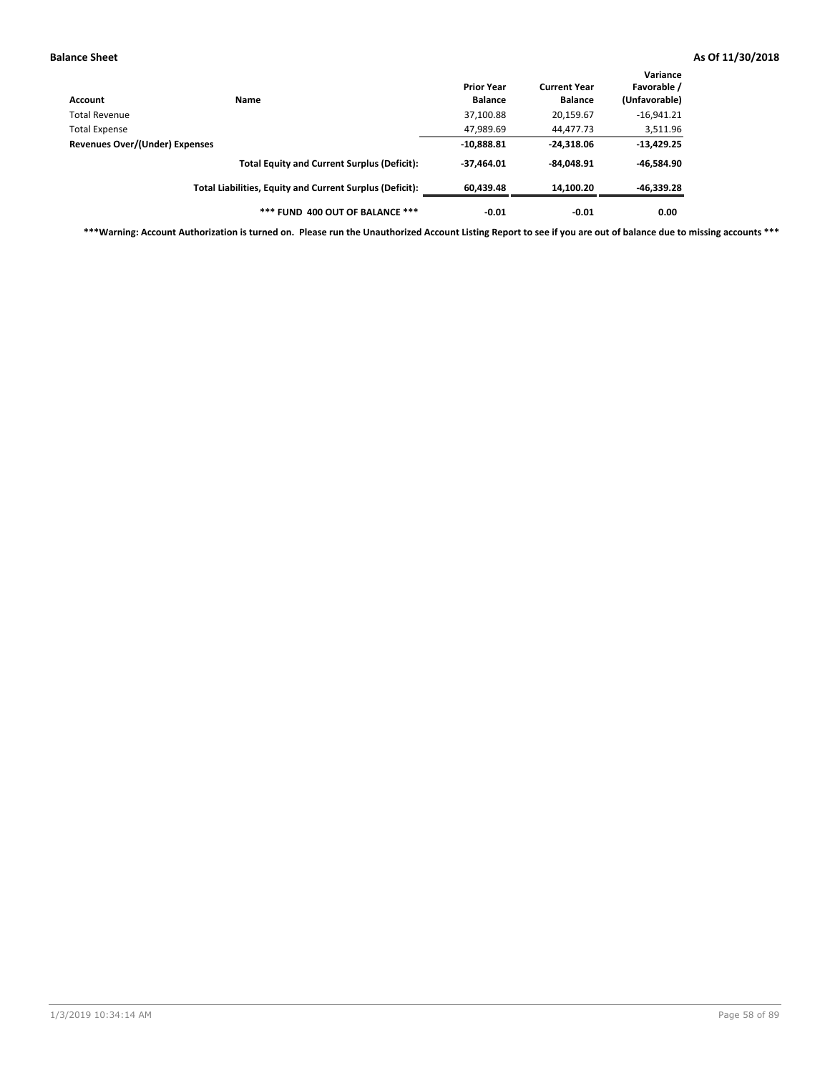| Account                        | Name                                                     | <b>Prior Year</b><br><b>Balance</b> | <b>Current Year</b><br><b>Balance</b> | Variance<br>Favorable /<br>(Unfavorable) |
|--------------------------------|----------------------------------------------------------|-------------------------------------|---------------------------------------|------------------------------------------|
| Total Revenue                  |                                                          | 37,100.88                           | 20,159.67                             | $-16,941.21$                             |
| Total Expense                  |                                                          | 47,989.69                           | 44,477.73                             | 3,511.96                                 |
| Revenues Over/(Under) Expenses |                                                          | $-10,888.81$                        | $-24,318.06$                          | $-13,429.25$                             |
|                                | <b>Total Equity and Current Surplus (Deficit):</b>       | $-37,464.01$                        | $-84.048.91$                          | -46,584.90                               |
|                                | Total Liabilities, Equity and Current Surplus (Deficit): | 60.439.48                           | 14,100.20                             | $-46,339.28$                             |
|                                | *** FUND 400 OUT OF BALANCE ***                          | $-0.01$                             | $-0.01$                               | 0.00                                     |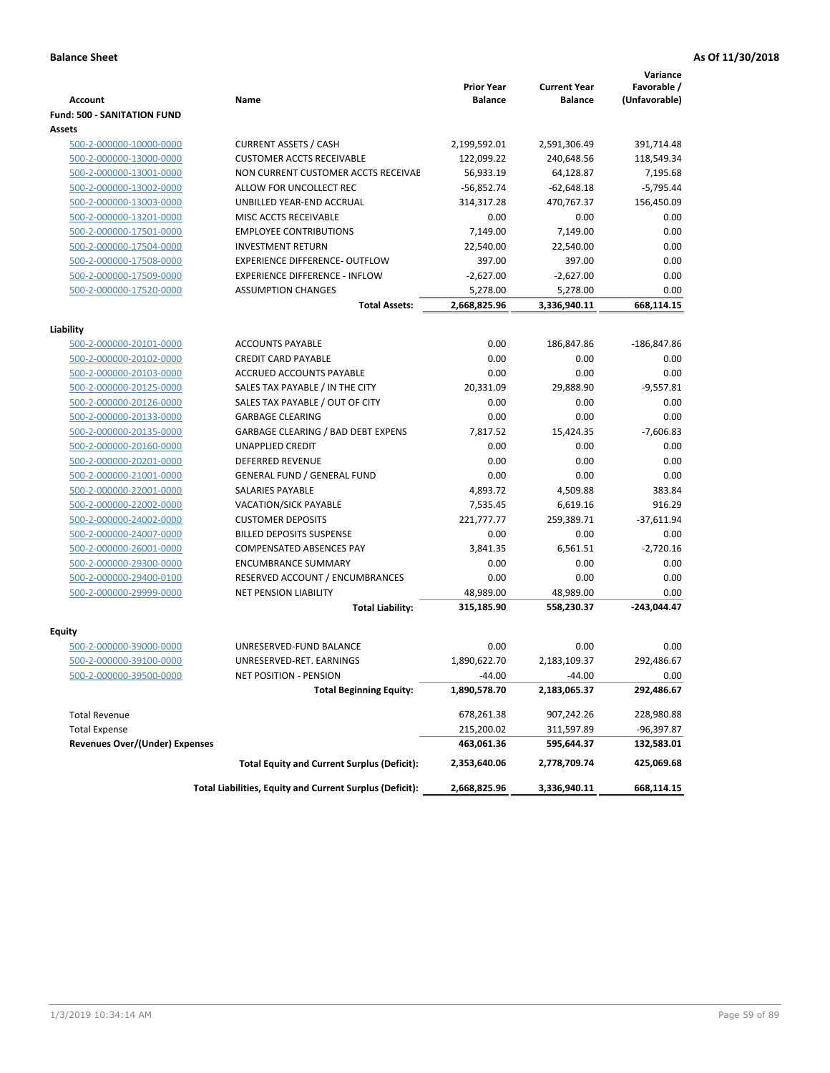|                                                    |                                                          | <b>Prior Year</b> | <b>Current Year</b> | Variance<br>Favorable / |
|----------------------------------------------------|----------------------------------------------------------|-------------------|---------------------|-------------------------|
| <b>Account</b>                                     | Name                                                     | <b>Balance</b>    | <b>Balance</b>      | (Unfavorable)           |
| <b>Fund: 500 - SANITATION FUND</b>                 |                                                          |                   |                     |                         |
| Assets                                             |                                                          |                   |                     |                         |
| 500-2-000000-10000-0000                            | <b>CURRENT ASSETS / CASH</b>                             | 2,199,592.01      | 2,591,306.49        | 391,714.48              |
| 500-2-000000-13000-0000                            | <b>CUSTOMER ACCTS RECEIVABLE</b>                         | 122,099.22        | 240,648.56          | 118,549.34              |
| 500-2-000000-13001-0000                            | NON CURRENT CUSTOMER ACCTS RECEIVAE                      | 56,933.19         | 64,128.87           | 7,195.68                |
| 500-2-000000-13002-0000                            | ALLOW FOR UNCOLLECT REC                                  | $-56,852.74$      | $-62,648.18$        | $-5,795.44$             |
| 500-2-000000-13003-0000                            | UNBILLED YEAR-END ACCRUAL                                | 314,317.28        | 470,767.37          | 156,450.09              |
| 500-2-000000-13201-0000                            | <b>MISC ACCTS RECEIVABLE</b>                             | 0.00              | 0.00                | 0.00                    |
| 500-2-000000-17501-0000                            | <b>EMPLOYEE CONTRIBUTIONS</b>                            | 7,149.00          | 7,149.00            | 0.00                    |
| 500-2-000000-17504-0000                            | <b>INVESTMENT RETURN</b>                                 | 22,540.00         | 22,540.00           | 0.00                    |
| 500-2-000000-17508-0000                            | <b>EXPERIENCE DIFFERENCE- OUTFLOW</b>                    | 397.00            | 397.00              | 0.00                    |
| 500-2-000000-17509-0000                            | <b>EXPERIENCE DIFFERENCE - INFLOW</b>                    | $-2,627.00$       | $-2,627.00$         | 0.00                    |
| 500-2-000000-17520-0000                            | <b>ASSUMPTION CHANGES</b>                                | 5,278.00          | 5,278.00            | 0.00                    |
|                                                    | <b>Total Assets:</b>                                     | 2,668,825.96      | 3,336,940.11        | 668,114.15              |
|                                                    |                                                          |                   |                     |                         |
| Liability                                          |                                                          |                   |                     |                         |
| 500-2-000000-20101-0000                            | <b>ACCOUNTS PAYABLE</b>                                  | 0.00              | 186,847.86          | $-186,847.86$           |
| 500-2-000000-20102-0000<br>500-2-000000-20103-0000 | <b>CREDIT CARD PAYABLE</b><br>ACCRUED ACCOUNTS PAYABLE   | 0.00<br>0.00      | 0.00<br>0.00        | 0.00<br>0.00            |
| 500-2-000000-20125-0000                            | SALES TAX PAYABLE / IN THE CITY                          | 20,331.09         | 29,888.90           | $-9,557.81$             |
| 500-2-000000-20126-0000                            | SALES TAX PAYABLE / OUT OF CITY                          | 0.00              | 0.00                | 0.00                    |
| 500-2-000000-20133-0000                            | <b>GARBAGE CLEARING</b>                                  | 0.00              | 0.00                | 0.00                    |
| 500-2-000000-20135-0000                            | <b>GARBAGE CLEARING / BAD DEBT EXPENS</b>                | 7.817.52          | 15,424.35           | $-7,606.83$             |
| 500-2-000000-20160-0000                            | <b>UNAPPLIED CREDIT</b>                                  | 0.00              | 0.00                | 0.00                    |
| 500-2-000000-20201-0000                            | <b>DEFERRED REVENUE</b>                                  | 0.00              | 0.00                | 0.00                    |
| 500-2-000000-21001-0000                            | <b>GENERAL FUND / GENERAL FUND</b>                       | 0.00              | 0.00                | 0.00                    |
| 500-2-000000-22001-0000                            | <b>SALARIES PAYABLE</b>                                  | 4,893.72          | 4,509.88            | 383.84                  |
| 500-2-000000-22002-0000                            | <b>VACATION/SICK PAYABLE</b>                             | 7,535.45          | 6,619.16            | 916.29                  |
| 500-2-000000-24002-0000                            | <b>CUSTOMER DEPOSITS</b>                                 | 221,777.77        | 259,389.71          | $-37,611.94$            |
| 500-2-000000-24007-0000                            | <b>BILLED DEPOSITS SUSPENSE</b>                          | 0.00              | 0.00                | 0.00                    |
| 500-2-000000-26001-0000                            | <b>COMPENSATED ABSENCES PAY</b>                          | 3,841.35          | 6,561.51            | $-2,720.16$             |
| 500-2-000000-29300-0000                            | <b>ENCUMBRANCE SUMMARY</b>                               | 0.00              | 0.00                | 0.00                    |
| 500-2-000000-29400-0100                            | RESERVED ACCOUNT / ENCUMBRANCES                          | 0.00              | 0.00                | 0.00                    |
| 500-2-000000-29999-0000                            | <b>NET PENSION LIABILITY</b>                             | 48,989.00         | 48,989.00           | 0.00                    |
|                                                    | <b>Total Liability:</b>                                  | 315,185.90        | 558,230.37          | $-243,044.47$           |
|                                                    |                                                          |                   |                     |                         |
| Equity                                             |                                                          |                   |                     |                         |
| 500-2-000000-39000-0000                            | UNRESERVED-FUND BALANCE                                  | 0.00              | 0.00                | 0.00                    |
| 500-2-000000-39100-0000                            | UNRESERVED-RET. EARNINGS                                 | 1,890,622.70      | 2,183,109.37        | 292,486.67              |
| <u>500-2-000000-39500-0000</u>                     | NET POSITION - PENSION                                   | $-44.00$          | $-44.00$            | 0.00                    |
|                                                    | <b>Total Beginning Equity:</b>                           | 1,890,578.70      | 2,183,065.37        | 292,486.67              |
| <b>Total Revenue</b>                               |                                                          | 678,261.38        | 907,242.26          | 228,980.88              |
| <b>Total Expense</b>                               |                                                          | 215,200.02        | 311,597.89          | -96,397.87              |
| <b>Revenues Over/(Under) Expenses</b>              |                                                          | 463,061.36        | 595,644.37          | 132,583.01              |
|                                                    | <b>Total Equity and Current Surplus (Deficit):</b>       | 2,353,640.06      | 2,778,709.74        | 425,069.68              |
|                                                    | Total Liabilities, Equity and Current Surplus (Deficit): | 2,668,825.96      | 3,336,940.11        | 668,114.15              |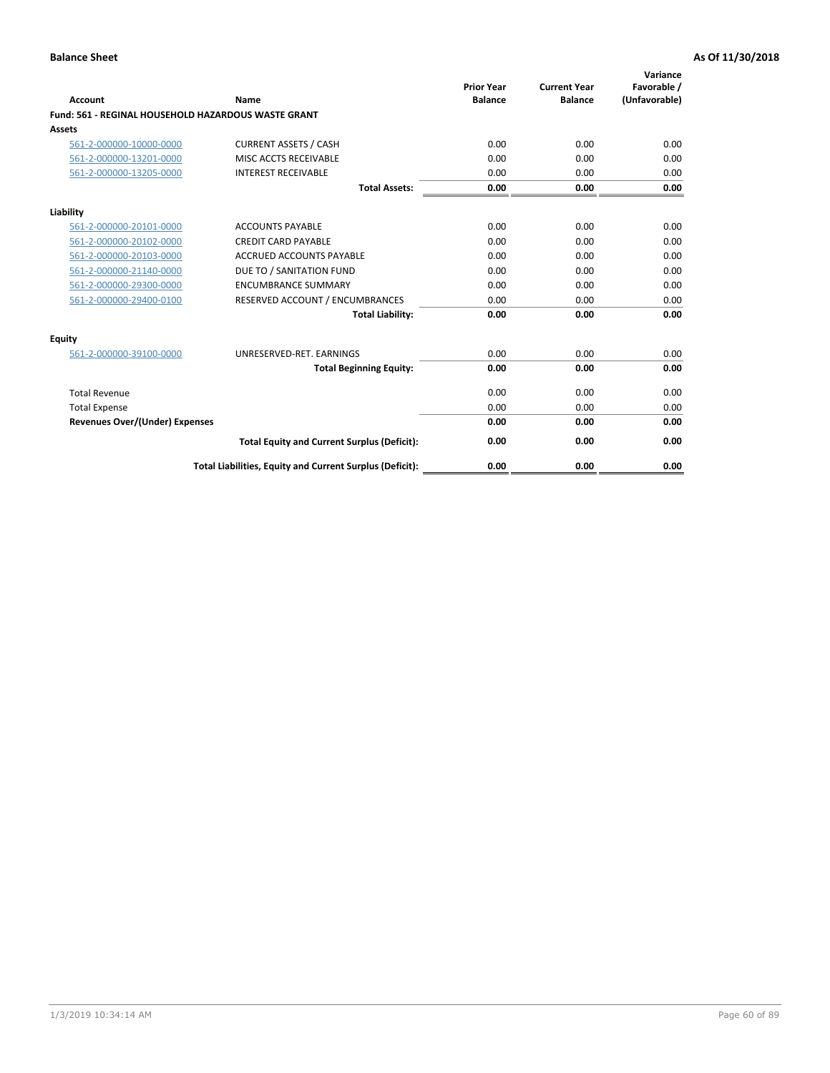| Account                               | Name                                                       | <b>Prior Year</b><br><b>Balance</b> | <b>Current Year</b><br><b>Balance</b> | Variance<br>Favorable /<br>(Unfavorable) |
|---------------------------------------|------------------------------------------------------------|-------------------------------------|---------------------------------------|------------------------------------------|
|                                       | <b>Fund: 561 - REGINAL HOUSEHOLD HAZARDOUS WASTE GRANT</b> |                                     |                                       |                                          |
| Assets                                |                                                            |                                     |                                       |                                          |
| 561-2-000000-10000-0000               | <b>CURRENT ASSETS / CASH</b>                               | 0.00                                | 0.00                                  | 0.00                                     |
| 561-2-000000-13201-0000               | MISC ACCTS RECEIVABLE                                      | 0.00                                | 0.00                                  | 0.00                                     |
| 561-2-000000-13205-0000               | <b>INTEREST RECEIVABLE</b>                                 | 0.00                                | 0.00                                  | 0.00                                     |
|                                       | <b>Total Assets:</b>                                       | 0.00                                | 0.00                                  | 0.00                                     |
| Liability                             |                                                            |                                     |                                       |                                          |
| 561-2-000000-20101-0000               | <b>ACCOUNTS PAYABLE</b>                                    | 0.00                                | 0.00                                  | 0.00                                     |
| 561-2-000000-20102-0000               | <b>CREDIT CARD PAYABLE</b>                                 | 0.00                                | 0.00                                  | 0.00                                     |
| 561-2-000000-20103-0000               | <b>ACCRUED ACCOUNTS PAYABLE</b>                            | 0.00                                | 0.00                                  | 0.00                                     |
| 561-2-000000-21140-0000               | DUE TO / SANITATION FUND                                   | 0.00                                | 0.00                                  | 0.00                                     |
| 561-2-000000-29300-0000               | <b>ENCUMBRANCE SUMMARY</b>                                 | 0.00                                | 0.00                                  | 0.00                                     |
| 561-2-000000-29400-0100               | RESERVED ACCOUNT / ENCUMBRANCES                            | 0.00                                | 0.00                                  | 0.00                                     |
|                                       | <b>Total Liability:</b>                                    | 0.00                                | 0.00                                  | 0.00                                     |
| <b>Equity</b>                         |                                                            |                                     |                                       |                                          |
| 561-2-000000-39100-0000               | UNRESERVED-RET. EARNINGS                                   | 0.00                                | 0.00                                  | 0.00                                     |
|                                       | <b>Total Beginning Equity:</b>                             | 0.00                                | 0.00                                  | 0.00                                     |
| <b>Total Revenue</b>                  |                                                            | 0.00                                | 0.00                                  | 0.00                                     |
| <b>Total Expense</b>                  |                                                            | 0.00                                | 0.00                                  | 0.00                                     |
| <b>Revenues Over/(Under) Expenses</b> |                                                            | 0.00                                | 0.00                                  | 0.00                                     |
|                                       | <b>Total Equity and Current Surplus (Deficit):</b>         | 0.00                                | 0.00                                  | 0.00                                     |
|                                       | Total Liabilities, Equity and Current Surplus (Deficit):   | 0.00                                | 0.00                                  | 0.00                                     |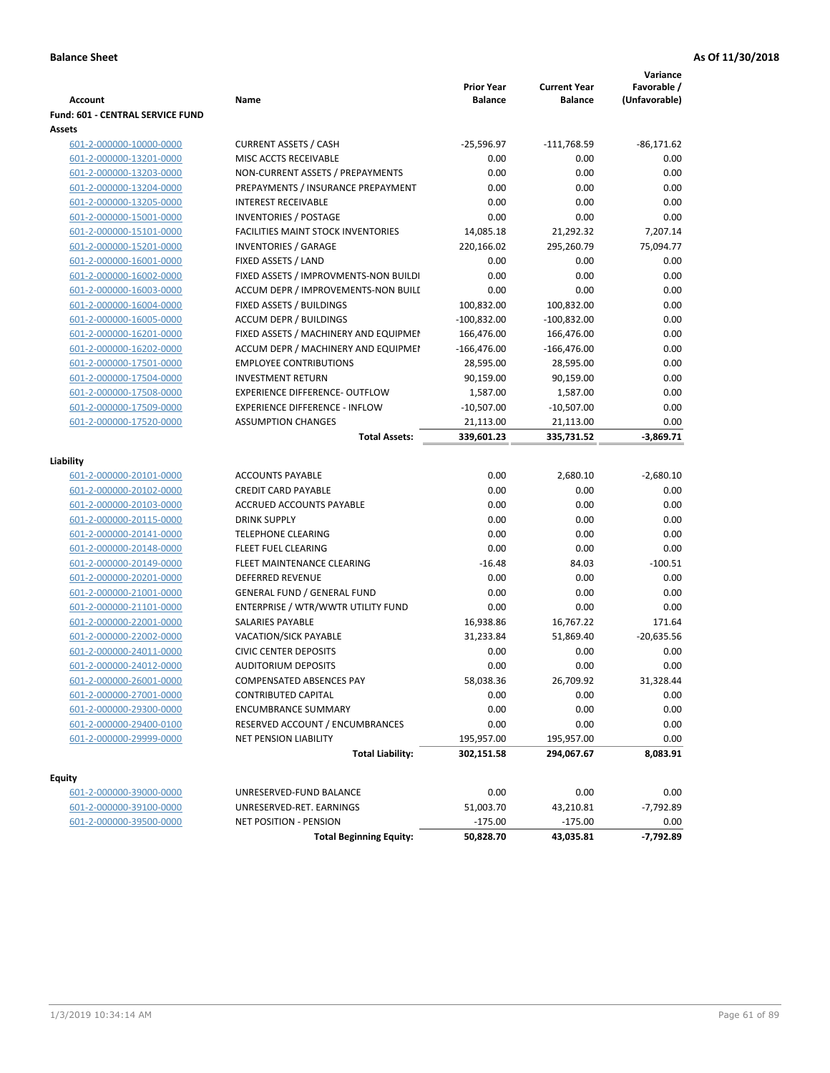|                                  |                                           |                                     |                                       | Variance                     |
|----------------------------------|-------------------------------------------|-------------------------------------|---------------------------------------|------------------------------|
| <b>Account</b>                   | Name                                      | <b>Prior Year</b><br><b>Balance</b> | <b>Current Year</b><br><b>Balance</b> | Favorable /<br>(Unfavorable) |
| Fund: 601 - CENTRAL SERVICE FUND |                                           |                                     |                                       |                              |
| Assets                           |                                           |                                     |                                       |                              |
| 601-2-000000-10000-0000          | <b>CURRENT ASSETS / CASH</b>              | $-25,596.97$                        | $-111,768.59$                         | $-86,171.62$                 |
| 601-2-000000-13201-0000          | MISC ACCTS RECEIVABLE                     | 0.00                                | 0.00                                  | 0.00                         |
| 601-2-000000-13203-0000          | NON-CURRENT ASSETS / PREPAYMENTS          | 0.00                                | 0.00                                  | 0.00                         |
| 601-2-000000-13204-0000          | PREPAYMENTS / INSURANCE PREPAYMENT        | 0.00                                | 0.00                                  | 0.00                         |
| 601-2-000000-13205-0000          | <b>INTEREST RECEIVABLE</b>                | 0.00                                | 0.00                                  | 0.00                         |
| 601-2-000000-15001-0000          | <b>INVENTORIES / POSTAGE</b>              | 0.00                                | 0.00                                  | 0.00                         |
| 601-2-000000-15101-0000          | <b>FACILITIES MAINT STOCK INVENTORIES</b> | 14,085.18                           | 21,292.32                             | 7,207.14                     |
| 601-2-000000-15201-0000          | <b>INVENTORIES / GARAGE</b>               | 220,166.02                          | 295,260.79                            | 75,094.77                    |
| 601-2-000000-16001-0000          | FIXED ASSETS / LAND                       | 0.00                                | 0.00                                  | 0.00                         |
| 601-2-000000-16002-0000          | FIXED ASSETS / IMPROVMENTS-NON BUILDI     | 0.00                                | 0.00                                  | 0.00                         |
| 601-2-000000-16003-0000          | ACCUM DEPR / IMPROVEMENTS-NON BUILI       | 0.00                                | 0.00                                  | 0.00                         |
| 601-2-000000-16004-0000          | FIXED ASSETS / BUILDINGS                  | 100,832.00                          | 100,832.00                            | 0.00                         |
| 601-2-000000-16005-0000          | <b>ACCUM DEPR / BUILDINGS</b>             | $-100,832.00$                       | $-100,832.00$                         | 0.00                         |
| 601-2-000000-16201-0000          | FIXED ASSETS / MACHINERY AND EQUIPMEN     | 166,476.00                          | 166,476.00                            | 0.00                         |
| 601-2-000000-16202-0000          | ACCUM DEPR / MACHINERY AND EQUIPMEI       | $-166,476.00$                       | $-166,476.00$                         | 0.00                         |
| 601-2-000000-17501-0000          | <b>EMPLOYEE CONTRIBUTIONS</b>             | 28,595.00                           | 28,595.00                             | 0.00                         |
| 601-2-000000-17504-0000          | <b>INVESTMENT RETURN</b>                  | 90,159.00                           | 90,159.00                             | 0.00                         |
| 601-2-000000-17508-0000          | <b>EXPERIENCE DIFFERENCE- OUTFLOW</b>     | 1,587.00                            | 1,587.00                              | 0.00                         |
| 601-2-000000-17509-0000          | <b>EXPERIENCE DIFFERENCE - INFLOW</b>     | $-10,507.00$                        | $-10,507.00$                          | 0.00                         |
| 601-2-000000-17520-0000          | <b>ASSUMPTION CHANGES</b>                 | 21,113.00                           | 21,113.00                             | 0.00                         |
|                                  | <b>Total Assets:</b>                      | 339,601.23                          | 335,731.52                            | $-3,869.71$                  |
|                                  |                                           |                                     |                                       |                              |
| Liability                        |                                           |                                     |                                       |                              |
| 601-2-000000-20101-0000          | <b>ACCOUNTS PAYABLE</b>                   | 0.00                                | 2,680.10                              | $-2,680.10$                  |
| 601-2-000000-20102-0000          | <b>CREDIT CARD PAYABLE</b>                | 0.00                                | 0.00                                  | 0.00                         |
| 601-2-000000-20103-0000          | ACCRUED ACCOUNTS PAYABLE                  | 0.00                                | 0.00                                  | 0.00                         |
| 601-2-000000-20115-0000          | <b>DRINK SUPPLY</b>                       | 0.00                                | 0.00                                  | 0.00                         |
| 601-2-000000-20141-0000          | <b>TELEPHONE CLEARING</b>                 | 0.00                                | 0.00                                  | 0.00                         |
| 601-2-000000-20148-0000          | FLEET FUEL CLEARING                       | 0.00                                | 0.00                                  | 0.00                         |
| 601-2-000000-20149-0000          | FLEET MAINTENANCE CLEARING                | $-16.48$                            | 84.03                                 | $-100.51$                    |
| 601-2-000000-20201-0000          | <b>DEFERRED REVENUE</b>                   | 0.00                                | 0.00                                  | 0.00                         |
| 601-2-000000-21001-0000          | <b>GENERAL FUND / GENERAL FUND</b>        | 0.00                                | 0.00                                  | 0.00                         |
| 601-2-000000-21101-0000          | ENTERPRISE / WTR/WWTR UTILITY FUND        | 0.00                                | 0.00                                  | 0.00                         |
| 601-2-000000-22001-0000          | SALARIES PAYABLE                          | 16,938.86                           | 16,767.22                             | 171.64                       |
| 601-2-000000-22002-0000          | VACATION/SICK PAYABLE                     | 31,233.84                           | 51,869.40                             | $-20,635.56$                 |
| 601-2-000000-24011-0000          | <b>CIVIC CENTER DEPOSITS</b>              | 0.00                                | 0.00                                  | 0.00                         |
| 601-2-000000-24012-0000          | <b>AUDITORIUM DEPOSITS</b>                | 0.00                                | 0.00                                  | 0.00                         |
| 601-2-000000-26001-0000          | COMPENSATED ABSENCES PAY                  | 58,038.36                           | 26,709.92                             | 31,328.44                    |
| 601-2-000000-27001-0000          | <b>CONTRIBUTED CAPITAL</b>                | 0.00                                | 0.00                                  | 0.00                         |
| 601-2-000000-29300-0000          | <b>ENCUMBRANCE SUMMARY</b>                | 0.00                                | 0.00                                  | 0.00                         |
| 601-2-000000-29400-0100          | RESERVED ACCOUNT / ENCUMBRANCES           | 0.00                                | 0.00                                  | 0.00                         |
| 601-2-000000-29999-0000          | NET PENSION LIABILITY                     | 195,957.00                          | 195,957.00                            | 0.00                         |
|                                  | <b>Total Liability:</b>                   | 302,151.58                          | 294,067.67                            | 8,083.91                     |
|                                  |                                           |                                     |                                       |                              |
| Equity                           |                                           |                                     |                                       |                              |
| 601-2-000000-39000-0000          | UNRESERVED-FUND BALANCE                   | 0.00                                | 0.00                                  | 0.00                         |
| 601-2-000000-39100-0000          | UNRESERVED-RET. EARNINGS                  | 51,003.70                           | 43,210.81                             | -7,792.89                    |
| 601-2-000000-39500-0000          | NET POSITION - PENSION                    | $-175.00$                           | $-175.00$                             | 0.00                         |
|                                  | <b>Total Beginning Equity:</b>            | 50,828.70                           | 43,035.81                             | $-7,792.89$                  |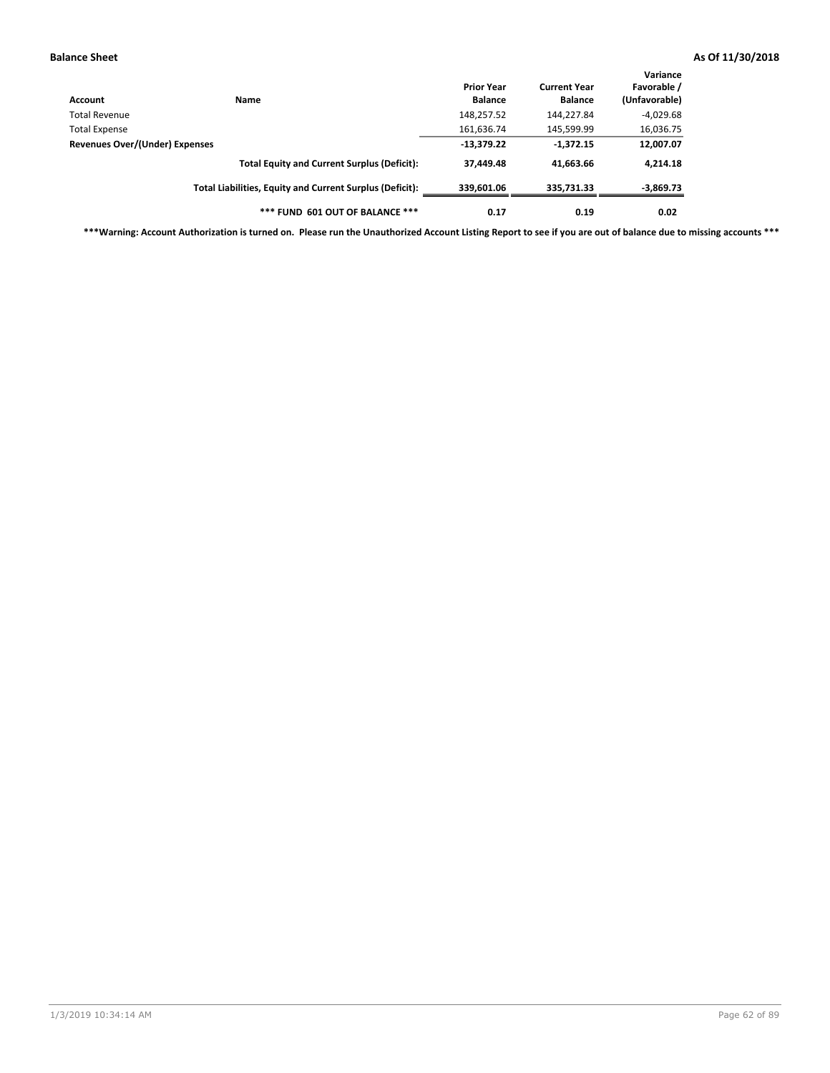| Account                        | <b>Name</b>                                              | <b>Prior Year</b><br><b>Balance</b> | <b>Current Year</b><br><b>Balance</b> | Variance<br>Favorable /<br>(Unfavorable) |
|--------------------------------|----------------------------------------------------------|-------------------------------------|---------------------------------------|------------------------------------------|
| Total Revenue                  |                                                          | 148,257.52                          | 144,227.84                            | $-4,029.68$                              |
| <b>Total Expense</b>           |                                                          | 161,636.74                          | 145,599.99                            | 16,036.75                                |
| Revenues Over/(Under) Expenses |                                                          | $-13,379.22$                        | $-1,372.15$                           | 12,007.07                                |
|                                | <b>Total Equity and Current Surplus (Deficit):</b>       | 37,449.48                           | 41.663.66                             | 4,214.18                                 |
|                                | Total Liabilities, Equity and Current Surplus (Deficit): | 339,601.06                          | 335,731.33                            | $-3,869.73$                              |
|                                | *** FUND 601 OUT OF BALANCE ***                          | 0.17                                | 0.19                                  | 0.02                                     |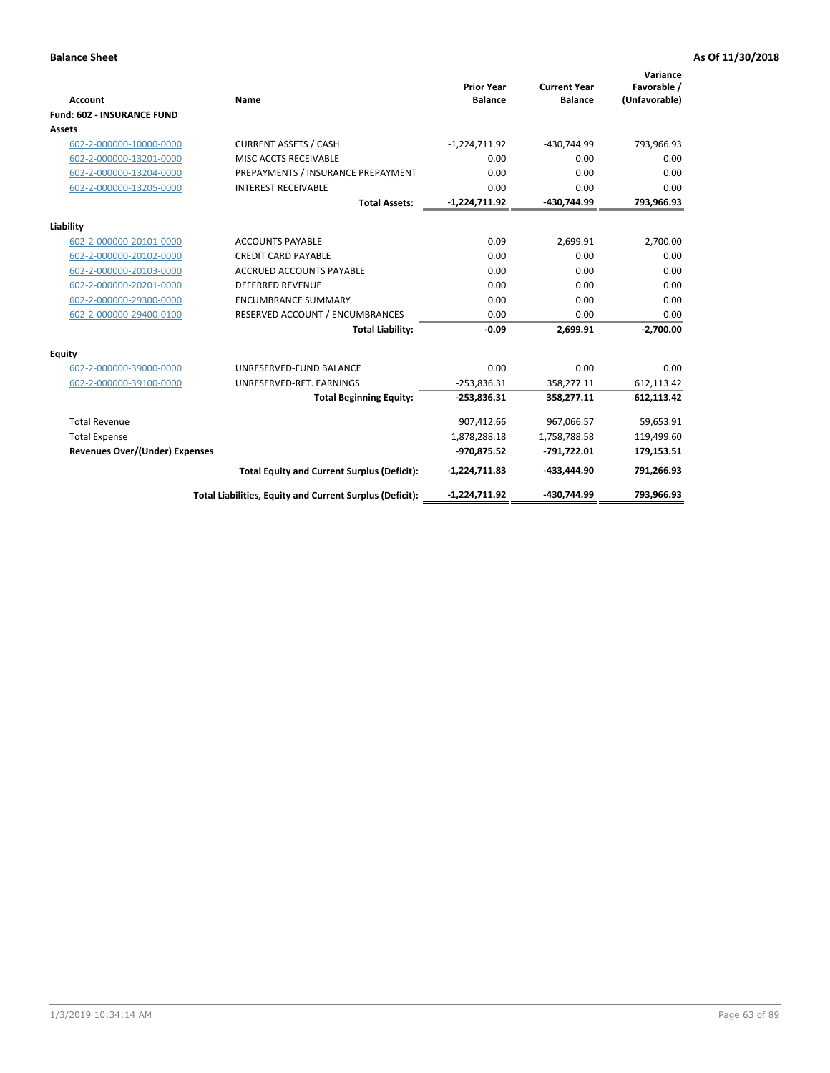|                                       |                                                          |                                     |                                       | Variance                     |
|---------------------------------------|----------------------------------------------------------|-------------------------------------|---------------------------------------|------------------------------|
| <b>Account</b>                        | Name                                                     | <b>Prior Year</b><br><b>Balance</b> | <b>Current Year</b><br><b>Balance</b> | Favorable /<br>(Unfavorable) |
| <b>Fund: 602 - INSURANCE FUND</b>     |                                                          |                                     |                                       |                              |
| Assets                                |                                                          |                                     |                                       |                              |
| 602-2-000000-10000-0000               | <b>CURRENT ASSETS / CASH</b>                             | $-1,224,711.92$                     | -430,744.99                           | 793,966.93                   |
| 602-2-000000-13201-0000               | MISC ACCTS RECEIVABLE                                    | 0.00                                | 0.00                                  | 0.00                         |
| 602-2-000000-13204-0000               | PREPAYMENTS / INSURANCE PREPAYMENT                       | 0.00                                | 0.00                                  | 0.00                         |
| 602-2-000000-13205-0000               | <b>INTEREST RECEIVABLE</b>                               | 0.00                                | 0.00                                  | 0.00                         |
|                                       | <b>Total Assets:</b>                                     | $-1,224,711.92$                     | -430,744.99                           | 793,966.93                   |
| Liability                             |                                                          |                                     |                                       |                              |
| 602-2-000000-20101-0000               | <b>ACCOUNTS PAYABLE</b>                                  | $-0.09$                             | 2,699.91                              | $-2,700.00$                  |
| 602-2-000000-20102-0000               | <b>CREDIT CARD PAYABLE</b>                               | 0.00                                | 0.00                                  | 0.00                         |
| 602-2-000000-20103-0000               | <b>ACCRUED ACCOUNTS PAYABLE</b>                          | 0.00                                | 0.00                                  | 0.00                         |
| 602-2-000000-20201-0000               | <b>DEFERRED REVENUE</b>                                  | 0.00                                | 0.00                                  | 0.00                         |
| 602-2-000000-29300-0000               | <b>ENCUMBRANCE SUMMARY</b>                               | 0.00                                | 0.00                                  | 0.00                         |
| 602-2-000000-29400-0100               | RESERVED ACCOUNT / ENCUMBRANCES                          | 0.00                                | 0.00                                  | 0.00                         |
|                                       | <b>Total Liability:</b>                                  | $-0.09$                             | 2,699.91                              | $-2,700.00$                  |
| Equity                                |                                                          |                                     |                                       |                              |
| 602-2-000000-39000-0000               | UNRESERVED-FUND BALANCE                                  | 0.00                                | 0.00                                  | 0.00                         |
| 602-2-000000-39100-0000               | UNRESERVED-RET. EARNINGS                                 | $-253,836.31$                       | 358,277.11                            | 612,113.42                   |
|                                       | <b>Total Beginning Equity:</b>                           | $-253,836.31$                       | 358,277.11                            | 612,113.42                   |
| <b>Total Revenue</b>                  |                                                          | 907,412.66                          | 967,066.57                            | 59,653.91                    |
| <b>Total Expense</b>                  |                                                          | 1,878,288.18                        | 1,758,788.58                          | 119,499.60                   |
| <b>Revenues Over/(Under) Expenses</b> |                                                          | -970,875.52                         | -791,722.01                           | 179,153.51                   |
|                                       | <b>Total Equity and Current Surplus (Deficit):</b>       | $-1,224,711.83$                     | -433.444.90                           | 791,266.93                   |
|                                       | Total Liabilities, Equity and Current Surplus (Deficit): | $-1,224,711.92$                     | -430,744.99                           | 793,966.93                   |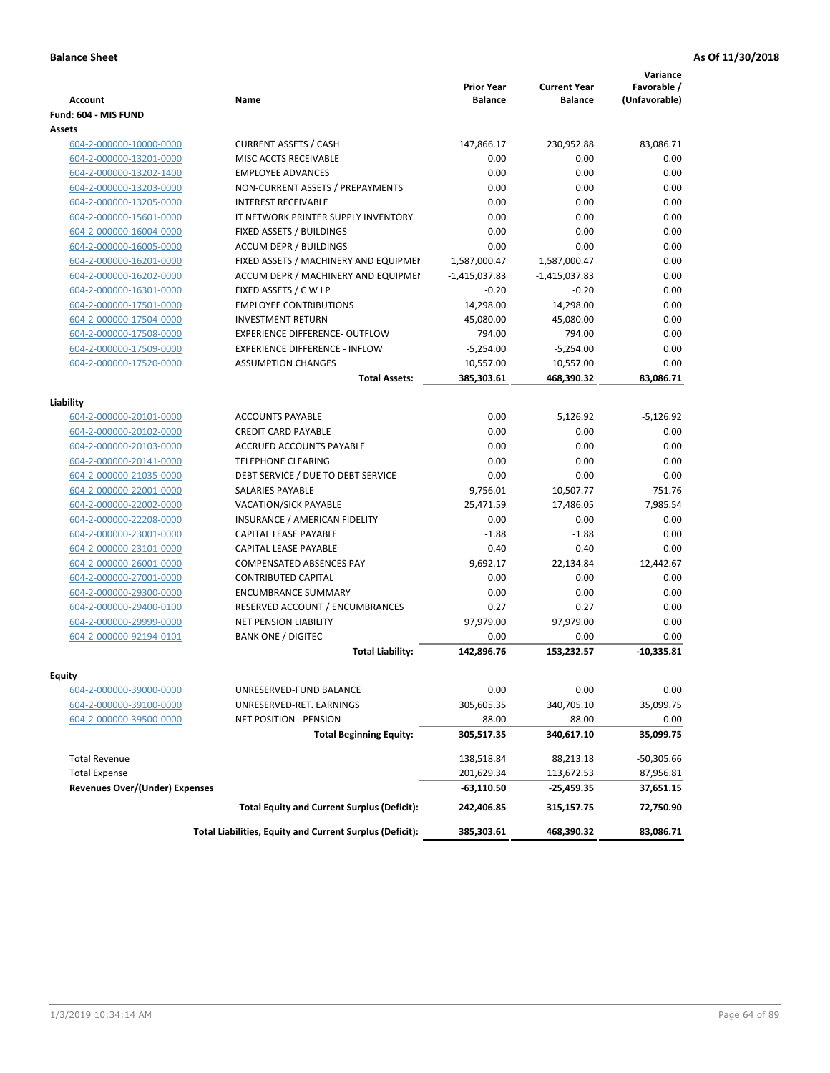| <b>Account</b>                                     | <b>Name</b>                                              | <b>Prior Year</b><br><b>Balance</b> | <b>Current Year</b><br><b>Balance</b> | Variance<br>Favorable /<br>(Unfavorable) |
|----------------------------------------------------|----------------------------------------------------------|-------------------------------------|---------------------------------------|------------------------------------------|
| Fund: 604 - MIS FUND                               |                                                          |                                     |                                       |                                          |
| Assets                                             |                                                          |                                     |                                       |                                          |
| 604-2-000000-10000-0000                            | <b>CURRENT ASSETS / CASH</b>                             | 147,866.17                          | 230,952.88                            | 83,086.71                                |
| 604-2-000000-13201-0000                            | MISC ACCTS RECEIVABLE                                    | 0.00                                | 0.00                                  | 0.00                                     |
| 604-2-000000-13202-1400                            | <b>EMPLOYEE ADVANCES</b>                                 | 0.00                                | 0.00                                  | 0.00                                     |
| 604-2-000000-13203-0000                            | NON-CURRENT ASSETS / PREPAYMENTS                         | 0.00                                | 0.00                                  | 0.00                                     |
| 604-2-000000-13205-0000                            | <b>INTEREST RECEIVABLE</b>                               | 0.00                                | 0.00                                  | 0.00                                     |
| 604-2-000000-15601-0000                            | IT NETWORK PRINTER SUPPLY INVENTORY                      | 0.00                                | 0.00                                  | 0.00                                     |
| 604-2-000000-16004-0000                            | FIXED ASSETS / BUILDINGS                                 | 0.00                                | 0.00                                  | 0.00                                     |
| 604-2-000000-16005-0000                            | <b>ACCUM DEPR / BUILDINGS</b>                            | 0.00                                | 0.00                                  | 0.00                                     |
| 604-2-000000-16201-0000                            | FIXED ASSETS / MACHINERY AND EQUIPMEN                    | 1,587,000.47                        | 1,587,000.47                          | 0.00                                     |
| 604-2-000000-16202-0000                            | ACCUM DEPR / MACHINERY AND EQUIPMEI                      | $-1,415,037.83$                     | $-1,415,037.83$                       | 0.00                                     |
| 604-2-000000-16301-0000                            | FIXED ASSETS / C W I P                                   | $-0.20$                             | $-0.20$                               | 0.00                                     |
| 604-2-000000-17501-0000                            | <b>EMPLOYEE CONTRIBUTIONS</b>                            | 14,298.00                           | 14,298.00                             | 0.00                                     |
| 604-2-000000-17504-0000                            | <b>INVESTMENT RETURN</b>                                 | 45,080.00                           | 45,080.00                             | 0.00                                     |
| 604-2-000000-17508-0000                            | EXPERIENCE DIFFERENCE- OUTFLOW                           | 794.00                              | 794.00                                | 0.00                                     |
| 604-2-000000-17509-0000                            | <b>EXPERIENCE DIFFERENCE - INFLOW</b>                    | $-5,254.00$                         | $-5,254.00$                           | 0.00                                     |
| 604-2-000000-17520-0000                            | <b>ASSUMPTION CHANGES</b>                                | 10,557.00                           | 10,557.00                             | 0.00                                     |
|                                                    | <b>Total Assets:</b>                                     | 385,303.61                          | 468,390.32                            | 83,086.71                                |
|                                                    |                                                          |                                     |                                       |                                          |
| Liability                                          |                                                          |                                     |                                       |                                          |
| 604-2-000000-20101-0000                            | <b>ACCOUNTS PAYABLE</b>                                  | 0.00                                | 5,126.92                              | $-5,126.92$                              |
| 604-2-000000-20102-0000                            | <b>CREDIT CARD PAYABLE</b>                               | 0.00                                | 0.00                                  | 0.00                                     |
| 604-2-000000-20103-0000                            | ACCRUED ACCOUNTS PAYABLE                                 | 0.00                                | 0.00                                  | 0.00                                     |
| 604-2-000000-20141-0000                            | <b>TELEPHONE CLEARING</b>                                | 0.00                                | 0.00                                  | 0.00                                     |
| 604-2-000000-21035-0000                            | DEBT SERVICE / DUE TO DEBT SERVICE                       | 0.00                                | 0.00                                  | 0.00                                     |
| 604-2-000000-22001-0000                            | <b>SALARIES PAYABLE</b>                                  | 9,756.01                            | 10,507.77                             | $-751.76$                                |
| 604-2-000000-22002-0000                            | VACATION/SICK PAYABLE                                    | 25,471.59                           | 17,486.05                             | 7,985.54                                 |
| 604-2-000000-22208-0000                            | INSURANCE / AMERICAN FIDELITY                            | 0.00                                | 0.00                                  | 0.00                                     |
| 604-2-000000-23001-0000                            | CAPITAL LEASE PAYABLE                                    | $-1.88$                             | $-1.88$                               | 0.00                                     |
| 604-2-000000-23101-0000                            | CAPITAL LEASE PAYABLE                                    | $-0.40$                             | $-0.40$                               | 0.00                                     |
| 604-2-000000-26001-0000                            | <b>COMPENSATED ABSENCES PAY</b>                          | 9,692.17                            | 22,134.84                             | $-12,442.67$                             |
| 604-2-000000-27001-0000                            | <b>CONTRIBUTED CAPITAL</b>                               | 0.00                                | 0.00                                  | 0.00                                     |
| 604-2-000000-29300-0000                            | <b>ENCUMBRANCE SUMMARY</b>                               | 0.00                                | 0.00                                  | 0.00                                     |
| 604-2-000000-29400-0100                            | RESERVED ACCOUNT / ENCUMBRANCES                          | 0.27                                | 0.27                                  | 0.00                                     |
| 604-2-000000-29999-0000                            | <b>NET PENSION LIABILITY</b>                             | 97,979.00                           | 97,979.00                             | 0.00                                     |
| 604-2-000000-92194-0101                            | <b>BANK ONE / DIGITEC</b>                                | 0.00                                | 0.00                                  | 0.00                                     |
|                                                    | <b>Total Liability:</b>                                  | 142,896.76                          | 153,232.57                            | $-10,335.81$                             |
|                                                    |                                                          |                                     |                                       |                                          |
| Equity                                             | UNRESERVED-FUND BALANCE                                  | 0.00                                | 0.00                                  | 0.00                                     |
| 604-2-000000-39000-0000                            | UNRESERVED-RET. EARNINGS                                 | 305,605.35                          | 340,705.10                            | 35,099.75                                |
| 604-2-000000-39100-0000<br>604-2-000000-39500-0000 | <b>NET POSITION - PENSION</b>                            | $-88.00$                            | $-88.00$                              | 0.00                                     |
|                                                    |                                                          |                                     |                                       |                                          |
|                                                    | <b>Total Beginning Equity:</b>                           | 305,517.35                          | 340,617.10                            | 35,099.75                                |
| <b>Total Revenue</b>                               |                                                          | 138,518.84                          | 88,213.18                             | $-50,305.66$                             |
| <b>Total Expense</b>                               |                                                          | 201,629.34                          | 113,672.53                            | 87,956.81                                |
| <b>Revenues Over/(Under) Expenses</b>              |                                                          | $-63,110.50$                        | -25,459.35                            | 37,651.15                                |
|                                                    | <b>Total Equity and Current Surplus (Deficit):</b>       | 242,406.85                          | 315,157.75                            | 72,750.90                                |
|                                                    | Total Liabilities, Equity and Current Surplus (Deficit): | 385,303.61                          | 468,390.32                            | 83,086.71                                |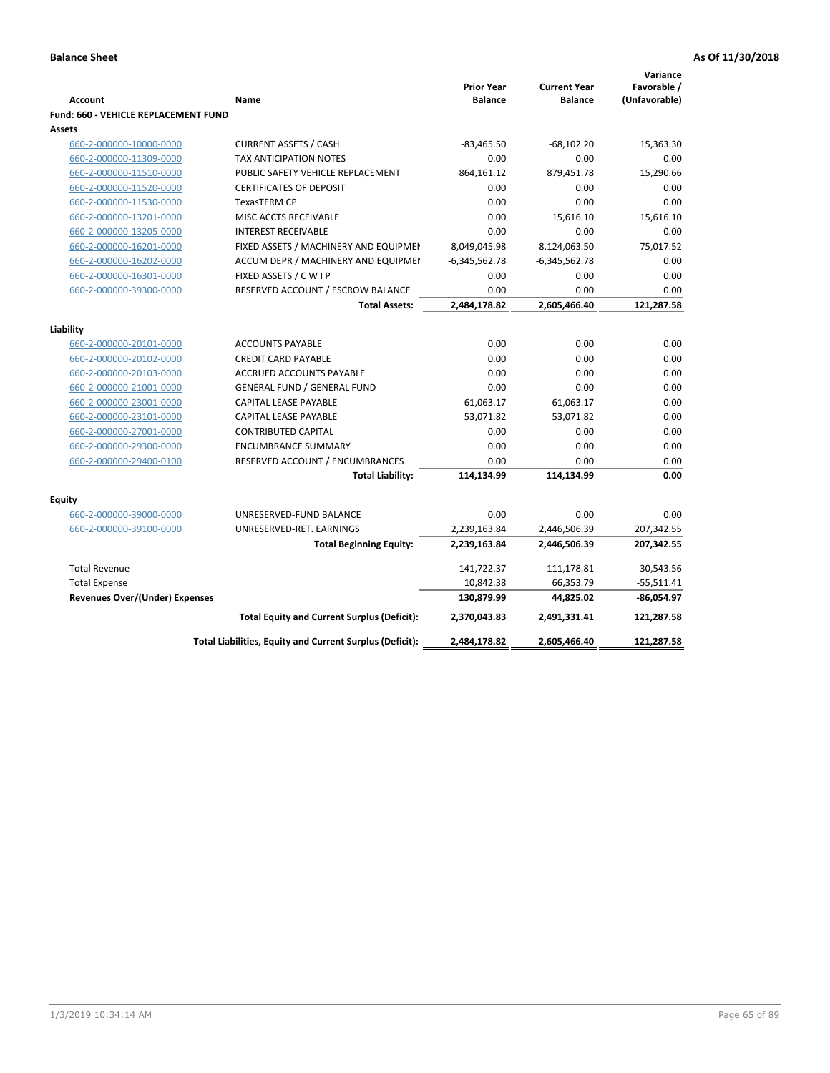|                                                    |                                                               |                                     |                                       | Variance                     |
|----------------------------------------------------|---------------------------------------------------------------|-------------------------------------|---------------------------------------|------------------------------|
| <b>Account</b>                                     | Name                                                          | <b>Prior Year</b><br><b>Balance</b> | <b>Current Year</b><br><b>Balance</b> | Favorable /<br>(Unfavorable) |
|                                                    |                                                               |                                     |                                       |                              |
| <b>Fund: 660 - VEHICLE REPLACEMENT FUND</b>        |                                                               |                                     |                                       |                              |
| Assets                                             |                                                               | $-83,465.50$                        | $-68,102.20$                          | 15,363.30                    |
| 660-2-000000-10000-0000                            | <b>CURRENT ASSETS / CASH</b><br><b>TAX ANTICIPATION NOTES</b> | 0.00                                | 0.00                                  | 0.00                         |
| 660-2-000000-11309-0000<br>660-2-000000-11510-0000 | PUBLIC SAFETY VEHICLE REPLACEMENT                             | 864,161.12                          | 879,451.78                            | 15,290.66                    |
|                                                    | <b>CERTIFICATES OF DEPOSIT</b>                                | 0.00                                | 0.00                                  |                              |
| 660-2-000000-11520-0000<br>660-2-000000-11530-0000 | TexasTERM CP                                                  | 0.00                                | 0.00                                  | 0.00<br>0.00                 |
|                                                    | MISC ACCTS RECEIVABLE                                         | 0.00                                | 15,616.10                             |                              |
| 660-2-000000-13201-0000<br>660-2-000000-13205-0000 | <b>INTEREST RECEIVABLE</b>                                    | 0.00                                | 0.00                                  | 15,616.10<br>0.00            |
| 660-2-000000-16201-0000                            | FIXED ASSETS / MACHINERY AND EQUIPMEN                         | 8,049,045.98                        | 8,124,063.50                          | 75,017.52                    |
| 660-2-000000-16202-0000                            | ACCUM DEPR / MACHINERY AND EQUIPMEI                           | $-6,345,562.78$                     |                                       | 0.00                         |
| 660-2-000000-16301-0000                            | FIXED ASSETS / C W I P                                        | 0.00                                | $-6,345,562.78$<br>0.00               | 0.00                         |
| 660-2-000000-39300-0000                            | RESERVED ACCOUNT / ESCROW BALANCE                             | 0.00                                | 0.00                                  | 0.00                         |
|                                                    | <b>Total Assets:</b>                                          | 2,484,178.82                        | 2,605,466.40                          | 121,287.58                   |
|                                                    |                                                               |                                     |                                       |                              |
| Liability                                          |                                                               |                                     |                                       |                              |
| 660-2-000000-20101-0000                            | <b>ACCOUNTS PAYABLE</b>                                       | 0.00                                | 0.00                                  | 0.00                         |
| 660-2-000000-20102-0000                            | <b>CREDIT CARD PAYABLE</b>                                    | 0.00                                | 0.00                                  | 0.00                         |
| 660-2-000000-20103-0000                            | <b>ACCRUED ACCOUNTS PAYABLE</b>                               | 0.00                                | 0.00                                  | 0.00                         |
| 660-2-000000-21001-0000                            | <b>GENERAL FUND / GENERAL FUND</b>                            | 0.00                                | 0.00                                  | 0.00                         |
| 660-2-000000-23001-0000                            | <b>CAPITAL LEASE PAYABLE</b>                                  | 61,063.17                           | 61,063.17                             | 0.00                         |
| 660-2-000000-23101-0000                            | <b>CAPITAL LEASE PAYABLE</b>                                  | 53,071.82                           | 53,071.82                             | 0.00                         |
| 660-2-000000-27001-0000                            | <b>CONTRIBUTED CAPITAL</b>                                    | 0.00                                | 0.00                                  | 0.00                         |
| 660-2-000000-29300-0000                            | <b>ENCUMBRANCE SUMMARY</b>                                    | 0.00                                | 0.00                                  | 0.00                         |
| 660-2-000000-29400-0100                            | RESERVED ACCOUNT / ENCUMBRANCES                               | 0.00                                | 0.00                                  | 0.00                         |
|                                                    | <b>Total Liability:</b>                                       | 114,134.99                          | 114,134.99                            | 0.00                         |
| <b>Equity</b>                                      |                                                               |                                     |                                       |                              |
| 660-2-000000-39000-0000                            | UNRESERVED-FUND BALANCE                                       | 0.00                                | 0.00                                  | 0.00                         |
| 660-2-000000-39100-0000                            | UNRESERVED-RET. EARNINGS                                      | 2,239,163.84                        | 2,446,506.39                          | 207,342.55                   |
|                                                    | <b>Total Beginning Equity:</b>                                | 2,239,163.84                        | 2,446,506.39                          | 207,342.55                   |
|                                                    |                                                               |                                     |                                       |                              |
| <b>Total Revenue</b>                               |                                                               | 141,722.37                          | 111,178.81                            | $-30,543.56$                 |
| <b>Total Expense</b>                               |                                                               | 10,842.38                           | 66,353.79                             | $-55,511.41$                 |
| Revenues Over/(Under) Expenses                     |                                                               | 130,879.99                          | 44,825.02                             | $-86,054.97$                 |
|                                                    | <b>Total Equity and Current Surplus (Deficit):</b>            | 2,370,043.83                        | 2,491,331.41                          | 121,287.58                   |
|                                                    | Total Liabilities, Equity and Current Surplus (Deficit):      | 2,484,178.82                        | 2,605,466.40                          | 121,287.58                   |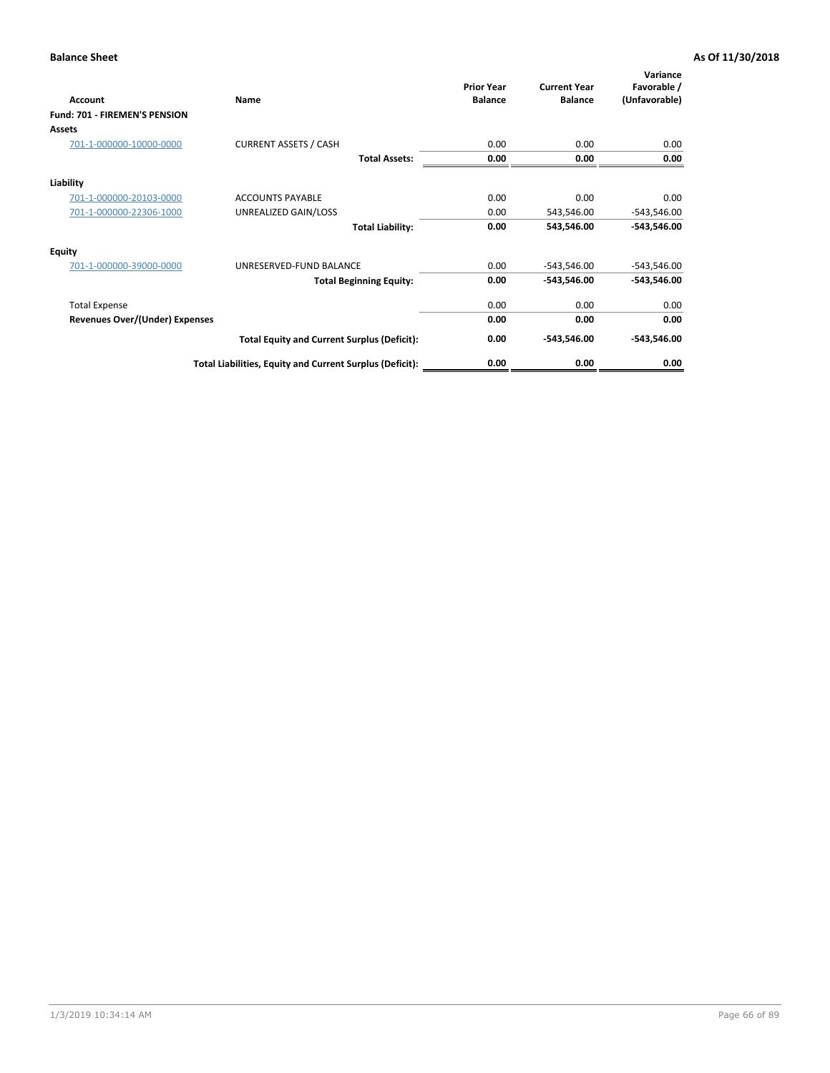| <b>Account</b>                 | Name                                                     | <b>Prior Year</b><br><b>Balance</b> | <b>Current Year</b><br><b>Balance</b> | Variance<br>Favorable /<br>(Unfavorable) |
|--------------------------------|----------------------------------------------------------|-------------------------------------|---------------------------------------|------------------------------------------|
| Fund: 701 - FIREMEN'S PENSION  |                                                          |                                     |                                       |                                          |
| <b>Assets</b>                  |                                                          |                                     |                                       |                                          |
| 701-1-000000-10000-0000        | <b>CURRENT ASSETS / CASH</b>                             | 0.00                                | 0.00                                  | 0.00                                     |
|                                | <b>Total Assets:</b>                                     | 0.00                                | 0.00                                  | 0.00                                     |
| Liability                      |                                                          |                                     |                                       |                                          |
| 701-1-000000-20103-0000        | <b>ACCOUNTS PAYABLE</b>                                  | 0.00                                | 0.00                                  | 0.00                                     |
| 701-1-000000-22306-1000        | UNREALIZED GAIN/LOSS                                     | 0.00                                | 543,546.00                            | $-543,546.00$                            |
|                                | <b>Total Liability:</b>                                  | 0.00                                | 543,546.00                            | $-543,546.00$                            |
| <b>Equity</b>                  |                                                          |                                     |                                       |                                          |
| 701-1-000000-39000-0000        | UNRESERVED-FUND BALANCE                                  | 0.00                                | $-543,546.00$                         | $-543,546.00$                            |
|                                | <b>Total Beginning Equity:</b>                           | 0.00                                | -543,546.00                           | -543,546.00                              |
| <b>Total Expense</b>           |                                                          | 0.00                                | 0.00                                  | 0.00                                     |
| Revenues Over/(Under) Expenses |                                                          | 0.00                                | 0.00                                  | 0.00                                     |
|                                | <b>Total Equity and Current Surplus (Deficit):</b>       | 0.00                                | $-543,546.00$                         | $-543,546.00$                            |
|                                | Total Liabilities, Equity and Current Surplus (Deficit): | 0.00                                | 0.00                                  | 0.00                                     |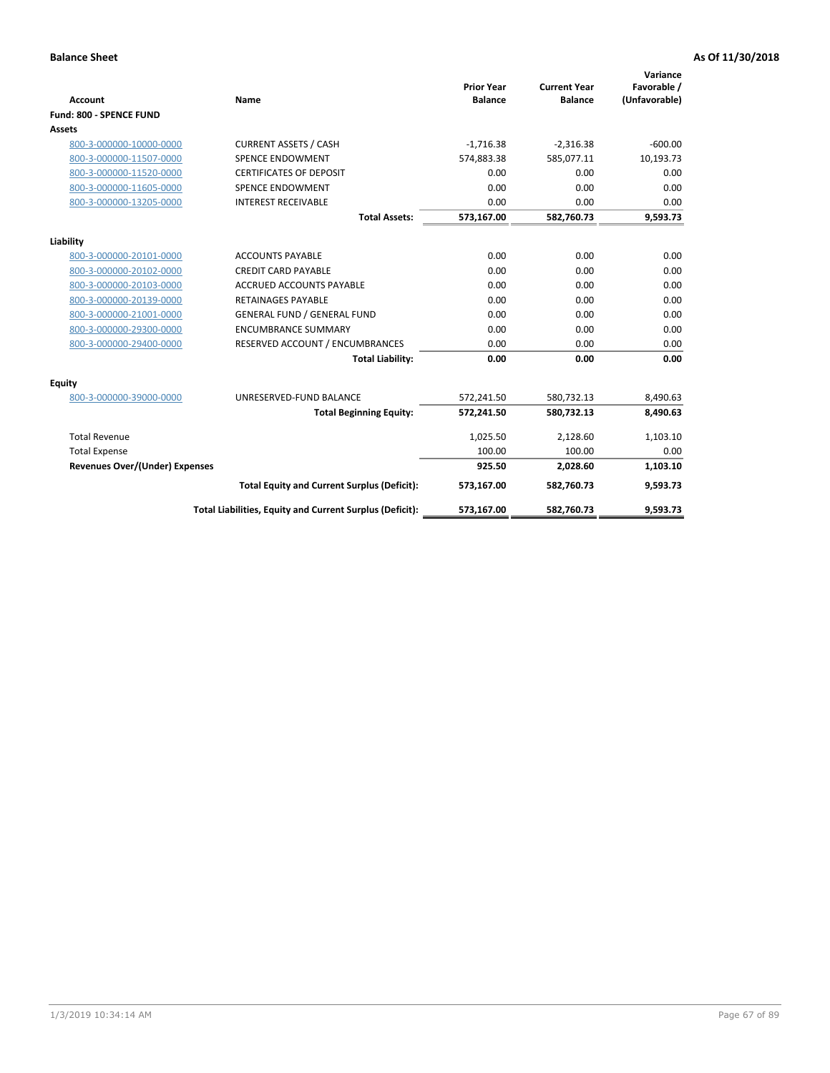|                                          |                                                          |                                     |                                       | Variance                     |
|------------------------------------------|----------------------------------------------------------|-------------------------------------|---------------------------------------|------------------------------|
| <b>Account</b>                           | <b>Name</b>                                              | <b>Prior Year</b><br><b>Balance</b> | <b>Current Year</b><br><b>Balance</b> | Favorable /<br>(Unfavorable) |
| Fund: 800 - SPENCE FUND                  |                                                          |                                     |                                       |                              |
| <b>Assets</b>                            |                                                          |                                     |                                       |                              |
| 800-3-000000-10000-0000                  | <b>CURRENT ASSETS / CASH</b>                             | $-1,716.38$                         | $-2,316.38$                           | $-600.00$                    |
| 800-3-000000-11507-0000                  | <b>SPENCE ENDOWMENT</b>                                  | 574,883.38                          | 585,077.11                            | 10,193.73                    |
| 800-3-000000-11520-0000                  | <b>CERTIFICATES OF DEPOSIT</b>                           | 0.00                                | 0.00                                  | 0.00                         |
| 800-3-000000-11605-0000                  | <b>SPENCE ENDOWMENT</b>                                  | 0.00                                | 0.00                                  | 0.00                         |
| 800-3-000000-13205-0000                  | <b>INTEREST RECEIVABLE</b>                               | 0.00                                | 0.00                                  | 0.00                         |
|                                          | <b>Total Assets:</b>                                     | 573,167.00                          | 582,760.73                            | 9,593.73                     |
| Liability                                |                                                          |                                     |                                       |                              |
| 800-3-000000-20101-0000                  | <b>ACCOUNTS PAYABLE</b>                                  | 0.00                                | 0.00                                  | 0.00                         |
| 800-3-000000-20102-0000                  | <b>CREDIT CARD PAYABLE</b>                               | 0.00                                | 0.00                                  | 0.00                         |
| 800-3-000000-20103-0000                  | <b>ACCRUED ACCOUNTS PAYABLE</b>                          | 0.00                                | 0.00                                  | 0.00                         |
| 800-3-000000-20139-0000                  | <b>RETAINAGES PAYABLE</b>                                | 0.00                                | 0.00                                  | 0.00                         |
| 800-3-000000-21001-0000                  | <b>GENERAL FUND / GENERAL FUND</b>                       | 0.00                                | 0.00                                  | 0.00                         |
| 800-3-000000-29300-0000                  | <b>ENCUMBRANCE SUMMARY</b>                               | 0.00                                | 0.00                                  | 0.00                         |
| 800-3-000000-29400-0000                  | RESERVED ACCOUNT / ENCUMBRANCES                          | 0.00                                | 0.00                                  | 0.00                         |
|                                          | <b>Total Liability:</b>                                  | 0.00                                | 0.00                                  | 0.00                         |
|                                          |                                                          |                                     |                                       |                              |
| <b>Equity</b><br>800-3-000000-39000-0000 | UNRESERVED-FUND BALANCE                                  | 572,241.50                          | 580,732.13                            | 8,490.63                     |
|                                          | <b>Total Beginning Equity:</b>                           | 572,241.50                          | 580,732.13                            | 8,490.63                     |
|                                          |                                                          |                                     |                                       |                              |
| <b>Total Revenue</b>                     |                                                          | 1,025.50                            | 2,128.60                              | 1,103.10                     |
| <b>Total Expense</b>                     |                                                          | 100.00                              | 100.00                                | 0.00                         |
| <b>Revenues Over/(Under) Expenses</b>    |                                                          | 925.50                              | 2,028.60                              | 1,103.10                     |
|                                          | <b>Total Equity and Current Surplus (Deficit):</b>       | 573,167.00                          | 582,760.73                            | 9,593.73                     |
|                                          | Total Liabilities, Equity and Current Surplus (Deficit): | 573,167.00                          | 582,760.73                            | 9,593.73                     |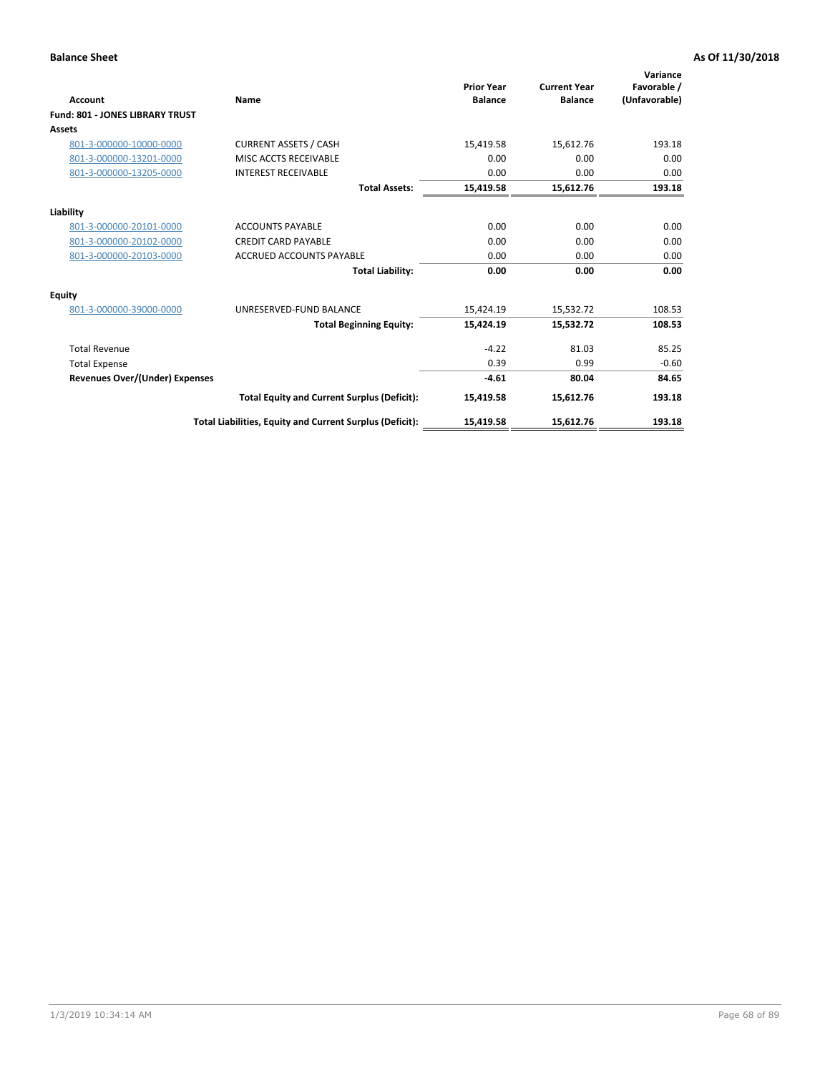| <b>Account</b>                         | Name                                                     | <b>Prior Year</b><br><b>Balance</b> | <b>Current Year</b><br><b>Balance</b> | Variance<br>Favorable /<br>(Unfavorable) |
|----------------------------------------|----------------------------------------------------------|-------------------------------------|---------------------------------------|------------------------------------------|
| <b>Fund: 801 - JONES LIBRARY TRUST</b> |                                                          |                                     |                                       |                                          |
| Assets                                 |                                                          |                                     |                                       |                                          |
| 801-3-000000-10000-0000                | <b>CURRENT ASSETS / CASH</b>                             | 15,419.58                           | 15,612.76                             | 193.18                                   |
| 801-3-000000-13201-0000                | MISC ACCTS RECEIVABLE                                    | 0.00                                | 0.00                                  | 0.00                                     |
| 801-3-000000-13205-0000                | <b>INTEREST RECEIVABLE</b>                               | 0.00                                | 0.00                                  | 0.00                                     |
|                                        | <b>Total Assets:</b>                                     | 15,419.58                           | 15,612.76                             | 193.18                                   |
| Liability                              |                                                          |                                     |                                       |                                          |
| 801-3-000000-20101-0000                | <b>ACCOUNTS PAYABLE</b>                                  | 0.00                                | 0.00                                  | 0.00                                     |
| 801-3-000000-20102-0000                | <b>CREDIT CARD PAYABLE</b>                               | 0.00                                | 0.00                                  | 0.00                                     |
| 801-3-000000-20103-0000                | <b>ACCRUED ACCOUNTS PAYABLE</b>                          | 0.00                                | 0.00                                  | 0.00                                     |
|                                        | <b>Total Liability:</b>                                  | 0.00                                | 0.00                                  | 0.00                                     |
| Equity                                 |                                                          |                                     |                                       |                                          |
| 801-3-000000-39000-0000                | UNRESERVED-FUND BALANCE                                  | 15,424.19                           | 15,532.72                             | 108.53                                   |
|                                        | <b>Total Beginning Equity:</b>                           | 15,424.19                           | 15,532.72                             | 108.53                                   |
| <b>Total Revenue</b>                   |                                                          | $-4.22$                             | 81.03                                 | 85.25                                    |
| <b>Total Expense</b>                   |                                                          | 0.39                                | 0.99                                  | $-0.60$                                  |
| <b>Revenues Over/(Under) Expenses</b>  |                                                          | $-4.61$                             | 80.04                                 | 84.65                                    |
|                                        | <b>Total Equity and Current Surplus (Deficit):</b>       | 15,419.58                           | 15,612.76                             | 193.18                                   |
|                                        | Total Liabilities, Equity and Current Surplus (Deficit): | 15,419.58                           | 15,612.76                             | 193.18                                   |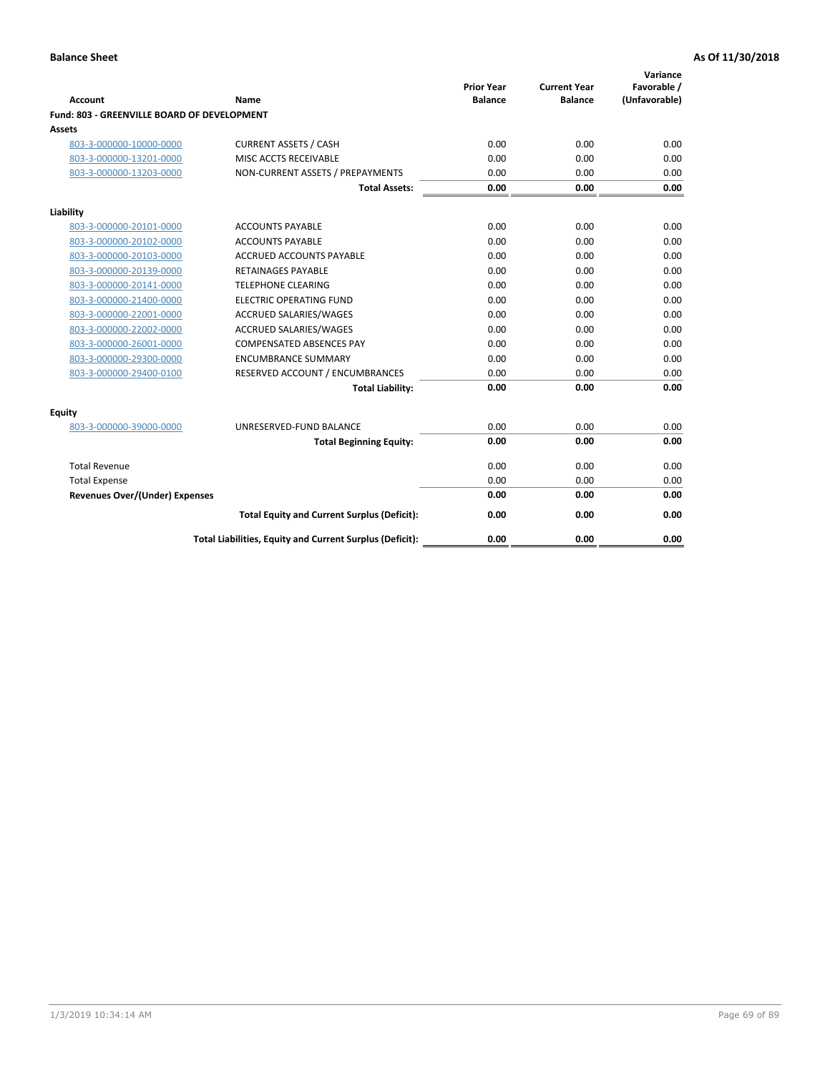| <b>Account</b>                              | <b>Name</b>                                              | <b>Prior Year</b><br><b>Balance</b> | <b>Current Year</b><br><b>Balance</b> | Variance<br>Favorable /<br>(Unfavorable) |
|---------------------------------------------|----------------------------------------------------------|-------------------------------------|---------------------------------------|------------------------------------------|
| Fund: 803 - GREENVILLE BOARD OF DEVELOPMENT |                                                          |                                     |                                       |                                          |
| Assets                                      |                                                          |                                     |                                       |                                          |
| 803-3-000000-10000-0000                     | <b>CURRENT ASSETS / CASH</b>                             | 0.00                                | 0.00                                  | 0.00                                     |
| 803-3-000000-13201-0000                     | MISC ACCTS RECEIVABLE                                    | 0.00                                | 0.00                                  | 0.00                                     |
| 803-3-000000-13203-0000                     | NON-CURRENT ASSETS / PREPAYMENTS                         | 0.00                                | 0.00                                  | 0.00                                     |
|                                             | <b>Total Assets:</b>                                     | 0.00                                | 0.00                                  | 0.00                                     |
| Liability                                   |                                                          |                                     |                                       |                                          |
| 803-3-000000-20101-0000                     | <b>ACCOUNTS PAYABLE</b>                                  | 0.00                                | 0.00                                  | 0.00                                     |
| 803-3-000000-20102-0000                     | <b>ACCOUNTS PAYABLE</b>                                  | 0.00                                | 0.00                                  | 0.00                                     |
| 803-3-000000-20103-0000                     | <b>ACCRUED ACCOUNTS PAYABLE</b>                          | 0.00                                | 0.00                                  | 0.00                                     |
| 803-3-000000-20139-0000                     | <b>RETAINAGES PAYABLE</b>                                | 0.00                                | 0.00                                  | 0.00                                     |
| 803-3-000000-20141-0000                     | <b>TELEPHONE CLEARING</b>                                | 0.00                                | 0.00                                  | 0.00                                     |
| 803-3-000000-21400-0000                     | <b>ELECTRIC OPERATING FUND</b>                           | 0.00                                | 0.00                                  | 0.00                                     |
| 803-3-000000-22001-0000                     | ACCRUED SALARIES/WAGES                                   | 0.00                                | 0.00                                  | 0.00                                     |
| 803-3-000000-22002-0000                     | ACCRUED SALARIES/WAGES                                   | 0.00                                | 0.00                                  | 0.00                                     |
| 803-3-000000-26001-0000                     | <b>COMPENSATED ABSENCES PAY</b>                          | 0.00                                | 0.00                                  | 0.00                                     |
| 803-3-000000-29300-0000                     | <b>ENCUMBRANCE SUMMARY</b>                               | 0.00                                | 0.00                                  | 0.00                                     |
| 803-3-000000-29400-0100                     | RESERVED ACCOUNT / ENCUMBRANCES                          | 0.00                                | 0.00                                  | 0.00                                     |
|                                             | <b>Total Liability:</b>                                  | 0.00                                | 0.00                                  | 0.00                                     |
| Equity                                      |                                                          |                                     |                                       |                                          |
| 803-3-000000-39000-0000                     | UNRESERVED-FUND BALANCE                                  | 0.00                                | 0.00                                  | 0.00                                     |
|                                             | <b>Total Beginning Equity:</b>                           | 0.00                                | 0.00                                  | 0.00                                     |
| <b>Total Revenue</b>                        |                                                          | 0.00                                | 0.00                                  | 0.00                                     |
| <b>Total Expense</b>                        |                                                          | 0.00                                | 0.00                                  | 0.00                                     |
| <b>Revenues Over/(Under) Expenses</b>       |                                                          | 0.00                                | 0.00                                  | 0.00                                     |
|                                             | <b>Total Equity and Current Surplus (Deficit):</b>       | 0.00                                | 0.00                                  | 0.00                                     |
|                                             | Total Liabilities, Equity and Current Surplus (Deficit): | 0.00                                | 0.00                                  | 0.00                                     |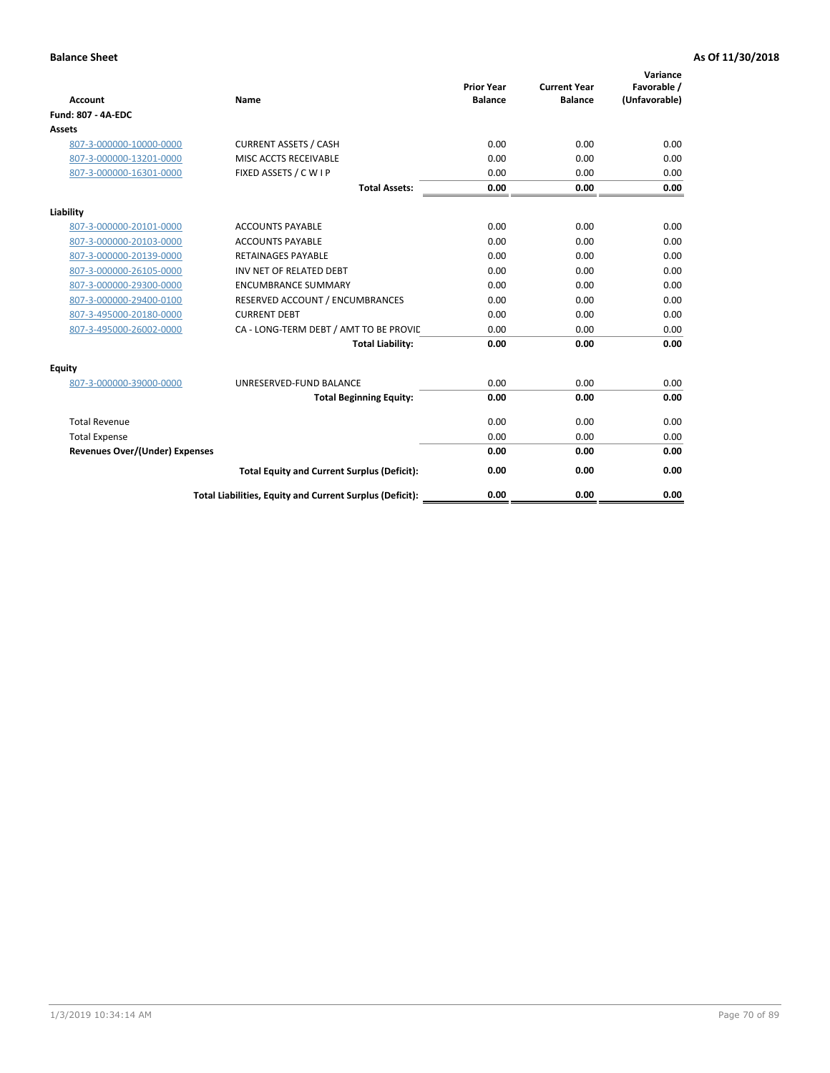| <b>Account</b>                        | <b>Name</b>                                              | <b>Prior Year</b><br><b>Balance</b> | <b>Current Year</b><br><b>Balance</b> | Variance<br>Favorable /<br>(Unfavorable) |
|---------------------------------------|----------------------------------------------------------|-------------------------------------|---------------------------------------|------------------------------------------|
| <b>Fund: 807 - 4A-EDC</b>             |                                                          |                                     |                                       |                                          |
| <b>Assets</b>                         |                                                          |                                     |                                       |                                          |
| 807-3-000000-10000-0000               | <b>CURRENT ASSETS / CASH</b>                             | 0.00                                | 0.00                                  | 0.00                                     |
| 807-3-000000-13201-0000               | MISC ACCTS RECEIVABLE                                    | 0.00                                | 0.00                                  | 0.00                                     |
| 807-3-000000-16301-0000               | FIXED ASSETS / C W I P                                   | 0.00                                | 0.00                                  | 0.00                                     |
|                                       | <b>Total Assets:</b>                                     | 0.00                                | 0.00                                  | 0.00                                     |
| Liability                             |                                                          |                                     |                                       |                                          |
| 807-3-000000-20101-0000               | <b>ACCOUNTS PAYABLE</b>                                  | 0.00                                | 0.00                                  | 0.00                                     |
| 807-3-000000-20103-0000               | <b>ACCOUNTS PAYABLE</b>                                  | 0.00                                | 0.00                                  | 0.00                                     |
| 807-3-000000-20139-0000               | <b>RETAINAGES PAYABLE</b>                                | 0.00                                | 0.00                                  | 0.00                                     |
| 807-3-000000-26105-0000               | INV NET OF RELATED DEBT                                  | 0.00                                | 0.00                                  | 0.00                                     |
| 807-3-000000-29300-0000               | <b>ENCUMBRANCE SUMMARY</b>                               | 0.00                                | 0.00                                  | 0.00                                     |
| 807-3-000000-29400-0100               | RESERVED ACCOUNT / ENCUMBRANCES                          | 0.00                                | 0.00                                  | 0.00                                     |
| 807-3-495000-20180-0000               | <b>CURRENT DEBT</b>                                      | 0.00                                | 0.00                                  | 0.00                                     |
| 807-3-495000-26002-0000               | CA - LONG-TERM DEBT / AMT TO BE PROVIL                   | 0.00                                | 0.00                                  | 0.00                                     |
|                                       | <b>Total Liability:</b>                                  | 0.00                                | 0.00                                  | 0.00                                     |
| Equity                                |                                                          |                                     |                                       |                                          |
| 807-3-000000-39000-0000               | UNRESERVED-FUND BALANCE                                  | 0.00                                | 0.00                                  | 0.00                                     |
|                                       | <b>Total Beginning Equity:</b>                           | 0.00                                | 0.00                                  | 0.00                                     |
| <b>Total Revenue</b>                  |                                                          | 0.00                                | 0.00                                  | 0.00                                     |
| <b>Total Expense</b>                  |                                                          | 0.00                                | 0.00                                  | 0.00                                     |
| <b>Revenues Over/(Under) Expenses</b> |                                                          | 0.00                                | 0.00                                  | 0.00                                     |
|                                       | <b>Total Equity and Current Surplus (Deficit):</b>       | 0.00                                | 0.00                                  | 0.00                                     |
|                                       | Total Liabilities, Equity and Current Surplus (Deficit): | 0.00                                | 0.00                                  | 0.00                                     |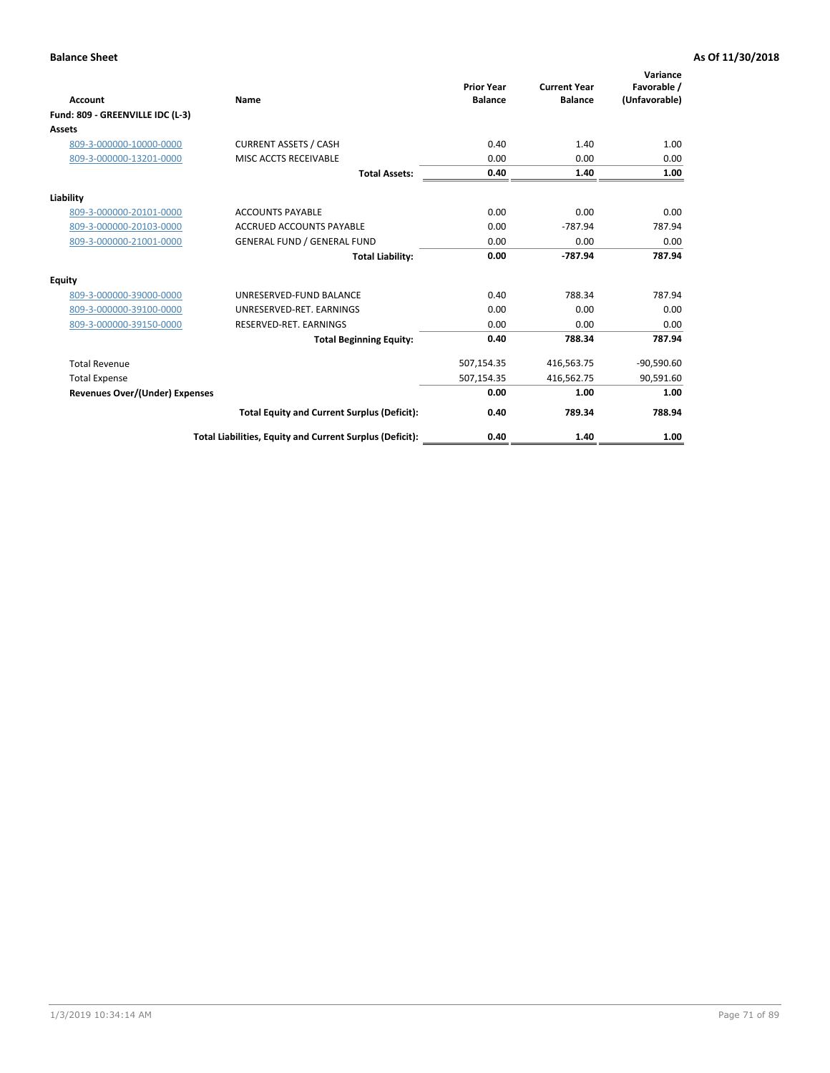| Account                               | Name                                                     | <b>Prior Year</b><br><b>Balance</b> | <b>Current Year</b><br><b>Balance</b> | Variance<br>Favorable /<br>(Unfavorable) |
|---------------------------------------|----------------------------------------------------------|-------------------------------------|---------------------------------------|------------------------------------------|
| Fund: 809 - GREENVILLE IDC (L-3)      |                                                          |                                     |                                       |                                          |
| Assets                                |                                                          |                                     |                                       |                                          |
| 809-3-000000-10000-0000               | <b>CURRENT ASSETS / CASH</b>                             | 0.40                                | 1.40                                  | 1.00                                     |
| 809-3-000000-13201-0000               | MISC ACCTS RECEIVABLE                                    | 0.00                                | 0.00                                  | 0.00                                     |
|                                       | <b>Total Assets:</b>                                     | 0.40                                | 1.40                                  | 1.00                                     |
| Liability                             |                                                          |                                     |                                       |                                          |
| 809-3-000000-20101-0000               | <b>ACCOUNTS PAYABLE</b>                                  | 0.00                                | 0.00                                  | 0.00                                     |
| 809-3-000000-20103-0000               | ACCRUED ACCOUNTS PAYABLE                                 | 0.00                                | $-787.94$                             | 787.94                                   |
| 809-3-000000-21001-0000               | <b>GENERAL FUND / GENERAL FUND</b>                       | 0.00                                | 0.00                                  | 0.00                                     |
|                                       | <b>Total Liability:</b>                                  | 0.00                                | $-787.94$                             | 787.94                                   |
| Equity                                |                                                          |                                     |                                       |                                          |
| 809-3-000000-39000-0000               | UNRESERVED-FUND BALANCE                                  | 0.40                                | 788.34                                | 787.94                                   |
| 809-3-000000-39100-0000               | UNRESERVED-RET. EARNINGS                                 | 0.00                                | 0.00                                  | 0.00                                     |
| 809-3-000000-39150-0000               | RESERVED-RET. EARNINGS                                   | 0.00                                | 0.00                                  | 0.00                                     |
|                                       | <b>Total Beginning Equity:</b>                           | 0.40                                | 788.34                                | 787.94                                   |
| <b>Total Revenue</b>                  |                                                          | 507,154.35                          | 416,563.75                            | $-90,590.60$                             |
| <b>Total Expense</b>                  |                                                          | 507,154.35                          | 416,562.75                            | 90,591.60                                |
| <b>Revenues Over/(Under) Expenses</b> |                                                          | 0.00                                | 1.00                                  | 1.00                                     |
|                                       | <b>Total Equity and Current Surplus (Deficit):</b>       | 0.40                                | 789.34                                | 788.94                                   |
|                                       | Total Liabilities, Equity and Current Surplus (Deficit): | 0.40                                | 1.40                                  | 1.00                                     |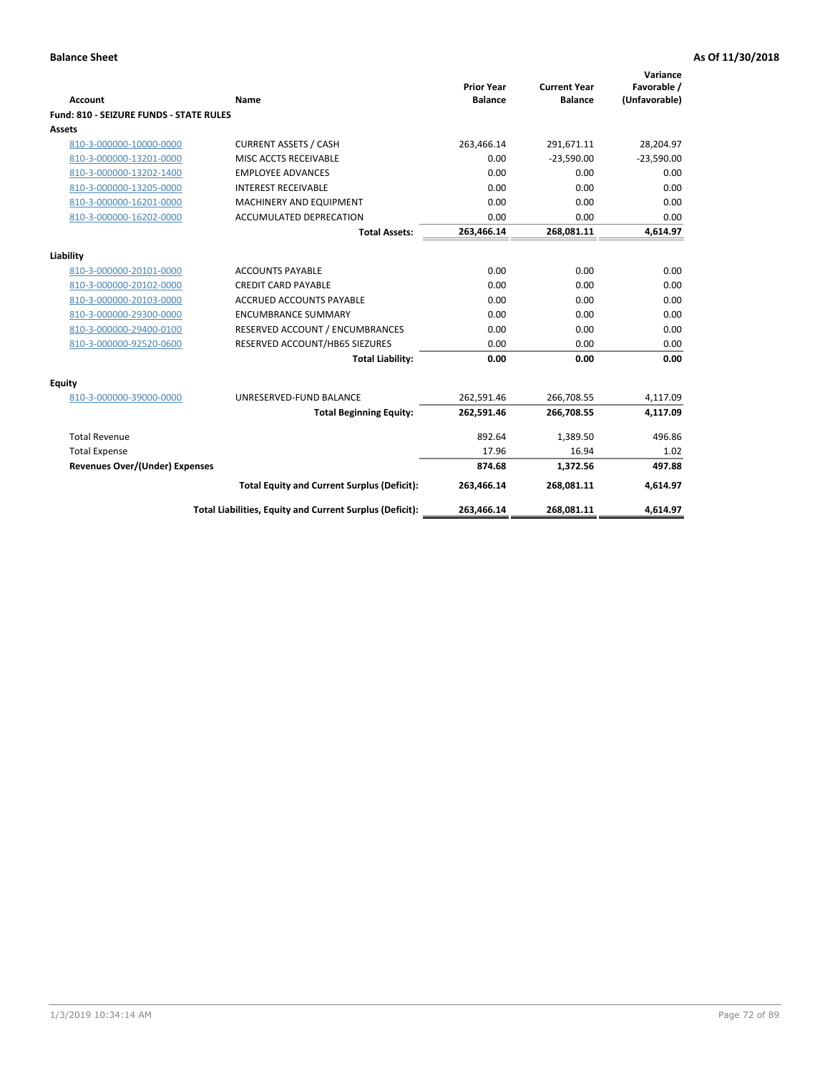| <b>Account</b>                                     | Name                                                          | <b>Prior Year</b><br><b>Balance</b> | <b>Current Year</b><br><b>Balance</b> | Variance<br>Favorable /<br>(Unfavorable) |
|----------------------------------------------------|---------------------------------------------------------------|-------------------------------------|---------------------------------------|------------------------------------------|
| Fund: 810 - SEIZURE FUNDS - STATE RULES            |                                                               |                                     |                                       |                                          |
| Assets                                             |                                                               |                                     |                                       |                                          |
| 810-3-000000-10000-0000                            | <b>CURRENT ASSETS / CASH</b>                                  | 263,466.14                          | 291,671.11                            | 28,204.97                                |
| 810-3-000000-13201-0000                            | MISC ACCTS RECEIVABLE                                         | 0.00                                | $-23,590.00$                          | $-23,590.00$                             |
| 810-3-000000-13202-1400                            | <b>EMPLOYEE ADVANCES</b>                                      | 0.00                                | 0.00                                  | 0.00                                     |
| 810-3-000000-13205-0000                            | <b>INTEREST RECEIVABLE</b>                                    | 0.00                                | 0.00                                  | 0.00                                     |
| 810-3-000000-16201-0000                            | MACHINERY AND EQUIPMENT                                       | 0.00                                | 0.00                                  | 0.00                                     |
| 810-3-000000-16202-0000                            | ACCUMULATED DEPRECATION                                       | 0.00                                | 0.00                                  | 0.00                                     |
|                                                    | <b>Total Assets:</b>                                          | 263,466.14                          | 268,081.11                            | 4,614.97                                 |
|                                                    |                                                               |                                     |                                       |                                          |
| Liability                                          |                                                               | 0.00                                |                                       |                                          |
| 810-3-000000-20101-0000                            | <b>ACCOUNTS PAYABLE</b>                                       |                                     | 0.00                                  | 0.00                                     |
| 810-3-000000-20102-0000<br>810-3-000000-20103-0000 | <b>CREDIT CARD PAYABLE</b><br><b>ACCRUED ACCOUNTS PAYABLE</b> | 0.00<br>0.00                        | 0.00<br>0.00                          | 0.00<br>0.00                             |
| 810-3-000000-29300-0000                            | <b>ENCUMBRANCE SUMMARY</b>                                    | 0.00                                | 0.00                                  | 0.00                                     |
|                                                    |                                                               | 0.00                                | 0.00                                  | 0.00                                     |
| 810-3-000000-29400-0100                            | RESERVED ACCOUNT / ENCUMBRANCES                               | 0.00                                | 0.00                                  | 0.00                                     |
| 810-3-000000-92520-0600                            | RESERVED ACCOUNT/HB65 SIEZURES                                | 0.00                                | 0.00                                  | 0.00                                     |
|                                                    | <b>Total Liability:</b>                                       |                                     |                                       |                                          |
| <b>Equity</b>                                      |                                                               |                                     |                                       |                                          |
| 810-3-000000-39000-0000                            | UNRESERVED-FUND BALANCE                                       | 262,591.46                          | 266,708.55                            | 4,117.09                                 |
|                                                    | <b>Total Beginning Equity:</b>                                | 262,591.46                          | 266,708.55                            | 4,117.09                                 |
| <b>Total Revenue</b>                               |                                                               | 892.64                              | 1,389.50                              | 496.86                                   |
| <b>Total Expense</b>                               |                                                               | 17.96                               | 16.94                                 | 1.02                                     |
| <b>Revenues Over/(Under) Expenses</b>              |                                                               | 874.68                              | 1,372.56                              | 497.88                                   |
|                                                    | <b>Total Equity and Current Surplus (Deficit):</b>            | 263,466.14                          | 268,081.11                            | 4,614.97                                 |
|                                                    | Total Liabilities, Equity and Current Surplus (Deficit):      | 263,466.14                          | 268,081.11                            | 4,614.97                                 |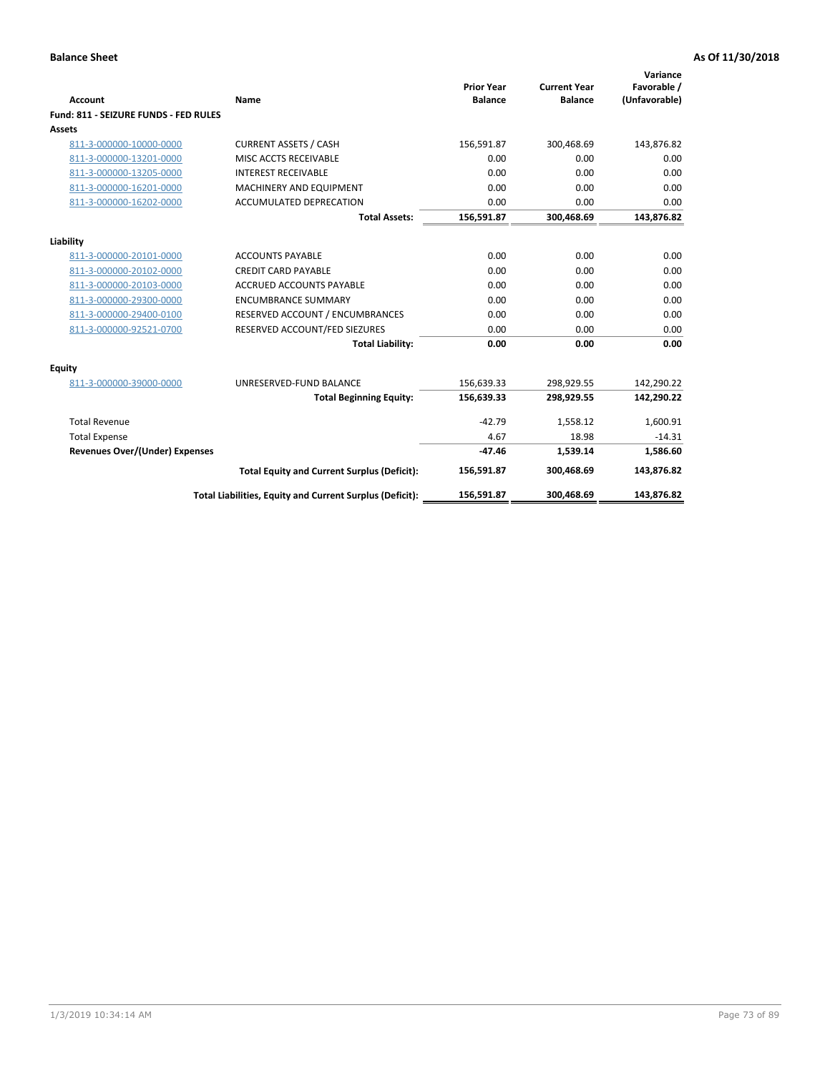| Account                               | Name                                                     | <b>Prior Year</b><br><b>Balance</b> | <b>Current Year</b><br><b>Balance</b> | Variance<br>Favorable /<br>(Unfavorable) |
|---------------------------------------|----------------------------------------------------------|-------------------------------------|---------------------------------------|------------------------------------------|
| Fund: 811 - SEIZURE FUNDS - FED RULES |                                                          |                                     |                                       |                                          |
| <b>Assets</b>                         |                                                          |                                     |                                       |                                          |
| 811-3-000000-10000-0000               | <b>CURRENT ASSETS / CASH</b>                             | 156,591.87                          | 300,468.69                            | 143,876.82                               |
| 811-3-000000-13201-0000               | MISC ACCTS RECEIVABLE                                    | 0.00                                | 0.00                                  | 0.00                                     |
| 811-3-000000-13205-0000               | <b>INTEREST RECEIVABLE</b>                               | 0.00                                | 0.00                                  | 0.00                                     |
| 811-3-000000-16201-0000               | <b>MACHINERY AND EQUIPMENT</b>                           | 0.00                                | 0.00                                  | 0.00                                     |
| 811-3-000000-16202-0000               | ACCUMULATED DEPRECATION                                  | 0.00                                | 0.00                                  | 0.00                                     |
|                                       | <b>Total Assets:</b>                                     | 156,591.87                          | 300,468.69                            | 143,876.82                               |
| Liability                             |                                                          |                                     |                                       |                                          |
| 811-3-000000-20101-0000               | <b>ACCOUNTS PAYABLE</b>                                  | 0.00                                | 0.00                                  | 0.00                                     |
| 811-3-000000-20102-0000               | <b>CREDIT CARD PAYABLE</b>                               | 0.00                                | 0.00                                  | 0.00                                     |
| 811-3-000000-20103-0000               | <b>ACCRUED ACCOUNTS PAYABLE</b>                          | 0.00                                | 0.00                                  | 0.00                                     |
| 811-3-000000-29300-0000               | <b>ENCUMBRANCE SUMMARY</b>                               | 0.00                                | 0.00                                  | 0.00                                     |
| 811-3-000000-29400-0100               | RESERVED ACCOUNT / ENCUMBRANCES                          | 0.00                                | 0.00                                  | 0.00                                     |
| 811-3-000000-92521-0700               | RESERVED ACCOUNT/FED SIEZURES                            | 0.00                                | 0.00                                  | 0.00                                     |
|                                       | <b>Total Liability:</b>                                  | 0.00                                | 0.00                                  | 0.00                                     |
|                                       |                                                          |                                     |                                       |                                          |
| Equity                                |                                                          |                                     |                                       |                                          |
| 811-3-000000-39000-0000               | UNRESERVED-FUND BALANCE                                  | 156,639.33                          | 298,929.55                            | 142,290.22                               |
|                                       | <b>Total Beginning Equity:</b>                           | 156,639.33                          | 298,929.55                            | 142,290.22                               |
| <b>Total Revenue</b>                  |                                                          | $-42.79$                            | 1.558.12                              | 1,600.91                                 |
| <b>Total Expense</b>                  |                                                          | 4.67                                | 18.98                                 | $-14.31$                                 |
| Revenues Over/(Under) Expenses        |                                                          | $-47.46$                            | 1,539.14                              | 1,586.60                                 |
|                                       | <b>Total Equity and Current Surplus (Deficit):</b>       | 156,591.87                          | 300,468.69                            | 143,876.82                               |
|                                       | Total Liabilities, Equity and Current Surplus (Deficit): | 156,591.87                          | 300,468.69                            | 143,876.82                               |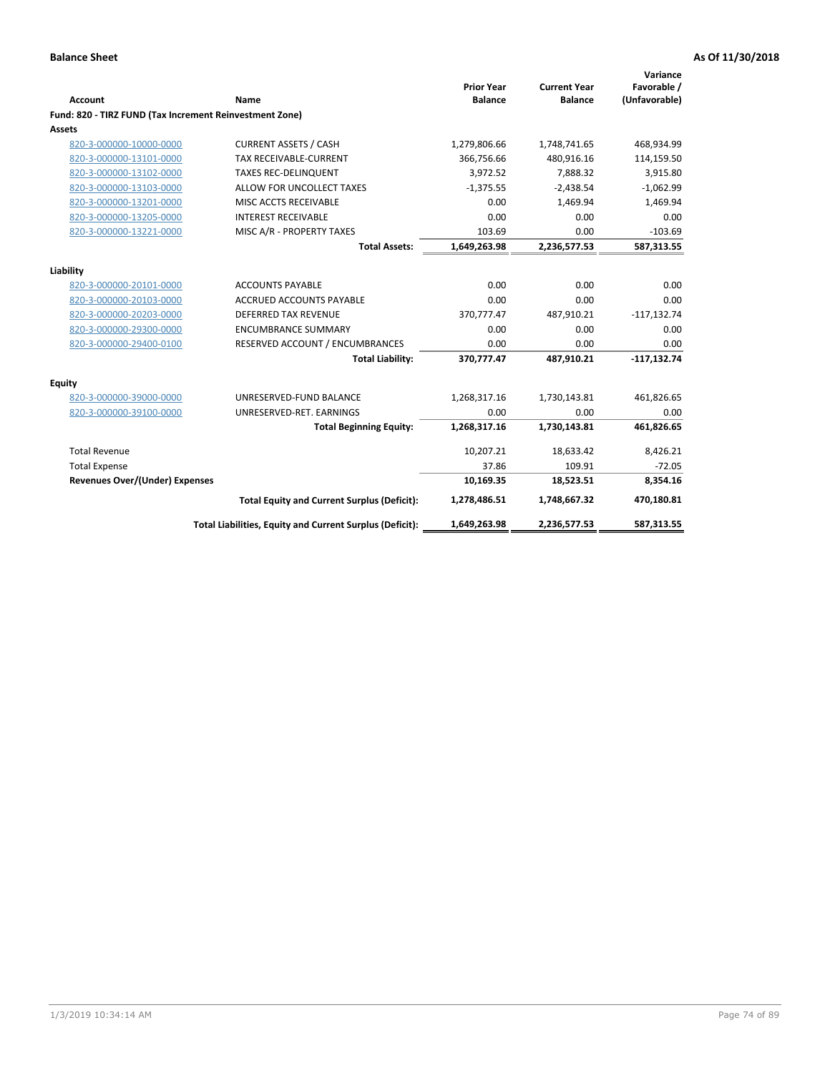|                                                         |                                                          | <b>Prior Year</b> | <b>Current Year</b> | Variance<br>Favorable / |
|---------------------------------------------------------|----------------------------------------------------------|-------------------|---------------------|-------------------------|
| <b>Account</b>                                          | Name                                                     | <b>Balance</b>    | <b>Balance</b>      | (Unfavorable)           |
| Fund: 820 - TIRZ FUND (Tax Increment Reinvestment Zone) |                                                          |                   |                     |                         |
| Assets                                                  |                                                          |                   |                     |                         |
| 820-3-000000-10000-0000                                 | <b>CURRENT ASSETS / CASH</b>                             | 1,279,806.66      | 1,748,741.65        | 468,934.99              |
| 820-3-000000-13101-0000                                 | <b>TAX RECEIVABLE-CURRENT</b>                            | 366,756.66        | 480,916.16          | 114,159.50              |
| 820-3-000000-13102-0000                                 | <b>TAXES REC-DELINQUENT</b>                              | 3,972.52          | 7,888.32            | 3,915.80                |
| 820-3-000000-13103-0000                                 | ALLOW FOR UNCOLLECT TAXES                                | $-1,375.55$       | $-2,438.54$         | $-1,062.99$             |
| 820-3-000000-13201-0000                                 | MISC ACCTS RECEIVABLE                                    | 0.00              | 1,469.94            | 1,469.94                |
| 820-3-000000-13205-0000                                 | <b>INTEREST RECEIVABLE</b>                               | 0.00              | 0.00                | 0.00                    |
| 820-3-000000-13221-0000                                 | MISC A/R - PROPERTY TAXES                                | 103.69            | 0.00                | $-103.69$               |
|                                                         | <b>Total Assets:</b>                                     | 1,649,263.98      | 2,236,577.53        | 587,313.55              |
| Liability                                               |                                                          |                   |                     |                         |
| 820-3-000000-20101-0000                                 | <b>ACCOUNTS PAYABLE</b>                                  | 0.00              | 0.00                | 0.00                    |
| 820-3-000000-20103-0000                                 | <b>ACCRUED ACCOUNTS PAYABLE</b>                          | 0.00              | 0.00                | 0.00                    |
| 820-3-000000-20203-0000                                 | <b>DEFERRED TAX REVENUE</b>                              | 370,777.47        | 487,910.21          | $-117, 132.74$          |
| 820-3-000000-29300-0000                                 | <b>ENCUMBRANCE SUMMARY</b>                               | 0.00              | 0.00                | 0.00                    |
| 820-3-000000-29400-0100                                 | RESERVED ACCOUNT / ENCUMBRANCES                          | 0.00              | 0.00                | 0.00                    |
|                                                         | <b>Total Liability:</b>                                  | 370,777.47        | 487,910.21          | $-117,132.74$           |
| Equity                                                  |                                                          |                   |                     |                         |
| 820-3-000000-39000-0000                                 | UNRESERVED-FUND BALANCE                                  | 1,268,317.16      | 1,730,143.81        | 461,826.65              |
| 820-3-000000-39100-0000                                 | UNRESERVED-RET. EARNINGS                                 | 0.00              | 0.00                | 0.00                    |
|                                                         | <b>Total Beginning Equity:</b>                           | 1,268,317.16      | 1,730,143.81        | 461,826.65              |
| <b>Total Revenue</b>                                    |                                                          | 10,207.21         | 18,633.42           | 8,426.21                |
| <b>Total Expense</b>                                    |                                                          | 37.86             | 109.91              | $-72.05$                |
| <b>Revenues Over/(Under) Expenses</b>                   |                                                          | 10,169.35         | 18,523.51           | 8,354.16                |
|                                                         | <b>Total Equity and Current Surplus (Deficit):</b>       | 1,278,486.51      | 1,748,667.32        | 470,180.81              |
|                                                         | Total Liabilities, Equity and Current Surplus (Deficit): | 1,649,263.98      | 2,236,577.53        | 587,313.55              |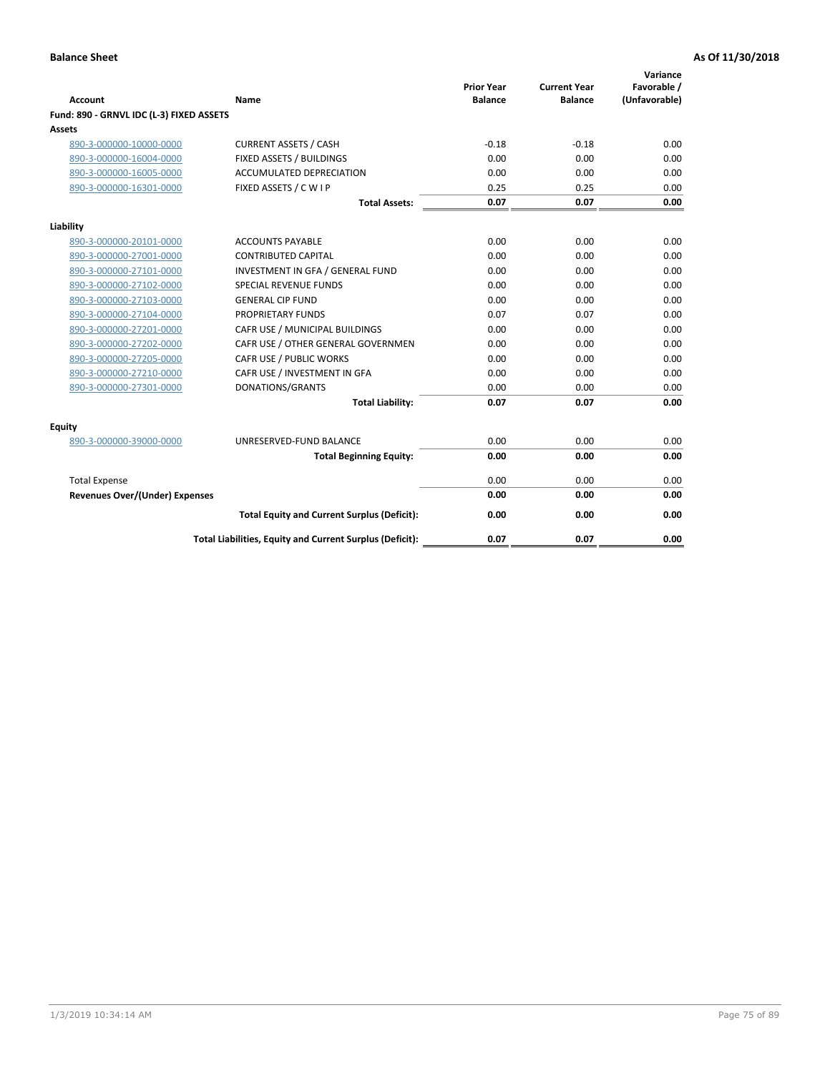| <b>Account</b>                           | Name                                                     | <b>Prior Year</b><br><b>Balance</b> | <b>Current Year</b><br><b>Balance</b> | Variance<br>Favorable /<br>(Unfavorable) |
|------------------------------------------|----------------------------------------------------------|-------------------------------------|---------------------------------------|------------------------------------------|
| Fund: 890 - GRNVL IDC (L-3) FIXED ASSETS |                                                          |                                     |                                       |                                          |
| <b>Assets</b>                            |                                                          |                                     |                                       |                                          |
| 890-3-000000-10000-0000                  | <b>CURRENT ASSETS / CASH</b>                             | $-0.18$                             | $-0.18$                               | 0.00                                     |
| 890-3-000000-16004-0000                  | FIXED ASSETS / BUILDINGS                                 | 0.00                                | 0.00                                  | 0.00                                     |
| 890-3-000000-16005-0000                  | <b>ACCUMULATED DEPRECIATION</b>                          | 0.00                                | 0.00                                  | 0.00                                     |
| 890-3-000000-16301-0000                  | FIXED ASSETS / C W I P                                   | 0.25                                | 0.25                                  | 0.00                                     |
|                                          | <b>Total Assets:</b>                                     | 0.07                                | 0.07                                  | 0.00                                     |
| Liability                                |                                                          |                                     |                                       |                                          |
| 890-3-000000-20101-0000                  | <b>ACCOUNTS PAYABLE</b>                                  | 0.00                                | 0.00                                  | 0.00                                     |
| 890-3-000000-27001-0000                  | <b>CONTRIBUTED CAPITAL</b>                               | 0.00                                | 0.00                                  | 0.00                                     |
| 890-3-000000-27101-0000                  | INVESTMENT IN GFA / GENERAL FUND                         | 0.00                                | 0.00                                  | 0.00                                     |
| 890-3-000000-27102-0000                  | <b>SPECIAL REVENUE FUNDS</b>                             | 0.00                                | 0.00                                  | 0.00                                     |
| 890-3-000000-27103-0000                  | <b>GENERAL CIP FUND</b>                                  | 0.00                                | 0.00                                  | 0.00                                     |
| 890-3-000000-27104-0000                  | PROPRIETARY FUNDS                                        | 0.07                                | 0.07                                  | 0.00                                     |
| 890-3-000000-27201-0000                  | CAFR USE / MUNICIPAL BUILDINGS                           | 0.00                                | 0.00                                  | 0.00                                     |
| 890-3-000000-27202-0000                  | CAFR USE / OTHER GENERAL GOVERNMEN                       | 0.00                                | 0.00                                  | 0.00                                     |
| 890-3-000000-27205-0000                  | CAFR USE / PUBLIC WORKS                                  | 0.00                                | 0.00                                  | 0.00                                     |
| 890-3-000000-27210-0000                  | CAFR USE / INVESTMENT IN GFA                             | 0.00                                | 0.00                                  | 0.00                                     |
| 890-3-000000-27301-0000                  | DONATIONS/GRANTS                                         | 0.00                                | 0.00                                  | 0.00                                     |
|                                          | <b>Total Liability:</b>                                  | 0.07                                | 0.07                                  | 0.00                                     |
| Equity                                   |                                                          |                                     |                                       |                                          |
| 890-3-000000-39000-0000                  | UNRESERVED-FUND BALANCE                                  | 0.00                                | 0.00                                  | 0.00                                     |
|                                          | <b>Total Beginning Equity:</b>                           | 0.00                                | 0.00                                  | 0.00                                     |
| <b>Total Expense</b>                     |                                                          | 0.00                                | 0.00                                  | 0.00                                     |
| <b>Revenues Over/(Under) Expenses</b>    |                                                          | 0.00                                | 0.00                                  | 0.00                                     |
|                                          | <b>Total Equity and Current Surplus (Deficit):</b>       | 0.00                                | 0.00                                  | 0.00                                     |
|                                          | Total Liabilities, Equity and Current Surplus (Deficit): | 0.07                                | 0.07                                  | 0.00                                     |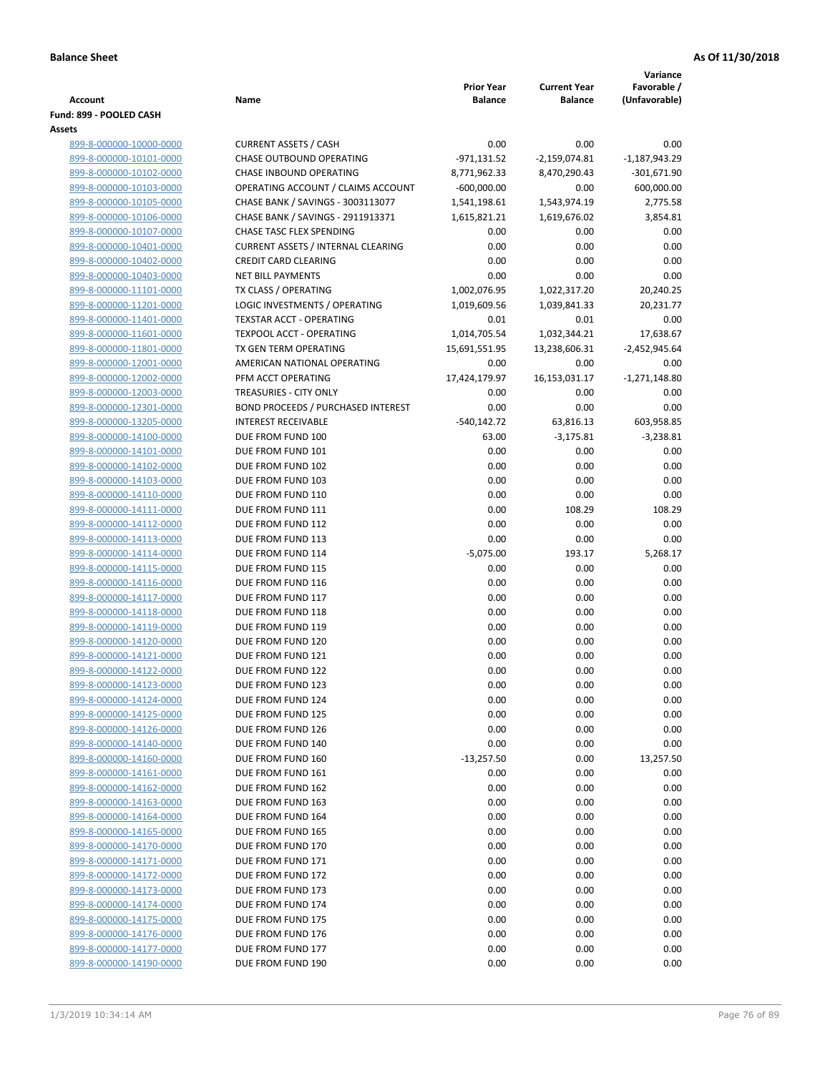|                                                    |                                           |                                     |                                       | Variance                     |
|----------------------------------------------------|-------------------------------------------|-------------------------------------|---------------------------------------|------------------------------|
| Account                                            | Name                                      | <b>Prior Year</b><br><b>Balance</b> | <b>Current Year</b><br><b>Balance</b> | Favorable /<br>(Unfavorable) |
| Fund: 899 - POOLED CASH                            |                                           |                                     |                                       |                              |
| Assets                                             |                                           |                                     |                                       |                              |
| 899-8-000000-10000-0000                            | <b>CURRENT ASSETS / CASH</b>              | 0.00                                | 0.00                                  | 0.00                         |
| 899-8-000000-10101-0000                            | <b>CHASE OUTBOUND OPERATING</b>           | $-971,131.52$                       | $-2,159,074.81$                       | $-1,187,943.29$              |
| 899-8-000000-10102-0000                            | CHASE INBOUND OPERATING                   | 8,771,962.33                        | 8,470,290.43                          | $-301,671.90$                |
| 899-8-000000-10103-0000                            | OPERATING ACCOUNT / CLAIMS ACCOUNT        | $-600,000.00$                       | 0.00                                  | 600,000.00                   |
| 899-8-000000-10105-0000                            | CHASE BANK / SAVINGS - 3003113077         | 1,541,198.61                        | 1,543,974.19                          | 2,775.58                     |
| 899-8-000000-10106-0000                            | CHASE BANK / SAVINGS - 2911913371         | 1,615,821.21                        | 1,619,676.02                          | 3,854.81                     |
| 899-8-000000-10107-0000                            | CHASE TASC FLEX SPENDING                  | 0.00                                | 0.00                                  | 0.00                         |
| 899-8-000000-10401-0000                            | <b>CURRENT ASSETS / INTERNAL CLEARING</b> | 0.00                                | 0.00                                  | 0.00                         |
| 899-8-000000-10402-0000                            | <b>CREDIT CARD CLEARING</b>               | 0.00                                | 0.00                                  | 0.00                         |
| 899-8-000000-10403-0000                            | <b>NET BILL PAYMENTS</b>                  | 0.00                                | 0.00                                  | 0.00                         |
| 899-8-000000-11101-0000                            | TX CLASS / OPERATING                      | 1,002,076.95                        | 1,022,317.20                          | 20,240.25                    |
| 899-8-000000-11201-0000                            | LOGIC INVESTMENTS / OPERATING             | 1,019,609.56                        | 1,039,841.33                          | 20,231.77                    |
| 899-8-000000-11401-0000                            | TEXSTAR ACCT - OPERATING                  | 0.01                                | 0.01                                  | 0.00                         |
| 899-8-000000-11601-0000                            | <b>TEXPOOL ACCT - OPERATING</b>           | 1,014,705.54                        | 1,032,344.21                          | 17,638.67                    |
| 899-8-000000-11801-0000                            | TX GEN TERM OPERATING                     | 15,691,551.95                       | 13,238,606.31                         | $-2,452,945.64$              |
| 899-8-000000-12001-0000                            | AMERICAN NATIONAL OPERATING               | 0.00                                | 0.00                                  | 0.00                         |
| 899-8-000000-12002-0000                            | PFM ACCT OPERATING                        | 17,424,179.97                       | 16,153,031.17                         | $-1,271,148.80$              |
| 899-8-000000-12003-0000                            | TREASURIES - CITY ONLY                    | 0.00                                | 0.00                                  | 0.00                         |
| 899-8-000000-12301-0000                            | BOND PROCEEDS / PURCHASED INTEREST        | 0.00                                | 0.00                                  | 0.00                         |
| 899-8-000000-13205-0000                            | <b>INTEREST RECEIVABLE</b>                | $-540,142.72$                       | 63,816.13                             | 603,958.85                   |
| 899-8-000000-14100-0000                            | DUE FROM FUND 100<br>DUE FROM FUND 101    | 63.00                               | $-3,175.81$                           | $-3,238.81$                  |
| 899-8-000000-14101-0000<br>899-8-000000-14102-0000 | DUE FROM FUND 102                         | 0.00<br>0.00                        | 0.00<br>0.00                          | 0.00<br>0.00                 |
| 899-8-000000-14103-0000                            | DUE FROM FUND 103                         | 0.00                                | 0.00                                  | 0.00                         |
| 899-8-000000-14110-0000                            | DUE FROM FUND 110                         | 0.00                                | 0.00                                  | 0.00                         |
| 899-8-000000-14111-0000                            | DUE FROM FUND 111                         | 0.00                                | 108.29                                | 108.29                       |
| 899-8-000000-14112-0000                            | DUE FROM FUND 112                         | 0.00                                | 0.00                                  | 0.00                         |
| 899-8-000000-14113-0000                            | DUE FROM FUND 113                         | 0.00                                | 0.00                                  | 0.00                         |
| 899-8-000000-14114-0000                            | DUE FROM FUND 114                         | $-5,075.00$                         | 193.17                                | 5,268.17                     |
| 899-8-000000-14115-0000                            | DUE FROM FUND 115                         | 0.00                                | 0.00                                  | 0.00                         |
| 899-8-000000-14116-0000                            | DUE FROM FUND 116                         | 0.00                                | 0.00                                  | 0.00                         |
| 899-8-000000-14117-0000                            | DUE FROM FUND 117                         | 0.00                                | 0.00                                  | 0.00                         |
| 899-8-000000-14118-0000                            | DUE FROM FUND 118                         | 0.00                                | 0.00                                  | 0.00                         |
| 899-8-000000-14119-0000                            | DUE FROM FUND 119                         | 0.00                                | 0.00                                  | 0.00                         |
| 899-8-000000-14120-0000                            | DUE FROM FUND 120                         | 0.00                                | 0.00                                  | 0.00                         |
| 899-8-000000-14121-0000                            | DUE FROM FUND 121                         | 0.00                                | 0.00                                  | 0.00                         |
| 899-8-000000-14122-0000                            | DUE FROM FUND 122                         | 0.00                                | 0.00                                  | 0.00                         |
| 899-8-000000-14123-0000                            | DUE FROM FUND 123                         | 0.00                                | 0.00                                  | 0.00                         |
| 899-8-000000-14124-0000                            | DUE FROM FUND 124                         | 0.00                                | 0.00                                  | 0.00                         |
| 899-8-000000-14125-0000                            | DUE FROM FUND 125                         | 0.00                                | 0.00                                  | 0.00                         |
| 899-8-000000-14126-0000                            | DUE FROM FUND 126                         | 0.00                                | 0.00                                  | 0.00                         |
| 899-8-000000-14140-0000                            | DUE FROM FUND 140                         | 0.00                                | 0.00                                  | 0.00                         |
| 899-8-000000-14160-0000                            | DUE FROM FUND 160                         | $-13,257.50$                        | 0.00                                  | 13,257.50                    |
| 899-8-000000-14161-0000                            | DUE FROM FUND 161                         | 0.00                                | 0.00                                  | 0.00                         |
| 899-8-000000-14162-0000                            | DUE FROM FUND 162                         | 0.00                                | 0.00                                  | 0.00                         |
| 899-8-000000-14163-0000<br>899-8-000000-14164-0000 | DUE FROM FUND 163<br>DUE FROM FUND 164    | 0.00<br>0.00                        | 0.00<br>0.00                          | 0.00<br>0.00                 |
| 899-8-000000-14165-0000                            | DUE FROM FUND 165                         | 0.00                                | 0.00                                  | 0.00                         |
| 899-8-000000-14170-0000                            | DUE FROM FUND 170                         | 0.00                                | 0.00                                  | 0.00                         |
| 899-8-000000-14171-0000                            | DUE FROM FUND 171                         | 0.00                                | 0.00                                  | 0.00                         |
| 899-8-000000-14172-0000                            | DUE FROM FUND 172                         | 0.00                                | 0.00                                  | 0.00                         |
| 899-8-000000-14173-0000                            | DUE FROM FUND 173                         | 0.00                                | 0.00                                  | 0.00                         |
| 899-8-000000-14174-0000                            | DUE FROM FUND 174                         | 0.00                                | 0.00                                  | 0.00                         |
| 899-8-000000-14175-0000                            | DUE FROM FUND 175                         | 0.00                                | 0.00                                  | 0.00                         |
| 899-8-000000-14176-0000                            | DUE FROM FUND 176                         | 0.00                                | 0.00                                  | 0.00                         |
| 899-8-000000-14177-0000                            | DUE FROM FUND 177                         | 0.00                                | 0.00                                  | 0.00                         |
| 899-8-000000-14190-0000                            | DUE FROM FUND 190                         | 0.00                                | 0.00                                  | 0.00                         |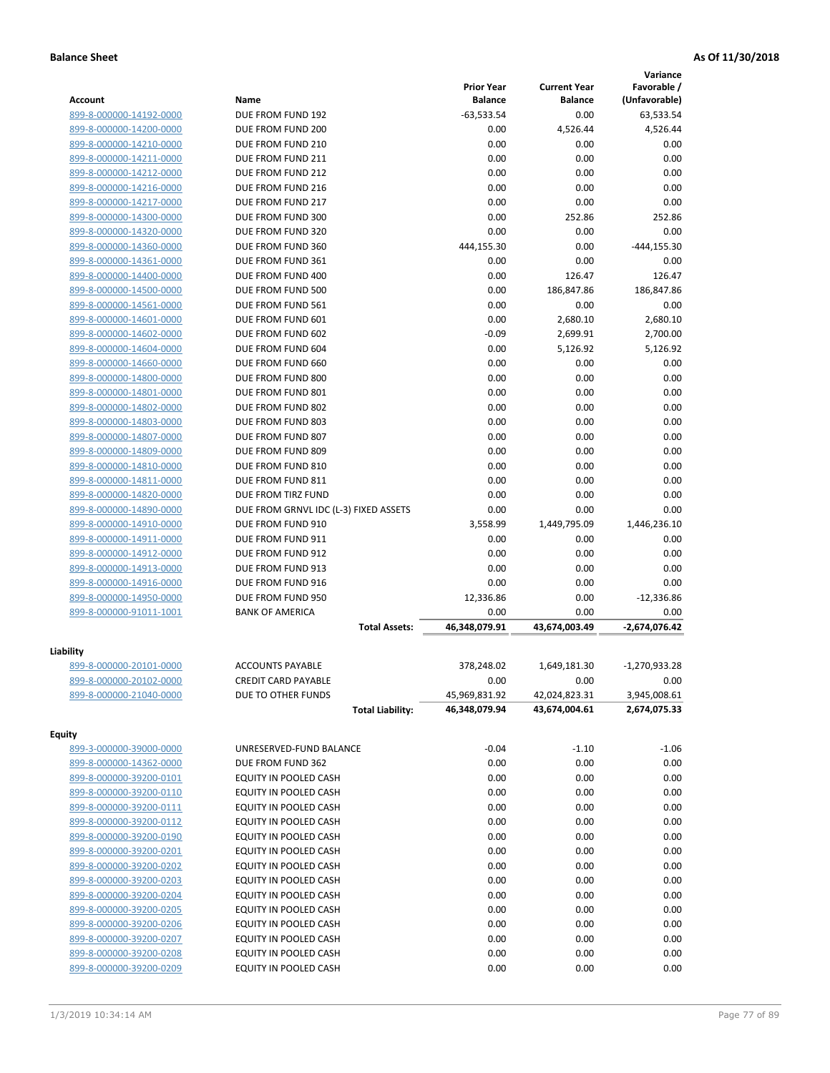|                         |                                       |                   |                     | Variance        |
|-------------------------|---------------------------------------|-------------------|---------------------|-----------------|
|                         |                                       | <b>Prior Year</b> | <b>Current Year</b> | Favorable /     |
| <b>Account</b>          | Name                                  | <b>Balance</b>    | <b>Balance</b>      | (Unfavorable)   |
| 899-8-000000-14192-0000 | DUE FROM FUND 192                     | $-63,533.54$      | 0.00                | 63,533.54       |
| 899-8-000000-14200-0000 | DUE FROM FUND 200                     | 0.00              | 4,526.44            | 4,526.44        |
| 899-8-000000-14210-0000 | DUE FROM FUND 210                     | 0.00              | 0.00                | 0.00            |
| 899-8-000000-14211-0000 | DUE FROM FUND 211                     | 0.00              | 0.00                | 0.00            |
| 899-8-000000-14212-0000 | DUE FROM FUND 212                     | 0.00              | 0.00                | 0.00            |
| 899-8-000000-14216-0000 | DUE FROM FUND 216                     | 0.00              | 0.00                | 0.00            |
| 899-8-000000-14217-0000 | DUE FROM FUND 217                     | 0.00              | 0.00                | 0.00            |
| 899-8-000000-14300-0000 | DUE FROM FUND 300                     | 0.00              | 252.86              | 252.86          |
| 899-8-000000-14320-0000 | DUE FROM FUND 320                     | 0.00              | 0.00                | 0.00            |
| 899-8-000000-14360-0000 | DUE FROM FUND 360                     | 444,155.30        | 0.00                | $-444, 155.30$  |
| 899-8-000000-14361-0000 | DUE FROM FUND 361                     | 0.00              | 0.00                | 0.00            |
| 899-8-000000-14400-0000 | DUE FROM FUND 400                     | 0.00              | 126.47              | 126.47          |
| 899-8-000000-14500-0000 | DUE FROM FUND 500                     | 0.00              | 186,847.86          | 186,847.86      |
| 899-8-000000-14561-0000 | DUE FROM FUND 561                     | 0.00              | 0.00                | 0.00            |
| 899-8-000000-14601-0000 | DUE FROM FUND 601                     | 0.00              | 2,680.10            | 2,680.10        |
| 899-8-000000-14602-0000 | DUE FROM FUND 602                     | $-0.09$           | 2,699.91            | 2,700.00        |
| 899-8-000000-14604-0000 | DUE FROM FUND 604                     | 0.00              | 5,126.92            | 5,126.92        |
| 899-8-000000-14660-0000 | DUE FROM FUND 660                     | 0.00              | 0.00                | 0.00            |
| 899-8-000000-14800-0000 | DUE FROM FUND 800                     | 0.00              | 0.00                | 0.00            |
| 899-8-000000-14801-0000 | DUE FROM FUND 801                     | 0.00              | 0.00                | 0.00            |
| 899-8-000000-14802-0000 | DUE FROM FUND 802                     | 0.00              | 0.00                | 0.00            |
| 899-8-000000-14803-0000 | DUE FROM FUND 803                     | 0.00              | 0.00                | 0.00            |
| 899-8-000000-14807-0000 | DUE FROM FUND 807                     | 0.00              | 0.00                | 0.00            |
| 899-8-000000-14809-0000 | DUE FROM FUND 809                     | 0.00              | 0.00                | 0.00            |
| 899-8-000000-14810-0000 | DUE FROM FUND 810                     | 0.00              | 0.00                | 0.00            |
| 899-8-000000-14811-0000 | DUE FROM FUND 811                     | 0.00              | 0.00                | 0.00            |
| 899-8-000000-14820-0000 | DUE FROM TIRZ FUND                    | 0.00              | 0.00                | 0.00            |
| 899-8-000000-14890-0000 | DUE FROM GRNVL IDC (L-3) FIXED ASSETS | 0.00              | 0.00                | 0.00            |
| 899-8-000000-14910-0000 | DUE FROM FUND 910                     | 3,558.99          | 1,449,795.09        | 1,446,236.10    |
| 899-8-000000-14911-0000 | DUE FROM FUND 911                     | 0.00              | 0.00                | 0.00            |
| 899-8-000000-14912-0000 | DUE FROM FUND 912                     | 0.00              | 0.00                | 0.00            |
| 899-8-000000-14913-0000 | DUE FROM FUND 913                     | 0.00              | 0.00                | 0.00            |
| 899-8-000000-14916-0000 | DUE FROM FUND 916                     | 0.00              | 0.00                | 0.00            |
| 899-8-000000-14950-0000 | DUE FROM FUND 950                     | 12,336.86         | 0.00                | $-12,336.86$    |
| 899-8-000000-91011-1001 | <b>BANK OF AMERICA</b>                | 0.00              | 0.00                | 0.00            |
|                         |                                       | 46,348,079.91     | 43,674,003.49       | -2,674,076.42   |
|                         | <b>Total Assets:</b>                  |                   |                     |                 |
| Liability               |                                       |                   |                     |                 |
| 899-8-000000-20101-0000 | <b>ACCOUNTS PAYABLE</b>               | 378,248.02        | 1,649,181.30        | $-1,270,933.28$ |
| 899-8-000000-20102-0000 | <b>CREDIT CARD PAYABLE</b>            | 0.00              | 0.00                | 0.00            |
| 899-8-000000-21040-0000 | DUE TO OTHER FUNDS                    | 45,969,831.92     | 42,024,823.31       | 3,945,008.61    |
|                         | <b>Total Liability:</b>               | 46,348,079.94     | 43,674,004.61       | 2,674,075.33    |
|                         |                                       |                   |                     |                 |
| <b>Equity</b>           |                                       |                   |                     |                 |
| 899-3-000000-39000-0000 | UNRESERVED-FUND BALANCE               | $-0.04$           | $-1.10$             | $-1.06$         |
| 899-8-000000-14362-0000 | DUE FROM FUND 362                     | 0.00              | 0.00                | 0.00            |
| 899-8-000000-39200-0101 | EQUITY IN POOLED CASH                 | 0.00              | 0.00                | 0.00            |
| 899-8-000000-39200-0110 | EQUITY IN POOLED CASH                 | 0.00              | 0.00                | 0.00            |
| 899-8-000000-39200-0111 | EQUITY IN POOLED CASH                 | 0.00              | 0.00                | 0.00            |
| 899-8-000000-39200-0112 | EQUITY IN POOLED CASH                 | 0.00              | 0.00                | 0.00            |
| 899-8-000000-39200-0190 | EQUITY IN POOLED CASH                 | 0.00              | 0.00                | 0.00            |
| 899-8-000000-39200-0201 | EQUITY IN POOLED CASH                 | 0.00              | 0.00                | 0.00            |
| 899-8-000000-39200-0202 | EQUITY IN POOLED CASH                 | 0.00              | 0.00                | 0.00            |
| 899-8-000000-39200-0203 | EQUITY IN POOLED CASH                 | 0.00              | 0.00                | 0.00            |
| 899-8-000000-39200-0204 | EQUITY IN POOLED CASH                 | 0.00              | 0.00                | 0.00            |
| 899-8-000000-39200-0205 | EQUITY IN POOLED CASH                 | 0.00              | 0.00                | 0.00            |
| 899-8-000000-39200-0206 | EQUITY IN POOLED CASH                 | 0.00              | 0.00                | 0.00            |
|                         |                                       |                   |                     |                 |
| 899-8-000000-39200-0207 | EQUITY IN POOLED CASH                 | 0.00              | 0.00                | 0.00            |
| 899-8-000000-39200-0208 | EQUITY IN POOLED CASH                 | 0.00              | 0.00                | 0.00            |
| 899-8-000000-39200-0209 | EQUITY IN POOLED CASH                 | 0.00              | 0.00                | 0.00            |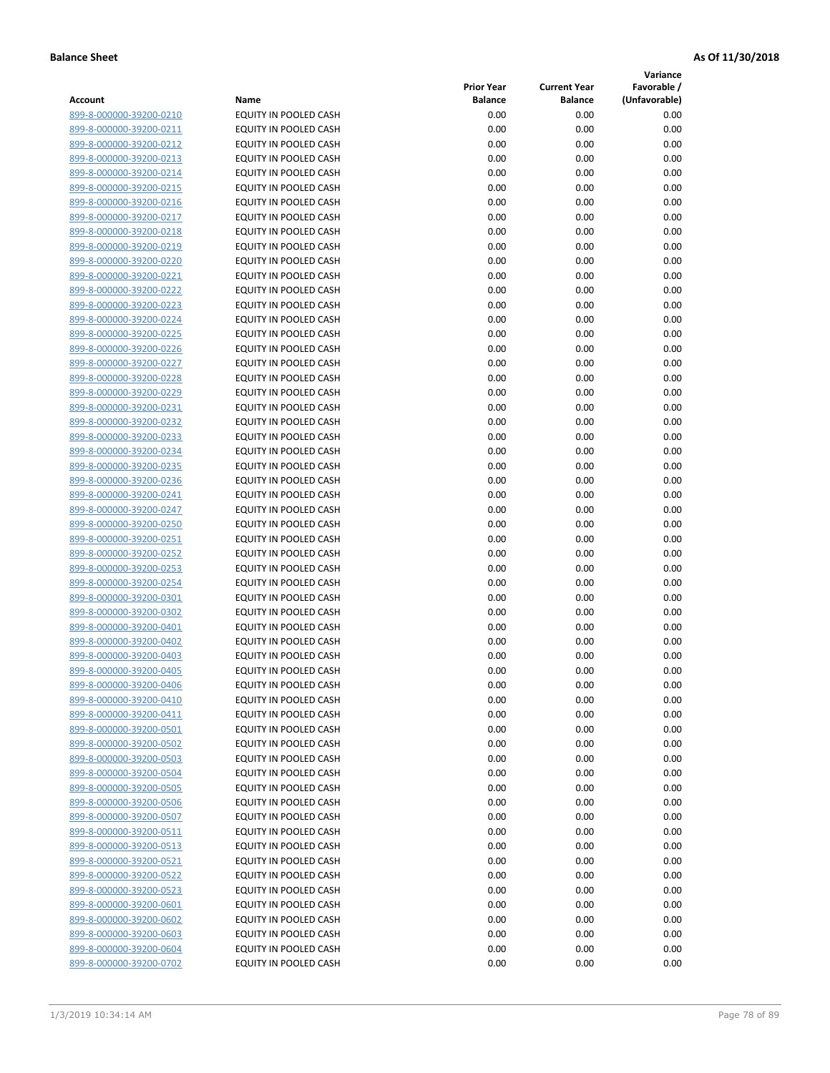**Variance**

| Account                                            | Name                                           | <b>Prior Year</b><br><b>Balance</b> | <b>Current Year</b><br><b>Balance</b> | Favorable /<br>(Unfavorable) |
|----------------------------------------------------|------------------------------------------------|-------------------------------------|---------------------------------------|------------------------------|
| 899-8-000000-39200-0210                            | EQUITY IN POOLED CASH                          | 0.00                                | 0.00                                  | 0.00                         |
| 899-8-000000-39200-0211                            | EQUITY IN POOLED CASH                          | 0.00                                | 0.00                                  | 0.00                         |
| 899-8-000000-39200-0212                            | EQUITY IN POOLED CASH                          | 0.00                                | 0.00                                  | 0.00                         |
| 899-8-000000-39200-0213                            | EQUITY IN POOLED CASH                          | 0.00                                | 0.00                                  | 0.00                         |
| 899-8-000000-39200-0214                            | <b>EQUITY IN POOLED CASH</b>                   | 0.00                                | 0.00                                  | 0.00                         |
| 899-8-000000-39200-0215                            | EQUITY IN POOLED CASH                          | 0.00                                | 0.00                                  | 0.00                         |
| 899-8-000000-39200-0216                            | EQUITY IN POOLED CASH                          | 0.00                                | 0.00                                  | 0.00                         |
| 899-8-000000-39200-0217                            | EQUITY IN POOLED CASH                          | 0.00                                | 0.00                                  | 0.00                         |
| 899-8-000000-39200-0218                            | EQUITY IN POOLED CASH                          | 0.00                                | 0.00                                  | 0.00                         |
| 899-8-000000-39200-0219                            | EQUITY IN POOLED CASH                          | 0.00                                | 0.00                                  | 0.00                         |
| 899-8-000000-39200-0220                            | EQUITY IN POOLED CASH                          | 0.00                                | 0.00                                  | 0.00                         |
| 899-8-000000-39200-0221                            | EQUITY IN POOLED CASH                          | 0.00                                | 0.00                                  | 0.00                         |
| 899-8-000000-39200-0222                            | EQUITY IN POOLED CASH                          | 0.00                                | 0.00                                  | 0.00                         |
| 899-8-000000-39200-0223                            | EQUITY IN POOLED CASH                          | 0.00                                | 0.00                                  | 0.00                         |
| 899-8-000000-39200-0224                            | EQUITY IN POOLED CASH                          | 0.00                                | 0.00                                  | 0.00                         |
| 899-8-000000-39200-0225                            | EQUITY IN POOLED CASH                          | 0.00                                | 0.00                                  | 0.00                         |
| 899-8-000000-39200-0226                            | EQUITY IN POOLED CASH                          | 0.00                                | 0.00                                  | 0.00                         |
| 899-8-000000-39200-0227                            | EQUITY IN POOLED CASH                          | 0.00                                | 0.00                                  | 0.00                         |
| 899-8-000000-39200-0228                            | EQUITY IN POOLED CASH                          | 0.00                                | 0.00                                  | 0.00                         |
| 899-8-000000-39200-0229                            | <b>EQUITY IN POOLED CASH</b>                   | 0.00                                | 0.00                                  | 0.00                         |
| 899-8-000000-39200-0231                            | <b>EQUITY IN POOLED CASH</b>                   | 0.00                                | 0.00                                  | 0.00                         |
| 899-8-000000-39200-0232                            | EQUITY IN POOLED CASH                          | 0.00                                | 0.00                                  | 0.00                         |
| 899-8-000000-39200-0233                            | EQUITY IN POOLED CASH                          | 0.00                                | 0.00                                  | 0.00                         |
| 899-8-000000-39200-0234                            | EQUITY IN POOLED CASH                          | 0.00                                | 0.00                                  | 0.00                         |
| 899-8-000000-39200-0235                            | EQUITY IN POOLED CASH                          | 0.00                                | 0.00                                  | 0.00                         |
| 899-8-000000-39200-0236                            | EQUITY IN POOLED CASH                          | 0.00                                | 0.00                                  | 0.00                         |
| 899-8-000000-39200-0241                            | EQUITY IN POOLED CASH                          | 0.00                                | 0.00                                  | 0.00                         |
| 899-8-000000-39200-0247                            | EQUITY IN POOLED CASH                          | 0.00                                | 0.00                                  | 0.00                         |
| 899-8-000000-39200-0250                            | EQUITY IN POOLED CASH                          | 0.00                                | 0.00                                  | 0.00                         |
| 899-8-000000-39200-0251                            | EQUITY IN POOLED CASH                          | 0.00                                | 0.00                                  | 0.00                         |
| 899-8-000000-39200-0252                            | EQUITY IN POOLED CASH                          | 0.00<br>0.00                        | 0.00<br>0.00                          | 0.00<br>0.00                 |
| 899-8-000000-39200-0253<br>899-8-000000-39200-0254 | EQUITY IN POOLED CASH<br>EQUITY IN POOLED CASH | 0.00                                | 0.00                                  | 0.00                         |
| 899-8-000000-39200-0301                            | EQUITY IN POOLED CASH                          | 0.00                                | 0.00                                  | 0.00                         |
| 899-8-000000-39200-0302                            | EQUITY IN POOLED CASH                          | 0.00                                | 0.00                                  | 0.00                         |
| 899-8-000000-39200-0401                            | EQUITY IN POOLED CASH                          | 0.00                                | 0.00                                  | 0.00                         |
| 899-8-000000-39200-0402                            | EQUITY IN POOLED CASH                          | 0.00                                | 0.00                                  | 0.00                         |
| 899-8-000000-39200-0403                            | EQUITY IN POOLED CASH                          | 0.00                                | 0.00                                  | 0.00                         |
| 899-8-000000-39200-0405                            | <b>EQUITY IN POOLED CASH</b>                   | 0.00                                | 0.00                                  | 0.00                         |
| 899-8-000000-39200-0406                            | EQUITY IN POOLED CASH                          | 0.00                                | 0.00                                  | 0.00                         |
| 899-8-000000-39200-0410                            | EQUITY IN POOLED CASH                          | 0.00                                | 0.00                                  | 0.00                         |
| 899-8-000000-39200-0411                            | EQUITY IN POOLED CASH                          | 0.00                                | 0.00                                  | 0.00                         |
| 899-8-000000-39200-0501                            | EQUITY IN POOLED CASH                          | 0.00                                | 0.00                                  | 0.00                         |
| 899-8-000000-39200-0502                            | EQUITY IN POOLED CASH                          | 0.00                                | 0.00                                  | 0.00                         |
| 899-8-000000-39200-0503                            | EQUITY IN POOLED CASH                          | 0.00                                | 0.00                                  | 0.00                         |
| 899-8-000000-39200-0504                            | EQUITY IN POOLED CASH                          | 0.00                                | 0.00                                  | 0.00                         |
| 899-8-000000-39200-0505                            | EQUITY IN POOLED CASH                          | 0.00                                | 0.00                                  | 0.00                         |
| 899-8-000000-39200-0506                            | EQUITY IN POOLED CASH                          | 0.00                                | 0.00                                  | 0.00                         |
| 899-8-000000-39200-0507                            | EQUITY IN POOLED CASH                          | 0.00                                | 0.00                                  | 0.00                         |
| 899-8-000000-39200-0511                            | <b>EQUITY IN POOLED CASH</b>                   | 0.00                                | 0.00                                  | 0.00                         |
| 899-8-000000-39200-0513                            | EQUITY IN POOLED CASH                          | 0.00                                | 0.00                                  | 0.00                         |
| 899-8-000000-39200-0521                            | EQUITY IN POOLED CASH                          | 0.00                                | 0.00                                  | 0.00                         |
| 899-8-000000-39200-0522                            | EQUITY IN POOLED CASH                          | 0.00                                | 0.00                                  | 0.00                         |
| 899-8-000000-39200-0523                            | EQUITY IN POOLED CASH                          | 0.00                                | 0.00                                  | 0.00                         |
| 899-8-000000-39200-0601                            | EQUITY IN POOLED CASH                          | 0.00                                | 0.00                                  | 0.00                         |
| 899-8-000000-39200-0602                            | EQUITY IN POOLED CASH                          | 0.00                                | 0.00                                  | 0.00                         |
| 899-8-000000-39200-0603<br>899-8-000000-39200-0604 | EQUITY IN POOLED CASH                          | 0.00                                | 0.00                                  | 0.00                         |
| 899-8-000000-39200-0702                            | EQUITY IN POOLED CASH<br>EQUITY IN POOLED CASH | 0.00<br>0.00                        | 0.00<br>0.00                          | 0.00<br>0.00                 |
|                                                    |                                                |                                     |                                       |                              |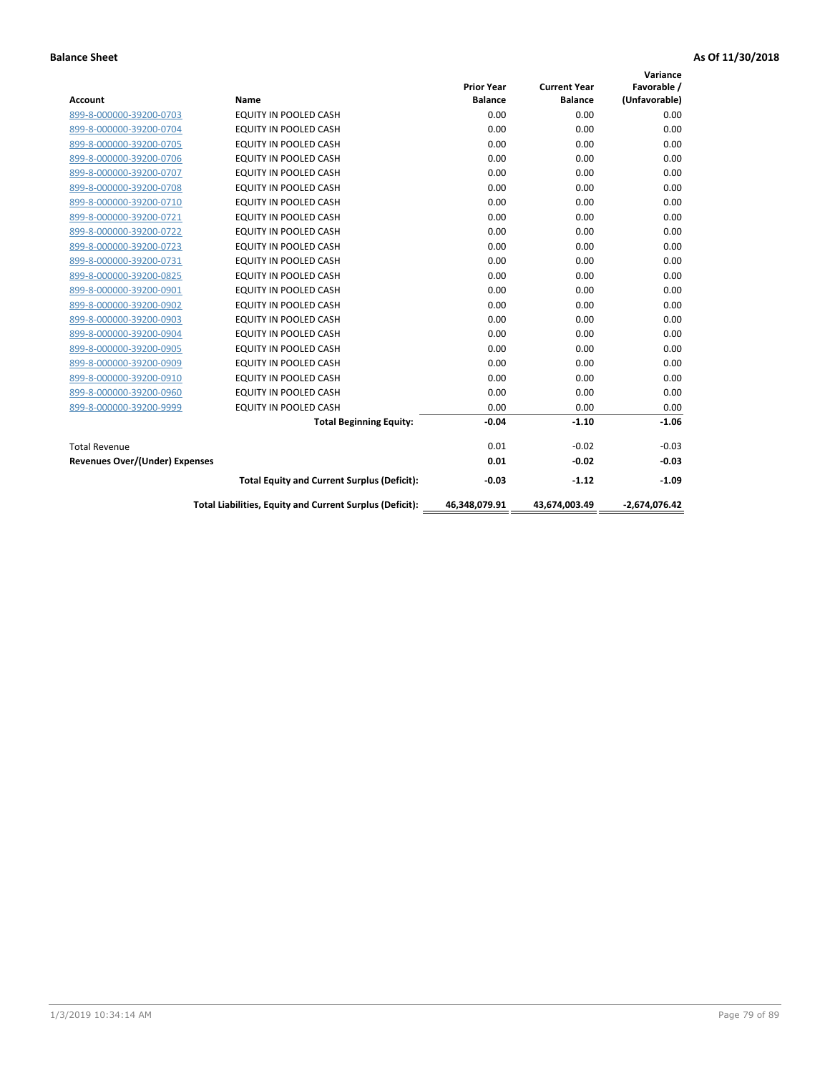|                                       |                                                          |                   |                     | Variance        |
|---------------------------------------|----------------------------------------------------------|-------------------|---------------------|-----------------|
|                                       |                                                          | <b>Prior Year</b> | <b>Current Year</b> | Favorable /     |
| <b>Account</b>                        | <b>Name</b>                                              | <b>Balance</b>    | <b>Balance</b>      | (Unfavorable)   |
| 899-8-000000-39200-0703               | EQUITY IN POOLED CASH                                    | 0.00              | 0.00                | 0.00            |
| 899-8-000000-39200-0704               | EQUITY IN POOLED CASH                                    | 0.00              | 0.00                | 0.00            |
| 899-8-000000-39200-0705               | EQUITY IN POOLED CASH                                    | 0.00              | 0.00                | 0.00            |
| 899-8-000000-39200-0706               | <b>EQUITY IN POOLED CASH</b>                             | 0.00              | 0.00                | 0.00            |
| 899-8-000000-39200-0707               | <b>EQUITY IN POOLED CASH</b>                             | 0.00              | 0.00                | 0.00            |
| 899-8-000000-39200-0708               | <b>EQUITY IN POOLED CASH</b>                             | 0.00              | 0.00                | 0.00            |
| 899-8-000000-39200-0710               | <b>EQUITY IN POOLED CASH</b>                             | 0.00              | 0.00                | 0.00            |
| 899-8-000000-39200-0721               | EQUITY IN POOLED CASH                                    | 0.00              | 0.00                | 0.00            |
| 899-8-000000-39200-0722               | <b>EQUITY IN POOLED CASH</b>                             | 0.00              | 0.00                | 0.00            |
| 899-8-000000-39200-0723               | <b>EQUITY IN POOLED CASH</b>                             | 0.00              | 0.00                | 0.00            |
| 899-8-000000-39200-0731               | <b>EQUITY IN POOLED CASH</b>                             | 0.00              | 0.00                | 0.00            |
| 899-8-000000-39200-0825               | EQUITY IN POOLED CASH                                    | 0.00              | 0.00                | 0.00            |
| 899-8-000000-39200-0901               | <b>EQUITY IN POOLED CASH</b>                             | 0.00              | 0.00                | 0.00            |
| 899-8-000000-39200-0902               | EQUITY IN POOLED CASH                                    | 0.00              | 0.00                | 0.00            |
| 899-8-000000-39200-0903               | <b>EQUITY IN POOLED CASH</b>                             | 0.00              | 0.00                | 0.00            |
| 899-8-000000-39200-0904               | <b>EQUITY IN POOLED CASH</b>                             | 0.00              | 0.00                | 0.00            |
| 899-8-000000-39200-0905               | EQUITY IN POOLED CASH                                    | 0.00              | 0.00                | 0.00            |
| 899-8-000000-39200-0909               | EQUITY IN POOLED CASH                                    | 0.00              | 0.00                | 0.00            |
| 899-8-000000-39200-0910               | <b>EQUITY IN POOLED CASH</b>                             | 0.00              | 0.00                | 0.00            |
| 899-8-000000-39200-0960               | <b>EQUITY IN POOLED CASH</b>                             | 0.00              | 0.00                | 0.00            |
| 899-8-000000-39200-9999               | <b>EQUITY IN POOLED CASH</b>                             | 0.00              | 0.00                | 0.00            |
|                                       | <b>Total Beginning Equity:</b>                           | $-0.04$           | $-1.10$             | $-1.06$         |
| <b>Total Revenue</b>                  |                                                          | 0.01              | $-0.02$             | $-0.03$         |
| <b>Revenues Over/(Under) Expenses</b> |                                                          | 0.01              | $-0.02$             | $-0.03$         |
|                                       | <b>Total Equity and Current Surplus (Deficit):</b>       | $-0.03$           | $-1.12$             | $-1.09$         |
|                                       | Total Liabilities, Equity and Current Surplus (Deficit): | 46,348,079.91     | 43,674,003.49       | $-2,674,076.42$ |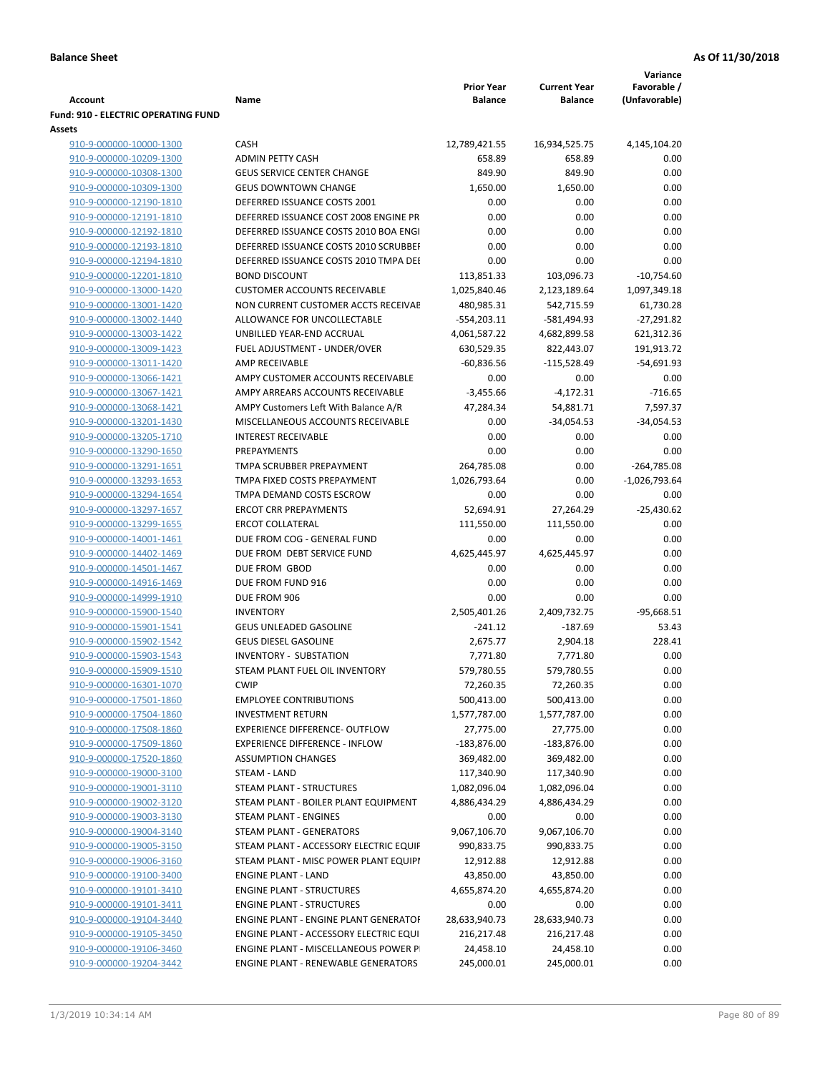|                                                    |                                                         |                                     |                                       | Variance                       |
|----------------------------------------------------|---------------------------------------------------------|-------------------------------------|---------------------------------------|--------------------------------|
| <b>Account</b>                                     | Name                                                    | <b>Prior Year</b><br><b>Balance</b> | <b>Current Year</b><br><b>Balance</b> | Favorable /<br>(Unfavorable)   |
| <b>Fund: 910 - ELECTRIC OPERATING FUND</b>         |                                                         |                                     |                                       |                                |
| Assets                                             |                                                         |                                     |                                       |                                |
| 910-9-000000-10000-1300                            | <b>CASH</b>                                             | 12,789,421.55                       | 16,934,525.75                         | 4,145,104.20                   |
| 910-9-000000-10209-1300                            | <b>ADMIN PETTY CASH</b>                                 | 658.89                              | 658.89                                | 0.00                           |
| 910-9-000000-10308-1300                            | <b>GEUS SERVICE CENTER CHANGE</b>                       | 849.90                              | 849.90                                | 0.00                           |
| 910-9-000000-10309-1300                            | <b>GEUS DOWNTOWN CHANGE</b>                             | 1,650.00                            | 1,650.00                              | 0.00                           |
| 910-9-000000-12190-1810                            | DEFERRED ISSUANCE COSTS 2001                            | 0.00                                | 0.00                                  | 0.00                           |
| 910-9-000000-12191-1810                            | DEFERRED ISSUANCE COST 2008 ENGINE PR                   | 0.00                                | 0.00                                  | 0.00                           |
| 910-9-000000-12192-1810                            | DEFERRED ISSUANCE COSTS 2010 BOA ENGI                   | 0.00                                | 0.00                                  | 0.00                           |
| 910-9-000000-12193-1810                            | DEFERRED ISSUANCE COSTS 2010 SCRUBBEI                   | 0.00                                | 0.00                                  | 0.00                           |
| 910-9-000000-12194-1810                            | DEFERRED ISSUANCE COSTS 2010 TMPA DEI                   | 0.00                                | 0.00                                  | 0.00                           |
| 910-9-000000-12201-1810                            | <b>BOND DISCOUNT</b>                                    | 113,851.33                          | 103,096.73                            | $-10,754.60$                   |
| 910-9-000000-13000-1420                            | <b>CUSTOMER ACCOUNTS RECEIVABLE</b>                     | 1,025,840.46                        | 2,123,189.64                          | 1,097,349.18                   |
| 910-9-000000-13001-1420                            | NON CURRENT CUSTOMER ACCTS RECEIVAE                     | 480,985.31                          | 542,715.59                            | 61,730.28                      |
| 910-9-000000-13002-1440                            | ALLOWANCE FOR UNCOLLECTABLE                             | $-554,203.11$                       | -581,494.93                           | $-27,291.82$                   |
| 910-9-000000-13003-1422                            | UNBILLED YEAR-END ACCRUAL                               | 4,061,587.22                        | 4,682,899.58                          | 621,312.36                     |
| 910-9-000000-13009-1423                            | FUEL ADJUSTMENT - UNDER/OVER                            | 630,529.35                          | 822,443.07                            | 191,913.72                     |
| 910-9-000000-13011-1420                            | <b>AMP RECEIVABLE</b>                                   | $-60,836.56$                        | $-115,528.49$                         | $-54,691.93$                   |
| 910-9-000000-13066-1421                            | AMPY CUSTOMER ACCOUNTS RECEIVABLE                       | 0.00                                | 0.00                                  | 0.00                           |
| 910-9-000000-13067-1421                            | AMPY ARREARS ACCOUNTS RECEIVABLE                        | $-3,455.66$                         | $-4,172.31$                           | $-716.65$                      |
| 910-9-000000-13068-1421                            | AMPY Customers Left With Balance A/R                    | 47,284.34                           | 54,881.71                             | 7,597.37                       |
| 910-9-000000-13201-1430                            | MISCELLANEOUS ACCOUNTS RECEIVABLE                       | 0.00                                | $-34,054.53$                          | $-34,054.53$                   |
| 910-9-000000-13205-1710                            | <b>INTEREST RECEIVABLE</b>                              | 0.00                                | 0.00                                  | 0.00                           |
| 910-9-000000-13290-1650                            | PREPAYMENTS                                             | 0.00                                | 0.00<br>0.00                          | 0.00                           |
| 910-9-000000-13291-1651<br>910-9-000000-13293-1653 | TMPA SCRUBBER PREPAYMENT<br>TMPA FIXED COSTS PREPAYMENT | 264,785.08<br>1,026,793.64          | 0.00                                  | -264,785.08<br>$-1,026,793.64$ |
| 910-9-000000-13294-1654                            | TMPA DEMAND COSTS ESCROW                                | 0.00                                | 0.00                                  | 0.00                           |
| 910-9-000000-13297-1657                            | <b>ERCOT CRR PREPAYMENTS</b>                            | 52,694.91                           | 27,264.29                             | $-25,430.62$                   |
| 910-9-000000-13299-1655                            | <b>ERCOT COLLATERAL</b>                                 | 111,550.00                          | 111,550.00                            | 0.00                           |
| 910-9-000000-14001-1461                            | DUE FROM COG - GENERAL FUND                             | 0.00                                | 0.00                                  | 0.00                           |
| 910-9-000000-14402-1469                            | DUE FROM DEBT SERVICE FUND                              | 4,625,445.97                        | 4,625,445.97                          | 0.00                           |
| 910-9-000000-14501-1467                            | DUE FROM GBOD                                           | 0.00                                | 0.00                                  | 0.00                           |
| 910-9-000000-14916-1469                            | DUE FROM FUND 916                                       | 0.00                                | 0.00                                  | 0.00                           |
| 910-9-000000-14999-1910                            | DUE FROM 906                                            | 0.00                                | 0.00                                  | 0.00                           |
| 910-9-000000-15900-1540                            | <b>INVENTORY</b>                                        | 2,505,401.26                        | 2,409,732.75                          | $-95,668.51$                   |
| 910-9-000000-15901-1541                            | GEUS UNLEADED GASOLINE                                  | $-241.12$                           | $-187.69$                             | 53.43                          |
| 910-9-000000-15902-1542                            | <b>GEUS DIESEL GASOLINE</b>                             | 2,675.77                            | 2,904.18                              | 228.41                         |
| 910-9-000000-15903-1543                            | <b>INVENTORY - SUBSTATION</b>                           | 7,771.80                            | 7,771.80                              | 0.00                           |
| 910-9-000000-15909-1510                            | STEAM PLANT FUEL OIL INVENTORY                          | 579,780.55                          | 579,780.55                            | 0.00                           |
| 910-9-000000-16301-1070                            | <b>CWIP</b>                                             | 72,260.35                           | 72,260.35                             | 0.00                           |
| 910-9-000000-17501-1860                            | <b>EMPLOYEE CONTRIBUTIONS</b>                           | 500,413.00                          | 500,413.00                            | 0.00                           |
| 910-9-000000-17504-1860                            | <b>INVESTMENT RETURN</b>                                | 1,577,787.00                        | 1,577,787.00                          | 0.00                           |
| 910-9-000000-17508-1860                            | <b>EXPERIENCE DIFFERENCE- OUTFLOW</b>                   | 27,775.00                           | 27,775.00                             | 0.00                           |
| 910-9-000000-17509-1860                            | <b>EXPERIENCE DIFFERENCE - INFLOW</b>                   | $-183,876.00$                       | $-183,876.00$                         | 0.00                           |
| 910-9-000000-17520-1860                            | <b>ASSUMPTION CHANGES</b>                               | 369,482.00                          | 369,482.00                            | 0.00                           |
| 910-9-000000-19000-3100                            | STEAM - LAND                                            | 117,340.90                          | 117,340.90                            | 0.00                           |
| 910-9-000000-19001-3110                            | STEAM PLANT - STRUCTURES                                | 1,082,096.04                        | 1,082,096.04                          | 0.00                           |
| 910-9-000000-19002-3120                            | STEAM PLANT - BOILER PLANT EQUIPMENT                    | 4,886,434.29                        | 4,886,434.29                          | 0.00                           |
| 910-9-000000-19003-3130                            | STEAM PLANT - ENGINES                                   | 0.00                                | 0.00                                  | 0.00                           |
| 910-9-000000-19004-3140                            | STEAM PLANT - GENERATORS                                | 9,067,106.70                        | 9,067,106.70                          | 0.00                           |
| 910-9-000000-19005-3150                            | STEAM PLANT - ACCESSORY ELECTRIC EQUIF                  | 990,833.75                          | 990,833.75                            | 0.00                           |
| 910-9-000000-19006-3160                            | STEAM PLANT - MISC POWER PLANT EQUIPI                   | 12,912.88                           | 12,912.88                             | 0.00                           |
| 910-9-000000-19100-3400                            | <b>ENGINE PLANT - LAND</b>                              | 43,850.00                           | 43,850.00                             | 0.00                           |
| 910-9-000000-19101-3410                            | <b>ENGINE PLANT - STRUCTURES</b>                        | 4,655,874.20                        | 4,655,874.20                          | 0.00                           |
| 910-9-000000-19101-3411                            | <b>ENGINE PLANT - STRUCTURES</b>                        | 0.00                                | 0.00                                  | 0.00                           |
| 910-9-000000-19104-3440                            | ENGINE PLANT - ENGINE PLANT GENERATOF                   | 28,633,940.73                       | 28,633,940.73                         | 0.00                           |
| 910-9-000000-19105-3450                            | ENGINE PLANT - ACCESSORY ELECTRIC EQUI                  | 216,217.48                          | 216,217.48                            | 0.00                           |
| 910-9-000000-19106-3460                            | ENGINE PLANT - MISCELLANEOUS POWER P                    | 24,458.10                           | 24,458.10                             | 0.00<br>0.00                   |
| 910-9-000000-19204-3442                            | ENGINE PLANT - RENEWABLE GENERATORS                     | 245,000.01                          | 245,000.01                            |                                |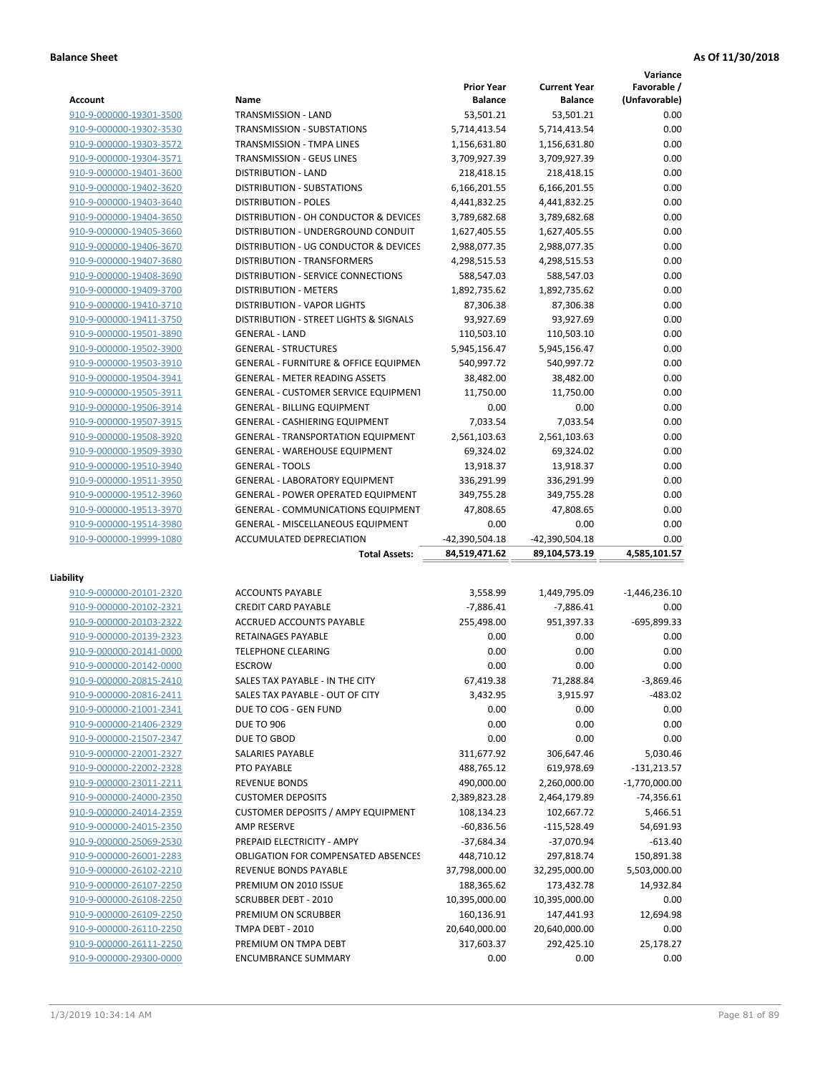**Variance**

|                         |                                                  | <b>Prior Year</b> | <b>Current Year</b> | Favorable /     |
|-------------------------|--------------------------------------------------|-------------------|---------------------|-----------------|
| Account                 | Name                                             | <b>Balance</b>    | <b>Balance</b>      | (Unfavorable)   |
| 910-9-000000-19301-3500 | TRANSMISSION - LAND                              | 53,501.21         | 53,501.21           | 0.00            |
| 910-9-000000-19302-3530 | TRANSMISSION - SUBSTATIONS                       | 5,714,413.54      | 5,714,413.54        | 0.00            |
| 910-9-000000-19303-3572 | <b>TRANSMISSION - TMPA LINES</b>                 | 1,156,631.80      | 1,156,631.80        | 0.00            |
| 910-9-000000-19304-3571 | <b>TRANSMISSION - GEUS LINES</b>                 | 3,709,927.39      | 3,709,927.39        | 0.00            |
| 910-9-000000-19401-3600 | <b>DISTRIBUTION - LAND</b>                       | 218,418.15        | 218,418.15          | 0.00            |
| 910-9-000000-19402-3620 | DISTRIBUTION - SUBSTATIONS                       | 6,166,201.55      | 6,166,201.55        | 0.00            |
| 910-9-000000-19403-3640 | <b>DISTRIBUTION - POLES</b>                      | 4,441,832.25      | 4,441,832.25        | 0.00            |
| 910-9-000000-19404-3650 | DISTRIBUTION - OH CONDUCTOR & DEVICES            | 3,789,682.68      | 3,789,682.68        | 0.00            |
| 910-9-000000-19405-3660 | DISTRIBUTION - UNDERGROUND CONDUIT               | 1,627,405.55      | 1,627,405.55        | 0.00            |
| 910-9-000000-19406-3670 | DISTRIBUTION - UG CONDUCTOR & DEVICES            | 2,988,077.35      | 2,988,077.35        | 0.00            |
| 910-9-000000-19407-3680 | <b>DISTRIBUTION - TRANSFORMERS</b>               | 4,298,515.53      | 4,298,515.53        | 0.00            |
| 910-9-000000-19408-3690 | DISTRIBUTION - SERVICE CONNECTIONS               | 588,547.03        | 588,547.03          | 0.00            |
| 910-9-000000-19409-3700 | <b>DISTRIBUTION - METERS</b>                     | 1,892,735.62      | 1,892,735.62        | 0.00            |
| 910-9-000000-19410-3710 | <b>DISTRIBUTION - VAPOR LIGHTS</b>               | 87,306.38         | 87,306.38           | 0.00            |
| 910-9-000000-19411-3750 | DISTRIBUTION - STREET LIGHTS & SIGNALS           | 93,927.69         | 93,927.69           | 0.00            |
| 910-9-000000-19501-3890 | <b>GENERAL - LAND</b>                            | 110,503.10        | 110,503.10          | 0.00            |
| 910-9-000000-19502-3900 | <b>GENERAL - STRUCTURES</b>                      | 5,945,156.47      | 5,945,156.47        | 0.00            |
| 910-9-000000-19503-3910 | <b>GENERAL - FURNITURE &amp; OFFICE EQUIPMEN</b> | 540,997.72        | 540,997.72          | 0.00            |
| 910-9-000000-19504-3941 | <b>GENERAL - METER READING ASSETS</b>            | 38,482.00         | 38,482.00           | 0.00            |
| 910-9-000000-19505-3911 | <b>GENERAL - CUSTOMER SERVICE EQUIPMENT</b>      | 11,750.00         | 11,750.00           | 0.00            |
| 910-9-000000-19506-3914 |                                                  |                   |                     | 0.00            |
|                         | <b>GENERAL - BILLING EQUIPMENT</b>               | 0.00              | 0.00                |                 |
| 910-9-000000-19507-3915 | GENERAL - CASHIERING EQUIPMENT                   | 7,033.54          | 7,033.54            | 0.00            |
| 910-9-000000-19508-3920 | <b>GENERAL - TRANSPORTATION EQUIPMENT</b>        | 2,561,103.63      | 2,561,103.63        | 0.00            |
| 910-9-000000-19509-3930 | <b>GENERAL - WAREHOUSE EQUIPMENT</b>             | 69,324.02         | 69,324.02           | 0.00            |
| 910-9-000000-19510-3940 | <b>GENERAL - TOOLS</b>                           | 13,918.37         | 13,918.37           | 0.00            |
| 910-9-000000-19511-3950 | <b>GENERAL - LABORATORY EQUIPMENT</b>            | 336,291.99        | 336,291.99          | 0.00            |
| 910-9-000000-19512-3960 | <b>GENERAL - POWER OPERATED EQUIPMENT</b>        | 349,755.28        | 349,755.28          | 0.00            |
| 910-9-000000-19513-3970 | GENERAL - COMMUNICATIONS EQUIPMENT               | 47,808.65         | 47,808.65           | 0.00            |
| 910-9-000000-19514-3980 | <b>GENERAL - MISCELLANEOUS EQUIPMENT</b>         | 0.00              | 0.00                | 0.00            |
| 910-9-000000-19999-1080 | ACCUMULATED DEPRECIATION                         | -42,390,504.18    | -42,390,504.18      | 0.00            |
|                         | <b>Total Assets:</b>                             | 84,519,471.62     | 89,104,573.19       | 4,585,101.57    |
| Liability               |                                                  |                   |                     |                 |
| 910-9-000000-20101-2320 | <b>ACCOUNTS PAYABLE</b>                          | 3,558.99          | 1,449,795.09        | $-1,446,236.10$ |
| 910-9-000000-20102-2321 | <b>CREDIT CARD PAYABLE</b>                       | $-7,886.41$       | $-7,886.41$         | 0.00            |
| 910-9-000000-20103-2322 | ACCRUED ACCOUNTS PAYABLE                         | 255,498.00        | 951,397.33          | -695,899.33     |
|                         | <b>RETAINAGES PAYABLE</b>                        | 0.00              | 0.00                |                 |
| 910-9-000000-20139-2323 |                                                  |                   |                     | 0.00            |
| 910-9-000000-20141-0000 | <b>TELEPHONE CLEARING</b><br><b>ESCROW</b>       | 0.00              | 0.00                | 0.00            |
| 910-9-000000-20142-0000 |                                                  | 0.00              | 0.00                | 0.00            |
| 910-9-000000-20815-2410 | SALES TAX PAYABLE - IN THE CITY                  | 67,419.38         | 71,288.84           | $-3,869.46$     |
| 910-9-000000-20816-2411 | SALES TAX PAYABLE - OUT OF CITY                  | 3,432.95          | 3,915.97            | $-483.02$       |
| 910-9-000000-21001-2341 | DUE TO COG - GEN FUND                            | 0.00              | 0.00                | 0.00            |
| 910-9-000000-21406-2329 | <b>DUE TO 906</b>                                | 0.00              | 0.00                | 0.00            |
| 910-9-000000-21507-2347 | DUE TO GBOD                                      | 0.00              | 0.00                | 0.00            |
| 910-9-000000-22001-2327 | SALARIES PAYABLE                                 | 311,677.92        | 306,647.46          | 5,030.46        |
| 910-9-000000-22002-2328 | PTO PAYABLE                                      | 488,765.12        | 619,978.69          | $-131,213.57$   |
| 910-9-000000-23011-2211 | <b>REVENUE BONDS</b>                             | 490,000.00        | 2,260,000.00        | $-1,770,000.00$ |
| 910-9-000000-24000-2350 | <b>CUSTOMER DEPOSITS</b>                         | 2,389,823.28      | 2,464,179.89        | $-74,356.61$    |
| 910-9-000000-24014-2359 | <b>CUSTOMER DEPOSITS / AMPY EQUIPMENT</b>        | 108,134.23        | 102,667.72          | 5,466.51        |
| 910-9-000000-24015-2350 | AMP RESERVE                                      | $-60,836.56$      | -115,528.49         | 54,691.93       |
| 910-9-000000-25069-2530 | PREPAID ELECTRICITY - AMPY                       | $-37,684.34$      | $-37,070.94$        | $-613.40$       |
| 910-9-000000-26001-2283 | <b>OBLIGATION FOR COMPENSATED ABSENCES</b>       | 448,710.12        | 297,818.74          | 150,891.38      |
| 910-9-000000-26102-2210 | REVENUE BONDS PAYABLE                            | 37,798,000.00     | 32,295,000.00       | 5,503,000.00    |
| 910-9-000000-26107-2250 | PREMIUM ON 2010 ISSUE                            | 188,365.62        | 173,432.78          | 14,932.84       |
| 910-9-000000-26108-2250 | <b>SCRUBBER DEBT - 2010</b>                      | 10,395,000.00     | 10,395,000.00       | 0.00            |
| 910-9-000000-26109-2250 | PREMIUM ON SCRUBBER                              | 160,136.91        | 147,441.93          | 12,694.98       |
| 910-9-000000-26110-2250 | TMPA DEBT - 2010                                 | 20,640,000.00     | 20,640,000.00       | 0.00            |
| 910-9-000000-26111-2250 | PREMIUM ON TMPA DEBT                             | 317,603.37        | 292,425.10          | 25,178.27       |
| 910-9-000000-29300-0000 | <b>ENCUMBRANCE SUMMARY</b>                       | 0.00              | 0.00                | 0.00            |
|                         |                                                  |                   |                     |                 |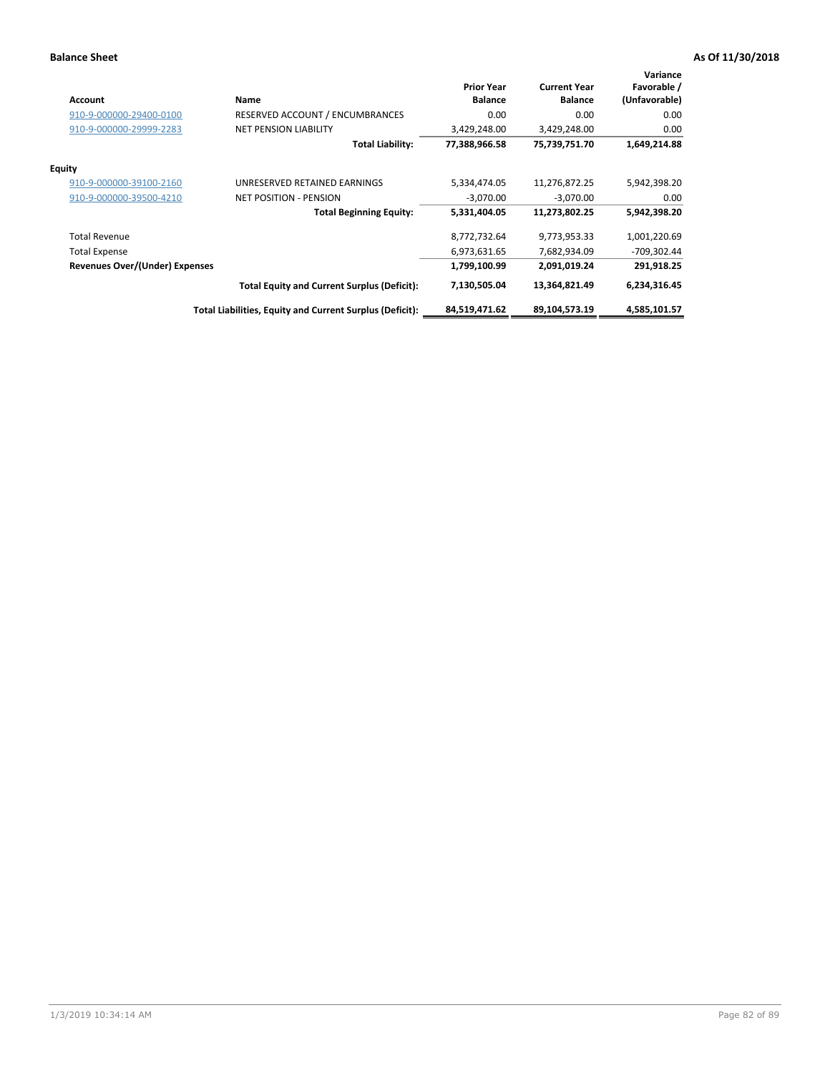| <b>Account</b>                        | Name                                                     | <b>Prior Year</b><br><b>Balance</b> | <b>Current Year</b><br><b>Balance</b> | Variance<br>Favorable /<br>(Unfavorable) |
|---------------------------------------|----------------------------------------------------------|-------------------------------------|---------------------------------------|------------------------------------------|
| 910-9-000000-29400-0100               | RESERVED ACCOUNT / ENCUMBRANCES                          | 0.00                                | 0.00                                  | 0.00                                     |
| 910-9-000000-29999-2283               | <b>NET PENSION LIABILITY</b>                             | 3,429,248.00                        | 3,429,248.00                          | 0.00                                     |
|                                       | <b>Total Liability:</b>                                  | 77,388,966.58                       | 75,739,751.70                         | 1,649,214.88                             |
| <b>Equity</b>                         |                                                          |                                     |                                       |                                          |
| 910-9-000000-39100-2160               | UNRESERVED RETAINED EARNINGS                             | 5,334,474.05                        | 11,276,872.25                         | 5,942,398.20                             |
| 910-9-000000-39500-4210               | <b>NET POSITION - PENSION</b>                            | $-3,070.00$                         | $-3,070.00$                           | 0.00                                     |
|                                       | <b>Total Beginning Equity:</b>                           | 5,331,404.05                        | 11,273,802.25                         | 5,942,398.20                             |
| <b>Total Revenue</b>                  |                                                          | 8,772,732.64                        | 9,773,953.33                          | 1,001,220.69                             |
| <b>Total Expense</b>                  |                                                          | 6,973,631.65                        | 7,682,934.09                          | $-709,302.44$                            |
| <b>Revenues Over/(Under) Expenses</b> |                                                          | 1,799,100.99                        | 2,091,019.24                          | 291,918.25                               |
|                                       | <b>Total Equity and Current Surplus (Deficit):</b>       | 7,130,505.04                        | 13,364,821.49                         | 6,234,316.45                             |
|                                       | Total Liabilities, Equity and Current Surplus (Deficit): | 84,519,471.62                       | 89,104,573.19                         | 4,585,101.57                             |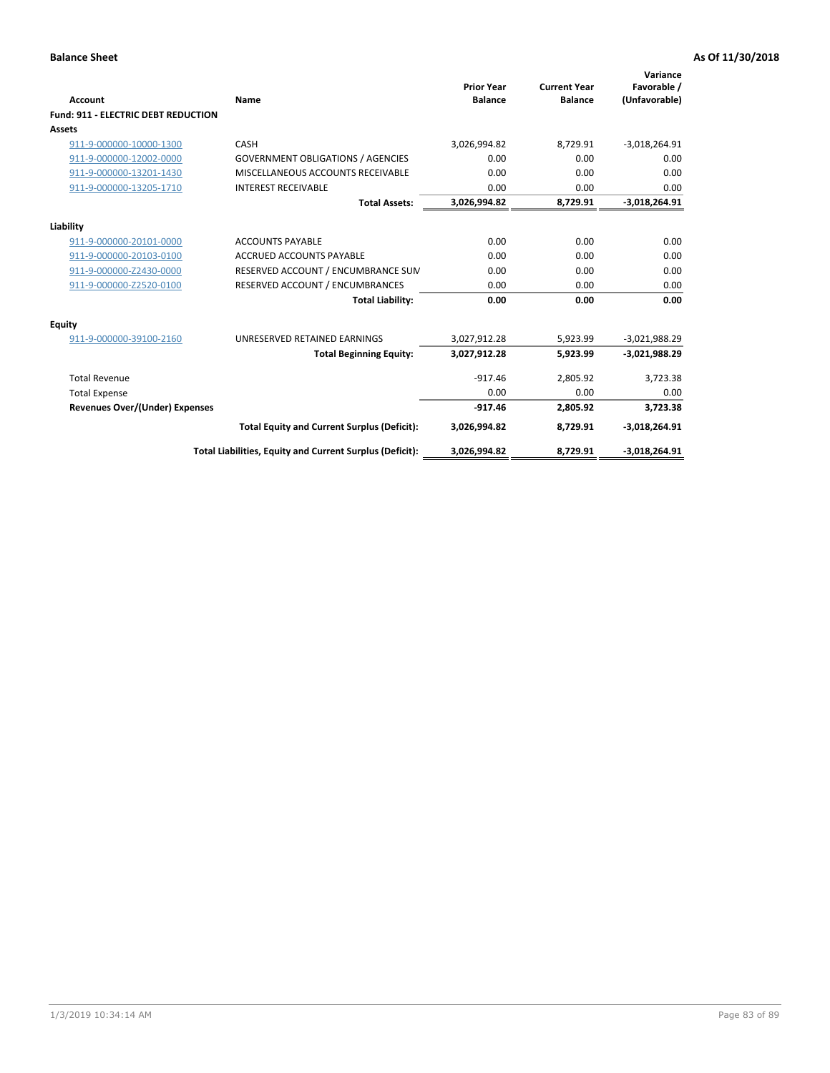| <b>Account</b>                             | Name                                                     | <b>Prior Year</b><br><b>Balance</b> | <b>Current Year</b><br><b>Balance</b> | Variance<br>Favorable /<br>(Unfavorable) |
|--------------------------------------------|----------------------------------------------------------|-------------------------------------|---------------------------------------|------------------------------------------|
| <b>Fund: 911 - ELECTRIC DEBT REDUCTION</b> |                                                          |                                     |                                       |                                          |
| Assets                                     |                                                          |                                     |                                       |                                          |
| 911-9-000000-10000-1300                    | CASH                                                     | 3,026,994.82                        | 8,729.91                              | $-3,018,264.91$                          |
| 911-9-000000-12002-0000                    | <b>GOVERNMENT OBLIGATIONS / AGENCIES</b>                 | 0.00                                | 0.00                                  | 0.00                                     |
| 911-9-000000-13201-1430                    | MISCELLANEOUS ACCOUNTS RECEIVABLE                        | 0.00                                | 0.00                                  | 0.00                                     |
| 911-9-000000-13205-1710                    | <b>INTEREST RECEIVABLE</b>                               | 0.00                                | 0.00                                  | 0.00                                     |
|                                            | <b>Total Assets:</b>                                     | 3,026,994.82                        | 8,729.91                              | $-3,018,264.91$                          |
| Liability                                  |                                                          |                                     |                                       |                                          |
| 911-9-000000-20101-0000                    | <b>ACCOUNTS PAYABLE</b>                                  | 0.00                                | 0.00                                  | 0.00                                     |
| 911-9-000000-20103-0100                    | <b>ACCRUED ACCOUNTS PAYABLE</b>                          | 0.00                                | 0.00                                  | 0.00                                     |
| 911-9-000000-Z2430-0000                    | RESERVED ACCOUNT / ENCUMBRANCE SUM                       | 0.00                                | 0.00                                  | 0.00                                     |
| 911-9-000000-Z2520-0100                    | RESERVED ACCOUNT / ENCUMBRANCES                          | 0.00                                | 0.00                                  | 0.00                                     |
|                                            | <b>Total Liability:</b>                                  | 0.00                                | 0.00                                  | 0.00                                     |
| <b>Equity</b>                              |                                                          |                                     |                                       |                                          |
| 911-9-000000-39100-2160                    | UNRESERVED RETAINED EARNINGS                             | 3,027,912.28                        | 5,923.99                              | $-3,021,988.29$                          |
|                                            | <b>Total Beginning Equity:</b>                           | 3,027,912.28                        | 5,923.99                              | $-3,021,988.29$                          |
| <b>Total Revenue</b>                       |                                                          | $-917.46$                           | 2,805.92                              | 3,723.38                                 |
| <b>Total Expense</b>                       |                                                          | 0.00                                | 0.00                                  | 0.00                                     |
| <b>Revenues Over/(Under) Expenses</b>      |                                                          | $-917.46$                           | 2,805.92                              | 3,723.38                                 |
|                                            | <b>Total Equity and Current Surplus (Deficit):</b>       | 3,026,994.82                        | 8,729.91                              | $-3,018,264.91$                          |
|                                            | Total Liabilities, Equity and Current Surplus (Deficit): | 3,026,994.82                        | 8,729.91                              | $-3,018,264.91$                          |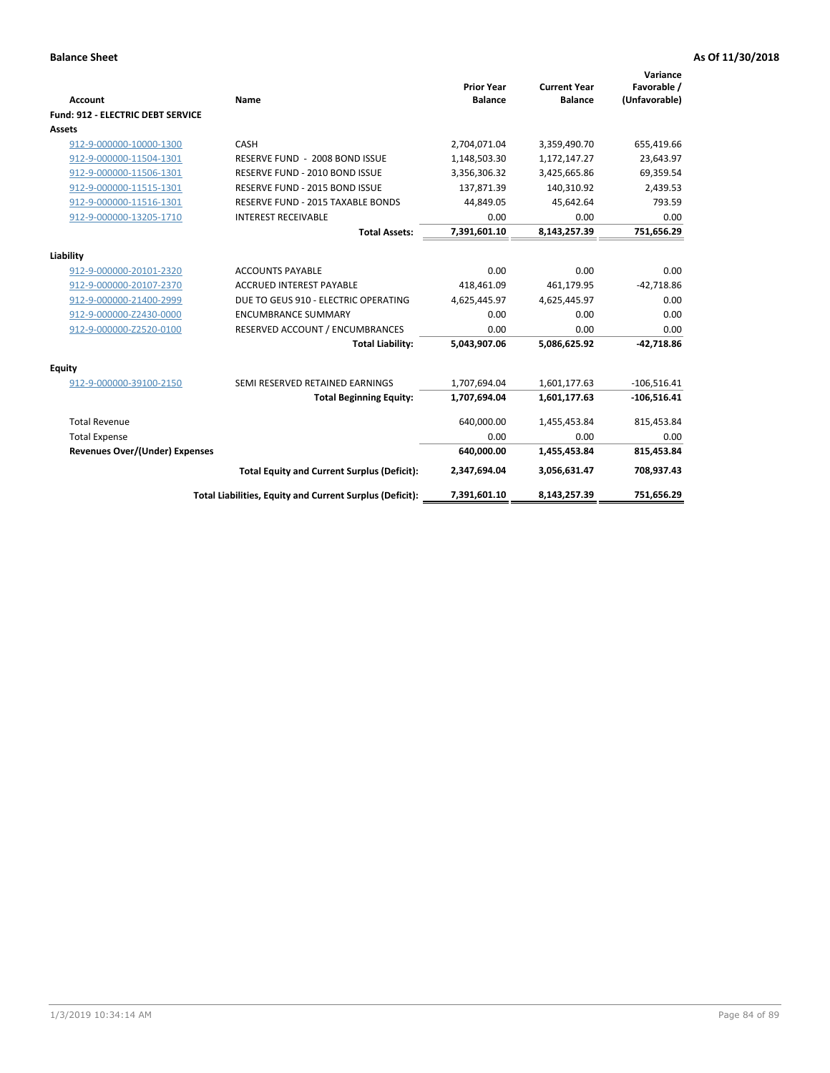| Account                               | Name                                                     | <b>Prior Year</b><br><b>Balance</b> | <b>Current Year</b><br><b>Balance</b> | Variance<br>Favorable /<br>(Unfavorable) |
|---------------------------------------|----------------------------------------------------------|-------------------------------------|---------------------------------------|------------------------------------------|
| Fund: 912 - ELECTRIC DEBT SERVICE     |                                                          |                                     |                                       |                                          |
| <b>Assets</b>                         |                                                          |                                     |                                       |                                          |
| 912-9-000000-10000-1300               | CASH                                                     | 2,704,071.04                        | 3,359,490.70                          | 655,419.66                               |
| 912-9-000000-11504-1301               | RESERVE FUND - 2008 BOND ISSUE                           | 1,148,503.30                        | 1,172,147.27                          | 23,643.97                                |
| 912-9-000000-11506-1301               | RESERVE FUND - 2010 BOND ISSUE                           | 3,356,306.32                        | 3,425,665.86                          | 69,359.54                                |
| 912-9-000000-11515-1301               | RESERVE FUND - 2015 BOND ISSUE                           | 137,871.39                          | 140,310.92                            | 2,439.53                                 |
| 912-9-000000-11516-1301               | RESERVE FUND - 2015 TAXABLE BONDS                        | 44,849.05                           | 45,642.64                             | 793.59                                   |
| 912-9-000000-13205-1710               | <b>INTEREST RECEIVABLE</b>                               | 0.00                                | 0.00                                  | 0.00                                     |
|                                       | <b>Total Assets:</b>                                     | 7,391,601.10                        | 8,143,257.39                          | 751,656.29                               |
| Liability                             |                                                          |                                     |                                       |                                          |
| 912-9-000000-20101-2320               | <b>ACCOUNTS PAYABLE</b>                                  | 0.00                                | 0.00                                  | 0.00                                     |
| 912-9-000000-20107-2370               | <b>ACCRUED INTEREST PAYABLE</b>                          | 418,461.09                          | 461,179.95                            | $-42,718.86$                             |
| 912-9-000000-21400-2999               | DUE TO GEUS 910 - ELECTRIC OPERATING                     | 4,625,445.97                        | 4,625,445.97                          | 0.00                                     |
| 912-9-000000-Z2430-0000               | <b>ENCUMBRANCE SUMMARY</b>                               | 0.00                                | 0.00                                  | 0.00                                     |
| 912-9-000000-Z2520-0100               | RESERVED ACCOUNT / ENCUMBRANCES                          | 0.00                                | 0.00                                  | 0.00                                     |
|                                       | <b>Total Liability:</b>                                  | 5,043,907.06                        | 5,086,625.92                          | $-42,718.86$                             |
| Equity                                |                                                          |                                     |                                       |                                          |
| 912-9-000000-39100-2150               | SEMI RESERVED RETAINED EARNINGS                          | 1,707,694.04                        | 1,601,177.63                          | $-106,516.41$                            |
|                                       | <b>Total Beginning Equity:</b>                           | 1,707,694.04                        | 1,601,177.63                          | $-106,516.41$                            |
| <b>Total Revenue</b>                  |                                                          | 640,000.00                          | 1,455,453.84                          | 815,453.84                               |
| <b>Total Expense</b>                  |                                                          | 0.00                                | 0.00                                  | 0.00                                     |
| <b>Revenues Over/(Under) Expenses</b> |                                                          | 640,000.00                          | 1,455,453.84                          | 815,453.84                               |
|                                       | <b>Total Equity and Current Surplus (Deficit):</b>       | 2,347,694.04                        | 3,056,631.47                          | 708,937.43                               |
|                                       | Total Liabilities, Equity and Current Surplus (Deficit): | 7,391,601.10                        | 8,143,257.39                          | 751,656.29                               |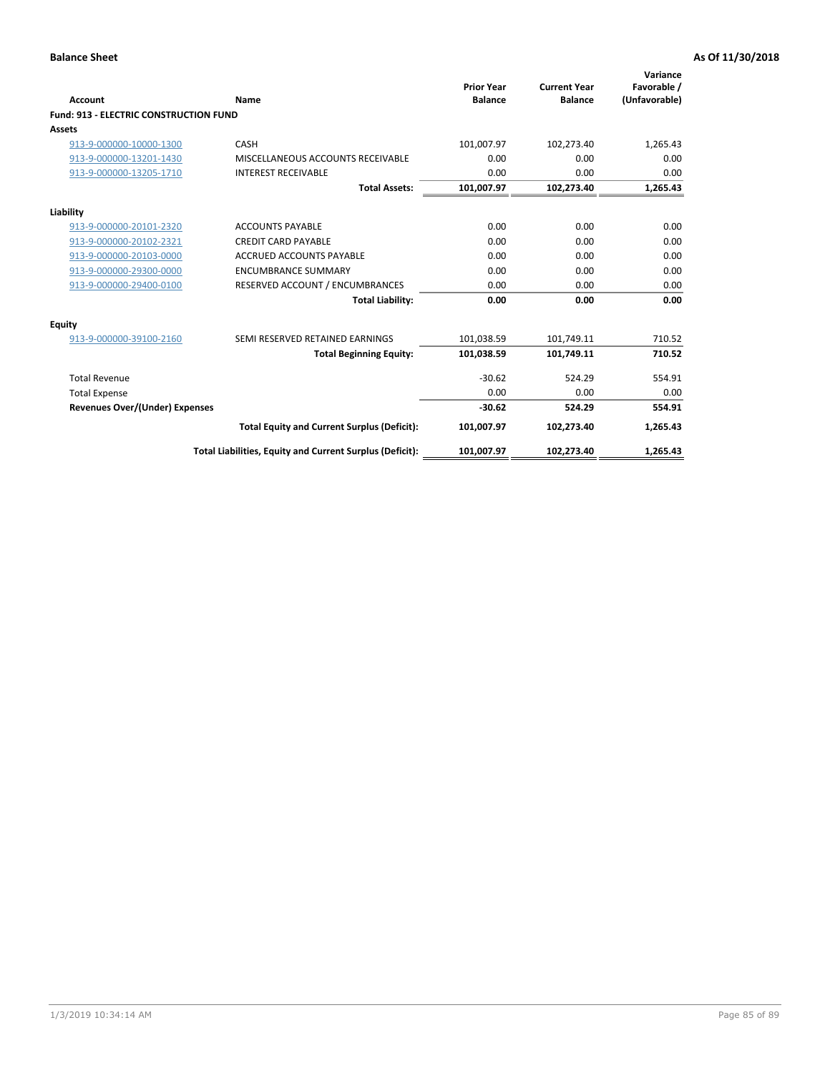| Account                                       | Name                                                     | <b>Prior Year</b><br><b>Balance</b> | <b>Current Year</b><br><b>Balance</b> | Variance<br>Favorable /<br>(Unfavorable) |
|-----------------------------------------------|----------------------------------------------------------|-------------------------------------|---------------------------------------|------------------------------------------|
| <b>Fund: 913 - ELECTRIC CONSTRUCTION FUND</b> |                                                          |                                     |                                       |                                          |
| <b>Assets</b>                                 |                                                          |                                     |                                       |                                          |
| 913-9-000000-10000-1300                       | CASH                                                     | 101,007.97                          | 102,273.40                            | 1,265.43                                 |
| 913-9-000000-13201-1430                       | MISCELLANEOUS ACCOUNTS RECEIVABLE                        | 0.00                                | 0.00                                  | 0.00                                     |
| 913-9-000000-13205-1710                       | <b>INTEREST RECEIVABLE</b>                               | 0.00                                | 0.00                                  | 0.00                                     |
|                                               | <b>Total Assets:</b>                                     | 101,007.97                          | 102,273.40                            | 1,265.43                                 |
| Liability                                     |                                                          |                                     |                                       |                                          |
| 913-9-000000-20101-2320                       | <b>ACCOUNTS PAYABLE</b>                                  | 0.00                                | 0.00                                  | 0.00                                     |
| 913-9-000000-20102-2321                       | <b>CREDIT CARD PAYABLE</b>                               | 0.00                                | 0.00                                  | 0.00                                     |
| 913-9-000000-20103-0000                       | <b>ACCRUED ACCOUNTS PAYABLE</b>                          | 0.00                                | 0.00                                  | 0.00                                     |
| 913-9-000000-29300-0000                       | <b>ENCUMBRANCE SUMMARY</b>                               | 0.00                                | 0.00                                  | 0.00                                     |
| 913-9-000000-29400-0100                       | RESERVED ACCOUNT / ENCUMBRANCES                          | 0.00                                | 0.00                                  | 0.00                                     |
|                                               | <b>Total Liability:</b>                                  | 0.00                                | 0.00                                  | 0.00                                     |
| Equity                                        |                                                          |                                     |                                       |                                          |
| 913-9-000000-39100-2160                       | SEMI RESERVED RETAINED EARNINGS                          | 101,038.59                          | 101,749.11                            | 710.52                                   |
|                                               | <b>Total Beginning Equity:</b>                           | 101,038.59                          | 101,749.11                            | 710.52                                   |
| <b>Total Revenue</b>                          |                                                          | $-30.62$                            | 524.29                                | 554.91                                   |
| <b>Total Expense</b>                          |                                                          | 0.00                                | 0.00                                  | 0.00                                     |
| Revenues Over/(Under) Expenses                |                                                          | $-30.62$                            | 524.29                                | 554.91                                   |
|                                               | <b>Total Equity and Current Surplus (Deficit):</b>       | 101,007.97                          | 102,273.40                            | 1,265.43                                 |
|                                               | Total Liabilities, Equity and Current Surplus (Deficit): | 101,007.97                          | 102,273.40                            | 1,265.43                                 |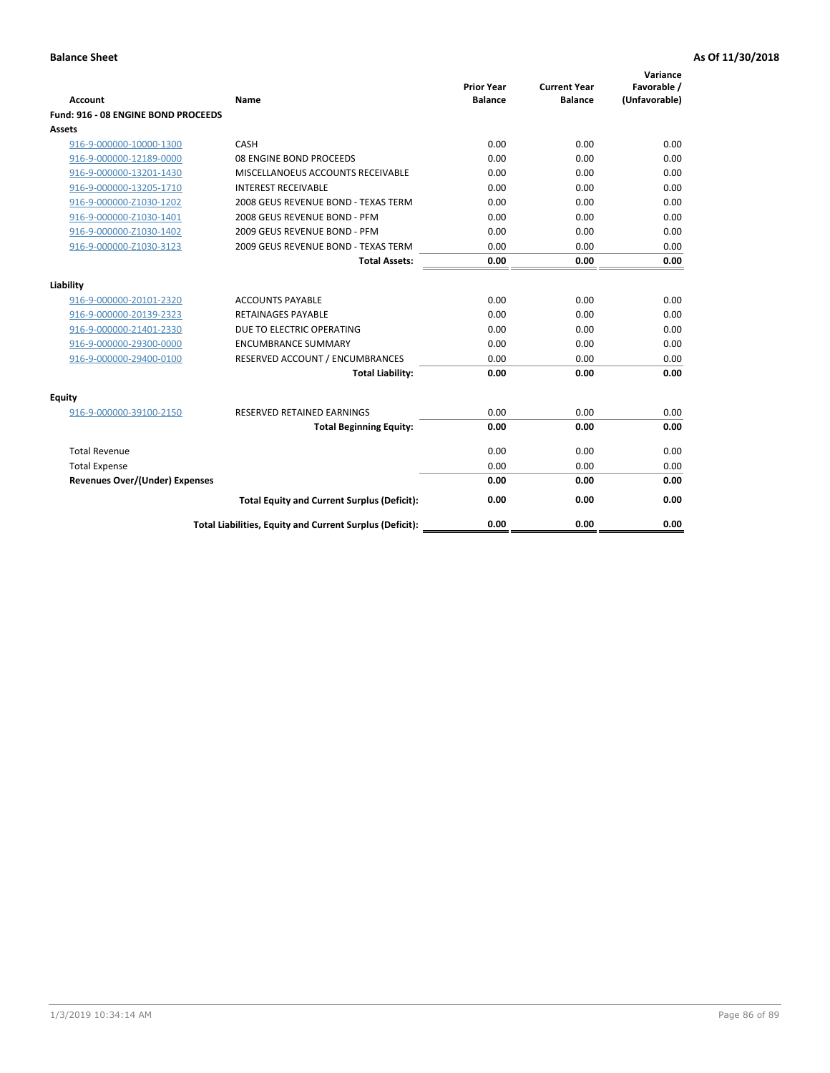| <b>Account</b>                        | Name                                                     | <b>Prior Year</b><br><b>Balance</b> | <b>Current Year</b><br><b>Balance</b> | Variance<br>Favorable /<br>(Unfavorable) |
|---------------------------------------|----------------------------------------------------------|-------------------------------------|---------------------------------------|------------------------------------------|
| Fund: 916 - 08 ENGINE BOND PROCEEDS   |                                                          |                                     |                                       |                                          |
| Assets                                |                                                          |                                     |                                       |                                          |
| 916-9-000000-10000-1300               | CASH                                                     | 0.00                                | 0.00                                  | 0.00                                     |
| 916-9-000000-12189-0000               | 08 ENGINE BOND PROCEEDS                                  | 0.00                                | 0.00                                  | 0.00                                     |
| 916-9-000000-13201-1430               | MISCELLANOEUS ACCOUNTS RECEIVABLE                        | 0.00                                | 0.00                                  | 0.00                                     |
| 916-9-000000-13205-1710               | <b>INTEREST RECEIVABLE</b>                               | 0.00                                | 0.00                                  | 0.00                                     |
| 916-9-000000-Z1030-1202               | 2008 GEUS REVENUE BOND - TEXAS TERM                      | 0.00                                | 0.00                                  | 0.00                                     |
| 916-9-000000-Z1030-1401               | 2008 GEUS REVENUE BOND - PFM                             | 0.00                                | 0.00                                  | 0.00                                     |
| 916-9-000000-Z1030-1402               | 2009 GEUS REVENUE BOND - PFM                             | 0.00                                | 0.00                                  | 0.00                                     |
| 916-9-000000-Z1030-3123               | 2009 GEUS REVENUE BOND - TEXAS TERM                      | 0.00                                | 0.00                                  | 0.00                                     |
|                                       | <b>Total Assets:</b>                                     | 0.00                                | 0.00                                  | 0.00                                     |
| Liability                             |                                                          |                                     |                                       |                                          |
| 916-9-000000-20101-2320               | <b>ACCOUNTS PAYABLE</b>                                  | 0.00                                | 0.00                                  | 0.00                                     |
| 916-9-000000-20139-2323               | <b>RETAINAGES PAYABLE</b>                                | 0.00                                | 0.00                                  | 0.00                                     |
| 916-9-000000-21401-2330               | DUE TO ELECTRIC OPERATING                                | 0.00                                | 0.00                                  | 0.00                                     |
| 916-9-000000-29300-0000               | <b>ENCUMBRANCE SUMMARY</b>                               | 0.00                                | 0.00                                  | 0.00                                     |
| 916-9-000000-29400-0100               | RESERVED ACCOUNT / ENCUMBRANCES                          | 0.00                                | 0.00                                  | 0.00                                     |
|                                       | <b>Total Liability:</b>                                  | 0.00                                | 0.00                                  | 0.00                                     |
| Equity                                |                                                          |                                     |                                       |                                          |
| 916-9-000000-39100-2150               | <b>RESERVED RETAINED EARNINGS</b>                        | 0.00                                | 0.00                                  | 0.00                                     |
|                                       | <b>Total Beginning Equity:</b>                           | 0.00                                | 0.00                                  | 0.00                                     |
| <b>Total Revenue</b>                  |                                                          | 0.00                                | 0.00                                  | 0.00                                     |
| <b>Total Expense</b>                  |                                                          | 0.00                                | 0.00                                  | 0.00                                     |
| <b>Revenues Over/(Under) Expenses</b> |                                                          | 0.00                                | 0.00                                  | 0.00                                     |
|                                       | <b>Total Equity and Current Surplus (Deficit):</b>       | 0.00                                | 0.00                                  | 0.00                                     |
|                                       | Total Liabilities, Equity and Current Surplus (Deficit): | 0.00                                | 0.00                                  | 0.00                                     |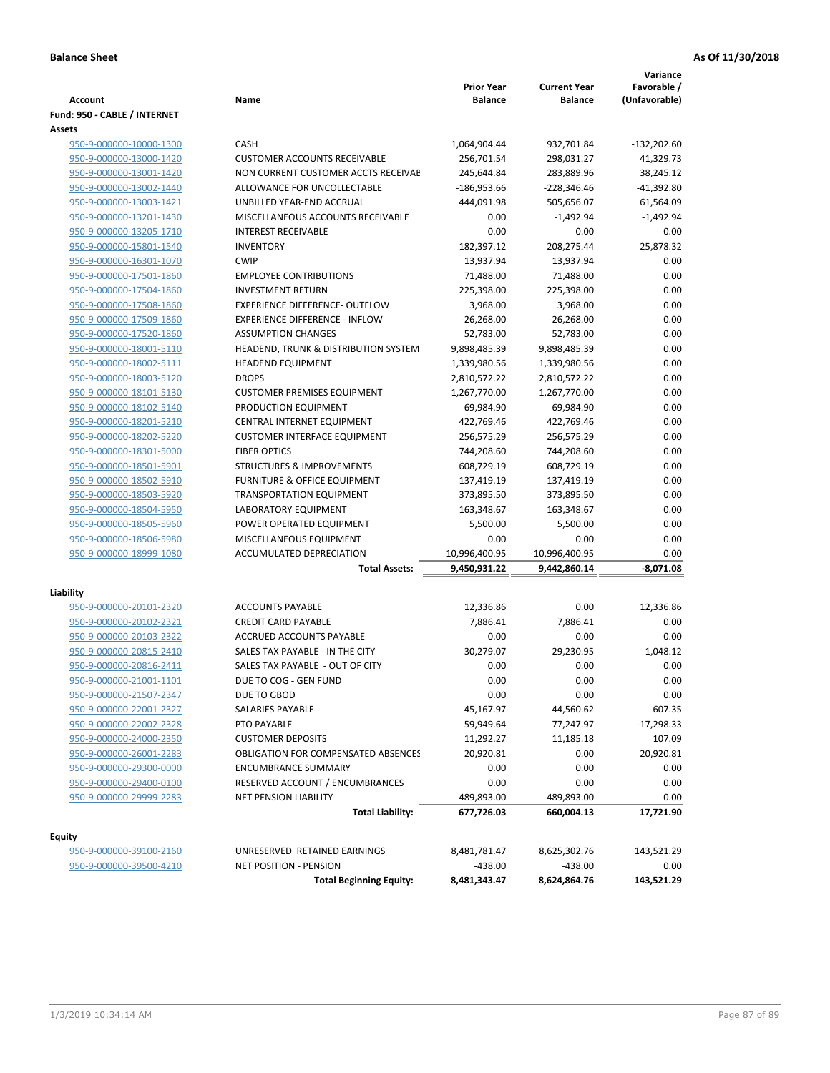| <b>Account</b>               | Name                                       | <b>Prior Year</b><br><b>Balance</b> | <b>Current Year</b><br><b>Balance</b> | Variance<br>Favorable /<br>(Unfavorable) |
|------------------------------|--------------------------------------------|-------------------------------------|---------------------------------------|------------------------------------------|
| Fund: 950 - CABLE / INTERNET |                                            |                                     |                                       |                                          |
| <b>Assets</b>                |                                            |                                     |                                       |                                          |
| 950-9-000000-10000-1300      | CASH                                       | 1,064,904.44                        | 932,701.84                            | $-132,202.60$                            |
| 950-9-000000-13000-1420      | <b>CUSTOMER ACCOUNTS RECEIVABLE</b>        | 256,701.54                          | 298,031.27                            | 41,329.73                                |
| 950-9-000000-13001-1420      | NON CURRENT CUSTOMER ACCTS RECEIVAE        | 245,644.84                          | 283,889.96                            | 38,245.12                                |
| 950-9-000000-13002-1440      | ALLOWANCE FOR UNCOLLECTABLE                | $-186,953.66$                       | -228,346.46                           | -41,392.80                               |
| 950-9-000000-13003-1421      | UNBILLED YEAR-END ACCRUAL                  | 444,091.98                          | 505,656.07                            | 61,564.09                                |
| 950-9-000000-13201-1430      | MISCELLANEOUS ACCOUNTS RECEIVABLE          | 0.00                                | $-1,492.94$                           | $-1,492.94$                              |
| 950-9-000000-13205-1710      | <b>INTEREST RECEIVABLE</b>                 | 0.00                                | 0.00                                  | 0.00                                     |
| 950-9-000000-15801-1540      | <b>INVENTORY</b>                           | 182,397.12                          | 208,275.44                            | 25,878.32                                |
| 950-9-000000-16301-1070      | <b>CWIP</b>                                | 13,937.94                           | 13,937.94                             | 0.00                                     |
| 950-9-000000-17501-1860      | <b>EMPLOYEE CONTRIBUTIONS</b>              | 71,488.00                           | 71,488.00                             | 0.00                                     |
| 950-9-000000-17504-1860      | <b>INVESTMENT RETURN</b>                   | 225,398.00                          | 225,398.00                            | 0.00                                     |
| 950-9-000000-17508-1860      | EXPERIENCE DIFFERENCE- OUTFLOW             | 3,968.00                            | 3,968.00                              | 0.00                                     |
| 950-9-000000-17509-1860      | <b>EXPERIENCE DIFFERENCE - INFLOW</b>      | $-26,268.00$                        | $-26,268.00$                          | 0.00                                     |
| 950-9-000000-17520-1860      | <b>ASSUMPTION CHANGES</b>                  | 52,783.00                           | 52,783.00                             | 0.00                                     |
| 950-9-000000-18001-5110      | HEADEND, TRUNK & DISTRIBUTION SYSTEM       | 9,898,485.39                        | 9,898,485.39                          | 0.00                                     |
| 950-9-000000-18002-5111      | <b>HEADEND EQUIPMENT</b>                   | 1,339,980.56                        | 1,339,980.56                          | 0.00                                     |
| 950-9-000000-18003-5120      | <b>DROPS</b>                               | 2,810,572.22                        | 2,810,572.22                          | 0.00                                     |
| 950-9-000000-18101-5130      | <b>CUSTOMER PREMISES EQUIPMENT</b>         | 1,267,770.00                        | 1,267,770.00                          | 0.00                                     |
| 950-9-000000-18102-5140      | PRODUCTION EQUIPMENT                       | 69,984.90                           | 69,984.90                             | 0.00                                     |
| 950-9-000000-18201-5210      | CENTRAL INTERNET EQUIPMENT                 | 422,769.46                          | 422,769.46                            | 0.00                                     |
| 950-9-000000-18202-5220      | <b>CUSTOMER INTERFACE EQUIPMENT</b>        | 256,575.29                          | 256,575.29                            | 0.00                                     |
| 950-9-000000-18301-5000      | <b>FIBER OPTICS</b>                        | 744,208.60                          | 744,208.60                            | 0.00                                     |
| 950-9-000000-18501-5901      | <b>STRUCTURES &amp; IMPROVEMENTS</b>       | 608,729.19                          | 608,729.19                            | 0.00                                     |
| 950-9-000000-18502-5910      | FURNITURE & OFFICE EQUIPMENT               | 137,419.19                          | 137,419.19                            | 0.00                                     |
| 950-9-000000-18503-5920      | <b>TRANSPORTATION EQUIPMENT</b>            | 373,895.50                          | 373,895.50                            | 0.00                                     |
| 950-9-000000-18504-5950      | LABORATORY EQUIPMENT                       | 163,348.67                          | 163,348.67                            | 0.00                                     |
| 950-9-000000-18505-5960      | POWER OPERATED EQUIPMENT                   | 5,500.00                            | 5,500.00                              | 0.00                                     |
| 950-9-000000-18506-5980      | MISCELLANEOUS EQUIPMENT                    | 0.00                                | 0.00                                  | 0.00                                     |
| 950-9-000000-18999-1080      | ACCUMULATED DEPRECIATION                   | -10,996,400.95                      | -10,996,400.95                        | 0.00                                     |
|                              | <b>Total Assets:</b>                       | 9,450,931.22                        | 9,442,860.14                          | $-8,071.08$                              |
| Liability                    |                                            |                                     |                                       |                                          |
| 950-9-000000-20101-2320      | <b>ACCOUNTS PAYABLE</b>                    | 12,336.86                           | 0.00                                  | 12,336.86                                |
| 950-9-000000-20102-2321      | <b>CREDIT CARD PAYABLE</b>                 | 7,886.41                            | 7,886.41                              | 0.00                                     |
| 950-9-000000-20103-2322      | ACCRUED ACCOUNTS PAYABLE                   | 0.00                                | 0.00                                  | 0.00                                     |
| 950-9-000000-20815-2410      | SALES TAX PAYABLE - IN THE CITY            | 30,279.07                           | 29,230.95                             | 1,048.12                                 |
| 950-9-000000-20816-2411      | SALES TAX PAYABLE - OUT OF CITY            | 0.00                                | 0.00                                  | 0.00                                     |
| 950-9-000000-21001-1101      | DUE TO COG - GEN FUND                      | 0.00                                | 0.00                                  | 0.00                                     |
| 950-9-000000-21507-2347      | DUE TO GBOD                                | 0.00                                | 0.00                                  | 0.00                                     |
| 950-9-000000-22001-2327      | <b>SALARIES PAYABLE</b>                    | 45,167.97                           | 44,560.62                             | 607.35                                   |
| 950-9-000000-22002-2328      | PTO PAYABLE                                | 59,949.64                           | 77,247.97                             | $-17,298.33$                             |
| 950-9-000000-24000-2350      | <b>CUSTOMER DEPOSITS</b>                   | 11,292.27                           | 11,185.18                             | 107.09                                   |
| 950-9-000000-26001-2283      | <b>OBLIGATION FOR COMPENSATED ABSENCES</b> | 20,920.81                           | 0.00                                  | 20,920.81                                |
| 950-9-000000-29300-0000      | <b>ENCUMBRANCE SUMMARY</b>                 | 0.00                                | 0.00                                  | 0.00                                     |
| 950-9-000000-29400-0100      | RESERVED ACCOUNT / ENCUMBRANCES            | 0.00                                | 0.00                                  | 0.00                                     |
| 950-9-000000-29999-2283      | <b>NET PENSION LIABILITY</b>               | 489,893.00                          | 489,893.00                            | 0.00                                     |
|                              | <b>Total Liability:</b>                    | 677,726.03                          | 660,004.13                            | 17,721.90                                |
|                              |                                            |                                     |                                       |                                          |
| <b>Equity</b>                |                                            |                                     |                                       |                                          |
| 950-9-000000-39100-2160      | UNRESERVED RETAINED EARNINGS               | 8,481,781.47                        | 8,625,302.76                          | 143,521.29                               |
| 950-9-000000-39500-4210      | NET POSITION - PENSION                     | $-438.00$                           | $-438.00$                             | 0.00                                     |
|                              | <b>Total Beginning Equity:</b>             | 8,481,343.47                        | 8,624,864.76                          | 143,521.29                               |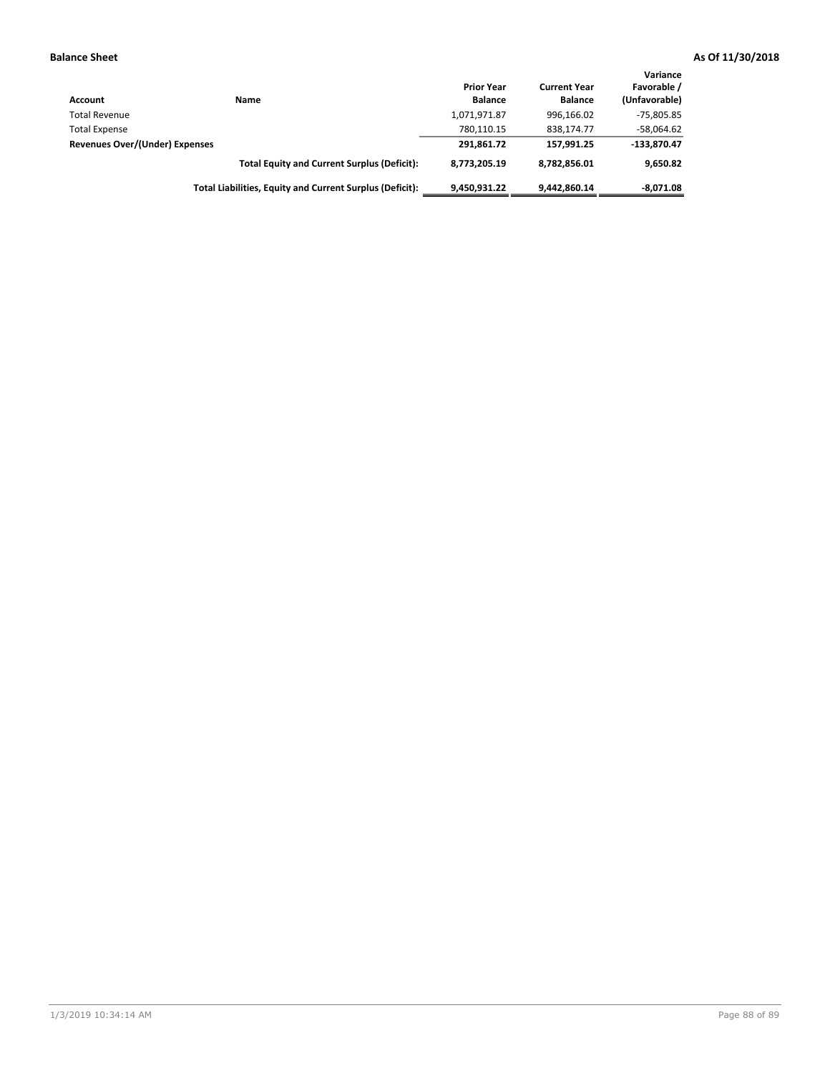| Account                        | Name                                                     | <b>Prior Year</b><br><b>Balance</b> | <b>Current Year</b><br><b>Balance</b> | Variance<br>Favorable /<br>(Unfavorable) |
|--------------------------------|----------------------------------------------------------|-------------------------------------|---------------------------------------|------------------------------------------|
| <b>Total Revenue</b>           |                                                          | 1,071,971.87                        | 996.166.02                            | -75,805.85                               |
| <b>Total Expense</b>           |                                                          | 780.110.15                          | 838.174.77                            | $-58,064.62$                             |
| Revenues Over/(Under) Expenses |                                                          | 291.861.72                          | 157.991.25                            | $-133,870.47$                            |
|                                | <b>Total Equity and Current Surplus (Deficit):</b>       | 8.773.205.19                        | 8,782,856.01                          | 9,650.82                                 |
|                                | Total Liabilities, Equity and Current Surplus (Deficit): | 9,450,931.22                        | 9.442.860.14                          | $-8,071.08$                              |